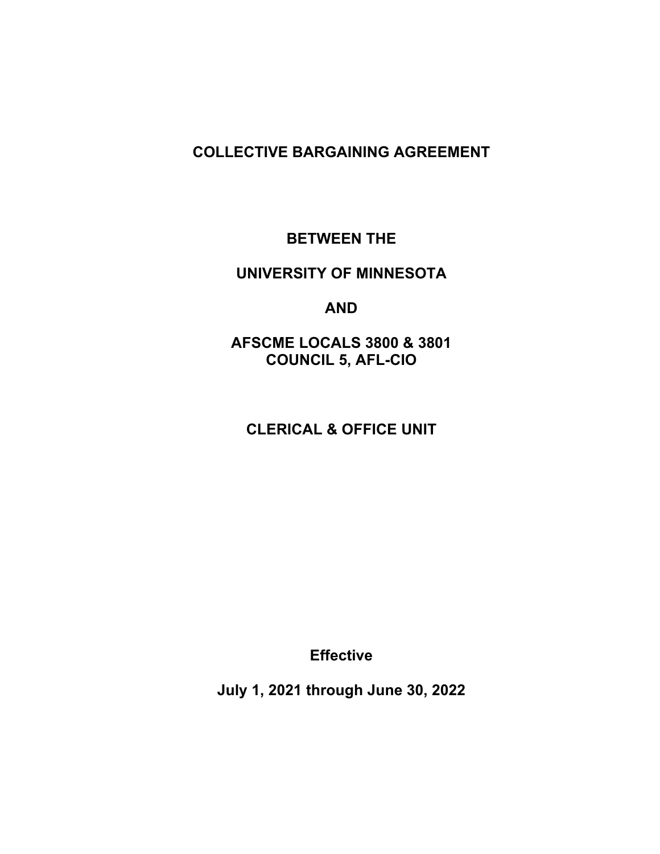### **COLLECTIVE BARGAINING AGREEMENT**

#### **BETWEEN THE**

### **UNIVERSITY OF MINNESOTA**

#### **AND**

**AFSCME LOCALS 3800 & 3801 COUNCIL 5, AFL-CIO** 

# **CLERICAL & OFFICE UNIT**

**Effective** 

**July 1, 2021 through June 30, 2022**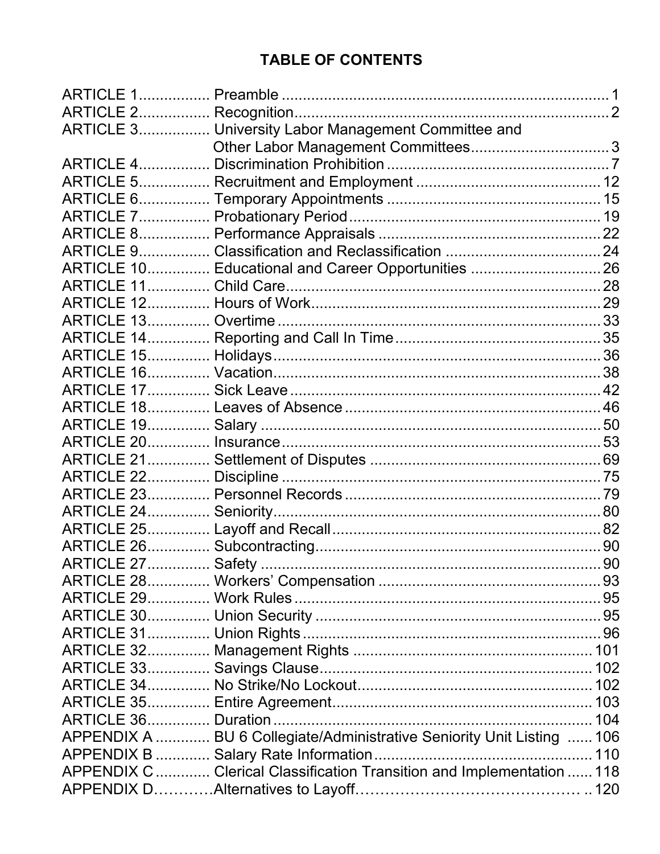# **TABLE OF CONTENTS**

| ARTICLE 3 University Labor Management Committee and                    |  |
|------------------------------------------------------------------------|--|
|                                                                        |  |
|                                                                        |  |
|                                                                        |  |
|                                                                        |  |
|                                                                        |  |
|                                                                        |  |
|                                                                        |  |
| ARTICLE 10 Educational and Career Opportunities 26                     |  |
|                                                                        |  |
|                                                                        |  |
|                                                                        |  |
|                                                                        |  |
|                                                                        |  |
|                                                                        |  |
|                                                                        |  |
|                                                                        |  |
|                                                                        |  |
|                                                                        |  |
|                                                                        |  |
|                                                                        |  |
|                                                                        |  |
|                                                                        |  |
|                                                                        |  |
|                                                                        |  |
|                                                                        |  |
|                                                                        |  |
|                                                                        |  |
|                                                                        |  |
|                                                                        |  |
|                                                                        |  |
|                                                                        |  |
|                                                                        |  |
|                                                                        |  |
|                                                                        |  |
| APPENDIX A  BU 6 Collegiate/Administrative Seniority Unit Listing  106 |  |
|                                                                        |  |
| APPENDIX C  Clerical Classification Transition and Implementation  118 |  |
|                                                                        |  |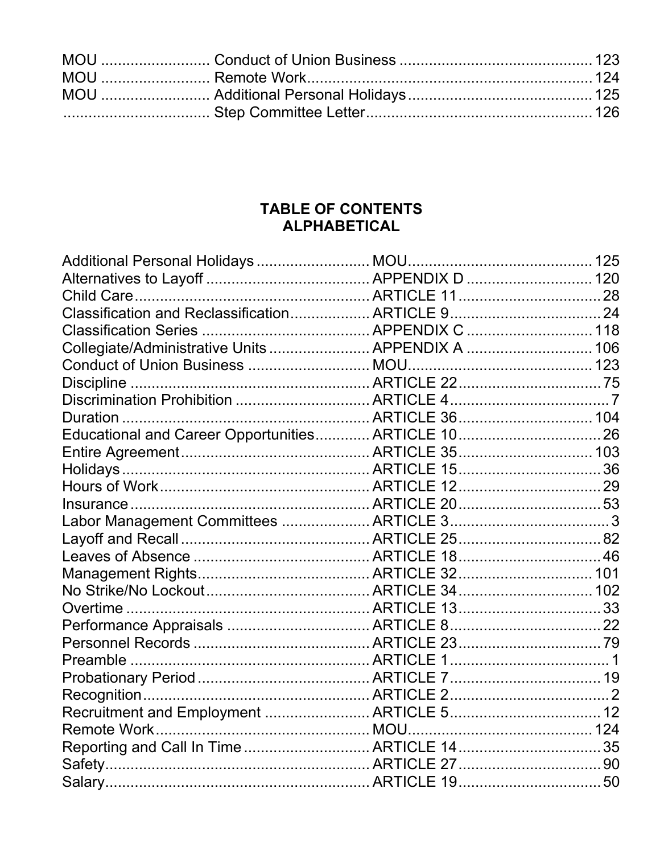# TABLE OF CONTENTS **ALPHABETICAL**

| Collegiate/Administrative Units  APPENDIX A  106   |  |
|----------------------------------------------------|--|
|                                                    |  |
|                                                    |  |
|                                                    |  |
|                                                    |  |
| Educational and Career Opportunities ARTICLE 10 26 |  |
|                                                    |  |
|                                                    |  |
|                                                    |  |
|                                                    |  |
|                                                    |  |
|                                                    |  |
|                                                    |  |
|                                                    |  |
|                                                    |  |
|                                                    |  |
|                                                    |  |
|                                                    |  |
|                                                    |  |
|                                                    |  |
|                                                    |  |
| Recruitment and Employment  ARTICLE 5 12           |  |
|                                                    |  |
|                                                    |  |
|                                                    |  |
|                                                    |  |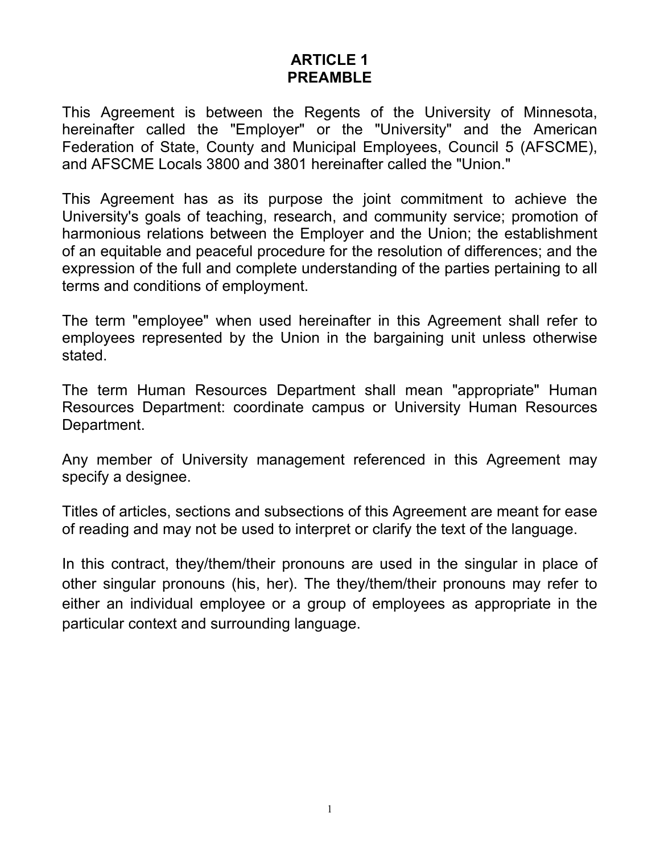### **ARTICLE 1 PREAMBLE**

This Agreement is between the Regents of the University of Minnesota, hereinafter called the "Employer" or the "University" and the American Federation of State, County and Municipal Employees, Council 5 (AFSCME), and AFSCME Locals 3800 and 3801 hereinafter called the "Union."

This Agreement has as its purpose the joint commitment to achieve the University's goals of teaching, research, and community service; promotion of harmonious relations between the Employer and the Union; the establishment of an equitable and peaceful procedure for the resolution of differences; and the expression of the full and complete understanding of the parties pertaining to all terms and conditions of employment.

The term "employee" when used hereinafter in this Agreement shall refer to employees represented by the Union in the bargaining unit unless otherwise stated.

The term Human Resources Department shall mean "appropriate" Human Resources Department: coordinate campus or University Human Resources Department.

Any member of University management referenced in this Agreement may specify a designee.

Titles of articles, sections and subsections of this Agreement are meant for ease of reading and may not be used to interpret or clarify the text of the language.

In this contract, they/them/their pronouns are used in the singular in place of other singular pronouns (his, her). The they/them/their pronouns may refer to either an individual employee or a group of employees as appropriate in the particular context and surrounding language.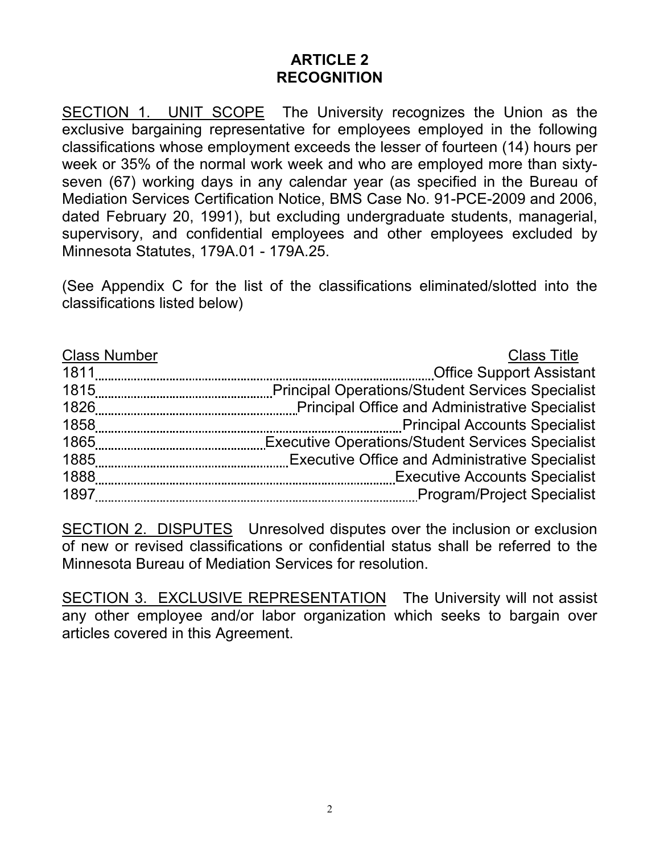# **ARTICLE 2 RECOGNITION**

SECTION 1. UNIT SCOPE The University recognizes the Union as the exclusive bargaining representative for employees employed in the following classifications whose employment exceeds the lesser of fourteen (14) hours per week or 35% of the normal work week and who are employed more than sixtyseven (67) working days in any calendar year (as specified in the Bureau of Mediation Services Certification Notice, BMS Case No. 91-PCE-2009 and 2006, dated February 20, 1991), but excluding undergraduate students, managerial, supervisory, and confidential employees and other employees excluded by Minnesota Statutes, 179A.01 - 179A.25.

(See Appendix C for the list of the classifications eliminated/slotted into the classifications listed below)

| <b>Class Number</b> | <b>Class Title</b>                   |
|---------------------|--------------------------------------|
| 1811                |                                      |
|                     |                                      |
| 1826                |                                      |
| 1858                | <b>Principal Accounts Specialist</b> |
|                     |                                      |
|                     |                                      |
| 1888                |                                      |
| 1897                |                                      |

SECTION 2. DISPUTES Unresolved disputes over the inclusion or exclusion of new or revised classifications or confidential status shall be referred to the Minnesota Bureau of Mediation Services for resolution.

SECTION 3. EXCLUSIVE REPRESENTATION The University will not assist any other employee and/or labor organization which seeks to bargain over articles covered in this Agreement.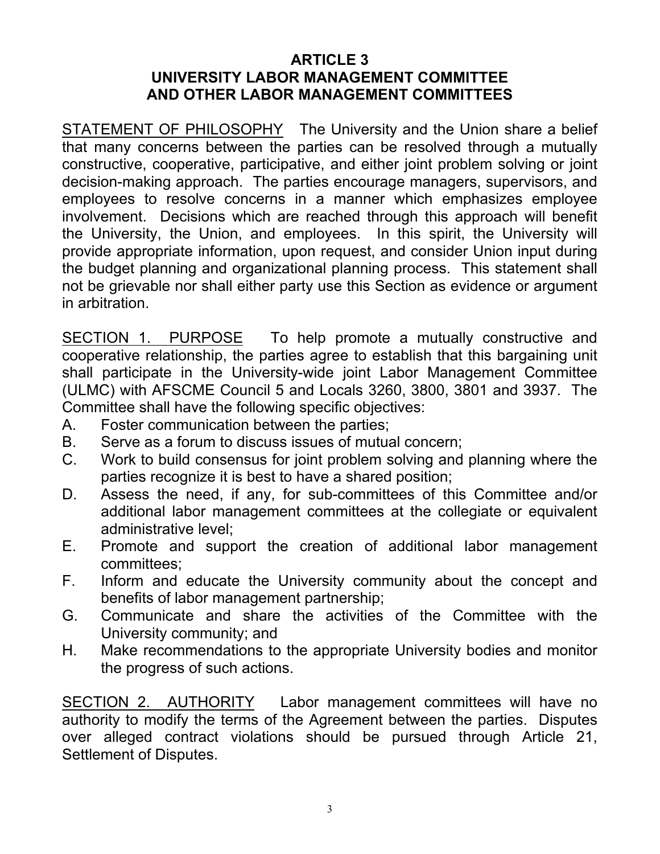### **ARTICLE 3 UNIVERSITY LABOR MANAGEMENT COMMITTEE AND OTHER LABOR MANAGEMENT COMMITTEES**

STATEMENT OF PHILOSOPHY The University and the Union share a belief that many concerns between the parties can be resolved through a mutually constructive, cooperative, participative, and either joint problem solving or joint decision-making approach. The parties encourage managers, supervisors, and employees to resolve concerns in a manner which emphasizes employee involvement. Decisions which are reached through this approach will benefit the University, the Union, and employees. In this spirit, the University will provide appropriate information, upon request, and consider Union input during the budget planning and organizational planning process. This statement shall not be grievable nor shall either party use this Section as evidence or argument in arbitration.

SECTION 1. PURPOSE To help promote a mutually constructive and cooperative relationship, the parties agree to establish that this bargaining unit shall participate in the University-wide joint Labor Management Committee (ULMC) with AFSCME Council 5 and Locals 3260, 3800, 3801 and 3937. The Committee shall have the following specific objectives:

- A. Foster communication between the parties;
- B. Serve as a forum to discuss issues of mutual concern;
- C. Work to build consensus for joint problem solving and planning where the parties recognize it is best to have a shared position;
- D. Assess the need, if any, for sub-committees of this Committee and/or additional labor management committees at the collegiate or equivalent administrative level;
- E. Promote and support the creation of additional labor management committees;
- F. Inform and educate the University community about the concept and benefits of labor management partnership;
- G. Communicate and share the activities of the Committee with the University community; and
- H. Make recommendations to the appropriate University bodies and monitor the progress of such actions.

SECTION 2. AUTHORITY Labor management committees will have no authority to modify the terms of the Agreement between the parties. Disputes over alleged contract violations should be pursued through Article 21, Settlement of Disputes.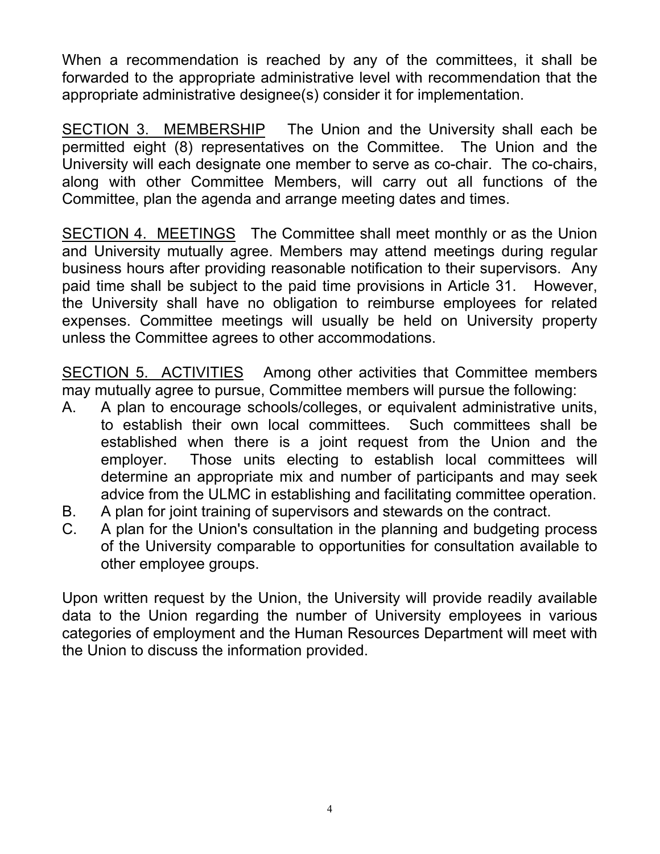When a recommendation is reached by any of the committees, it shall be forwarded to the appropriate administrative level with recommendation that the appropriate administrative designee(s) consider it for implementation.

SECTION 3. MEMBERSHIP The Union and the University shall each be permitted eight (8) representatives on the Committee. The Union and the University will each designate one member to serve as co-chair. The co-chairs, along with other Committee Members, will carry out all functions of the Committee, plan the agenda and arrange meeting dates and times.

SECTION 4. MEETINGS The Committee shall meet monthly or as the Union and University mutually agree. Members may attend meetings during regular business hours after providing reasonable notification to their supervisors. Any paid time shall be subject to the paid time provisions in Article 31. However, the University shall have no obligation to reimburse employees for related expenses. Committee meetings will usually be held on University property unless the Committee agrees to other accommodations.

SECTION 5. ACTIVITIES Among other activities that Committee members may mutually agree to pursue, Committee members will pursue the following:

- A. A plan to encourage schools/colleges, or equivalent administrative units, to establish their own local committees. Such committees shall be established when there is a joint request from the Union and the employer. Those units electing to establish local committees will determine an appropriate mix and number of participants and may seek advice from the ULMC in establishing and facilitating committee operation.
- B. A plan for joint training of supervisors and stewards on the contract.
- C. A plan for the Union's consultation in the planning and budgeting process of the University comparable to opportunities for consultation available to other employee groups.

Upon written request by the Union, the University will provide readily available data to the Union regarding the number of University employees in various categories of employment and the Human Resources Department will meet with the Union to discuss the information provided.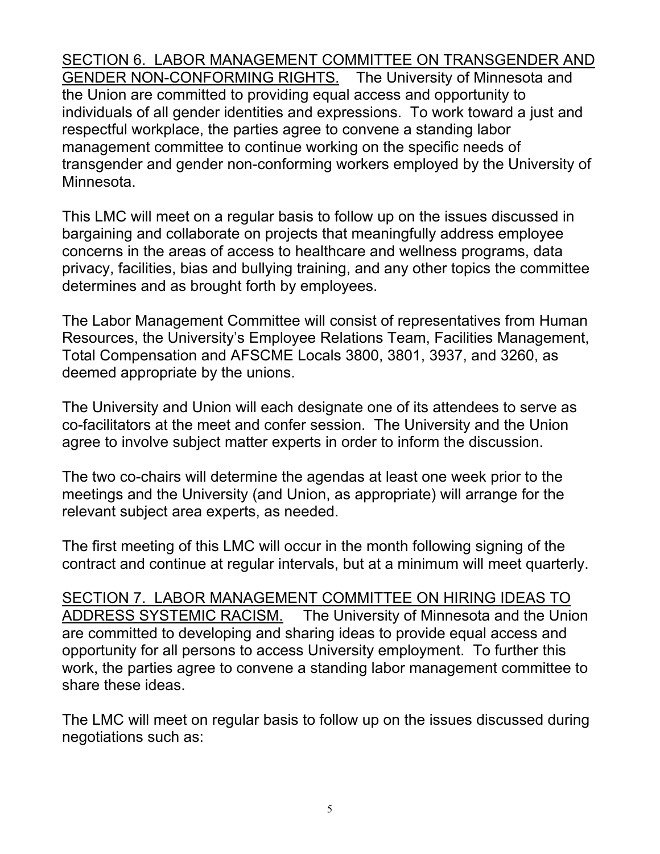SECTION 6. LABOR MANAGEMENT COMMITTEE ON TRANSGENDER AND GENDER NON-CONFORMING RIGHTS. The University of Minnesota and the Union are committed to providing equal access and opportunity to individuals of all gender identities and expressions. To work toward a just and respectful workplace, the parties agree to convene a standing labor management committee to continue working on the specific needs of transgender and gender non-conforming workers employed by the University of Minnesota.

This LMC will meet on a regular basis to follow up on the issues discussed in bargaining and collaborate on projects that meaningfully address employee concerns in the areas of access to healthcare and wellness programs, data privacy, facilities, bias and bullying training, and any other topics the committee determines and as brought forth by employees.

The Labor Management Committee will consist of representatives from Human Resources, the University's Employee Relations Team, Facilities Management, Total Compensation and AFSCME Locals 3800, 3801, 3937, and 3260, as deemed appropriate by the unions.

The University and Union will each designate one of its attendees to serve as co-facilitators at the meet and confer session. The University and the Union agree to involve subject matter experts in order to inform the discussion.

The two co-chairs will determine the agendas at least one week prior to the meetings and the University (and Union, as appropriate) will arrange for the relevant subject area experts, as needed.

The first meeting of this LMC will occur in the month following signing of the contract and continue at regular intervals, but at a minimum will meet quarterly.

SECTION 7. LABOR MANAGEMENT COMMITTEE ON HIRING IDEAS TO ADDRESS SYSTEMIC RACISM. The University of Minnesota and the Union are committed to developing and sharing ideas to provide equal access and opportunity for all persons to access University employment. To further this work, the parties agree to convene a standing labor management committee to share these ideas.

The LMC will meet on regular basis to follow up on the issues discussed during negotiations such as: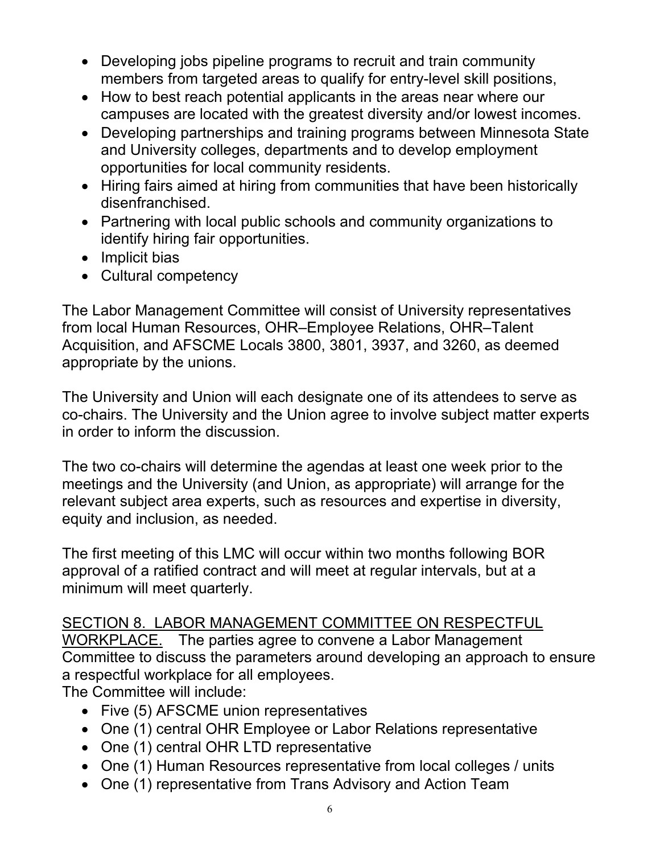- Developing jobs pipeline programs to recruit and train community members from targeted areas to qualify for entry-level skill positions,
- How to best reach potential applicants in the areas near where our campuses are located with the greatest diversity and/or lowest incomes.
- Developing partnerships and training programs between Minnesota State and University colleges, departments and to develop employment opportunities for local community residents.
- Hiring fairs aimed at hiring from communities that have been historically disenfranchised.
- Partnering with local public schools and community organizations to identify hiring fair opportunities.
- Implicit bias
- Cultural competency

The Labor Management Committee will consist of University representatives from local Human Resources, OHR–Employee Relations, OHR–Talent Acquisition, and AFSCME Locals 3800, 3801, 3937, and 3260, as deemed appropriate by the unions.

The University and Union will each designate one of its attendees to serve as co-chairs. The University and the Union agree to involve subject matter experts in order to inform the discussion.

The two co-chairs will determine the agendas at least one week prior to the meetings and the University (and Union, as appropriate) will arrange for the relevant subject area experts, such as resources and expertise in diversity, equity and inclusion, as needed.

The first meeting of this LMC will occur within two months following BOR approval of a ratified contract and will meet at regular intervals, but at a minimum will meet quarterly.

# SECTION 8. LABOR MANAGEMENT COMMITTEE ON RESPECTFUL WORKPLACE. The parties agree to convene a Labor Management Committee to discuss the parameters around developing an approach to ensure a respectful workplace for all employees.

The Committee will include:

- Five (5) AFSCME union representatives
- One (1) central OHR Employee or Labor Relations representative
- One (1) central OHR LTD representative
- One (1) Human Resources representative from local colleges / units
- One (1) representative from Trans Advisory and Action Team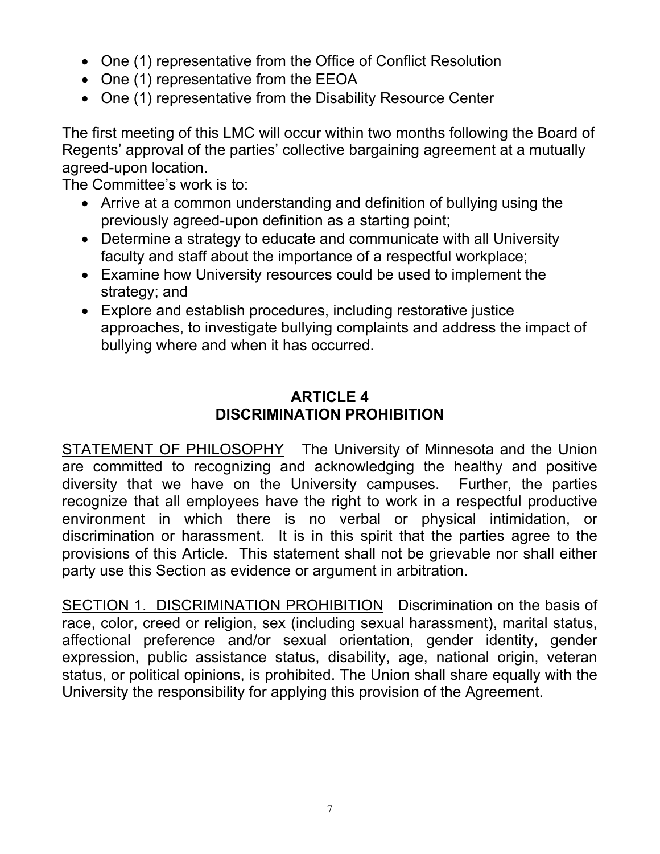- One (1) representative from the Office of Conflict Resolution
- One (1) representative from the EEOA
- One (1) representative from the Disability Resource Center

The first meeting of this LMC will occur within two months following the Board of Regents' approval of the parties' collective bargaining agreement at a mutually agreed-upon location.

The Committee's work is to:

- Arrive at a common understanding and definition of bullying using the previously agreed-upon definition as a starting point;
- Determine a strategy to educate and communicate with all University faculty and staff about the importance of a respectful workplace;
- Examine how University resources could be used to implement the strategy; and
- Explore and establish procedures, including restorative justice approaches, to investigate bullying complaints and address the impact of bullying where and when it has occurred.

# **ARTICLE 4 DISCRIMINATION PROHIBITION**

STATEMENT OF PHILOSOPHY The University of Minnesota and the Union are committed to recognizing and acknowledging the healthy and positive diversity that we have on the University campuses. Further, the parties recognize that all employees have the right to work in a respectful productive environment in which there is no verbal or physical intimidation, or discrimination or harassment. It is in this spirit that the parties agree to the provisions of this Article. This statement shall not be grievable nor shall either party use this Section as evidence or argument in arbitration.

SECTION 1. DISCRIMINATION PROHIBITION Discrimination on the basis of race, color, creed or religion, sex (including sexual harassment), marital status, affectional preference and/or sexual orientation, gender identity, gender expression, public assistance status, disability, age, national origin, veteran status, or political opinions, is prohibited. The Union shall share equally with the University the responsibility for applying this provision of the Agreement.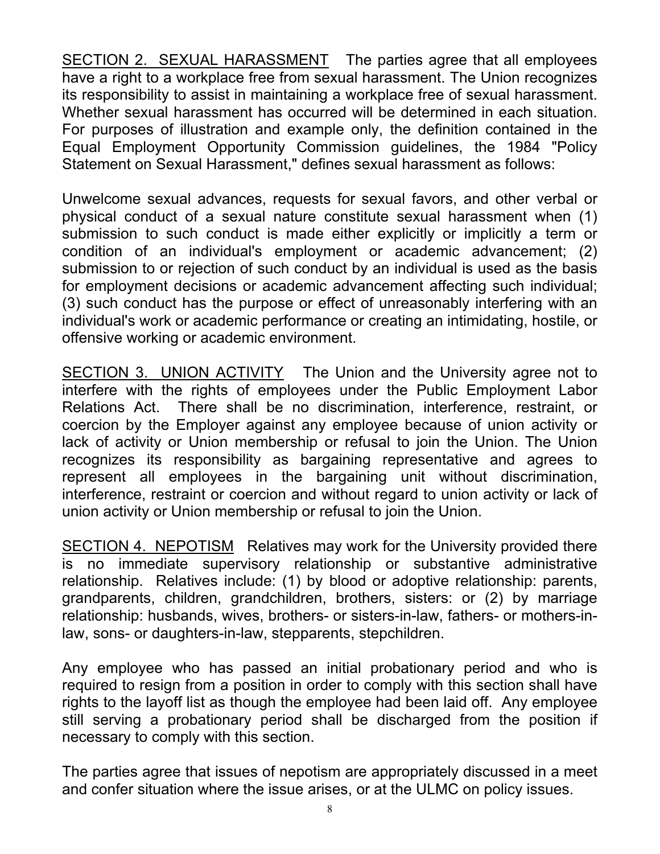SECTION 2. SEXUAL HARASSMENT The parties agree that all employees have a right to a workplace free from sexual harassment. The Union recognizes its responsibility to assist in maintaining a workplace free of sexual harassment. Whether sexual harassment has occurred will be determined in each situation. For purposes of illustration and example only, the definition contained in the Equal Employment Opportunity Commission guidelines, the 1984 "Policy Statement on Sexual Harassment," defines sexual harassment as follows:

Unwelcome sexual advances, requests for sexual favors, and other verbal or physical conduct of a sexual nature constitute sexual harassment when (1) submission to such conduct is made either explicitly or implicitly a term or condition of an individual's employment or academic advancement; (2) submission to or rejection of such conduct by an individual is used as the basis for employment decisions or academic advancement affecting such individual; (3) such conduct has the purpose or effect of unreasonably interfering with an individual's work or academic performance or creating an intimidating, hostile, or offensive working or academic environment.

SECTION 3. UNION ACTIVITY The Union and the University agree not to interfere with the rights of employees under the Public Employment Labor Relations Act. There shall be no discrimination, interference, restraint, or coercion by the Employer against any employee because of union activity or lack of activity or Union membership or refusal to join the Union. The Union recognizes its responsibility as bargaining representative and agrees to represent all employees in the bargaining unit without discrimination, interference, restraint or coercion and without regard to union activity or lack of union activity or Union membership or refusal to join the Union.

SECTION 4. NEPOTISM Relatives may work for the University provided there is no immediate supervisory relationship or substantive administrative relationship. Relatives include: (1) by blood or adoptive relationship: parents, grandparents, children, grandchildren, brothers, sisters: or (2) by marriage relationship: husbands, wives, brothers- or sisters-in-law, fathers- or mothers-inlaw, sons- or daughters-in-law, stepparents, stepchildren.

Any employee who has passed an initial probationary period and who is required to resign from a position in order to comply with this section shall have rights to the layoff list as though the employee had been laid off. Any employee still serving a probationary period shall be discharged from the position if necessary to comply with this section.

The parties agree that issues of nepotism are appropriately discussed in a meet and confer situation where the issue arises, or at the ULMC on policy issues.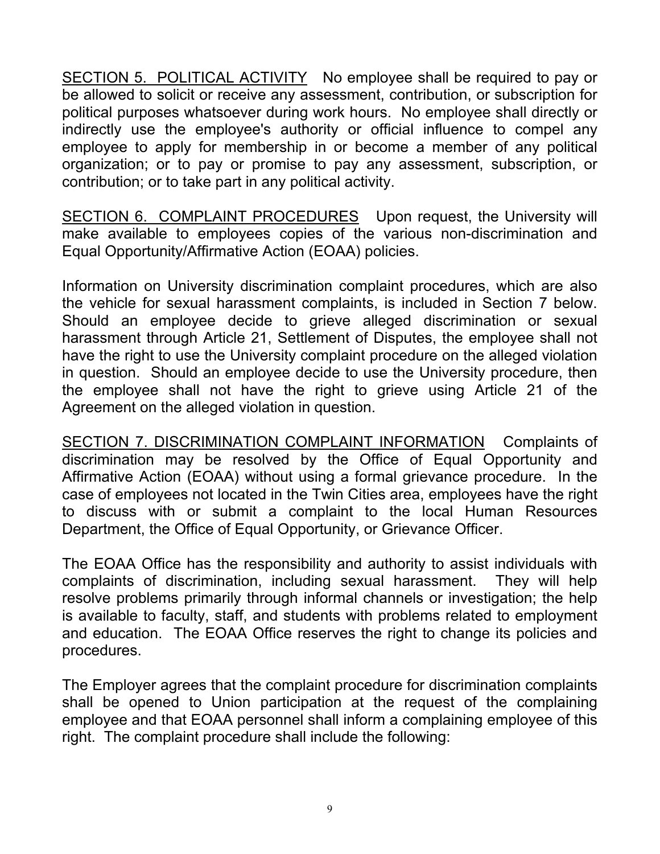SECTION 5. POLITICAL ACTIVITY No employee shall be required to pay or be allowed to solicit or receive any assessment, contribution, or subscription for political purposes whatsoever during work hours. No employee shall directly or indirectly use the employee's authority or official influence to compel any employee to apply for membership in or become a member of any political organization; or to pay or promise to pay any assessment, subscription, or contribution; or to take part in any political activity.

SECTION 6. COMPLAINT PROCEDURES Upon request, the University will make available to employees copies of the various non-discrimination and Equal Opportunity/Affirmative Action (EOAA) policies.

Information on University discrimination complaint procedures, which are also the vehicle for sexual harassment complaints, is included in Section 7 below. Should an employee decide to grieve alleged discrimination or sexual harassment through Article 21, Settlement of Disputes, the employee shall not have the right to use the University complaint procedure on the alleged violation in question. Should an employee decide to use the University procedure, then the employee shall not have the right to grieve using Article 21 of the Agreement on the alleged violation in question.

SECTION 7. DISCRIMINATION COMPLAINT INFORMATION Complaints of discrimination may be resolved by the Office of Equal Opportunity and Affirmative Action (EOAA) without using a formal grievance procedure. In the case of employees not located in the Twin Cities area, employees have the right to discuss with or submit a complaint to the local Human Resources Department, the Office of Equal Opportunity, or Grievance Officer.

The EOAA Office has the responsibility and authority to assist individuals with complaints of discrimination, including sexual harassment. They will help resolve problems primarily through informal channels or investigation; the help is available to faculty, staff, and students with problems related to employment and education. The EOAA Office reserves the right to change its policies and procedures.

The Employer agrees that the complaint procedure for discrimination complaints shall be opened to Union participation at the request of the complaining employee and that EOAA personnel shall inform a complaining employee of this right. The complaint procedure shall include the following: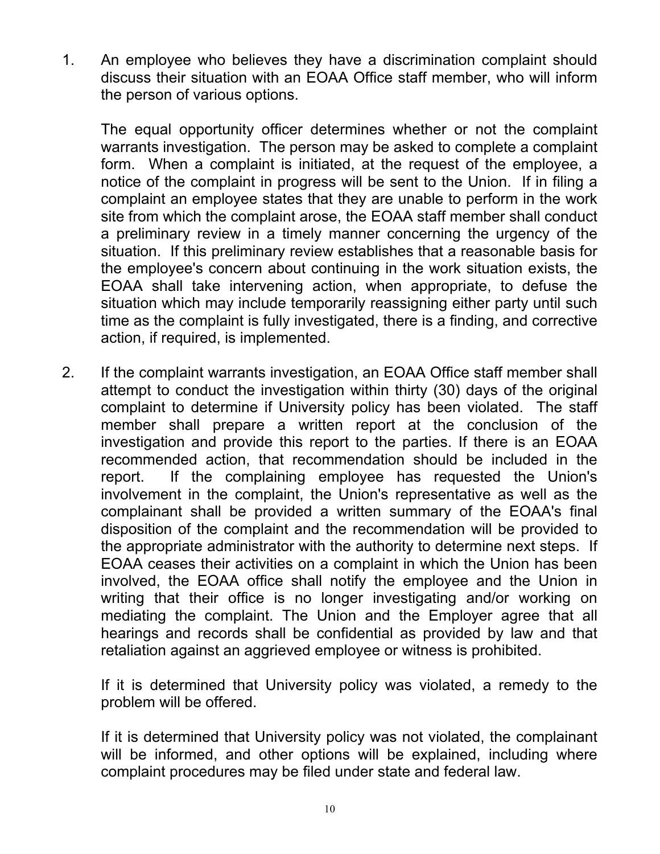1. An employee who believes they have a discrimination complaint should discuss their situation with an EOAA Office staff member, who will inform the person of various options.

The equal opportunity officer determines whether or not the complaint warrants investigation. The person may be asked to complete a complaint form. When a complaint is initiated, at the request of the employee, a notice of the complaint in progress will be sent to the Union. If in filing a complaint an employee states that they are unable to perform in the work site from which the complaint arose, the EOAA staff member shall conduct a preliminary review in a timely manner concerning the urgency of the situation. If this preliminary review establishes that a reasonable basis for the employee's concern about continuing in the work situation exists, the EOAA shall take intervening action, when appropriate, to defuse the situation which may include temporarily reassigning either party until such time as the complaint is fully investigated, there is a finding, and corrective action, if required, is implemented.

2. If the complaint warrants investigation, an EOAA Office staff member shall attempt to conduct the investigation within thirty (30) days of the original complaint to determine if University policy has been violated. The staff member shall prepare a written report at the conclusion of the investigation and provide this report to the parties. If there is an EOAA recommended action, that recommendation should be included in the report. If the complaining employee has requested the Union's involvement in the complaint, the Union's representative as well as the complainant shall be provided a written summary of the EOAA's final disposition of the complaint and the recommendation will be provided to the appropriate administrator with the authority to determine next steps. If EOAA ceases their activities on a complaint in which the Union has been involved, the EOAA office shall notify the employee and the Union in writing that their office is no longer investigating and/or working on mediating the complaint. The Union and the Employer agree that all hearings and records shall be confidential as provided by law and that retaliation against an aggrieved employee or witness is prohibited.

If it is determined that University policy was violated, a remedy to the problem will be offered.

If it is determined that University policy was not violated, the complainant will be informed, and other options will be explained, including where complaint procedures may be filed under state and federal law.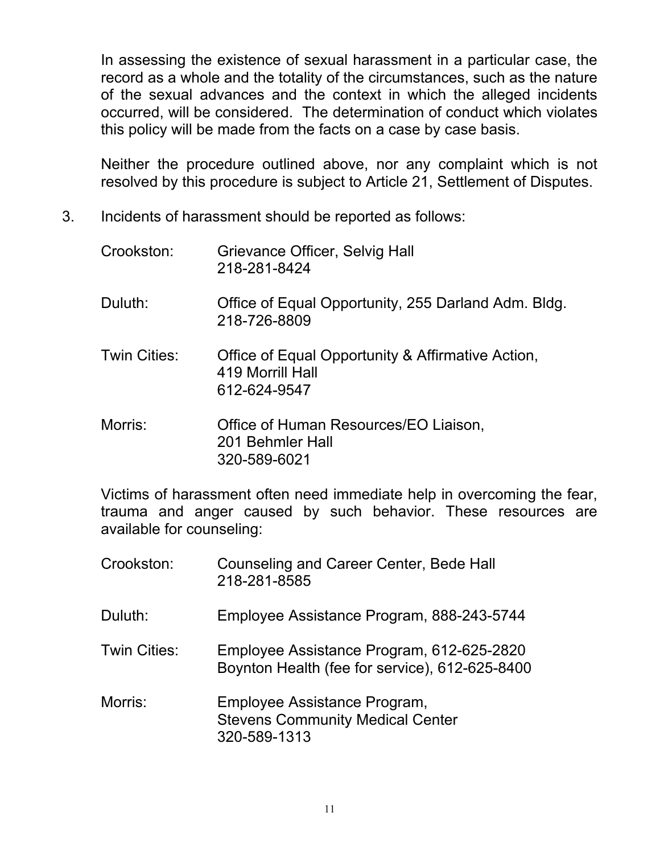In assessing the existence of sexual harassment in a particular case, the record as a whole and the totality of the circumstances, such as the nature of the sexual advances and the context in which the alleged incidents occurred, will be considered. The determination of conduct which violates this policy will be made from the facts on a case by case basis.

Neither the procedure outlined above, nor any complaint which is not resolved by this procedure is subject to Article 21, Settlement of Disputes.

3. Incidents of harassment should be reported as follows:

| Crookston:   | Grievance Officer, Selvig Hall<br>218-281-8424                                        |
|--------------|---------------------------------------------------------------------------------------|
| Duluth:      | Office of Equal Opportunity, 255 Darland Adm. Bldg.<br>218-726-8809                   |
| Twin Cities: | Office of Equal Opportunity & Affirmative Action,<br>419 Morrill Hall<br>612-624-9547 |
| Morris:      | Office of Human Resources/EO Liaison,<br>201 Behmler Hall<br>320-589-6021             |

Victims of harassment often need immediate help in overcoming the fear, trauma and anger caused by such behavior. These resources are available for counseling:

| Crookston:          | Counseling and Career Center, Bede Hall<br>218-281-8585                                     |
|---------------------|---------------------------------------------------------------------------------------------|
| Duluth:             | Employee Assistance Program, 888-243-5744                                                   |
| <b>Twin Cities:</b> | Employee Assistance Program, 612-625-2820<br>Boynton Health (fee for service), 612-625-8400 |
| Morris:             | Employee Assistance Program,<br><b>Stevens Community Medical Center</b><br>320-589-1313     |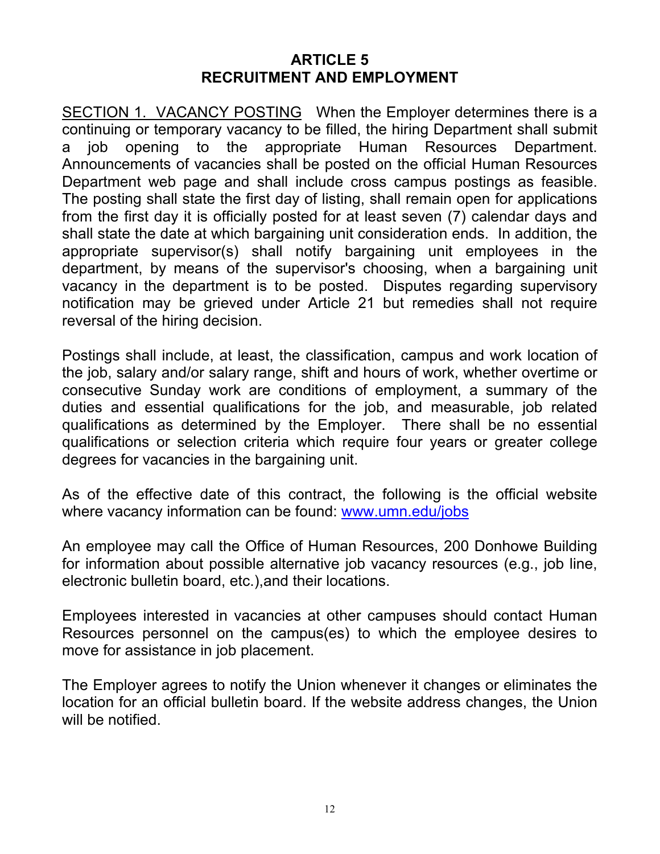#### **ARTICLE 5 RECRUITMENT AND EMPLOYMENT**

SECTION 1. VACANCY POSTING When the Employer determines there is a continuing or temporary vacancy to be filled, the hiring Department shall submit a job opening to the appropriate Human Resources Department. Announcements of vacancies shall be posted on the official Human Resources Department web page and shall include cross campus postings as feasible. The posting shall state the first day of listing, shall remain open for applications from the first day it is officially posted for at least seven (7) calendar days and shall state the date at which bargaining unit consideration ends. In addition, the appropriate supervisor(s) shall notify bargaining unit employees in the department, by means of the supervisor's choosing, when a bargaining unit vacancy in the department is to be posted. Disputes regarding supervisory notification may be grieved under Article 21 but remedies shall not require reversal of the hiring decision.

Postings shall include, at least, the classification, campus and work location of the job, salary and/or salary range, shift and hours of work, whether overtime or consecutive Sunday work are conditions of employment, a summary of the duties and essential qualifications for the job, and measurable, job related qualifications as determined by the Employer. There shall be no essential qualifications or selection criteria which require four years or greater college degrees for vacancies in the bargaining unit.

As of the effective date of this contract, the following is the official website where vacancy information can be found: www.umn.edu/jobs

An employee may call the Office of Human Resources, 200 Donhowe Building for information about possible alternative job vacancy resources (e.g., job line, electronic bulletin board, etc.),and their locations.

Employees interested in vacancies at other campuses should contact Human Resources personnel on the campus(es) to which the employee desires to move for assistance in job placement.

The Employer agrees to notify the Union whenever it changes or eliminates the location for an official bulletin board. If the website address changes, the Union will be notified.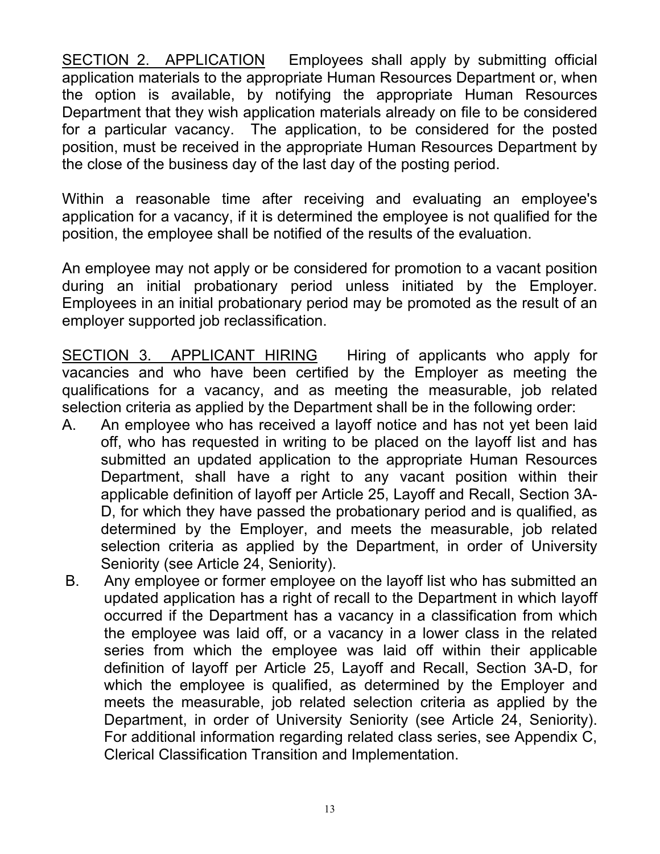SECTION 2. APPLICATION Employees shall apply by submitting official application materials to the appropriate Human Resources Department or, when the option is available, by notifying the appropriate Human Resources Department that they wish application materials already on file to be considered for a particular vacancy. The application, to be considered for the posted position, must be received in the appropriate Human Resources Department by the close of the business day of the last day of the posting period.

Within a reasonable time after receiving and evaluating an employee's application for a vacancy, if it is determined the employee is not qualified for the position, the employee shall be notified of the results of the evaluation.

An employee may not apply or be considered for promotion to a vacant position during an initial probationary period unless initiated by the Employer. Employees in an initial probationary period may be promoted as the result of an employer supported job reclassification.

SECTION 3. APPLICANT HIRING Hiring of applicants who apply for vacancies and who have been certified by the Employer as meeting the qualifications for a vacancy, and as meeting the measurable, job related selection criteria as applied by the Department shall be in the following order:

- A. An employee who has received a layoff notice and has not yet been laid off, who has requested in writing to be placed on the layoff list and has submitted an updated application to the appropriate Human Resources Department, shall have a right to any vacant position within their applicable definition of layoff per Article 25, Layoff and Recall, Section 3A-D, for which they have passed the probationary period and is qualified, as determined by the Employer, and meets the measurable, job related selection criteria as applied by the Department, in order of University Seniority (see Article 24, Seniority).
- B. Any employee or former employee on the layoff list who has submitted an updated application has a right of recall to the Department in which layoff occurred if the Department has a vacancy in a classification from which the employee was laid off, or a vacancy in a lower class in the related series from which the employee was laid off within their applicable definition of layoff per Article 25, Layoff and Recall, Section 3A-D, for which the employee is qualified, as determined by the Employer and meets the measurable, job related selection criteria as applied by the Department, in order of University Seniority (see Article 24, Seniority). For additional information regarding related class series, see Appendix C, Clerical Classification Transition and Implementation.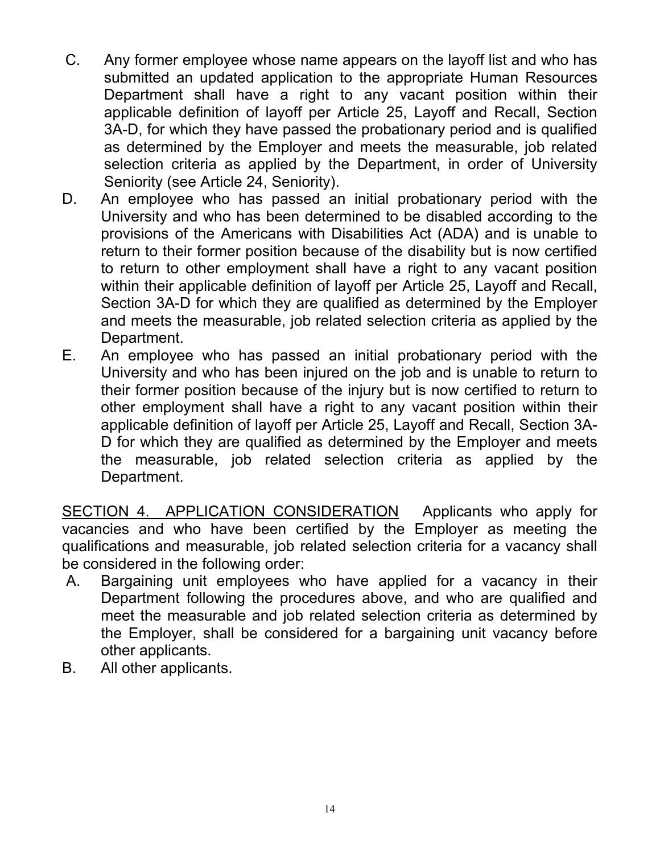- C. Any former employee whose name appears on the layoff list and who has submitted an updated application to the appropriate Human Resources Department shall have a right to any vacant position within their applicable definition of layoff per Article 25, Layoff and Recall, Section 3A-D, for which they have passed the probationary period and is qualified as determined by the Employer and meets the measurable, job related selection criteria as applied by the Department, in order of University Seniority (see Article 24, Seniority).
- D. An employee who has passed an initial probationary period with the University and who has been determined to be disabled according to the provisions of the Americans with Disabilities Act (ADA) and is unable to return to their former position because of the disability but is now certified to return to other employment shall have a right to any vacant position within their applicable definition of layoff per Article 25, Layoff and Recall, Section 3A-D for which they are qualified as determined by the Employer and meets the measurable, job related selection criteria as applied by the Department.
- E. An employee who has passed an initial probationary period with the University and who has been injured on the job and is unable to return to their former position because of the injury but is now certified to return to other employment shall have a right to any vacant position within their applicable definition of layoff per Article 25, Layoff and Recall, Section 3A-D for which they are qualified as determined by the Employer and meets the measurable, job related selection criteria as applied by the Department.

SECTION 4. APPLICATION CONSIDERATION Applicants who apply for vacancies and who have been certified by the Employer as meeting the qualifications and measurable, job related selection criteria for a vacancy shall be considered in the following order:

- A. Bargaining unit employees who have applied for a vacancy in their Department following the procedures above, and who are qualified and meet the measurable and job related selection criteria as determined by the Employer, shall be considered for a bargaining unit vacancy before other applicants.
- B. All other applicants.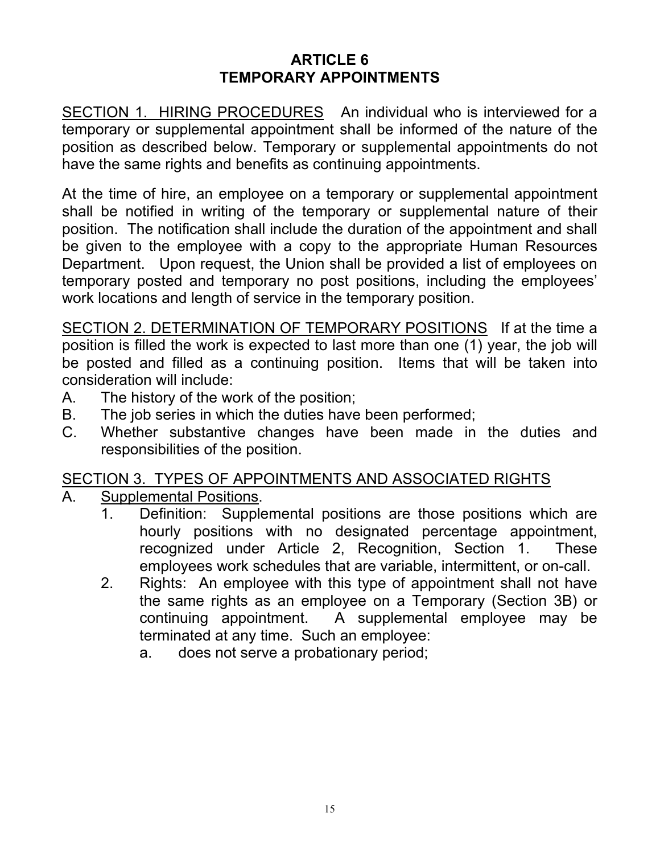#### **ARTICLE 6 TEMPORARY APPOINTMENTS**

SECTION 1. HIRING PROCEDURES An individual who is interviewed for a temporary or supplemental appointment shall be informed of the nature of the position as described below. Temporary or supplemental appointments do not have the same rights and benefits as continuing appointments.

At the time of hire, an employee on a temporary or supplemental appointment shall be notified in writing of the temporary or supplemental nature of their position. The notification shall include the duration of the appointment and shall be given to the employee with a copy to the appropriate Human Resources Department. Upon request, the Union shall be provided a list of employees on temporary posted and temporary no post positions, including the employees' work locations and length of service in the temporary position.

SECTION 2. DETERMINATION OF TEMPORARY POSITIONS If at the time a position is filled the work is expected to last more than one (1) year, the job will be posted and filled as a continuing position. Items that will be taken into consideration will include:

- A. The history of the work of the position;
- B. The job series in which the duties have been performed;
- C. Whether substantive changes have been made in the duties and responsibilities of the position.

# SECTION 3. TYPES OF APPOINTMENTS AND ASSOCIATED RIGHTS

- A. Supplemental Positions.
	- 1. Definition: Supplemental positions are those positions which are hourly positions with no designated percentage appointment, recognized under Article 2, Recognition, Section 1. These employees work schedules that are variable, intermittent, or on-call.
	- 2. Rights: An employee with this type of appointment shall not have the same rights as an employee on a Temporary (Section 3B) or continuing appointment. A supplemental employee may be terminated at any time. Such an employee:
		- a. does not serve a probationary period;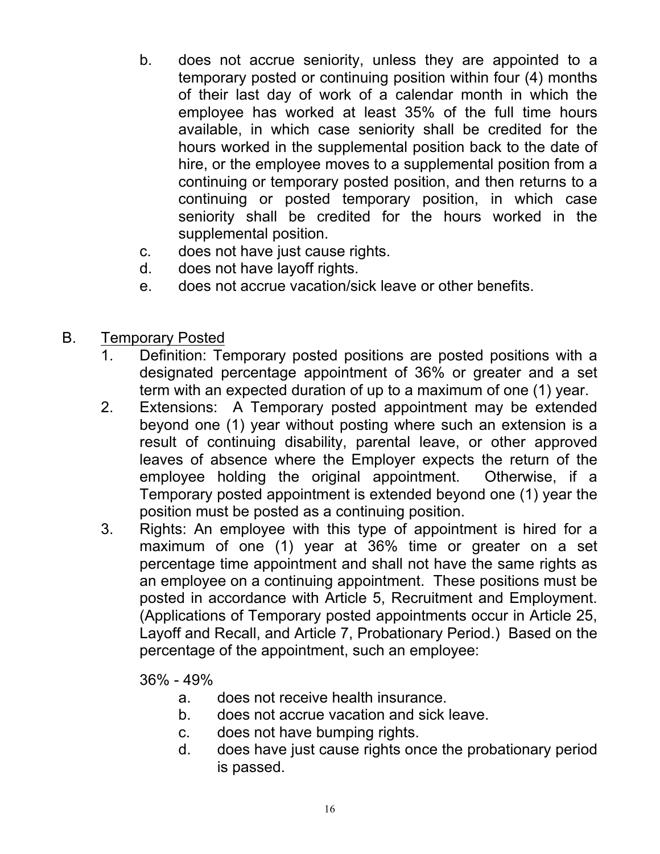- b. does not accrue seniority, unless they are appointed to a temporary posted or continuing position within four (4) months of their last day of work of a calendar month in which the employee has worked at least 35% of the full time hours available, in which case seniority shall be credited for the hours worked in the supplemental position back to the date of hire, or the employee moves to a supplemental position from a continuing or temporary posted position, and then returns to a continuing or posted temporary position, in which case seniority shall be credited for the hours worked in the supplemental position.
- c. does not have just cause rights.
- d. does not have layoff rights.
- e. does not accrue vacation/sick leave or other benefits.
- B. Temporary Posted
	- 1. Definition: Temporary posted positions are posted positions with a designated percentage appointment of 36% or greater and a set term with an expected duration of up to a maximum of one (1) year.
	- 2. Extensions: A Temporary posted appointment may be extended beyond one (1) year without posting where such an extension is a result of continuing disability, parental leave, or other approved leaves of absence where the Employer expects the return of the employee holding the original appointment. Otherwise, if a Temporary posted appointment is extended beyond one (1) year the position must be posted as a continuing position.
	- 3. Rights: An employee with this type of appointment is hired for a maximum of one (1) year at 36% time or greater on a set percentage time appointment and shall not have the same rights as an employee on a continuing appointment. These positions must be posted in accordance with Article 5, Recruitment and Employment. (Applications of Temporary posted appointments occur in Article 25, Layoff and Recall, and Article 7, Probationary Period.) Based on the percentage of the appointment, such an employee:

36% - 49%

- a. does not receive health insurance.
- b. does not accrue vacation and sick leave.
- c. does not have bumping rights.
- d. does have just cause rights once the probationary period is passed.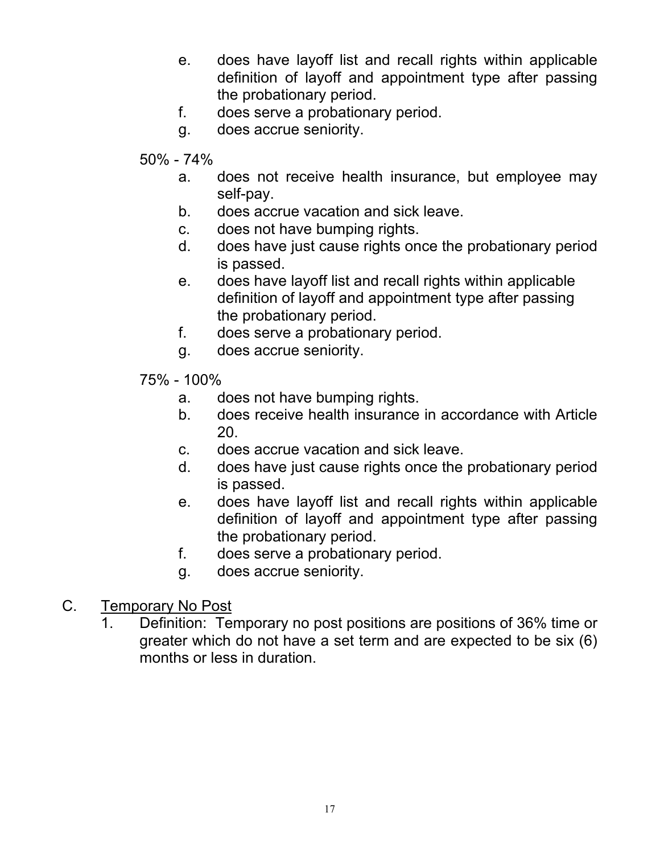- e. does have layoff list and recall rights within applicable definition of layoff and appointment type after passing the probationary period.
- f. does serve a probationary period.
- g. does accrue seniority.
- 50% 74%
	- a. does not receive health insurance, but employee may self-pay.
	- b. does accrue vacation and sick leave.
	- c. does not have bumping rights.
	- d. does have just cause rights once the probationary period is passed.
	- e. does have layoff list and recall rights within applicable definition of layoff and appointment type after passing the probationary period.
	- f. does serve a probationary period.
	- g. does accrue seniority.
- 75% 100%
	- a. does not have bumping rights.
	- b. does receive health insurance in accordance with Article 20.
	- c. does accrue vacation and sick leave.
	- d. does have just cause rights once the probationary period is passed.
	- e. does have layoff list and recall rights within applicable definition of layoff and appointment type after passing the probationary period.
	- f. does serve a probationary period.
	- g. does accrue seniority.
- C. Temporary No Post
	- 1. Definition: Temporary no post positions are positions of 36% time or greater which do not have a set term and are expected to be six (6) months or less in duration.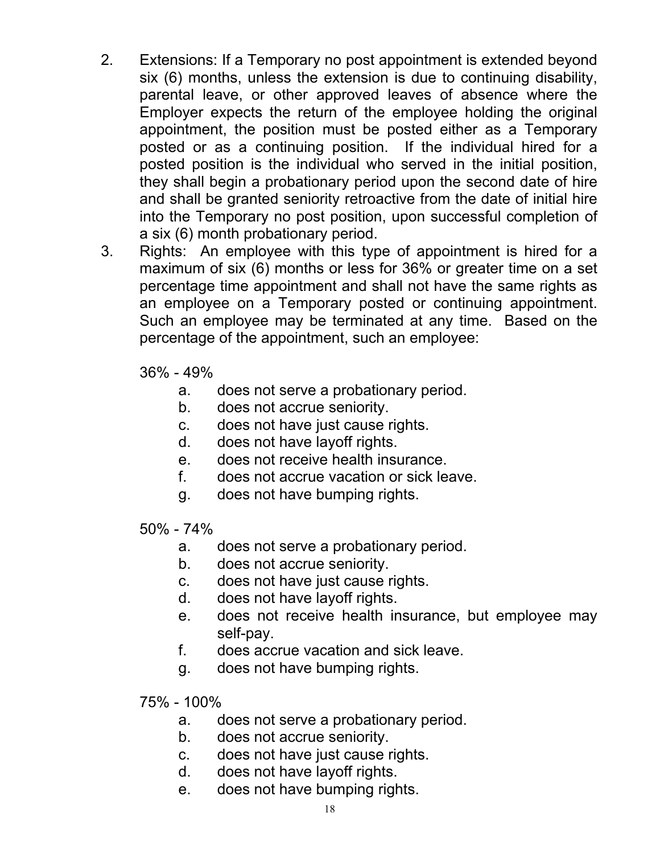- 2. Extensions: If a Temporary no post appointment is extended beyond six (6) months, unless the extension is due to continuing disability, parental leave, or other approved leaves of absence where the Employer expects the return of the employee holding the original appointment, the position must be posted either as a Temporary posted or as a continuing position. If the individual hired for a posted position is the individual who served in the initial position, they shall begin a probationary period upon the second date of hire and shall be granted seniority retroactive from the date of initial hire into the Temporary no post position, upon successful completion of a six (6) month probationary period.
- 3. Rights: An employee with this type of appointment is hired for a maximum of six (6) months or less for 36% or greater time on a set percentage time appointment and shall not have the same rights as an employee on a Temporary posted or continuing appointment. Such an employee may be terminated at any time. Based on the percentage of the appointment, such an employee:

36% - 49%

- a. does not serve a probationary period.
- b. does not accrue seniority.
- c. does not have just cause rights.
- d. does not have layoff rights.
- e. does not receive health insurance.
- f. does not accrue vacation or sick leave.
- g. does not have bumping rights.

50% - 74%

- a. does not serve a probationary period.
- b. does not accrue seniority.
- c. does not have just cause rights.
- d. does not have layoff rights.
- e. does not receive health insurance, but employee may self-pay.
- f. does accrue vacation and sick leave.
- g. does not have bumping rights.
- 75% 100%
	- a. does not serve a probationary period.
	- b. does not accrue seniority.
	- c. does not have just cause rights.
	- d. does not have layoff rights.
	- e. does not have bumping rights.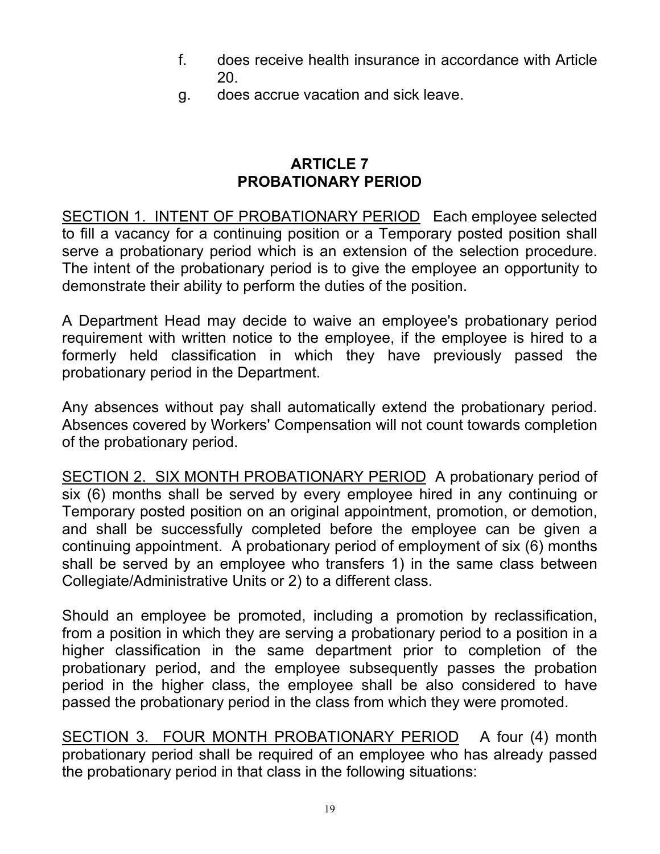- f. does receive health insurance in accordance with Article 20.
- g. does accrue vacation and sick leave.

### **ARTICLE 7 PROBATIONARY PERIOD**

SECTION 1. INTENT OF PROBATIONARY PERIOD Each employee selected to fill a vacancy for a continuing position or a Temporary posted position shall serve a probationary period which is an extension of the selection procedure. The intent of the probationary period is to give the employee an opportunity to demonstrate their ability to perform the duties of the position.

A Department Head may decide to waive an employee's probationary period requirement with written notice to the employee, if the employee is hired to a formerly held classification in which they have previously passed the probationary period in the Department.

Any absences without pay shall automatically extend the probationary period. Absences covered by Workers' Compensation will not count towards completion of the probationary period.

SECTION 2. SIX MONTH PROBATIONARY PERIOD A probationary period of six (6) months shall be served by every employee hired in any continuing or Temporary posted position on an original appointment, promotion, or demotion, and shall be successfully completed before the employee can be given a continuing appointment. A probationary period of employment of six (6) months shall be served by an employee who transfers 1) in the same class between Collegiate/Administrative Units or 2) to a different class.

Should an employee be promoted, including a promotion by reclassification, from a position in which they are serving a probationary period to a position in a higher classification in the same department prior to completion of the probationary period, and the employee subsequently passes the probation period in the higher class, the employee shall be also considered to have passed the probationary period in the class from which they were promoted.

SECTION 3. FOUR MONTH PROBATIONARY PERIOD A four (4) month probationary period shall be required of an employee who has already passed the probationary period in that class in the following situations: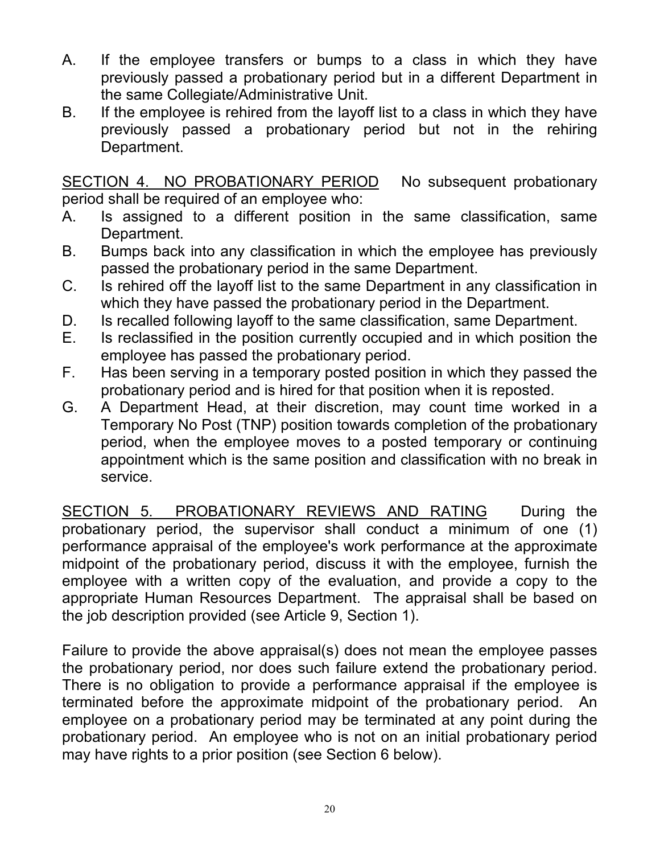- A. If the employee transfers or bumps to a class in which they have previously passed a probationary period but in a different Department in the same Collegiate/Administrative Unit.
- B. If the employee is rehired from the layoff list to a class in which they have previously passed a probationary period but not in the rehiring Department.

SECTION 4. NO PROBATIONARY PERIOD No subsequent probationary period shall be required of an employee who:

- A. Is assigned to a different position in the same classification, same Department.
- B. Bumps back into any classification in which the employee has previously passed the probationary period in the same Department.
- C. Is rehired off the layoff list to the same Department in any classification in which they have passed the probationary period in the Department.
- D. Is recalled following layoff to the same classification, same Department.
- E. Is reclassified in the position currently occupied and in which position the employee has passed the probationary period.
- F. Has been serving in a temporary posted position in which they passed the probationary period and is hired for that position when it is reposted.
- G. A Department Head, at their discretion, may count time worked in a Temporary No Post (TNP) position towards completion of the probationary period, when the employee moves to a posted temporary or continuing appointment which is the same position and classification with no break in service.

SECTION 5. PROBATIONARY REVIEWS AND RATING During the probationary period, the supervisor shall conduct a minimum of one (1) performance appraisal of the employee's work performance at the approximate midpoint of the probationary period, discuss it with the employee, furnish the employee with a written copy of the evaluation, and provide a copy to the appropriate Human Resources Department. The appraisal shall be based on the job description provided (see Article 9, Section 1).

Failure to provide the above appraisal(s) does not mean the employee passes the probationary period, nor does such failure extend the probationary period. There is no obligation to provide a performance appraisal if the employee is terminated before the approximate midpoint of the probationary period. An employee on a probationary period may be terminated at any point during the probationary period. An employee who is not on an initial probationary period may have rights to a prior position (see Section 6 below).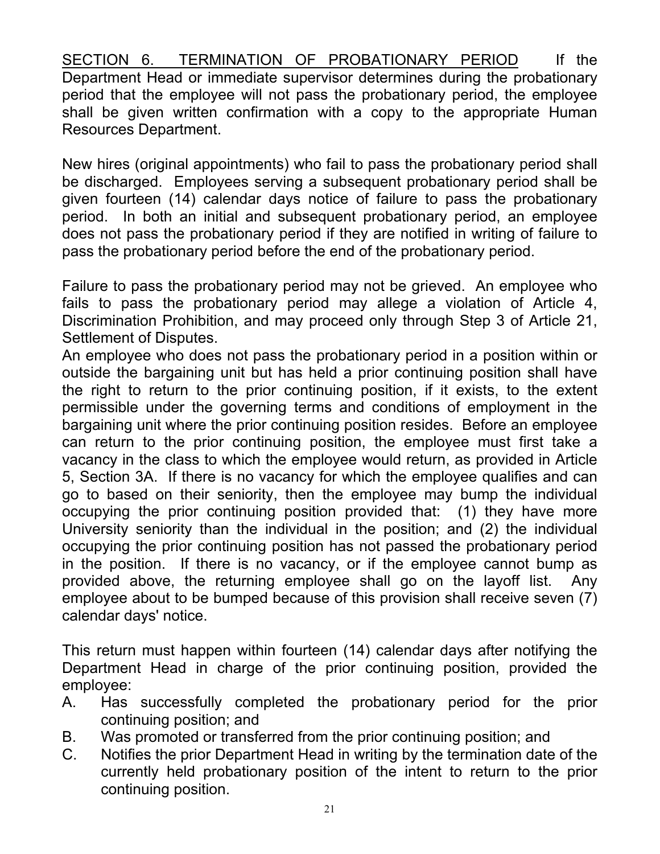SECTION 6. TERMINATION OF PROBATIONARY PERIOD If the Department Head or immediate supervisor determines during the probationary period that the employee will not pass the probationary period, the employee shall be given written confirmation with a copy to the appropriate Human Resources Department.

New hires (original appointments) who fail to pass the probationary period shall be discharged. Employees serving a subsequent probationary period shall be given fourteen (14) calendar days notice of failure to pass the probationary period. In both an initial and subsequent probationary period, an employee does not pass the probationary period if they are notified in writing of failure to pass the probationary period before the end of the probationary period.

Failure to pass the probationary period may not be grieved. An employee who fails to pass the probationary period may allege a violation of Article 4, Discrimination Prohibition, and may proceed only through Step 3 of Article 21, Settlement of Disputes.

An employee who does not pass the probationary period in a position within or outside the bargaining unit but has held a prior continuing position shall have the right to return to the prior continuing position, if it exists, to the extent permissible under the governing terms and conditions of employment in the bargaining unit where the prior continuing position resides. Before an employee can return to the prior continuing position, the employee must first take a vacancy in the class to which the employee would return, as provided in Article 5, Section 3A. If there is no vacancy for which the employee qualifies and can go to based on their seniority, then the employee may bump the individual occupying the prior continuing position provided that: (1) they have more University seniority than the individual in the position; and (2) the individual occupying the prior continuing position has not passed the probationary period in the position. If there is no vacancy, or if the employee cannot bump as provided above, the returning employee shall go on the layoff list. Any employee about to be bumped because of this provision shall receive seven (7) calendar days' notice.

This return must happen within fourteen (14) calendar days after notifying the Department Head in charge of the prior continuing position, provided the employee:

- A. Has successfully completed the probationary period for the prior continuing position; and
- B. Was promoted or transferred from the prior continuing position; and
- C. Notifies the prior Department Head in writing by the termination date of the currently held probationary position of the intent to return to the prior continuing position.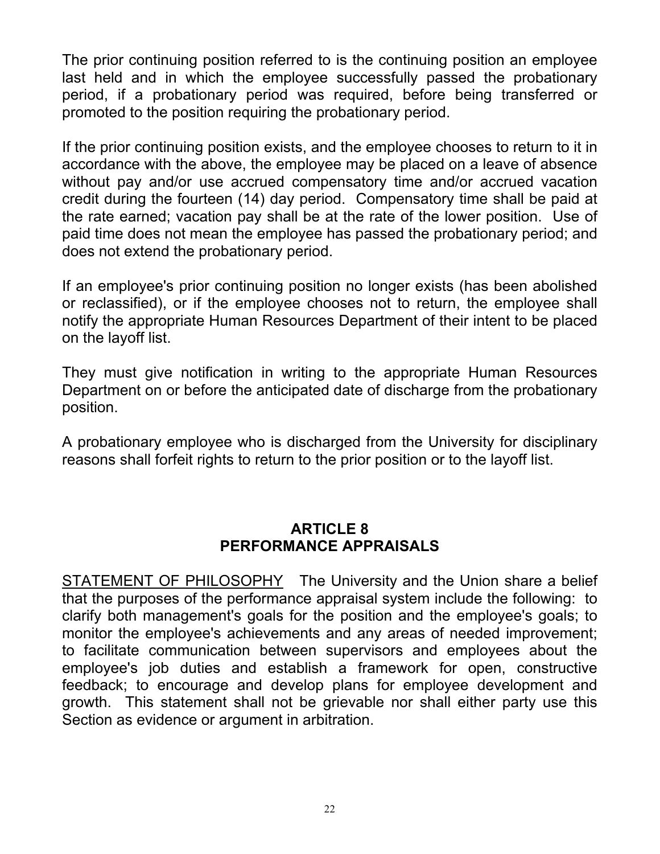The prior continuing position referred to is the continuing position an employee last held and in which the employee successfully passed the probationary period, if a probationary period was required, before being transferred or promoted to the position requiring the probationary period.

If the prior continuing position exists, and the employee chooses to return to it in accordance with the above, the employee may be placed on a leave of absence without pay and/or use accrued compensatory time and/or accrued vacation credit during the fourteen (14) day period. Compensatory time shall be paid at the rate earned; vacation pay shall be at the rate of the lower position. Use of paid time does not mean the employee has passed the probationary period; and does not extend the probationary period.

If an employee's prior continuing position no longer exists (has been abolished or reclassified), or if the employee chooses not to return, the employee shall notify the appropriate Human Resources Department of their intent to be placed on the layoff list.

They must give notification in writing to the appropriate Human Resources Department on or before the anticipated date of discharge from the probationary position.

A probationary employee who is discharged from the University for disciplinary reasons shall forfeit rights to return to the prior position or to the layoff list.

### **ARTICLE 8 PERFORMANCE APPRAISALS**

STATEMENT OF PHILOSOPHY The University and the Union share a belief that the purposes of the performance appraisal system include the following: to clarify both management's goals for the position and the employee's goals; to monitor the employee's achievements and any areas of needed improvement; to facilitate communication between supervisors and employees about the employee's job duties and establish a framework for open, constructive feedback; to encourage and develop plans for employee development and growth. This statement shall not be grievable nor shall either party use this Section as evidence or argument in arbitration.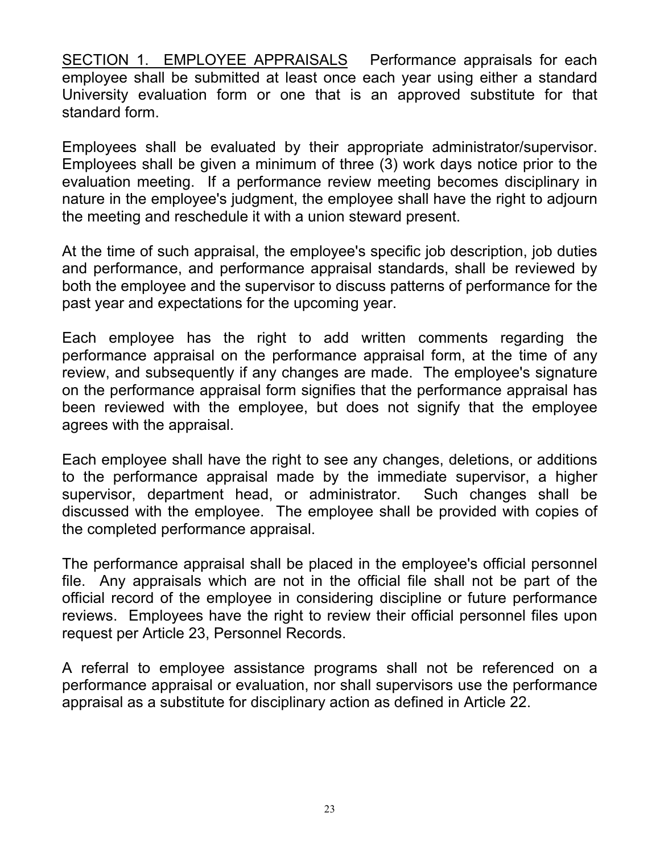SECTION 1. EMPLOYEE APPRAISALS Performance appraisals for each employee shall be submitted at least once each year using either a standard University evaluation form or one that is an approved substitute for that standard form.

Employees shall be evaluated by their appropriate administrator/supervisor. Employees shall be given a minimum of three (3) work days notice prior to the evaluation meeting. If a performance review meeting becomes disciplinary in nature in the employee's judgment, the employee shall have the right to adjourn the meeting and reschedule it with a union steward present.

At the time of such appraisal, the employee's specific job description, job duties and performance, and performance appraisal standards, shall be reviewed by both the employee and the supervisor to discuss patterns of performance for the past year and expectations for the upcoming year.

Each employee has the right to add written comments regarding the performance appraisal on the performance appraisal form, at the time of any review, and subsequently if any changes are made. The employee's signature on the performance appraisal form signifies that the performance appraisal has been reviewed with the employee, but does not signify that the employee agrees with the appraisal.

Each employee shall have the right to see any changes, deletions, or additions to the performance appraisal made by the immediate supervisor, a higher supervisor, department head, or administrator. Such changes shall be discussed with the employee. The employee shall be provided with copies of the completed performance appraisal.

The performance appraisal shall be placed in the employee's official personnel file. Any appraisals which are not in the official file shall not be part of the official record of the employee in considering discipline or future performance reviews. Employees have the right to review their official personnel files upon request per Article 23, Personnel Records.

A referral to employee assistance programs shall not be referenced on a performance appraisal or evaluation, nor shall supervisors use the performance appraisal as a substitute for disciplinary action as defined in Article 22.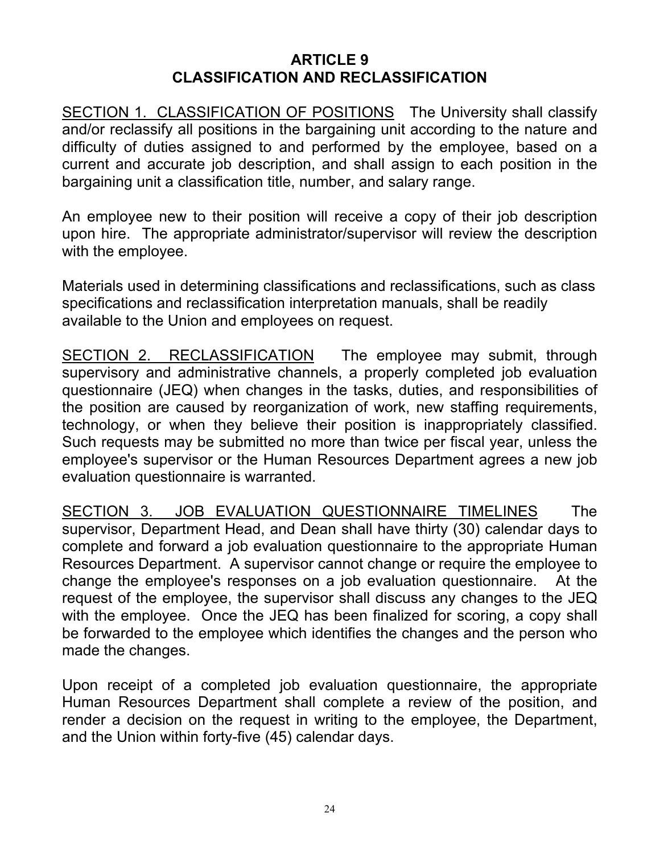#### **ARTICLE 9 CLASSIFICATION AND RECLASSIFICATION**

SECTION 1. CLASSIFICATION OF POSITIONS The University shall classify and/or reclassify all positions in the bargaining unit according to the nature and difficulty of duties assigned to and performed by the employee, based on a current and accurate job description, and shall assign to each position in the bargaining unit a classification title, number, and salary range.

An employee new to their position will receive a copy of their job description upon hire. The appropriate administrator/supervisor will review the description with the employee.

Materials used in determining classifications and reclassifications, such as class specifications and reclassification interpretation manuals, shall be readily available to the Union and employees on request.

SECTION 2. RECLASSIFICATION The employee may submit, through supervisory and administrative channels, a properly completed job evaluation questionnaire (JEQ) when changes in the tasks, duties, and responsibilities of the position are caused by reorganization of work, new staffing requirements, technology, or when they believe their position is inappropriately classified. Such requests may be submitted no more than twice per fiscal year, unless the employee's supervisor or the Human Resources Department agrees a new job evaluation questionnaire is warranted.

SECTION 3. JOB EVALUATION QUESTIONNAIRE TIMELINES The supervisor, Department Head, and Dean shall have thirty (30) calendar days to complete and forward a job evaluation questionnaire to the appropriate Human Resources Department. A supervisor cannot change or require the employee to change the employee's responses on a job evaluation questionnaire. At the request of the employee, the supervisor shall discuss any changes to the JEQ with the employee. Once the JEQ has been finalized for scoring, a copy shall be forwarded to the employee which identifies the changes and the person who made the changes.

Upon receipt of a completed job evaluation questionnaire, the appropriate Human Resources Department shall complete a review of the position, and render a decision on the request in writing to the employee, the Department, and the Union within forty-five (45) calendar days.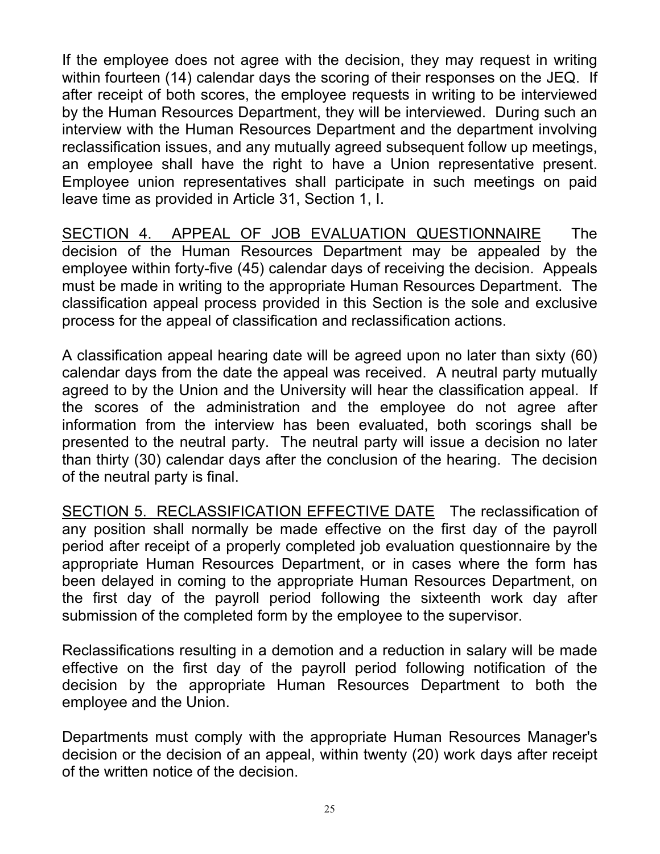If the employee does not agree with the decision, they may request in writing within fourteen (14) calendar days the scoring of their responses on the JEQ. If after receipt of both scores, the employee requests in writing to be interviewed by the Human Resources Department, they will be interviewed. During such an interview with the Human Resources Department and the department involving reclassification issues, and any mutually agreed subsequent follow up meetings, an employee shall have the right to have a Union representative present. Employee union representatives shall participate in such meetings on paid leave time as provided in Article 31, Section 1, I.

SECTION 4. APPEAL OF JOB EVALUATION QUESTIONNAIRE The decision of the Human Resources Department may be appealed by the employee within forty-five (45) calendar days of receiving the decision. Appeals must be made in writing to the appropriate Human Resources Department. The classification appeal process provided in this Section is the sole and exclusive process for the appeal of classification and reclassification actions.

A classification appeal hearing date will be agreed upon no later than sixty (60) calendar days from the date the appeal was received. A neutral party mutually agreed to by the Union and the University will hear the classification appeal. If the scores of the administration and the employee do not agree after information from the interview has been evaluated, both scorings shall be presented to the neutral party. The neutral party will issue a decision no later than thirty (30) calendar days after the conclusion of the hearing. The decision of the neutral party is final.

SECTION 5. RECLASSIFICATION EFFECTIVE DATE The reclassification of any position shall normally be made effective on the first day of the payroll period after receipt of a properly completed job evaluation questionnaire by the appropriate Human Resources Department, or in cases where the form has been delayed in coming to the appropriate Human Resources Department, on the first day of the payroll period following the sixteenth work day after submission of the completed form by the employee to the supervisor.

Reclassifications resulting in a demotion and a reduction in salary will be made effective on the first day of the payroll period following notification of the decision by the appropriate Human Resources Department to both the employee and the Union.

Departments must comply with the appropriate Human Resources Manager's decision or the decision of an appeal, within twenty (20) work days after receipt of the written notice of the decision.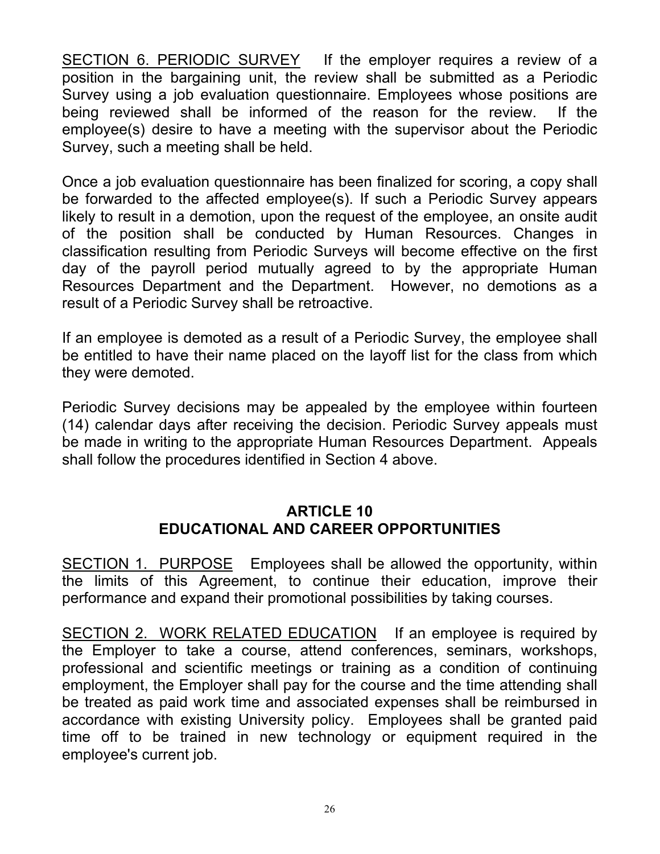SECTION 6. PERIODIC SURVEY If the employer requires a review of a position in the bargaining unit, the review shall be submitted as a Periodic Survey using a job evaluation questionnaire. Employees whose positions are being reviewed shall be informed of the reason for the review. If the employee(s) desire to have a meeting with the supervisor about the Periodic Survey, such a meeting shall be held.

Once a job evaluation questionnaire has been finalized for scoring, a copy shall be forwarded to the affected employee(s). If such a Periodic Survey appears likely to result in a demotion, upon the request of the employee, an onsite audit of the position shall be conducted by Human Resources. Changes in classification resulting from Periodic Surveys will become effective on the first day of the payroll period mutually agreed to by the appropriate Human Resources Department and the Department. However, no demotions as a result of a Periodic Survey shall be retroactive.

If an employee is demoted as a result of a Periodic Survey, the employee shall be entitled to have their name placed on the layoff list for the class from which they were demoted.

Periodic Survey decisions may be appealed by the employee within fourteen (14) calendar days after receiving the decision. Periodic Survey appeals must be made in writing to the appropriate Human Resources Department. Appeals shall follow the procedures identified in Section 4 above.

#### **ARTICLE 10 EDUCATIONAL AND CAREER OPPORTUNITIES**

SECTION 1. PURPOSE Employees shall be allowed the opportunity, within the limits of this Agreement, to continue their education, improve their performance and expand their promotional possibilities by taking courses.

SECTION 2. WORK RELATED EDUCATION If an employee is required by the Employer to take a course, attend conferences, seminars, workshops, professional and scientific meetings or training as a condition of continuing employment, the Employer shall pay for the course and the time attending shall be treated as paid work time and associated expenses shall be reimbursed in accordance with existing University policy. Employees shall be granted paid time off to be trained in new technology or equipment required in the employee's current job.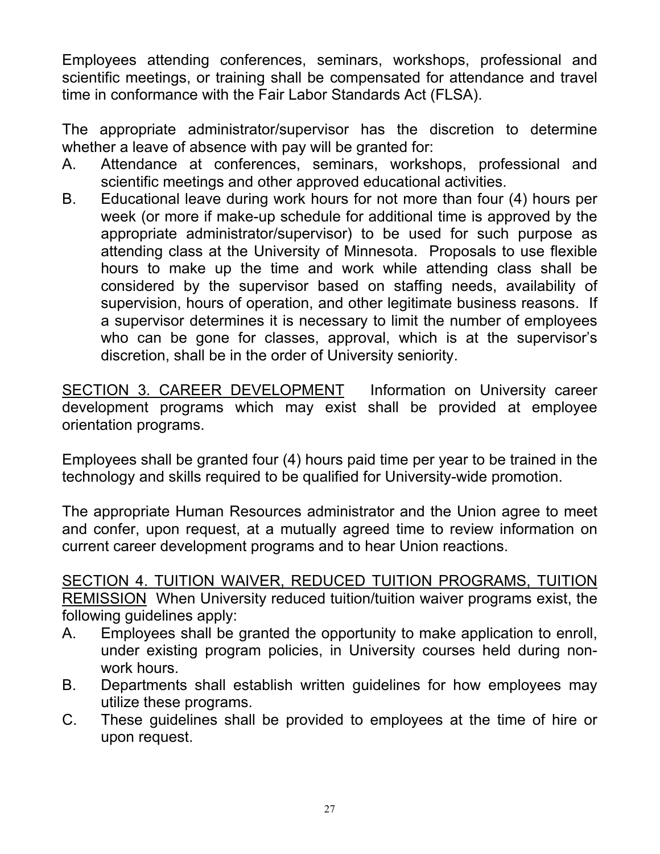Employees attending conferences, seminars, workshops, professional and scientific meetings, or training shall be compensated for attendance and travel time in conformance with the Fair Labor Standards Act (FLSA).

The appropriate administrator/supervisor has the discretion to determine whether a leave of absence with pay will be granted for:

- A. Attendance at conferences, seminars, workshops, professional and scientific meetings and other approved educational activities.
- B. Educational leave during work hours for not more than four (4) hours per week (or more if make-up schedule for additional time is approved by the appropriate administrator/supervisor) to be used for such purpose as attending class at the University of Minnesota. Proposals to use flexible hours to make up the time and work while attending class shall be considered by the supervisor based on staffing needs, availability of supervision, hours of operation, and other legitimate business reasons. If a supervisor determines it is necessary to limit the number of employees who can be gone for classes, approval, which is at the supervisor's discretion, shall be in the order of University seniority.

SECTION 3. CAREER DEVELOPMENT Information on University career development programs which may exist shall be provided at employee orientation programs.

Employees shall be granted four (4) hours paid time per year to be trained in the technology and skills required to be qualified for University-wide promotion.

The appropriate Human Resources administrator and the Union agree to meet and confer, upon request, at a mutually agreed time to review information on current career development programs and to hear Union reactions.

SECTION 4. TUITION WAIVER, REDUCED TUITION PROGRAMS, TUITION REMISSION When University reduced tuition/tuition waiver programs exist, the following guidelines apply:

- A. Employees shall be granted the opportunity to make application to enroll, under existing program policies, in University courses held during nonwork hours.
- B. Departments shall establish written guidelines for how employees may utilize these programs.
- C. These guidelines shall be provided to employees at the time of hire or upon request.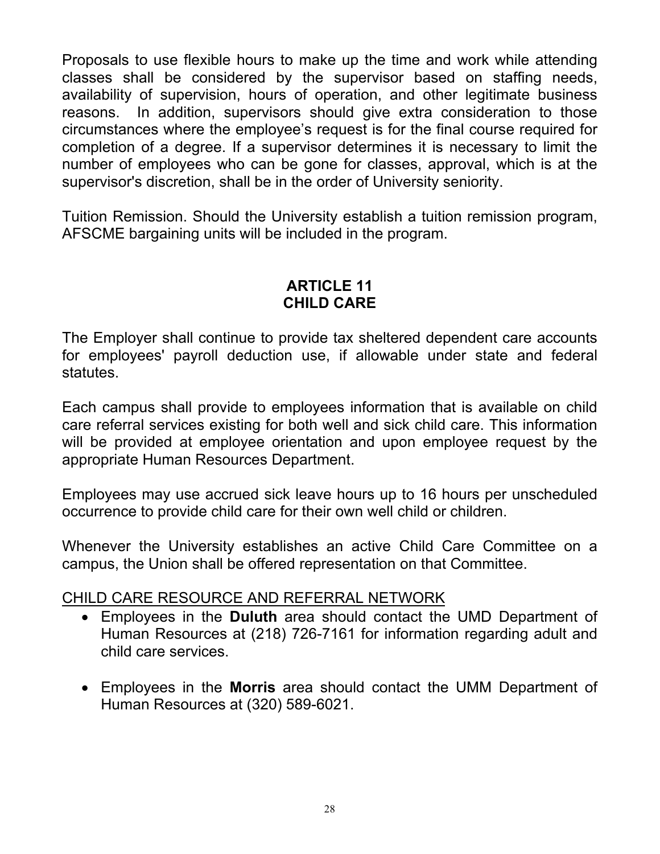Proposals to use flexible hours to make up the time and work while attending classes shall be considered by the supervisor based on staffing needs, availability of supervision, hours of operation, and other legitimate business reasons. In addition, supervisors should give extra consideration to those circumstances where the employee's request is for the final course required for completion of a degree. If a supervisor determines it is necessary to limit the number of employees who can be gone for classes, approval, which is at the supervisor's discretion, shall be in the order of University seniority.

Tuition Remission. Should the University establish a tuition remission program, AFSCME bargaining units will be included in the program.

### **ARTICLE 11 CHILD CARE**

The Employer shall continue to provide tax sheltered dependent care accounts for employees' payroll deduction use, if allowable under state and federal statutes.

Each campus shall provide to employees information that is available on child care referral services existing for both well and sick child care. This information will be provided at employee orientation and upon employee request by the appropriate Human Resources Department.

Employees may use accrued sick leave hours up to 16 hours per unscheduled occurrence to provide child care for their own well child or children.

Whenever the University establishes an active Child Care Committee on a campus, the Union shall be offered representation on that Committee.

### CHILD CARE RESOURCE AND REFERRAL NETWORK

- Employees in the **Duluth** area should contact the UMD Department of Human Resources at (218) 726-7161 for information regarding adult and child care services.
- Employees in the **Morris** area should contact the UMM Department of Human Resources at (320) 589-6021.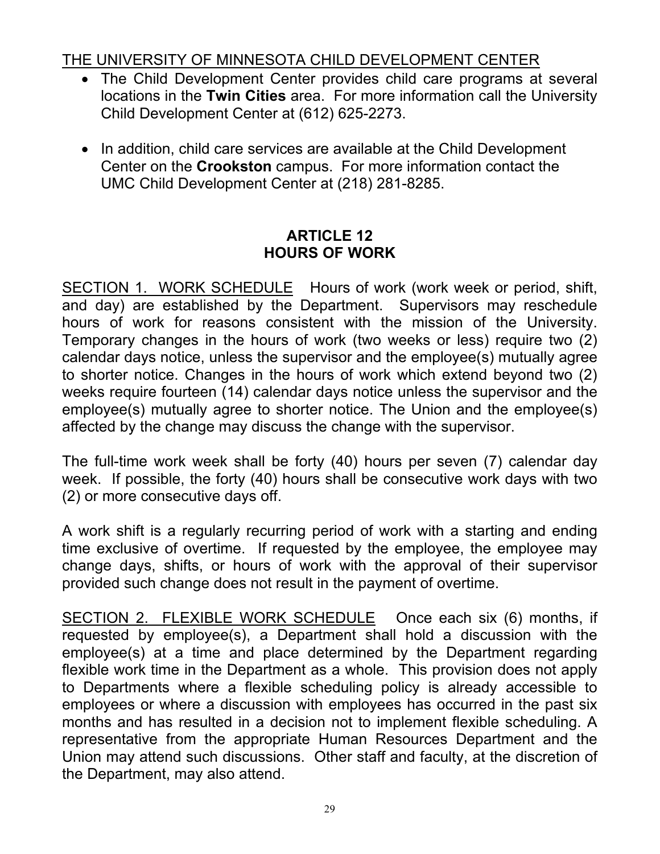# THE UNIVERSITY OF MINNESOTA CHILD DEVELOPMENT CENTER

- The Child Development Center provides child care programs at several locations in the **Twin Cities** area. For more information call the University Child Development Center at (612) 625-2273.
- In addition, child care services are available at the Child Development Center on the **Crookston** campus. For more information contact the UMC Child Development Center at (218) 281-8285.

# **ARTICLE 12 HOURS OF WORK**

SECTION 1. WORK SCHEDULE Hours of work (work week or period, shift, and day) are established by the Department. Supervisors may reschedule hours of work for reasons consistent with the mission of the University. Temporary changes in the hours of work (two weeks or less) require two (2) calendar days notice, unless the supervisor and the employee(s) mutually agree to shorter notice. Changes in the hours of work which extend beyond two (2) weeks require fourteen (14) calendar days notice unless the supervisor and the employee(s) mutually agree to shorter notice. The Union and the employee(s) affected by the change may discuss the change with the supervisor.

The full-time work week shall be forty (40) hours per seven (7) calendar day week. If possible, the forty (40) hours shall be consecutive work days with two (2) or more consecutive days off.

A work shift is a regularly recurring period of work with a starting and ending time exclusive of overtime. If requested by the employee, the employee may change days, shifts, or hours of work with the approval of their supervisor provided such change does not result in the payment of overtime.

SECTION 2. FLEXIBLE WORK SCHEDULE Once each six (6) months, if requested by employee(s), a Department shall hold a discussion with the employee(s) at a time and place determined by the Department regarding flexible work time in the Department as a whole. This provision does not apply to Departments where a flexible scheduling policy is already accessible to employees or where a discussion with employees has occurred in the past six months and has resulted in a decision not to implement flexible scheduling. A representative from the appropriate Human Resources Department and the Union may attend such discussions. Other staff and faculty, at the discretion of the Department, may also attend.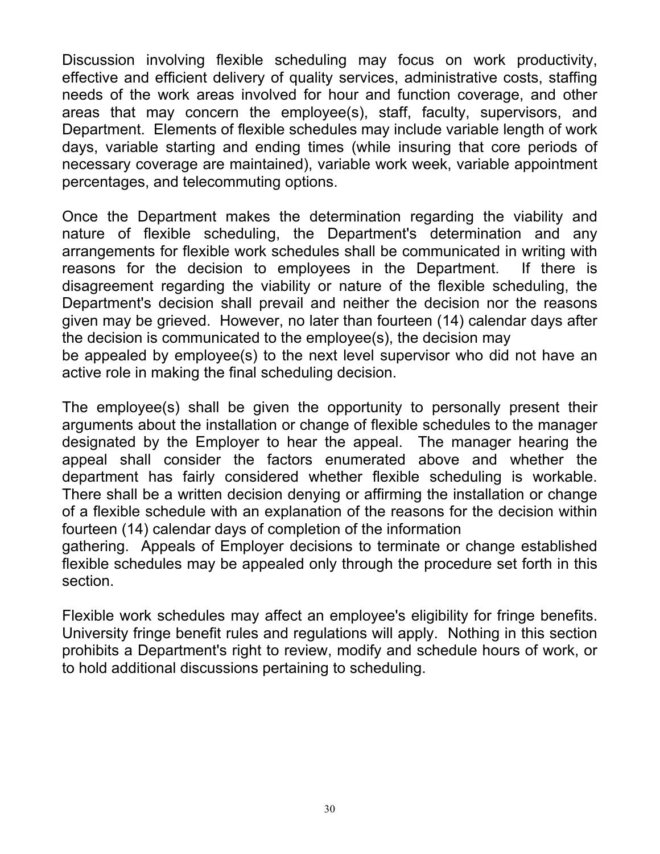Discussion involving flexible scheduling may focus on work productivity, effective and efficient delivery of quality services, administrative costs, staffing needs of the work areas involved for hour and function coverage, and other areas that may concern the employee(s), staff, faculty, supervisors, and Department. Elements of flexible schedules may include variable length of work days, variable starting and ending times (while insuring that core periods of necessary coverage are maintained), variable work week, variable appointment percentages, and telecommuting options.

Once the Department makes the determination regarding the viability and nature of flexible scheduling, the Department's determination and any arrangements for flexible work schedules shall be communicated in writing with reasons for the decision to employees in the Department. If there is disagreement regarding the viability or nature of the flexible scheduling, the Department's decision shall prevail and neither the decision nor the reasons given may be grieved. However, no later than fourteen (14) calendar days after the decision is communicated to the employee(s), the decision may be appealed by employee(s) to the next level supervisor who did not have an active role in making the final scheduling decision.

The employee(s) shall be given the opportunity to personally present their arguments about the installation or change of flexible schedules to the manager designated by the Employer to hear the appeal. The manager hearing the appeal shall consider the factors enumerated above and whether the department has fairly considered whether flexible scheduling is workable. There shall be a written decision denying or affirming the installation or change of a flexible schedule with an explanation of the reasons for the decision within fourteen (14) calendar days of completion of the information

gathering. Appeals of Employer decisions to terminate or change established flexible schedules may be appealed only through the procedure set forth in this section.

Flexible work schedules may affect an employee's eligibility for fringe benefits. University fringe benefit rules and regulations will apply. Nothing in this section prohibits a Department's right to review, modify and schedule hours of work, or to hold additional discussions pertaining to scheduling.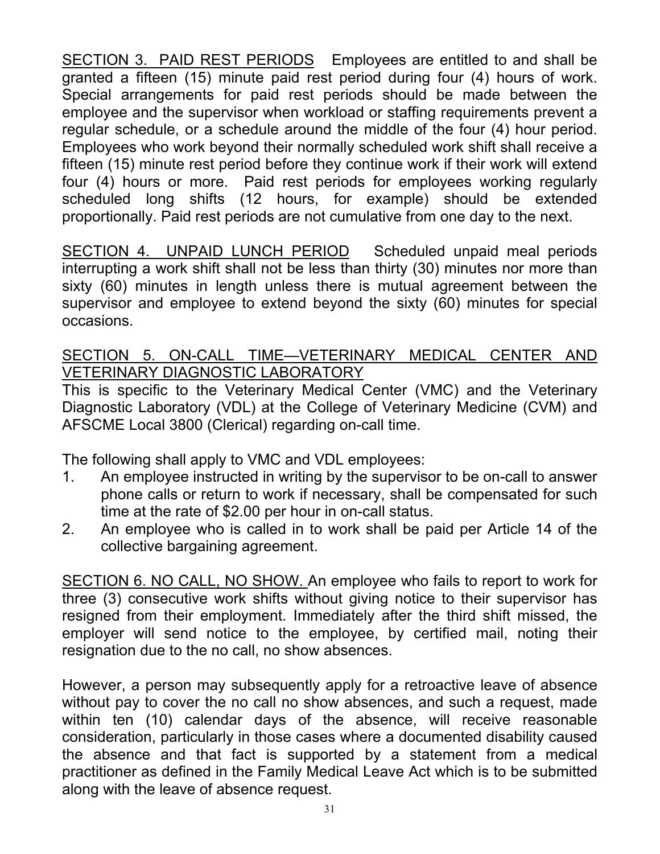SECTION 3. PAID REST PERIODS Employees are entitled to and shall be granted a fifteen (15) minute paid rest period during four (4) hours of work. Special arrangements for paid rest periods should be made between the employee and the supervisor when workload or staffing requirements prevent a regular schedule, or a schedule around the middle of the four (4) hour period. Employees who work beyond their normally scheduled work shift shall receive a fifteen (15) minute rest period before they continue work if their work will extend four (4) hours or more. Paid rest periods for employees working regularly scheduled long shifts (12 hours, for example) should be extended proportionally. Paid rest periods are not cumulative from one day to the next.

SECTION 4. UNPAID LUNCH PERIOD Scheduled unpaid meal periods interrupting a work shift shall not be less than thirty (30) minutes nor more than sixty (60) minutes in length unless there is mutual agreement between the supervisor and employee to extend beyond the sixty (60) minutes for special occasions.

### SECTION 5. ON-CALL TIME-VETERINARY MEDICAL CENTER AND VETERINARY DIAGNOSTIC LABORATORY

This is specific to the Veterinary Medical Center (VMC) and the Veterinary Diagnostic Laboratory (VDL) at the College of Veterinary Medicine (CVM) and AFSCME Local 3800 (Clerical) regarding on-call time.

The following shall apply to VMC and VDL employees:

- 1. An employee instructed in writing by the supervisor to be on-call to answer phone calls or return to work if necessary, shall be compensated for such time at the rate of \$2.00 per hour in on-call status.
- 2. An employee who is called in to work shall be paid per Article 14 of the collective bargaining agreement.

SECTION 6. NO CALL, NO SHOW. An employee who fails to report to work for three (3) consecutive work shifts without giving notice to their supervisor has resigned from their employment. Immediately after the third shift missed, the employer will send notice to the employee, by certified mail, noting their resignation due to the no call, no show absences.

However, a person may subsequently apply for a retroactive leave of absence without pay to cover the no call no show absences, and such a request, made within ten (10) calendar days of the absence, will receive reasonable consideration, particularly in those cases where a documented disability caused the absence and that fact is supported by a statement from a medical practitioner as defined in the Family Medical Leave Act which is to be submitted along with the leave of absence request.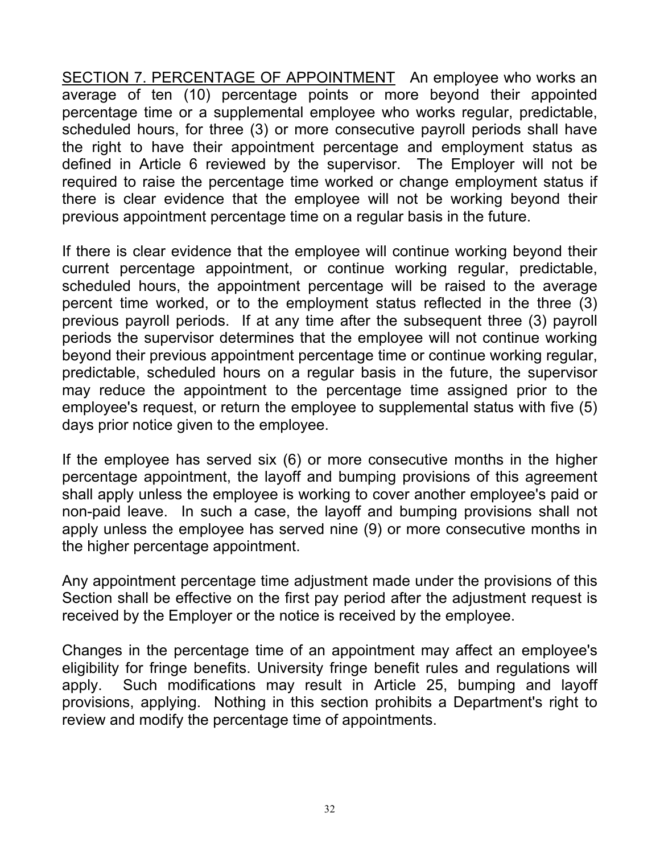SECTION 7. PERCENTAGE OF APPOINTMENT An employee who works an average of ten (10) percentage points or more beyond their appointed percentage time or a supplemental employee who works regular, predictable, scheduled hours, for three (3) or more consecutive payroll periods shall have the right to have their appointment percentage and employment status as defined in Article 6 reviewed by the supervisor. The Employer will not be required to raise the percentage time worked or change employment status if there is clear evidence that the employee will not be working beyond their previous appointment percentage time on a regular basis in the future.

If there is clear evidence that the employee will continue working beyond their current percentage appointment, or continue working regular, predictable, scheduled hours, the appointment percentage will be raised to the average percent time worked, or to the employment status reflected in the three (3) previous payroll periods. If at any time after the subsequent three (3) payroll periods the supervisor determines that the employee will not continue working beyond their previous appointment percentage time or continue working regular, predictable, scheduled hours on a regular basis in the future, the supervisor may reduce the appointment to the percentage time assigned prior to the employee's request, or return the employee to supplemental status with five (5) days prior notice given to the employee.

If the employee has served six (6) or more consecutive months in the higher percentage appointment, the layoff and bumping provisions of this agreement shall apply unless the employee is working to cover another employee's paid or non-paid leave. In such a case, the layoff and bumping provisions shall not apply unless the employee has served nine (9) or more consecutive months in the higher percentage appointment.

Any appointment percentage time adjustment made under the provisions of this Section shall be effective on the first pay period after the adjustment request is received by the Employer or the notice is received by the employee.

Changes in the percentage time of an appointment may affect an employee's eligibility for fringe benefits. University fringe benefit rules and regulations will apply. Such modifications may result in Article 25, bumping and layoff provisions, applying. Nothing in this section prohibits a Department's right to review and modify the percentage time of appointments.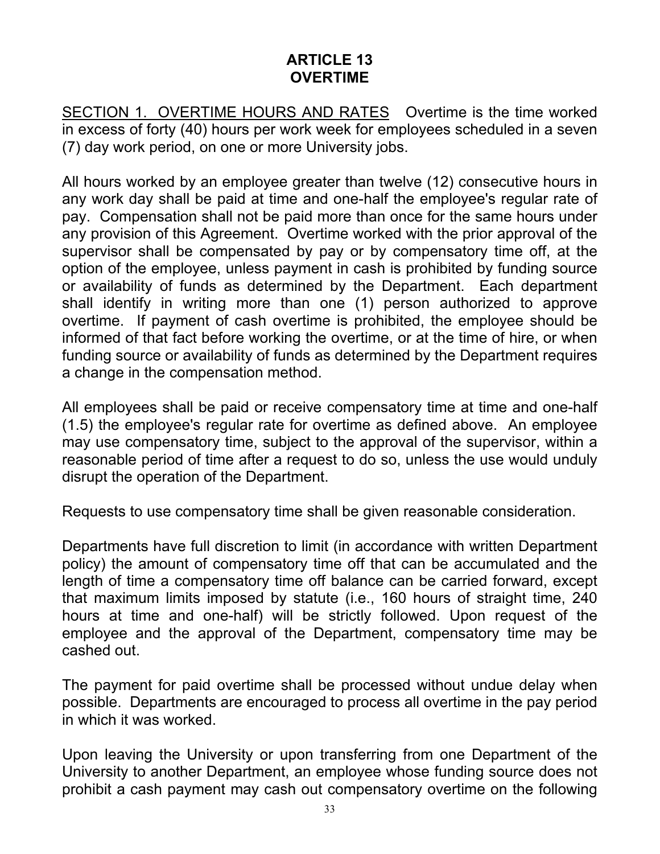#### **ARTICLE 13 OVERTIME**

SECTION 1. OVERTIME HOURS AND RATES Overtime is the time worked in excess of forty (40) hours per work week for employees scheduled in a seven (7) day work period, on one or more University jobs.

All hours worked by an employee greater than twelve (12) consecutive hours in any work day shall be paid at time and one-half the employee's regular rate of pay. Compensation shall not be paid more than once for the same hours under any provision of this Agreement. Overtime worked with the prior approval of the supervisor shall be compensated by pay or by compensatory time off, at the option of the employee, unless payment in cash is prohibited by funding source or availability of funds as determined by the Department. Each department shall identify in writing more than one (1) person authorized to approve overtime. If payment of cash overtime is prohibited, the employee should be informed of that fact before working the overtime, or at the time of hire, or when funding source or availability of funds as determined by the Department requires a change in the compensation method.

All employees shall be paid or receive compensatory time at time and one-half (1.5) the employee's regular rate for overtime as defined above. An employee may use compensatory time, subject to the approval of the supervisor, within a reasonable period of time after a request to do so, unless the use would unduly disrupt the operation of the Department.

Requests to use compensatory time shall be given reasonable consideration.

Departments have full discretion to limit (in accordance with written Department policy) the amount of compensatory time off that can be accumulated and the length of time a compensatory time off balance can be carried forward, except that maximum limits imposed by statute (i.e., 160 hours of straight time, 240 hours at time and one-half) will be strictly followed. Upon request of the employee and the approval of the Department, compensatory time may be cashed out.

The payment for paid overtime shall be processed without undue delay when possible. Departments are encouraged to process all overtime in the pay period in which it was worked.

Upon leaving the University or upon transferring from one Department of the University to another Department, an employee whose funding source does not prohibit a cash payment may cash out compensatory overtime on the following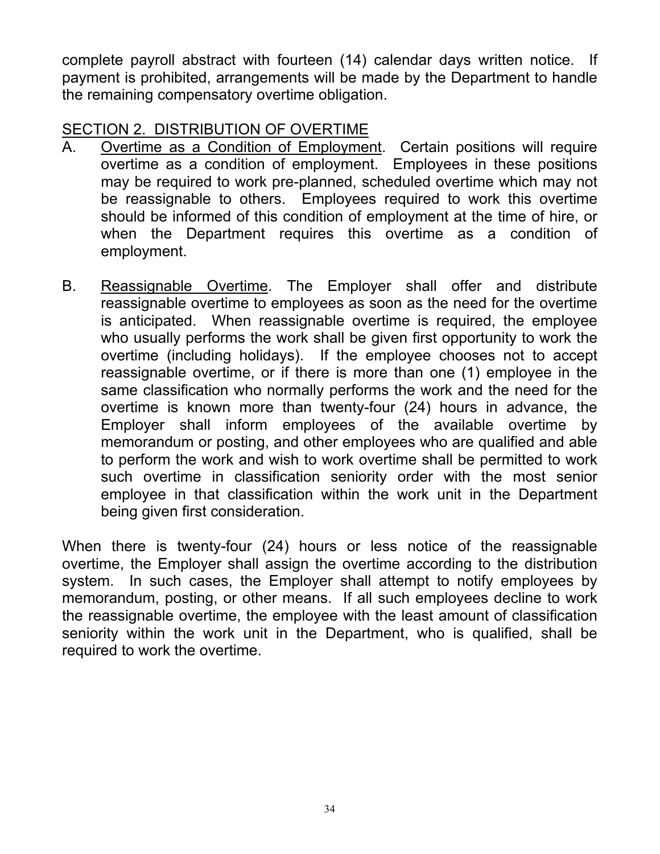complete payroll abstract with fourteen (14) calendar days written notice. If payment is prohibited, arrangements will be made by the Department to handle the remaining compensatory overtime obligation.

#### SECTION 2. DISTRIBUTION OF OVERTIME

- A. Overtime as a Condition of Employment. Certain positions will require overtime as a condition of employment. Employees in these positions may be required to work pre-planned, scheduled overtime which may not be reassignable to others. Employees required to work this overtime should be informed of this condition of employment at the time of hire, or when the Department requires this overtime as a condition of employment.
- B. Reassignable Overtime. The Employer shall offer and distribute reassignable overtime to employees as soon as the need for the overtime is anticipated. When reassignable overtime is required, the employee who usually performs the work shall be given first opportunity to work the overtime (including holidays). If the employee chooses not to accept reassignable overtime, or if there is more than one (1) employee in the same classification who normally performs the work and the need for the overtime is known more than twenty-four (24) hours in advance, the Employer shall inform employees of the available overtime by memorandum or posting, and other employees who are qualified and able to perform the work and wish to work overtime shall be permitted to work such overtime in classification seniority order with the most senior employee in that classification within the work unit in the Department being given first consideration.

When there is twenty-four (24) hours or less notice of the reassignable overtime, the Employer shall assign the overtime according to the distribution system. In such cases, the Employer shall attempt to notify employees by memorandum, posting, or other means. If all such employees decline to work the reassignable overtime, the employee with the least amount of classification seniority within the work unit in the Department, who is qualified, shall be required to work the overtime.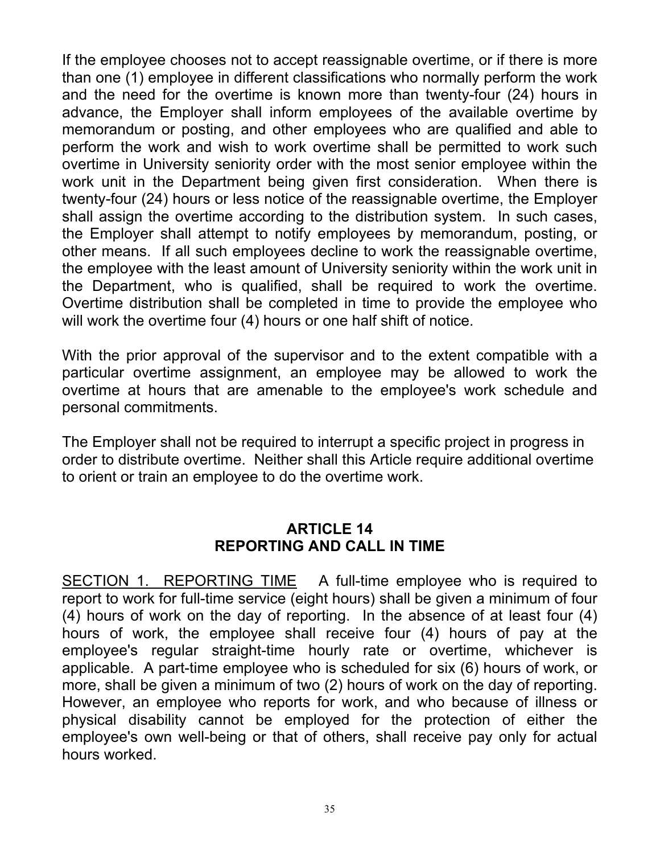If the employee chooses not to accept reassignable overtime, or if there is more than one (1) employee in different classifications who normally perform the work and the need for the overtime is known more than twenty-four (24) hours in advance, the Employer shall inform employees of the available overtime by memorandum or posting, and other employees who are qualified and able to perform the work and wish to work overtime shall be permitted to work such overtime in University seniority order with the most senior employee within the work unit in the Department being given first consideration. When there is twenty-four (24) hours or less notice of the reassignable overtime, the Employer shall assign the overtime according to the distribution system. In such cases, the Employer shall attempt to notify employees by memorandum, posting, or other means. If all such employees decline to work the reassignable overtime, the employee with the least amount of University seniority within the work unit in the Department, who is qualified, shall be required to work the overtime. Overtime distribution shall be completed in time to provide the employee who will work the overtime four (4) hours or one half shift of notice.

With the prior approval of the supervisor and to the extent compatible with a particular overtime assignment, an employee may be allowed to work the overtime at hours that are amenable to the employee's work schedule and personal commitments.

The Employer shall not be required to interrupt a specific project in progress in order to distribute overtime. Neither shall this Article require additional overtime to orient or train an employee to do the overtime work.

#### **ARTICLE 14 REPORTING AND CALL IN TIME**

SECTION 1. REPORTING TIME A full-time employee who is required to report to work for full-time service (eight hours) shall be given a minimum of four (4) hours of work on the day of reporting. In the absence of at least four (4) hours of work, the employee shall receive four (4) hours of pay at the employee's regular straight-time hourly rate or overtime, whichever is applicable. A part-time employee who is scheduled for six (6) hours of work, or more, shall be given a minimum of two (2) hours of work on the day of reporting. However, an employee who reports for work, and who because of illness or physical disability cannot be employed for the protection of either the employee's own well-being or that of others, shall receive pay only for actual hours worked.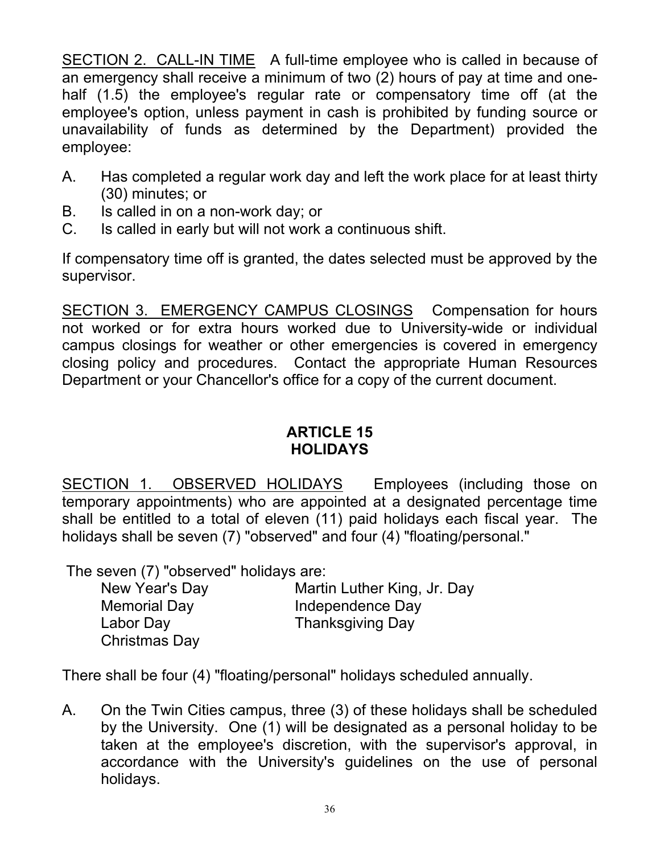SECTION 2. CALL-IN TIME A full-time employee who is called in because of an emergency shall receive a minimum of two (2) hours of pay at time and onehalf (1.5) the employee's regular rate or compensatory time off (at the employee's option, unless payment in cash is prohibited by funding source or unavailability of funds as determined by the Department) provided the employee:

- A. Has completed a regular work day and left the work place for at least thirty (30) minutes; or
- B. Is called in on a non-work day; or
- C. Is called in early but will not work a continuous shift.

If compensatory time off is granted, the dates selected must be approved by the supervisor.

SECTION 3. EMERGENCY CAMPUS CLOSINGS Compensation for hours not worked or for extra hours worked due to University-wide or individual campus closings for weather or other emergencies is covered in emergency closing policy and procedures. Contact the appropriate Human Resources Department or your Chancellor's office for a copy of the current document.

### **ARTICLE 15 HOLIDAYS**

SECTION 1. OBSERVED HOLIDAYS Employees (including those on temporary appointments) who are appointed at a designated percentage time shall be entitled to a total of eleven (11) paid holidays each fiscal year. The holidays shall be seven (7) "observed" and four (4) "floating/personal."

The seven (7) "observed" holidays are:

| New Year's Day      | Martin Luther King, Jr. Day |
|---------------------|-----------------------------|
| <b>Memorial Day</b> | Independence Day            |
| Labor Day           | <b>Thanksgiving Day</b>     |
| Christmas Day       |                             |

There shall be four (4) "floating/personal" holidays scheduled annually.

A. On the Twin Cities campus, three (3) of these holidays shall be scheduled by the University. One (1) will be designated as a personal holiday to be taken at the employee's discretion, with the supervisor's approval, in accordance with the University's guidelines on the use of personal holidays.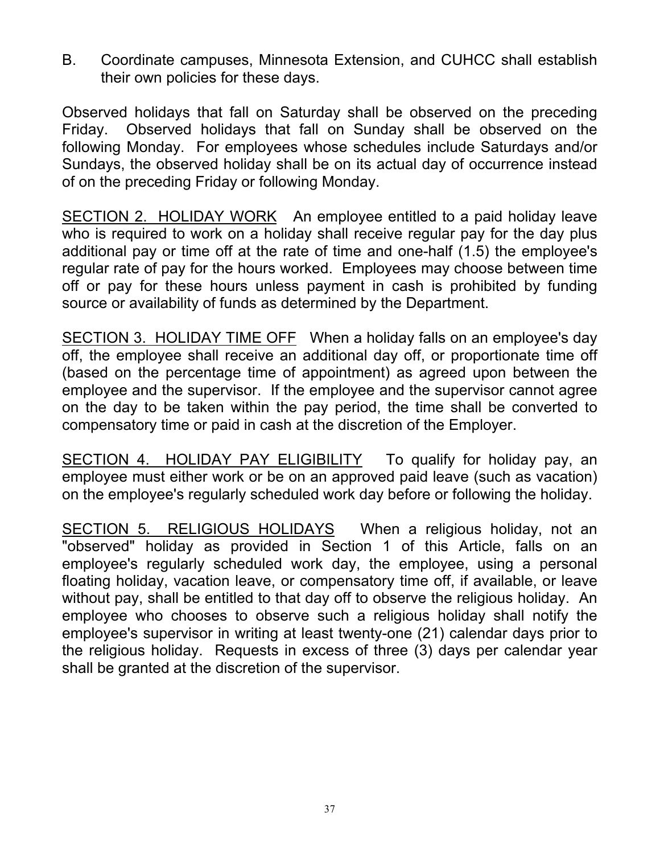B. Coordinate campuses, Minnesota Extension, and CUHCC shall establish their own policies for these days.

Observed holidays that fall on Saturday shall be observed on the preceding Friday. Observed holidays that fall on Sunday shall be observed on the following Monday. For employees whose schedules include Saturdays and/or Sundays, the observed holiday shall be on its actual day of occurrence instead of on the preceding Friday or following Monday.

SECTION 2. HOLIDAY WORK An employee entitled to a paid holiday leave who is required to work on a holiday shall receive regular pay for the day plus additional pay or time off at the rate of time and one-half (1.5) the employee's regular rate of pay for the hours worked. Employees may choose between time off or pay for these hours unless payment in cash is prohibited by funding source or availability of funds as determined by the Department.

SECTION 3. HOLIDAY TIME OFF When a holiday falls on an employee's day off, the employee shall receive an additional day off, or proportionate time off (based on the percentage time of appointment) as agreed upon between the employee and the supervisor. If the employee and the supervisor cannot agree on the day to be taken within the pay period, the time shall be converted to compensatory time or paid in cash at the discretion of the Employer.

SECTION 4. HOLIDAY PAY ELIGIBILITY To qualify for holiday pay, an employee must either work or be on an approved paid leave (such as vacation) on the employee's regularly scheduled work day before or following the holiday.

SECTION 5. RELIGIOUS HOLIDAYS When a religious holiday, not an "observed" holiday as provided in Section 1 of this Article, falls on an employee's regularly scheduled work day, the employee, using a personal floating holiday, vacation leave, or compensatory time off, if available, or leave without pay, shall be entitled to that day off to observe the religious holiday. An employee who chooses to observe such a religious holiday shall notify the employee's supervisor in writing at least twenty-one (21) calendar days prior to the religious holiday. Requests in excess of three (3) days per calendar year shall be granted at the discretion of the supervisor.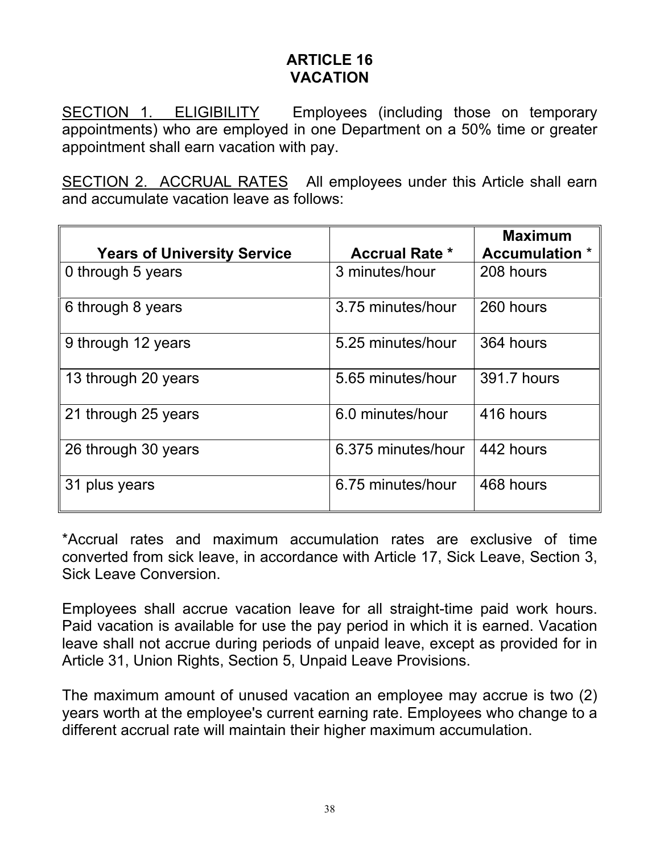### **ARTICLE 16 VACATION**

SECTION 1. ELIGIBILITY Employees (including those on temporary appointments) who are employed in one Department on a 50% time or greater appointment shall earn vacation with pay.

SECTION 2. ACCRUAL RATES All employees under this Article shall earn and accumulate vacation leave as follows:

|                                    |                       | <b>Maximum</b>        |
|------------------------------------|-----------------------|-----------------------|
| <b>Years of University Service</b> | <b>Accrual Rate *</b> | <b>Accumulation</b> * |
| 0 through 5 years                  | 3 minutes/hour        | 208 hours             |
| 6 through 8 years                  | 3.75 minutes/hour     | 260 hours             |
| 9 through 12 years                 | 5.25 minutes/hour     | 364 hours             |
| 13 through 20 years                | 5.65 minutes/hour     | 391.7 hours           |
| 21 through 25 years                | 6.0 minutes/hour      | 416 hours             |
| 26 through 30 years                | 6.375 minutes/hour    | 442 hours             |
| 31 plus years                      | 6.75 minutes/hour     | 468 hours             |

\*Accrual rates and maximum accumulation rates are exclusive of time converted from sick leave, in accordance with Article 17, Sick Leave, Section 3, Sick Leave Conversion.

Employees shall accrue vacation leave for all straight-time paid work hours. Paid vacation is available for use the pay period in which it is earned. Vacation leave shall not accrue during periods of unpaid leave, except as provided for in Article 31, Union Rights, Section 5, Unpaid Leave Provisions.

The maximum amount of unused vacation an employee may accrue is two (2) years worth at the employee's current earning rate. Employees who change to a different accrual rate will maintain their higher maximum accumulation.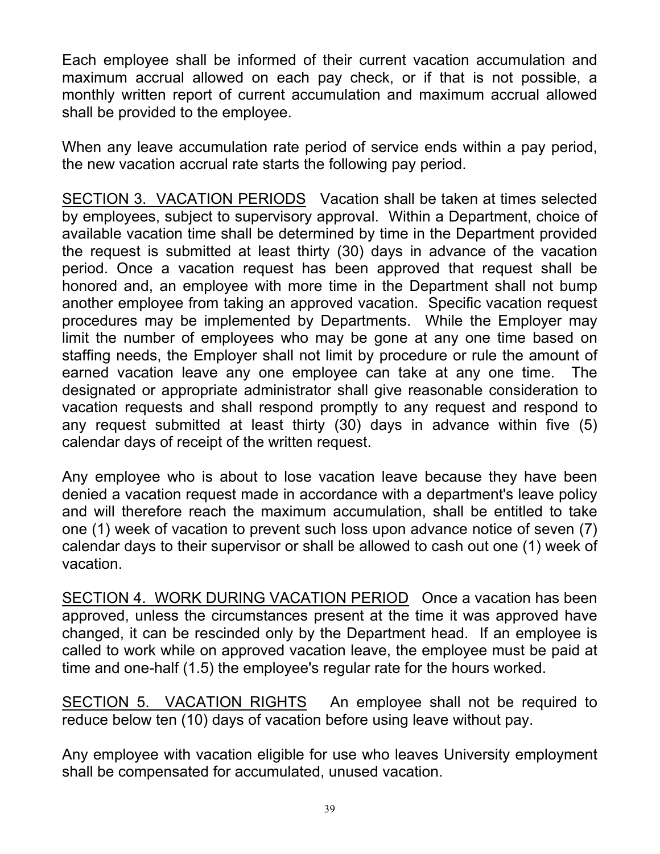Each employee shall be informed of their current vacation accumulation and maximum accrual allowed on each pay check, or if that is not possible, a monthly written report of current accumulation and maximum accrual allowed shall be provided to the employee.

When any leave accumulation rate period of service ends within a pay period, the new vacation accrual rate starts the following pay period.

SECTION 3. VACATION PERIODS Vacation shall be taken at times selected by employees, subject to supervisory approval. Within a Department, choice of available vacation time shall be determined by time in the Department provided the request is submitted at least thirty (30) days in advance of the vacation period. Once a vacation request has been approved that request shall be honored and, an employee with more time in the Department shall not bump another employee from taking an approved vacation. Specific vacation request procedures may be implemented by Departments. While the Employer may limit the number of employees who may be gone at any one time based on staffing needs, the Employer shall not limit by procedure or rule the amount of earned vacation leave any one employee can take at any one time. The designated or appropriate administrator shall give reasonable consideration to vacation requests and shall respond promptly to any request and respond to any request submitted at least thirty (30) days in advance within five (5) calendar days of receipt of the written request.

Any employee who is about to lose vacation leave because they have been denied a vacation request made in accordance with a department's leave policy and will therefore reach the maximum accumulation, shall be entitled to take one (1) week of vacation to prevent such loss upon advance notice of seven (7) calendar days to their supervisor or shall be allowed to cash out one (1) week of vacation.

SECTION 4. WORK DURING VACATION PERIOD Once a vacation has been approved, unless the circumstances present at the time it was approved have changed, it can be rescinded only by the Department head. If an employee is called to work while on approved vacation leave, the employee must be paid at time and one-half (1.5) the employee's regular rate for the hours worked.

SECTION 5. VACATION RIGHTS An employee shall not be required to reduce below ten (10) days of vacation before using leave without pay.

Any employee with vacation eligible for use who leaves University employment shall be compensated for accumulated, unused vacation.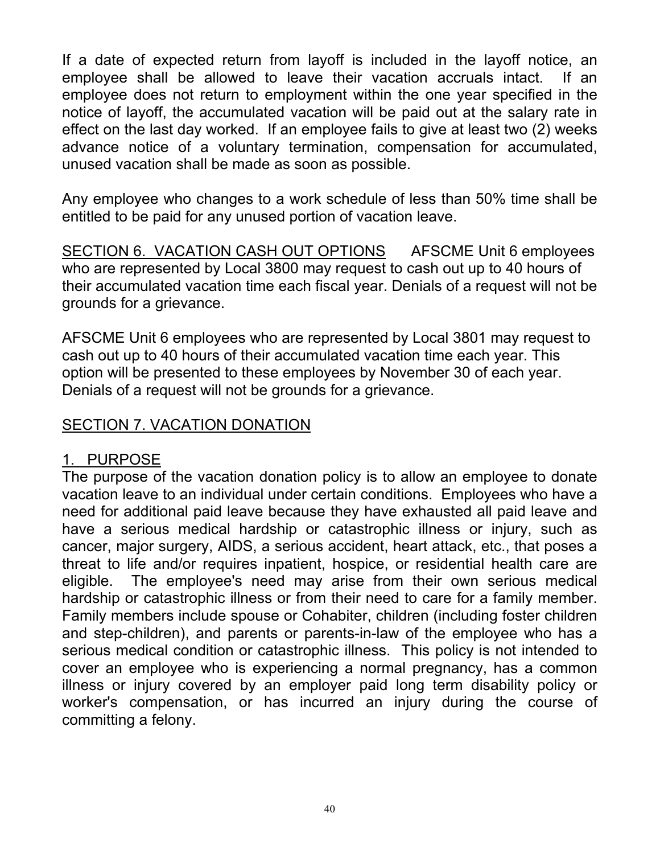If a date of expected return from layoff is included in the layoff notice, an employee shall be allowed to leave their vacation accruals intact. If an employee does not return to employment within the one year specified in the notice of layoff, the accumulated vacation will be paid out at the salary rate in effect on the last day worked. If an employee fails to give at least two (2) weeks advance notice of a voluntary termination, compensation for accumulated, unused vacation shall be made as soon as possible.

Any employee who changes to a work schedule of less than 50% time shall be entitled to be paid for any unused portion of vacation leave.

SECTION 6. VACATION CASH OUT OPTIONS AFSCME Unit 6 employees who are represented by Local 3800 may request to cash out up to 40 hours of their accumulated vacation time each fiscal year. Denials of a request will not be grounds for a grievance.

AFSCME Unit 6 employees who are represented by Local 3801 may request to cash out up to 40 hours of their accumulated vacation time each year. This option will be presented to these employees by November 30 of each year. Denials of a request will not be grounds for a grievance.

## SECTION 7. VACATION DONATION

## 1. PURPOSE

The purpose of the vacation donation policy is to allow an employee to donate vacation leave to an individual under certain conditions. Employees who have a need for additional paid leave because they have exhausted all paid leave and have a serious medical hardship or catastrophic illness or injury, such as cancer, major surgery, AIDS, a serious accident, heart attack, etc., that poses a threat to life and/or requires inpatient, hospice, or residential health care are eligible. The employee's need may arise from their own serious medical hardship or catastrophic illness or from their need to care for a family member. Family members include spouse or Cohabiter, children (including foster children and step-children), and parents or parents-in-law of the employee who has a serious medical condition or catastrophic illness. This policy is not intended to cover an employee who is experiencing a normal pregnancy, has a common illness or injury covered by an employer paid long term disability policy or worker's compensation, or has incurred an injury during the course of committing a felony.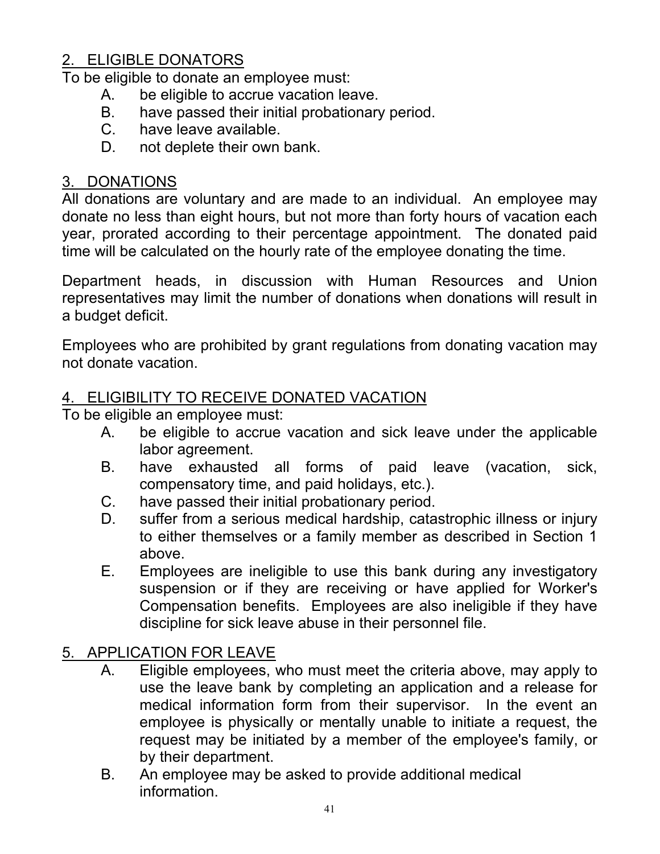# 2. ELIGIBLE DONATORS

To be eligible to donate an employee must:

- A. be eligible to accrue vacation leave.
- B. have passed their initial probationary period.
- C. have leave available.
- D. not deplete their own bank.

# 3. DONATIONS

All donations are voluntary and are made to an individual. An employee may donate no less than eight hours, but not more than forty hours of vacation each year, prorated according to their percentage appointment. The donated paid time will be calculated on the hourly rate of the employee donating the time.

Department heads, in discussion with Human Resources and Union representatives may limit the number of donations when donations will result in a budget deficit.

Employees who are prohibited by grant regulations from donating vacation may not donate vacation.

## 4. ELIGIBILITY TO RECEIVE DONATED VACATION

To be eligible an employee must:

- A. be eligible to accrue vacation and sick leave under the applicable labor agreement.
- B. have exhausted all forms of paid leave (vacation, sick, compensatory time, and paid holidays, etc.).
- C. have passed their initial probationary period.
- D. suffer from a serious medical hardship, catastrophic illness or injury to either themselves or a family member as described in Section 1 above.
- E. Employees are ineligible to use this bank during any investigatory suspension or if they are receiving or have applied for Worker's Compensation benefits. Employees are also ineligible if they have discipline for sick leave abuse in their personnel file.

# 5. APPLICATION FOR LEAVE

- A. Eligible employees, who must meet the criteria above, may apply to use the leave bank by completing an application and a release for medical information form from their supervisor. In the event an employee is physically or mentally unable to initiate a request, the request may be initiated by a member of the employee's family, or by their department.
- B. An employee may be asked to provide additional medical information.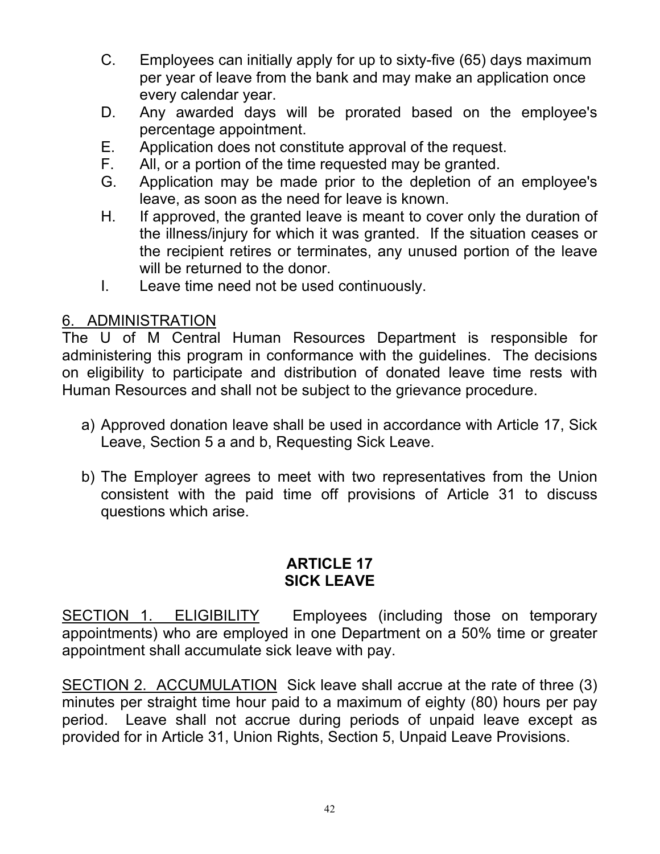- C. Employees can initially apply for up to sixty-five (65) days maximum per year of leave from the bank and may make an application once every calendar year.
- D. Any awarded days will be prorated based on the employee's percentage appointment.
- E. Application does not constitute approval of the request.
- F. All, or a portion of the time requested may be granted.
- G. Application may be made prior to the depletion of an employee's leave, as soon as the need for leave is known.
- H. If approved, the granted leave is meant to cover only the duration of the illness/injury for which it was granted. If the situation ceases or the recipient retires or terminates, any unused portion of the leave will be returned to the donor.
- I. Leave time need not be used continuously.

#### 6. ADMINISTRATION

The U of M Central Human Resources Department is responsible for administering this program in conformance with the guidelines. The decisions on eligibility to participate and distribution of donated leave time rests with Human Resources and shall not be subject to the grievance procedure.

- a) Approved donation leave shall be used in accordance with Article 17, Sick Leave, Section 5 a and b, Requesting Sick Leave.
- b) The Employer agrees to meet with two representatives from the Union consistent with the paid time off provisions of Article 31 to discuss questions which arise.

#### **ARTICLE 17 SICK LEAVE**

SECTION 1. ELIGIBILITY Employees (including those on temporary appointments) who are employed in one Department on a 50% time or greater appointment shall accumulate sick leave with pay.

SECTION 2. ACCUMULATION Sick leave shall accrue at the rate of three (3) minutes per straight time hour paid to a maximum of eighty (80) hours per pay period. Leave shall not accrue during periods of unpaid leave except as provided for in Article 31, Union Rights, Section 5, Unpaid Leave Provisions.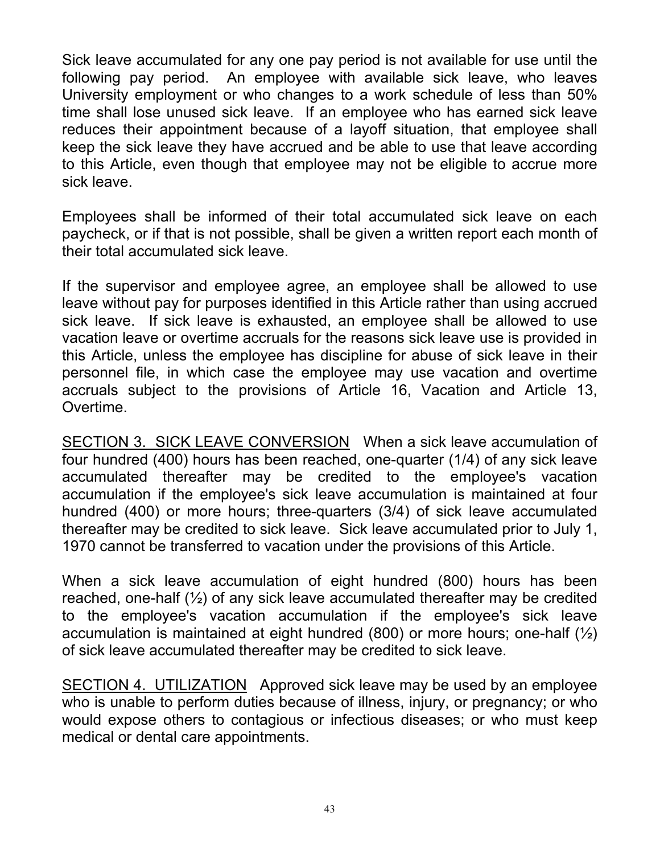Sick leave accumulated for any one pay period is not available for use until the following pay period. An employee with available sick leave, who leaves University employment or who changes to a work schedule of less than 50% time shall lose unused sick leave. If an employee who has earned sick leave reduces their appointment because of a layoff situation, that employee shall keep the sick leave they have accrued and be able to use that leave according to this Article, even though that employee may not be eligible to accrue more sick leave.

Employees shall be informed of their total accumulated sick leave on each paycheck, or if that is not possible, shall be given a written report each month of their total accumulated sick leave.

If the supervisor and employee agree, an employee shall be allowed to use leave without pay for purposes identified in this Article rather than using accrued sick leave. If sick leave is exhausted, an employee shall be allowed to use vacation leave or overtime accruals for the reasons sick leave use is provided in this Article, unless the employee has discipline for abuse of sick leave in their personnel file, in which case the employee may use vacation and overtime accruals subject to the provisions of Article 16, Vacation and Article 13, Overtime.

SECTION 3. SICK LEAVE CONVERSION When a sick leave accumulation of four hundred (400) hours has been reached, one-quarter (1/4) of any sick leave accumulated thereafter may be credited to the employee's vacation accumulation if the employee's sick leave accumulation is maintained at four hundred (400) or more hours; three-quarters (3/4) of sick leave accumulated thereafter may be credited to sick leave. Sick leave accumulated prior to July 1, 1970 cannot be transferred to vacation under the provisions of this Article.

When a sick leave accumulation of eight hundred (800) hours has been reached, one-half (½) of any sick leave accumulated thereafter may be credited to the employee's vacation accumulation if the employee's sick leave accumulation is maintained at eight hundred (800) or more hours; one-half  $(\frac{1}{2})$ of sick leave accumulated thereafter may be credited to sick leave.

SECTION 4. UTILIZATION Approved sick leave may be used by an employee who is unable to perform duties because of illness, injury, or pregnancy; or who would expose others to contagious or infectious diseases; or who must keep medical or dental care appointments.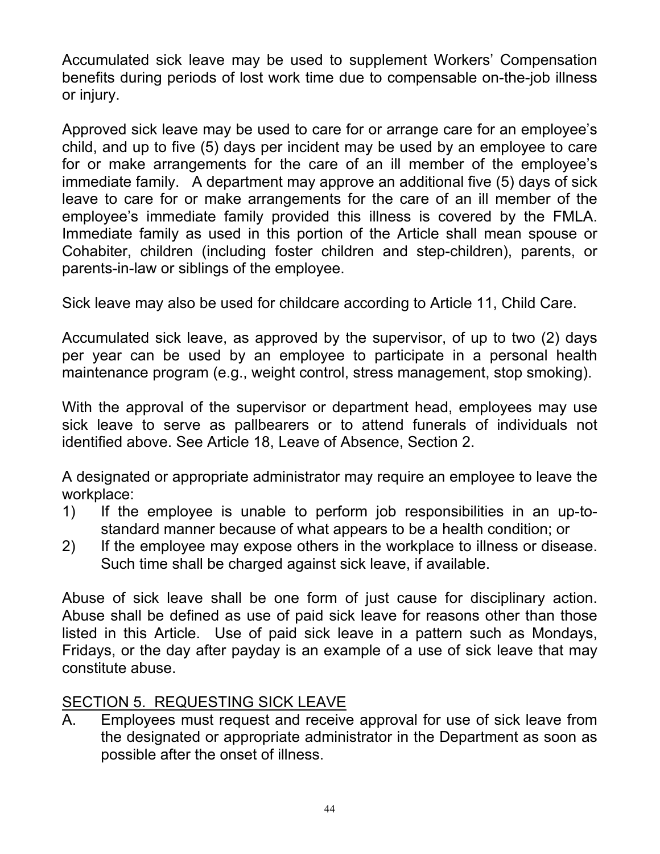Accumulated sick leave may be used to supplement Workers' Compensation benefits during periods of lost work time due to compensable on-the-job illness or injury.

Approved sick leave may be used to care for or arrange care for an employee's child, and up to five (5) days per incident may be used by an employee to care for or make arrangements for the care of an ill member of the employee's immediate family. A department may approve an additional five (5) days of sick leave to care for or make arrangements for the care of an ill member of the employee's immediate family provided this illness is covered by the FMLA. Immediate family as used in this portion of the Article shall mean spouse or Cohabiter, children (including foster children and step-children), parents, or parents-in-law or siblings of the employee.

Sick leave may also be used for childcare according to Article 11, Child Care.

Accumulated sick leave, as approved by the supervisor, of up to two (2) days per year can be used by an employee to participate in a personal health maintenance program (e.g., weight control, stress management, stop smoking).

With the approval of the supervisor or department head, employees may use sick leave to serve as pallbearers or to attend funerals of individuals not identified above. See Article 18, Leave of Absence, Section 2.

A designated or appropriate administrator may require an employee to leave the workplace:

- 1) If the employee is unable to perform job responsibilities in an up-tostandard manner because of what appears to be a health condition; or
- 2) If the employee may expose others in the workplace to illness or disease. Such time shall be charged against sick leave, if available.

Abuse of sick leave shall be one form of just cause for disciplinary action. Abuse shall be defined as use of paid sick leave for reasons other than those listed in this Article. Use of paid sick leave in a pattern such as Mondays, Fridays, or the day after payday is an example of a use of sick leave that may constitute abuse.

## SECTION 5. REQUESTING SICK LEAVE

A. Employees must request and receive approval for use of sick leave from the designated or appropriate administrator in the Department as soon as possible after the onset of illness.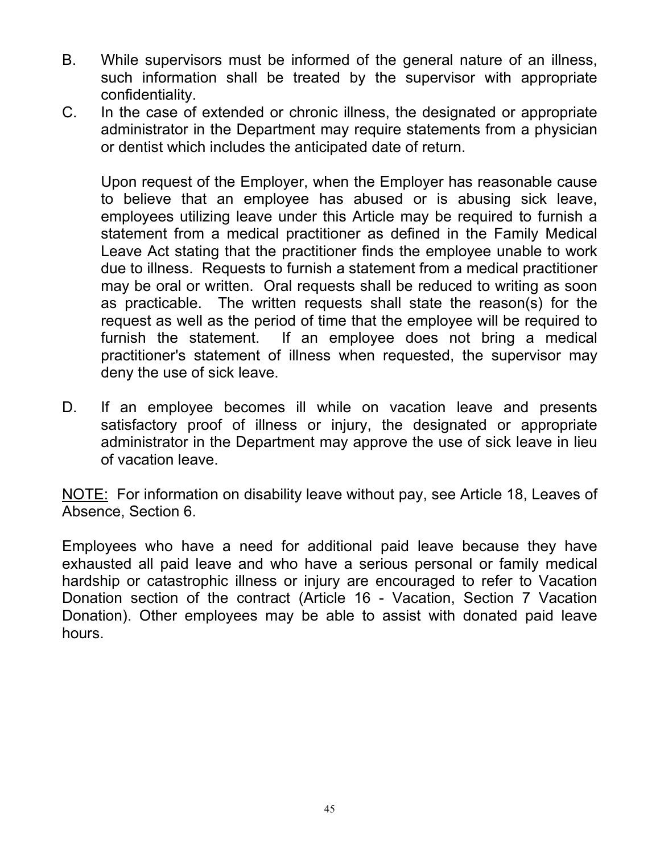- B. While supervisors must be informed of the general nature of an illness, such information shall be treated by the supervisor with appropriate confidentiality.
- C. In the case of extended or chronic illness, the designated or appropriate administrator in the Department may require statements from a physician or dentist which includes the anticipated date of return.

 Upon request of the Employer, when the Employer has reasonable cause to believe that an employee has abused or is abusing sick leave, employees utilizing leave under this Article may be required to furnish a statement from a medical practitioner as defined in the Family Medical Leave Act stating that the practitioner finds the employee unable to work due to illness. Requests to furnish a statement from a medical practitioner may be oral or written. Oral requests shall be reduced to writing as soon as practicable. The written requests shall state the reason(s) for the request as well as the period of time that the employee will be required to furnish the statement. If an employee does not bring a medical practitioner's statement of illness when requested, the supervisor may deny the use of sick leave.

D. If an employee becomes ill while on vacation leave and presents satisfactory proof of illness or injury, the designated or appropriate administrator in the Department may approve the use of sick leave in lieu of vacation leave.

NOTE: For information on disability leave without pay, see Article 18, Leaves of Absence, Section 6.

Employees who have a need for additional paid leave because they have exhausted all paid leave and who have a serious personal or family medical hardship or catastrophic illness or injury are encouraged to refer to Vacation Donation section of the contract (Article 16 - Vacation, Section 7 Vacation Donation). Other employees may be able to assist with donated paid leave hours.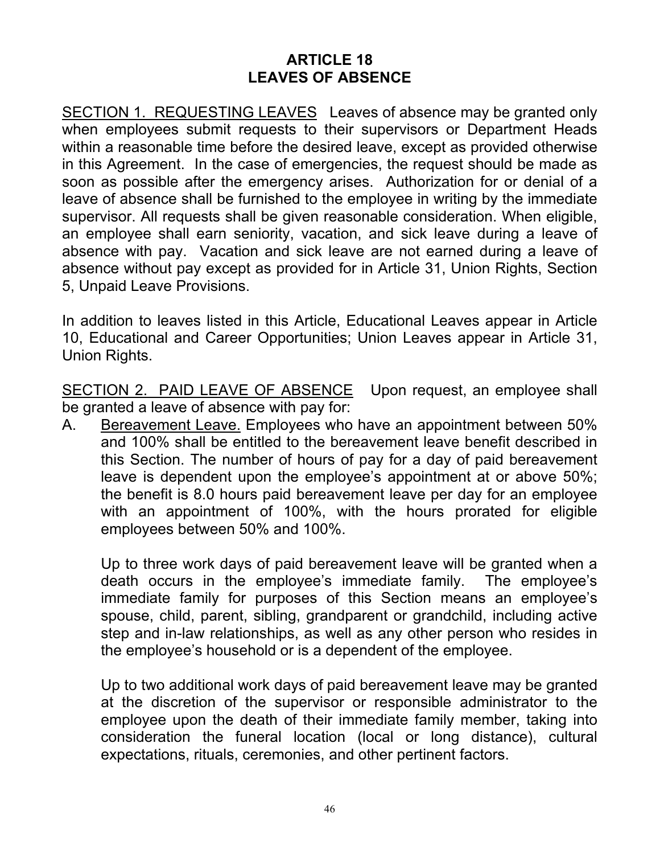#### **ARTICLE 18 LEAVES OF ABSENCE**

SECTION 1. REQUESTING LEAVES Leaves of absence may be granted only when employees submit requests to their supervisors or Department Heads within a reasonable time before the desired leave, except as provided otherwise in this Agreement. In the case of emergencies, the request should be made as soon as possible after the emergency arises. Authorization for or denial of a leave of absence shall be furnished to the employee in writing by the immediate supervisor. All requests shall be given reasonable consideration. When eligible, an employee shall earn seniority, vacation, and sick leave during a leave of absence with pay. Vacation and sick leave are not earned during a leave of absence without pay except as provided for in Article 31, Union Rights, Section 5, Unpaid Leave Provisions.

In addition to leaves listed in this Article, Educational Leaves appear in Article 10, Educational and Career Opportunities; Union Leaves appear in Article 31, Union Rights.

SECTION 2. PAID LEAVE OF ABSENCE Upon request, an employee shall be granted a leave of absence with pay for:

A. Bereavement Leave. Employees who have an appointment between 50% and 100% shall be entitled to the bereavement leave benefit described in this Section. The number of hours of pay for a day of paid bereavement leave is dependent upon the employee's appointment at or above 50%; the benefit is 8.0 hours paid bereavement leave per day for an employee with an appointment of 100%, with the hours prorated for eligible employees between 50% and 100%.

Up to three work days of paid bereavement leave will be granted when a death occurs in the employee's immediate family. The employee's immediate family for purposes of this Section means an employee's spouse, child, parent, sibling, grandparent or grandchild, including active step and in-law relationships, as well as any other person who resides in the employee's household or is a dependent of the employee.

Up to two additional work days of paid bereavement leave may be granted at the discretion of the supervisor or responsible administrator to the employee upon the death of their immediate family member, taking into consideration the funeral location (local or long distance), cultural expectations, rituals, ceremonies, and other pertinent factors.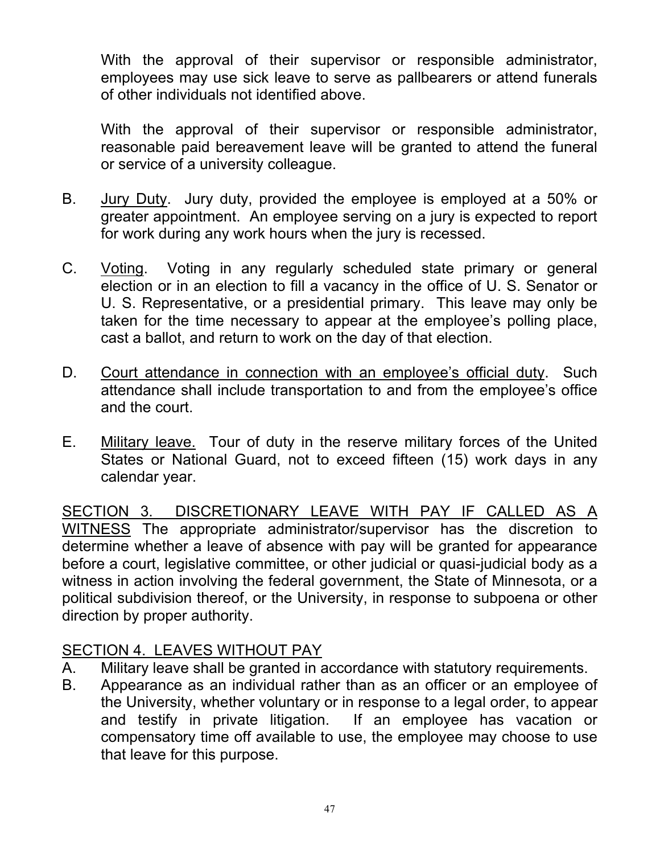With the approval of their supervisor or responsible administrator, employees may use sick leave to serve as pallbearers or attend funerals of other individuals not identified above.

With the approval of their supervisor or responsible administrator, reasonable paid bereavement leave will be granted to attend the funeral or service of a university colleague.

- B. Jury Duty. Jury duty, provided the employee is employed at a 50% or greater appointment. An employee serving on a jury is expected to report for work during any work hours when the jury is recessed.
- C. Voting. Voting in any regularly scheduled state primary or general election or in an election to fill a vacancy in the office of U. S. Senator or U. S. Representative, or a presidential primary. This leave may only be taken for the time necessary to appear at the employee's polling place, cast a ballot, and return to work on the day of that election.
- D. Court attendance in connection with an employee's official duty. Such attendance shall include transportation to and from the employee's office and the court.
- E. Military leave. Tour of duty in the reserve military forces of the United States or National Guard, not to exceed fifteen (15) work days in any calendar year.

SECTION 3. DISCRETIONARY LEAVE WITH PAY IF CALLED AS A WITNESS The appropriate administrator/supervisor has the discretion to determine whether a leave of absence with pay will be granted for appearance before a court, legislative committee, or other judicial or quasi-judicial body as a witness in action involving the federal government, the State of Minnesota, or a political subdivision thereof, or the University, in response to subpoena or other direction by proper authority.

## SECTION 4. LEAVES WITHOUT PAY

- A. Military leave shall be granted in accordance with statutory requirements.
- B. Appearance as an individual rather than as an officer or an employee of the University, whether voluntary or in response to a legal order, to appear and testify in private litigation. If an employee has vacation or compensatory time off available to use, the employee may choose to use that leave for this purpose.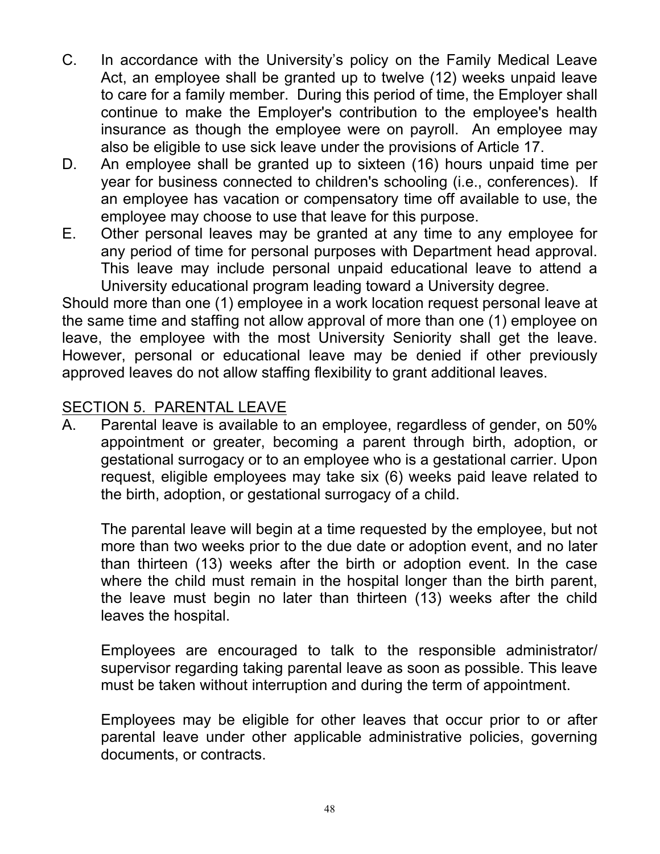- C. In accordance with the University's policy on the Family Medical Leave Act, an employee shall be granted up to twelve (12) weeks unpaid leave to care for a family member. During this period of time, the Employer shall continue to make the Employer's contribution to the employee's health insurance as though the employee were on payroll. An employee may also be eligible to use sick leave under the provisions of Article 17.
- D. An employee shall be granted up to sixteen (16) hours unpaid time per year for business connected to children's schooling (i.e., conferences). If an employee has vacation or compensatory time off available to use, the employee may choose to use that leave for this purpose.
- E. Other personal leaves may be granted at any time to any employee for any period of time for personal purposes with Department head approval. This leave may include personal unpaid educational leave to attend a University educational program leading toward a University degree.

Should more than one (1) employee in a work location request personal leave at the same time and staffing not allow approval of more than one (1) employee on leave, the employee with the most University Seniority shall get the leave. However, personal or educational leave may be denied if other previously approved leaves do not allow staffing flexibility to grant additional leaves.

### SECTION 5. PARENTAL LEAVE

A. Parental leave is available to an employee, regardless of gender, on 50% appointment or greater, becoming a parent through birth, adoption, or gestational surrogacy or to an employee who is a gestational carrier. Upon request, eligible employees may take six (6) weeks paid leave related to the birth, adoption, or gestational surrogacy of a child.

The parental leave will begin at a time requested by the employee, but not more than two weeks prior to the due date or adoption event, and no later than thirteen (13) weeks after the birth or adoption event. In the case where the child must remain in the hospital longer than the birth parent, the leave must begin no later than thirteen (13) weeks after the child leaves the hospital.

Employees are encouraged to talk to the responsible administrator/ supervisor regarding taking parental leave as soon as possible. This leave must be taken without interruption and during the term of appointment.

Employees may be eligible for other leaves that occur prior to or after parental leave under other applicable administrative policies, governing documents, or contracts.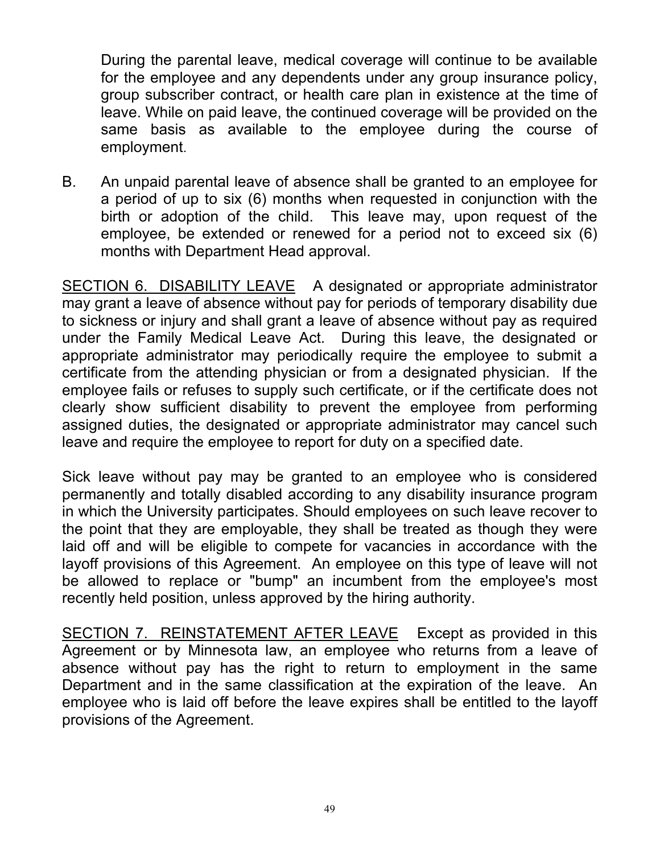During the parental leave, medical coverage will continue to be available for the employee and any dependents under any group insurance policy, group subscriber contract, or health care plan in existence at the time of leave. While on paid leave, the continued coverage will be provided on the same basis as available to the employee during the course of employment.

B. An unpaid parental leave of absence shall be granted to an employee for a period of up to six (6) months when requested in conjunction with the birth or adoption of the child. This leave may, upon request of the employee, be extended or renewed for a period not to exceed six (6) months with Department Head approval.

SECTION 6. DISABILITY LEAVE A designated or appropriate administrator may grant a leave of absence without pay for periods of temporary disability due to sickness or injury and shall grant a leave of absence without pay as required under the Family Medical Leave Act. During this leave, the designated or appropriate administrator may periodically require the employee to submit a certificate from the attending physician or from a designated physician. If the employee fails or refuses to supply such certificate, or if the certificate does not clearly show sufficient disability to prevent the employee from performing assigned duties, the designated or appropriate administrator may cancel such leave and require the employee to report for duty on a specified date.

Sick leave without pay may be granted to an employee who is considered permanently and totally disabled according to any disability insurance program in which the University participates. Should employees on such leave recover to the point that they are employable, they shall be treated as though they were laid off and will be eligible to compete for vacancies in accordance with the layoff provisions of this Agreement. An employee on this type of leave will not be allowed to replace or "bump" an incumbent from the employee's most recently held position, unless approved by the hiring authority.

SECTION 7. REINSTATEMENT AFTER LEAVE Except as provided in this Agreement or by Minnesota law, an employee who returns from a leave of absence without pay has the right to return to employment in the same Department and in the same classification at the expiration of the leave. An employee who is laid off before the leave expires shall be entitled to the layoff provisions of the Agreement.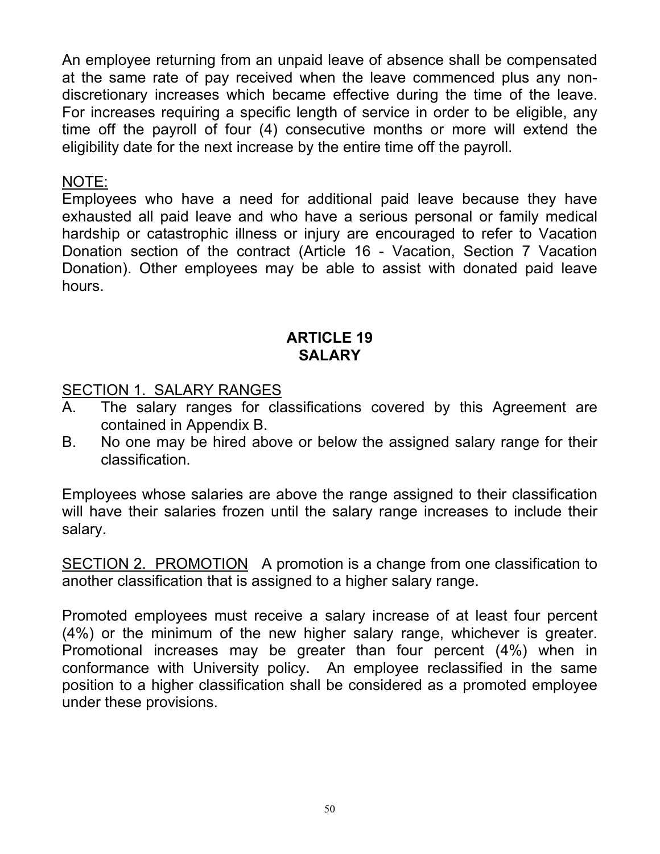An employee returning from an unpaid leave of absence shall be compensated at the same rate of pay received when the leave commenced plus any nondiscretionary increases which became effective during the time of the leave. For increases requiring a specific length of service in order to be eligible, any time off the payroll of four (4) consecutive months or more will extend the eligibility date for the next increase by the entire time off the payroll.

#### NOTE:

Employees who have a need for additional paid leave because they have exhausted all paid leave and who have a serious personal or family medical hardship or catastrophic illness or injury are encouraged to refer to Vacation Donation section of the contract (Article 16 - Vacation, Section 7 Vacation Donation). Other employees may be able to assist with donated paid leave hours.

#### **ARTICLE 19 SALARY**

#### SECTION 1. SALARY RANGES

- A. The salary ranges for classifications covered by this Agreement are contained in Appendix B.
- B. No one may be hired above or below the assigned salary range for their classification.

Employees whose salaries are above the range assigned to their classification will have their salaries frozen until the salary range increases to include their salary.

SECTION 2. PROMOTION A promotion is a change from one classification to another classification that is assigned to a higher salary range.

Promoted employees must receive a salary increase of at least four percent (4%) or the minimum of the new higher salary range, whichever is greater. Promotional increases may be greater than four percent (4%) when in conformance with University policy. An employee reclassified in the same position to a higher classification shall be considered as a promoted employee under these provisions.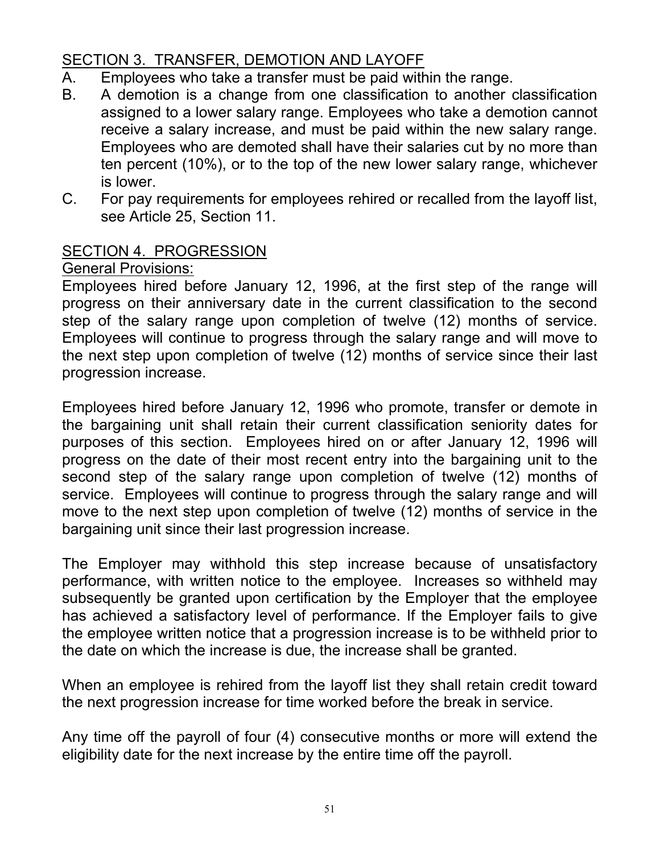# SECTION 3. TRANSFER, DEMOTION AND LAYOFF

- A. Employees who take a transfer must be paid within the range.
- B. A demotion is a change from one classification to another classification assigned to a lower salary range. Employees who take a demotion cannot receive a salary increase, and must be paid within the new salary range. Employees who are demoted shall have their salaries cut by no more than ten percent (10%), or to the top of the new lower salary range, whichever is lower.
- C. For pay requirements for employees rehired or recalled from the layoff list, see Article 25, Section 11.

### SECTION 4. PROGRESSION

#### General Provisions:

Employees hired before January 12, 1996, at the first step of the range will progress on their anniversary date in the current classification to the second step of the salary range upon completion of twelve (12) months of service. Employees will continue to progress through the salary range and will move to the next step upon completion of twelve (12) months of service since their last progression increase.

Employees hired before January 12, 1996 who promote, transfer or demote in the bargaining unit shall retain their current classification seniority dates for purposes of this section. Employees hired on or after January 12, 1996 will progress on the date of their most recent entry into the bargaining unit to the second step of the salary range upon completion of twelve (12) months of service. Employees will continue to progress through the salary range and will move to the next step upon completion of twelve (12) months of service in the bargaining unit since their last progression increase.

The Employer may withhold this step increase because of unsatisfactory performance, with written notice to the employee. Increases so withheld may subsequently be granted upon certification by the Employer that the employee has achieved a satisfactory level of performance. If the Employer fails to give the employee written notice that a progression increase is to be withheld prior to the date on which the increase is due, the increase shall be granted.

When an employee is rehired from the layoff list they shall retain credit toward the next progression increase for time worked before the break in service.

Any time off the payroll of four (4) consecutive months or more will extend the eligibility date for the next increase by the entire time off the payroll.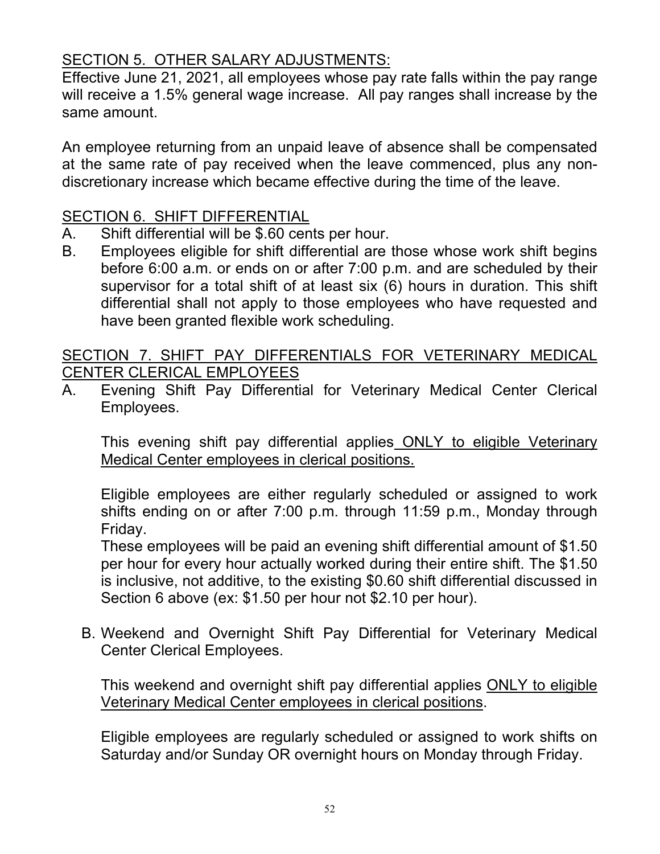## SECTION 5. OTHER SALARY ADJUSTMENTS:

Effective June 21, 2021, all employees whose pay rate falls within the pay range will receive a 1.5% general wage increase. All pay ranges shall increase by the same amount.

An employee returning from an unpaid leave of absence shall be compensated at the same rate of pay received when the leave commenced, plus any nondiscretionary increase which became effective during the time of the leave.

### SECTION 6. SHIFT DIFFERENTIAL

- A. Shift differential will be \$.60 cents per hour.
- B. Employees eligible for shift differential are those whose work shift begins before 6:00 a.m. or ends on or after 7:00 p.m. and are scheduled by their supervisor for a total shift of at least six (6) hours in duration. This shift differential shall not apply to those employees who have requested and have been granted flexible work scheduling.

SECTION 7. SHIFT PAY DIFFERENTIALS FOR VETERINARY MEDICAL CENTER CLERICAL EMPLOYEES

A. Evening Shift Pay Differential for Veterinary Medical Center Clerical Employees.

This evening shift pay differential applies ONLY to eligible Veterinary Medical Center employees in clerical positions.

Eligible employees are either regularly scheduled or assigned to work shifts ending on or after 7:00 p.m. through 11:59 p.m., Monday through Friday.

These employees will be paid an evening shift differential amount of \$1.50 per hour for every hour actually worked during their entire shift. The \$1.50 is inclusive, not additive, to the existing \$0.60 shift differential discussed in Section 6 above (ex: \$1.50 per hour not \$2.10 per hour).

B. Weekend and Overnight Shift Pay Differential for Veterinary Medical Center Clerical Employees.

This weekend and overnight shift pay differential applies ONLY to eligible Veterinary Medical Center employees in clerical positions.

Eligible employees are regularly scheduled or assigned to work shifts on Saturday and/or Sunday OR overnight hours on Monday through Friday.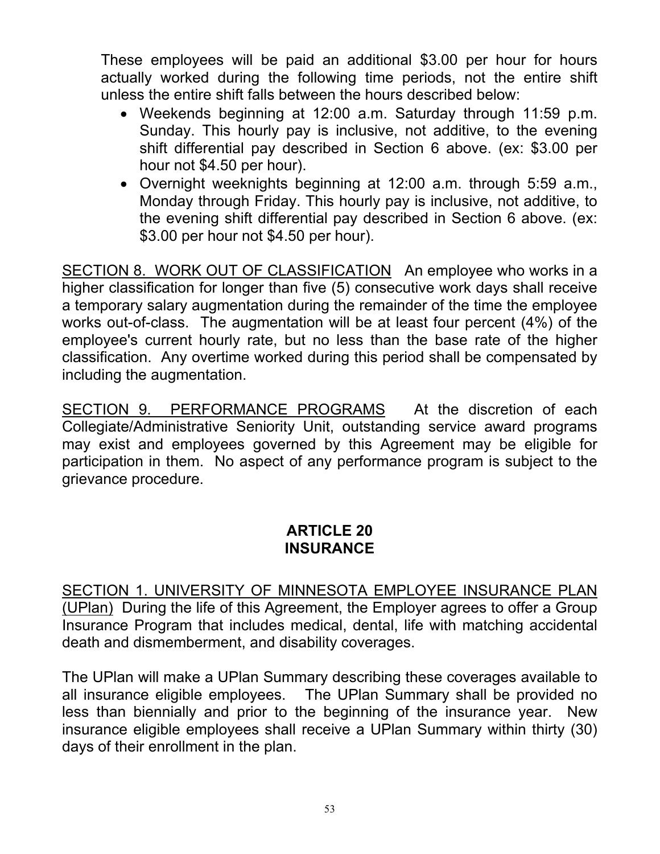These employees will be paid an additional \$3.00 per hour for hours actually worked during the following time periods, not the entire shift unless the entire shift falls between the hours described below:

- Weekends beginning at 12:00 a.m. Saturday through 11:59 p.m. Sunday. This hourly pay is inclusive, not additive, to the evening shift differential pay described in Section 6 above. (ex: \$3.00 per hour not \$4.50 per hour).
- Overnight weeknights beginning at 12:00 a.m. through 5:59 a.m., Monday through Friday. This hourly pay is inclusive, not additive, to the evening shift differential pay described in Section 6 above. (ex: \$3.00 per hour not \$4.50 per hour).

SECTION 8. WORK OUT OF CLASSIFICATION An employee who works in a higher classification for longer than five (5) consecutive work days shall receive a temporary salary augmentation during the remainder of the time the employee works out-of-class. The augmentation will be at least four percent (4%) of the employee's current hourly rate, but no less than the base rate of the higher classification. Any overtime worked during this period shall be compensated by including the augmentation.

SECTION 9. PERFORMANCE PROGRAMS At the discretion of each Collegiate/Administrative Seniority Unit, outstanding service award programs may exist and employees governed by this Agreement may be eligible for participation in them. No aspect of any performance program is subject to the grievance procedure.

#### **ARTICLE 20 INSURANCE**

SECTION 1. UNIVERSITY OF MINNESOTA EMPLOYEE INSURANCE PLAN (UPlan) During the life of this Agreement, the Employer agrees to offer a Group Insurance Program that includes medical, dental, life with matching accidental death and dismemberment, and disability coverages.

The UPlan will make a UPlan Summary describing these coverages available to all insurance eligible employees. The UPlan Summary shall be provided no less than biennially and prior to the beginning of the insurance year. New insurance eligible employees shall receive a UPlan Summary within thirty (30) days of their enrollment in the plan.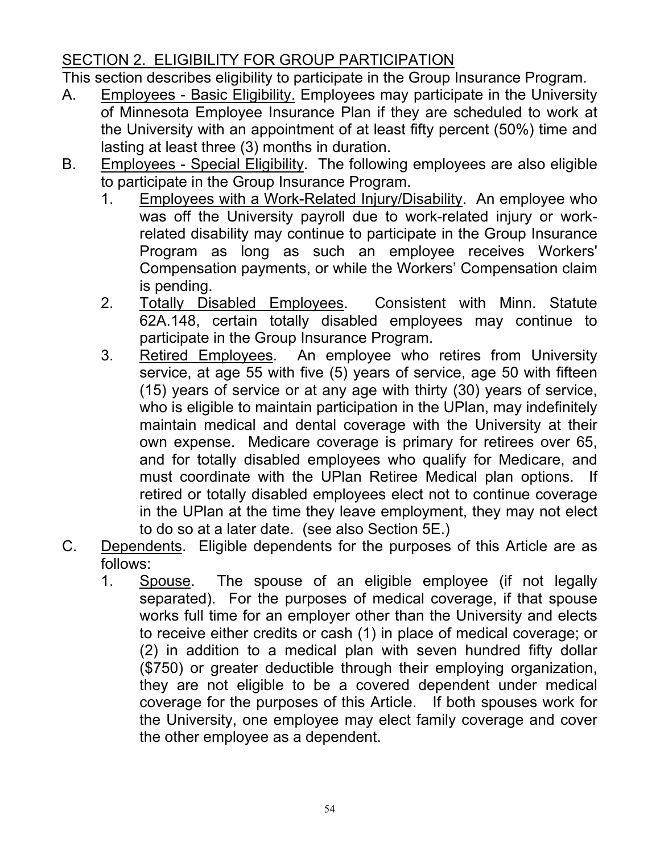# SECTION 2. ELIGIBILITY FOR GROUP PARTICIPATION

This section describes eligibility to participate in the Group Insurance Program.

- A. Employees Basic Eligibility. Employees may participate in the University of Minnesota Employee Insurance Plan if they are scheduled to work at the University with an appointment of at least fifty percent (50%) time and lasting at least three (3) months in duration.
- B. Employees Special Eligibility. The following employees are also eligible to participate in the Group Insurance Program.
	- 1. Employees with a Work-Related Injury/Disability. An employee who was off the University payroll due to work-related injury or workrelated disability may continue to participate in the Group Insurance Program as long as such an employee receives Workers' Compensation payments, or while the Workers' Compensation claim is pending.
	- 2. Totally Disabled Employees. Consistent with Minn. Statute 62A.148, certain totally disabled employees may continue to participate in the Group Insurance Program.
	- 3. Retired Employees. An employee who retires from University service, at age 55 with five (5) years of service, age 50 with fifteen (15) years of service or at any age with thirty (30) years of service, who is eligible to maintain participation in the UPlan, may indefinitely maintain medical and dental coverage with the University at their own expense. Medicare coverage is primary for retirees over 65, and for totally disabled employees who qualify for Medicare, and must coordinate with the UPlan Retiree Medical plan options. If retired or totally disabled employees elect not to continue coverage in the UPlan at the time they leave employment, they may not elect to do so at a later date. (see also Section 5E.)
- C. Dependents. Eligible dependents for the purposes of this Article are as follows:
	- 1. Spouse. The spouse of an eligible employee (if not legally separated). For the purposes of medical coverage, if that spouse works full time for an employer other than the University and elects to receive either credits or cash (1) in place of medical coverage; or (2) in addition to a medical plan with seven hundred fifty dollar (\$750) or greater deductible through their employing organization, they are not eligible to be a covered dependent under medical coverage for the purposes of this Article. If both spouses work for the University, one employee may elect family coverage and cover the other employee as a dependent.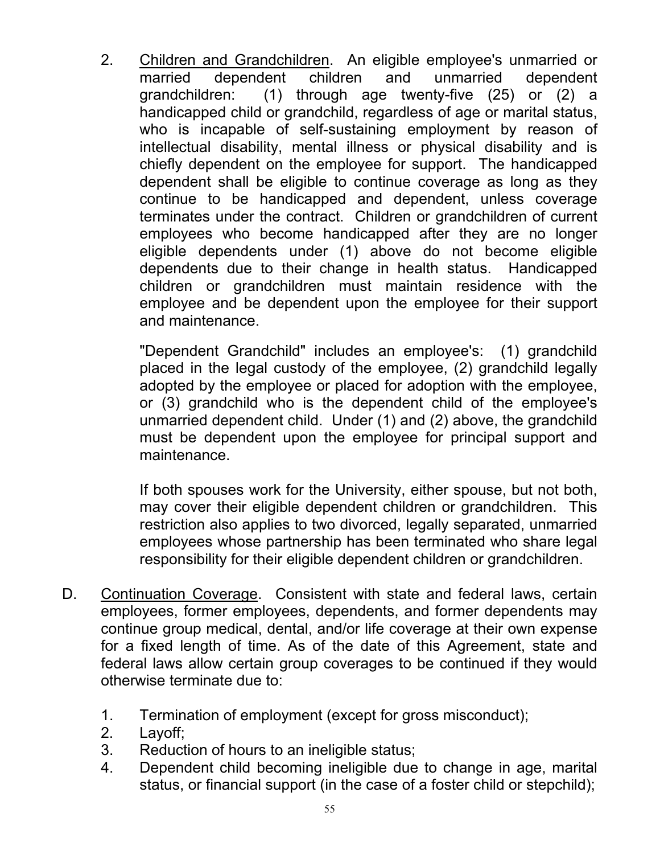2. Children and Grandchildren. An eligible employee's unmarried or married dependent children and unmarried dependent grandchildren: (1) through age twenty-five (25) or (2) a handicapped child or grandchild, regardless of age or marital status, who is incapable of self-sustaining employment by reason of intellectual disability, mental illness or physical disability and is chiefly dependent on the employee for support. The handicapped dependent shall be eligible to continue coverage as long as they continue to be handicapped and dependent, unless coverage terminates under the contract. Children or grandchildren of current employees who become handicapped after they are no longer eligible dependents under (1) above do not become eligible dependents due to their change in health status. Handicapped children or grandchildren must maintain residence with the employee and be dependent upon the employee for their support and maintenance.

"Dependent Grandchild" includes an employee's: (1) grandchild placed in the legal custody of the employee, (2) grandchild legally adopted by the employee or placed for adoption with the employee, or (3) grandchild who is the dependent child of the employee's unmarried dependent child. Under (1) and (2) above, the grandchild must be dependent upon the employee for principal support and maintenance.

If both spouses work for the University, either spouse, but not both, may cover their eligible dependent children or grandchildren. This restriction also applies to two divorced, legally separated, unmarried employees whose partnership has been terminated who share legal responsibility for their eligible dependent children or grandchildren.

- D. Continuation Coverage. Consistent with state and federal laws, certain employees, former employees, dependents, and former dependents may continue group medical, dental, and/or life coverage at their own expense for a fixed length of time. As of the date of this Agreement, state and federal laws allow certain group coverages to be continued if they would otherwise terminate due to:
	- 1. Termination of employment (except for gross misconduct);
	- 2. Layoff;
	- 3. Reduction of hours to an ineligible status;
	- 4. Dependent child becoming ineligible due to change in age, marital status, or financial support (in the case of a foster child or stepchild);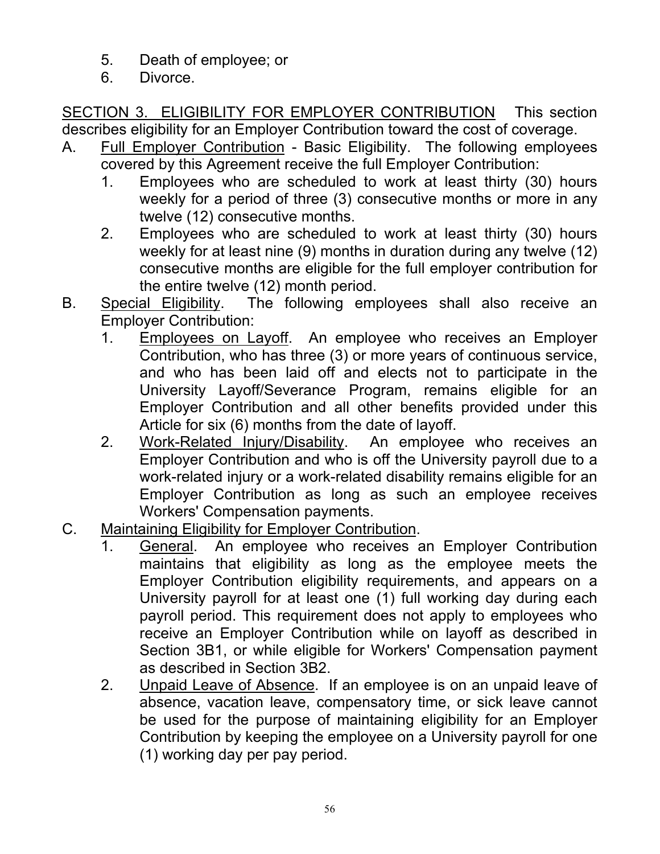- 5. Death of employee; or
- 6. Divorce.

SECTION 3. ELIGIBILITY FOR EMPLOYER CONTRIBUTION This section describes eligibility for an Employer Contribution toward the cost of coverage.

- A. Full Employer Contribution Basic Eligibility. The following employees covered by this Agreement receive the full Employer Contribution:
	- 1. Employees who are scheduled to work at least thirty (30) hours weekly for a period of three (3) consecutive months or more in any twelve (12) consecutive months.
	- 2. Employees who are scheduled to work at least thirty (30) hours weekly for at least nine (9) months in duration during any twelve (12) consecutive months are eligible for the full employer contribution for the entire twelve (12) month period.
- B. Special Eligibility. The following employees shall also receive an Employer Contribution:
	- 1. Employees on Layoff. An employee who receives an Employer Contribution, who has three (3) or more years of continuous service, and who has been laid off and elects not to participate in the University Layoff/Severance Program, remains eligible for an Employer Contribution and all other benefits provided under this Article for six (6) months from the date of layoff.
	- 2. Work-Related Injury/Disability. An employee who receives an Employer Contribution and who is off the University payroll due to a work-related injury or a work-related disability remains eligible for an Employer Contribution as long as such an employee receives Workers' Compensation payments.
- C. Maintaining Eligibility for Employer Contribution.
	- 1. General. An employee who receives an Employer Contribution maintains that eligibility as long as the employee meets the Employer Contribution eligibility requirements, and appears on a University payroll for at least one (1) full working day during each payroll period. This requirement does not apply to employees who receive an Employer Contribution while on layoff as described in Section 3B1, or while eligible for Workers' Compensation payment as described in Section 3B2.
	- 2. Unpaid Leave of Absence. If an employee is on an unpaid leave of absence, vacation leave, compensatory time, or sick leave cannot be used for the purpose of maintaining eligibility for an Employer Contribution by keeping the employee on a University payroll for one (1) working day per pay period.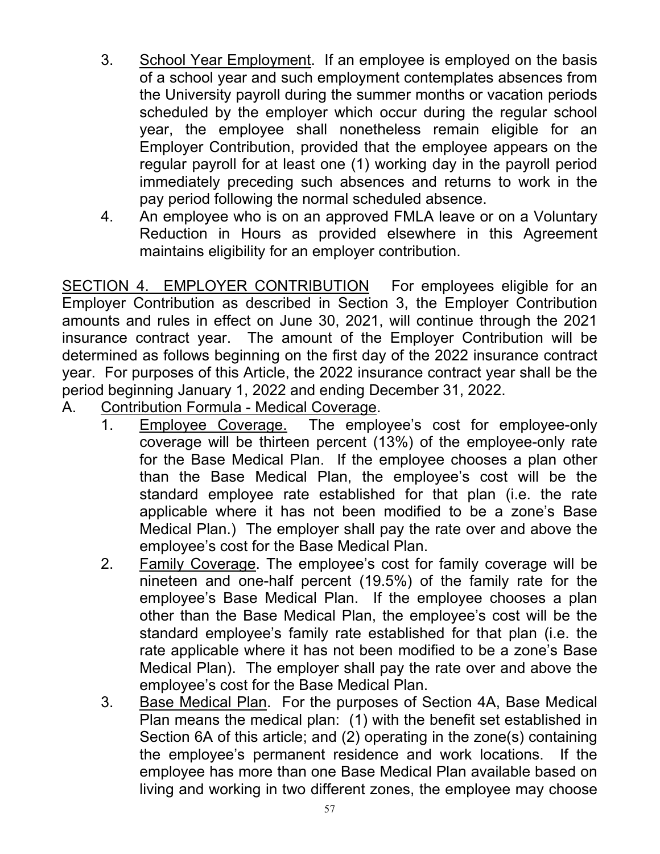- 3. School Year Employment. If an employee is employed on the basis of a school year and such employment contemplates absences from the University payroll during the summer months or vacation periods scheduled by the employer which occur during the regular school year, the employee shall nonetheless remain eligible for an Employer Contribution, provided that the employee appears on the regular payroll for at least one (1) working day in the payroll period immediately preceding such absences and returns to work in the pay period following the normal scheduled absence.
- 4. An employee who is on an approved FMLA leave or on a Voluntary Reduction in Hours as provided elsewhere in this Agreement maintains eligibility for an employer contribution.

SECTION 4. EMPLOYER CONTRIBUTION For employees eligible for an Employer Contribution as described in Section 3, the Employer Contribution amounts and rules in effect on June 30, 2021, will continue through the 2021 insurance contract year. The amount of the Employer Contribution will be determined as follows beginning on the first day of the 2022 insurance contract year. For purposes of this Article, the 2022 insurance contract year shall be the period beginning January 1, 2022 and ending December 31, 2022.

A. Contribution Formula - Medical Coverage.

- 1. Employee Coverage. The employee's cost for employee-only coverage will be thirteen percent (13%) of the employee-only rate for the Base Medical Plan. If the employee chooses a plan other than the Base Medical Plan, the employee's cost will be the standard employee rate established for that plan (i.e. the rate applicable where it has not been modified to be a zone's Base Medical Plan.) The employer shall pay the rate over and above the employee's cost for the Base Medical Plan.
- 2. Family Coverage. The employee's cost for family coverage will be nineteen and one-half percent (19.5%) of the family rate for the employee's Base Medical Plan. If the employee chooses a plan other than the Base Medical Plan, the employee's cost will be the standard employee's family rate established for that plan (i.e. the rate applicable where it has not been modified to be a zone's Base Medical Plan). The employer shall pay the rate over and above the employee's cost for the Base Medical Plan.
- 3. Base Medical Plan. For the purposes of Section 4A, Base Medical Plan means the medical plan: (1) with the benefit set established in Section 6A of this article; and (2) operating in the zone(s) containing the employee's permanent residence and work locations. If the employee has more than one Base Medical Plan available based on living and working in two different zones, the employee may choose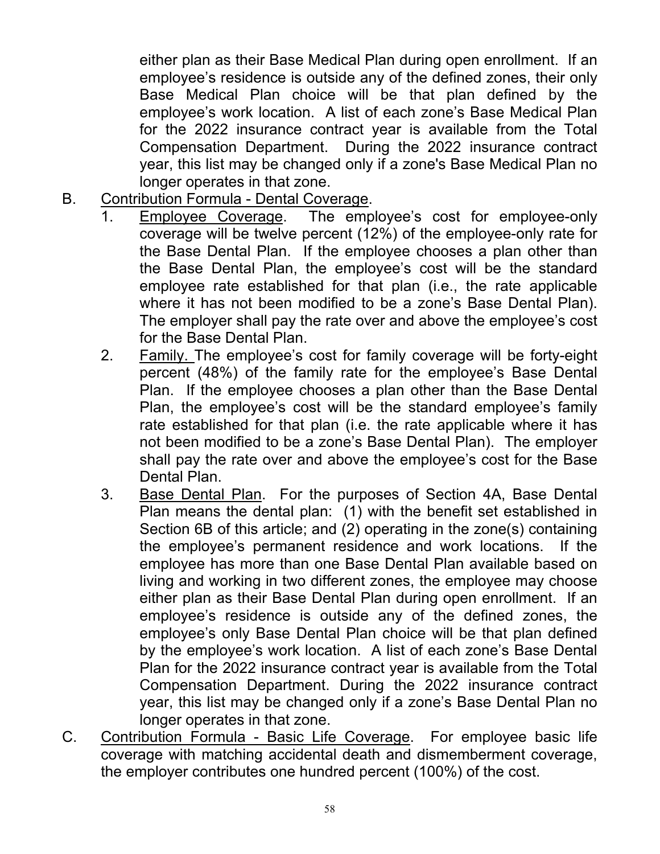either plan as their Base Medical Plan during open enrollment. If an employee's residence is outside any of the defined zones, their only Base Medical Plan choice will be that plan defined by the employee's work location. A list of each zone's Base Medical Plan for the 2022 insurance contract year is available from the Total Compensation Department. During the 2022 insurance contract year, this list may be changed only if a zone's Base Medical Plan no longer operates in that zone.

- B. Contribution Formula Dental Coverage.
	- 1. Employee Coverage. The employee's cost for employee-only coverage will be twelve percent (12%) of the employee-only rate for the Base Dental Plan. If the employee chooses a plan other than the Base Dental Plan, the employee's cost will be the standard employee rate established for that plan (i.e., the rate applicable where it has not been modified to be a zone's Base Dental Plan). The employer shall pay the rate over and above the employee's cost for the Base Dental Plan.
	- 2. Family. The employee's cost for family coverage will be forty-eight percent (48%) of the family rate for the employee's Base Dental Plan. If the employee chooses a plan other than the Base Dental Plan, the employee's cost will be the standard employee's family rate established for that plan (i.e. the rate applicable where it has not been modified to be a zone's Base Dental Plan). The employer shall pay the rate over and above the employee's cost for the Base Dental Plan.
	- 3. Base Dental Plan. For the purposes of Section 4A, Base Dental Plan means the dental plan: (1) with the benefit set established in Section 6B of this article; and (2) operating in the zone(s) containing the employee's permanent residence and work locations. If the employee has more than one Base Dental Plan available based on living and working in two different zones, the employee may choose either plan as their Base Dental Plan during open enrollment. If an employee's residence is outside any of the defined zones, the employee's only Base Dental Plan choice will be that plan defined by the employee's work location. A list of each zone's Base Dental Plan for the 2022 insurance contract year is available from the Total Compensation Department. During the 2022 insurance contract year, this list may be changed only if a zone's Base Dental Plan no longer operates in that zone.
- C. Contribution Formula Basic Life Coverage. For employee basic life coverage with matching accidental death and dismemberment coverage, the employer contributes one hundred percent (100%) of the cost.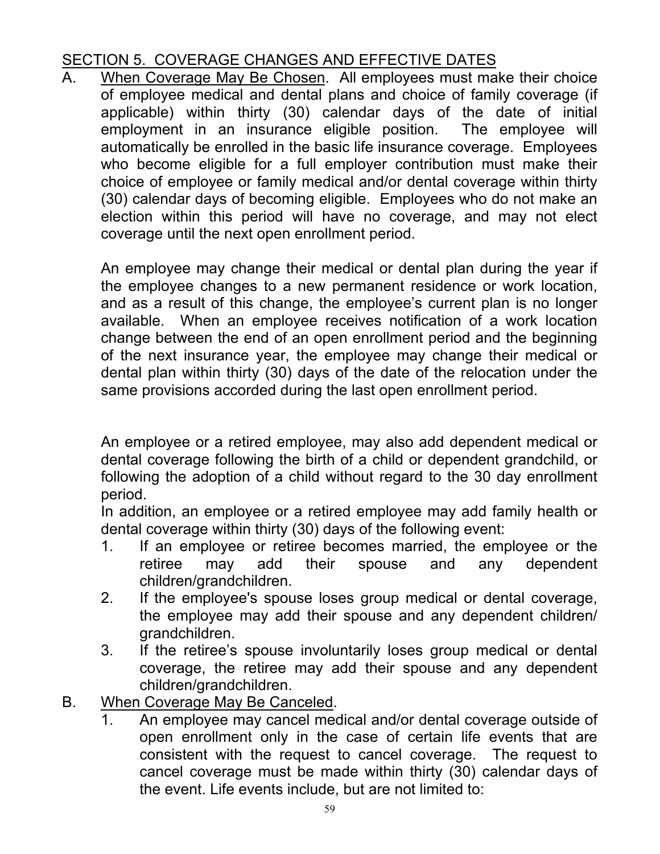# SECTION 5. COVERAGE CHANGES AND EFFECTIVE DATES

A. When Coverage May Be Chosen. All employees must make their choice of employee medical and dental plans and choice of family coverage (if applicable) within thirty (30) calendar days of the date of initial employment in an insurance eligible position. The employee will automatically be enrolled in the basic life insurance coverage. Employees who become eligible for a full employer contribution must make their choice of employee or family medical and/or dental coverage within thirty (30) calendar days of becoming eligible. Employees who do not make an election within this period will have no coverage, and may not elect coverage until the next open enrollment period.

An employee may change their medical or dental plan during the year if the employee changes to a new permanent residence or work location, and as a result of this change, the employee's current plan is no longer available. When an employee receives notification of a work location change between the end of an open enrollment period and the beginning of the next insurance year, the employee may change their medical or dental plan within thirty (30) days of the date of the relocation under the same provisions accorded during the last open enrollment period.

An employee or a retired employee, may also add dependent medical or dental coverage following the birth of a child or dependent grandchild, or following the adoption of a child without regard to the 30 day enrollment period.

In addition, an employee or a retired employee may add family health or dental coverage within thirty (30) days of the following event:

- 1. If an employee or retiree becomes married, the employee or the retiree may add their spouse and any dependent children/grandchildren.
- 2. If the employee's spouse loses group medical or dental coverage, the employee may add their spouse and any dependent children/ grandchildren.
- 3. If the retiree's spouse involuntarily loses group medical or dental coverage, the retiree may add their spouse and any dependent children/grandchildren.
- B. When Coverage May Be Canceled.
	- 1. An employee may cancel medical and/or dental coverage outside of open enrollment only in the case of certain life events that are consistent with the request to cancel coverage. The request to cancel coverage must be made within thirty (30) calendar days of the event. Life events include, but are not limited to: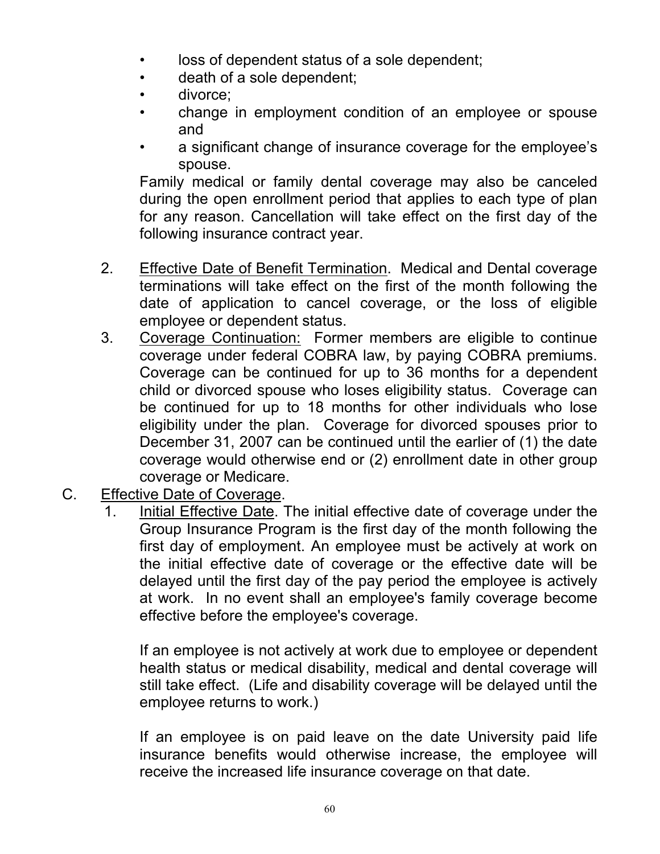- loss of dependent status of a sole dependent;
- death of a sole dependent;
- divorce;
- change in employment condition of an employee or spouse and
- a significant change of insurance coverage for the employee's spouse.

Family medical or family dental coverage may also be canceled during the open enrollment period that applies to each type of plan for any reason. Cancellation will take effect on the first day of the following insurance contract year.

- 2. Effective Date of Benefit Termination. Medical and Dental coverage terminations will take effect on the first of the month following the date of application to cancel coverage, or the loss of eligible employee or dependent status.
- 3. Coverage Continuation: Former members are eligible to continue coverage under federal COBRA law, by paying COBRA premiums. Coverage can be continued for up to 36 months for a dependent child or divorced spouse who loses eligibility status. Coverage can be continued for up to 18 months for other individuals who lose eligibility under the plan. Coverage for divorced spouses prior to December 31, 2007 can be continued until the earlier of (1) the date coverage would otherwise end or (2) enrollment date in other group coverage or Medicare.
- C. Effective Date of Coverage.
	- Initial Effective Date. The initial effective date of coverage under the Group Insurance Program is the first day of the month following the first day of employment. An employee must be actively at work on the initial effective date of coverage or the effective date will be delayed until the first day of the pay period the employee is actively at work. In no event shall an employee's family coverage become effective before the employee's coverage.

If an employee is not actively at work due to employee or dependent health status or medical disability, medical and dental coverage will still take effect. (Life and disability coverage will be delayed until the employee returns to work.)

If an employee is on paid leave on the date University paid life insurance benefits would otherwise increase, the employee will receive the increased life insurance coverage on that date.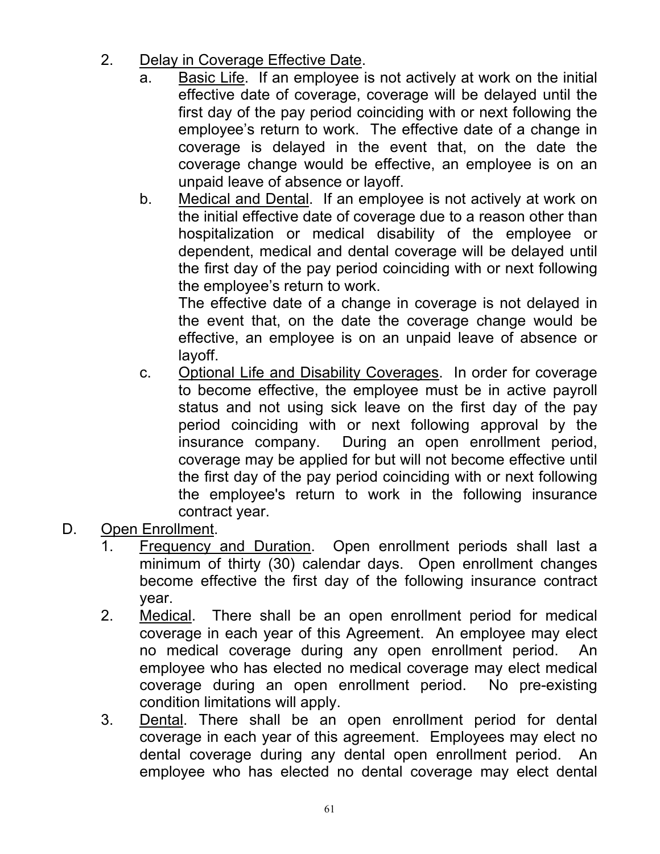- 2. Delay in Coverage Effective Date.
	- a. Basic Life. If an employee is not actively at work on the initial effective date of coverage, coverage will be delayed until the first day of the pay period coinciding with or next following the employee's return to work. The effective date of a change in coverage is delayed in the event that, on the date the coverage change would be effective, an employee is on an unpaid leave of absence or layoff.
	- b. Medical and Dental. If an employee is not actively at work on the initial effective date of coverage due to a reason other than hospitalization or medical disability of the employee or dependent, medical and dental coverage will be delayed until the first day of the pay period coinciding with or next following the employee's return to work.

The effective date of a change in coverage is not delayed in the event that, on the date the coverage change would be effective, an employee is on an unpaid leave of absence or layoff.

- c. Optional Life and Disability Coverages. In order for coverage to become effective, the employee must be in active payroll status and not using sick leave on the first day of the pay period coinciding with or next following approval by the insurance company. During an open enrollment period, coverage may be applied for but will not become effective until the first day of the pay period coinciding with or next following the employee's return to work in the following insurance contract year.
- D. Open Enrollment.
	- 1. Frequency and Duration. Open enrollment periods shall last a minimum of thirty (30) calendar days. Open enrollment changes become effective the first day of the following insurance contract year.
	- 2. Medical. There shall be an open enrollment period for medical coverage in each year of this Agreement. An employee may elect no medical coverage during any open enrollment period. An employee who has elected no medical coverage may elect medical coverage during an open enrollment period. No pre-existing condition limitations will apply.
	- 3. Dental. There shall be an open enrollment period for dental coverage in each year of this agreement. Employees may elect no dental coverage during any dental open enrollment period. An employee who has elected no dental coverage may elect dental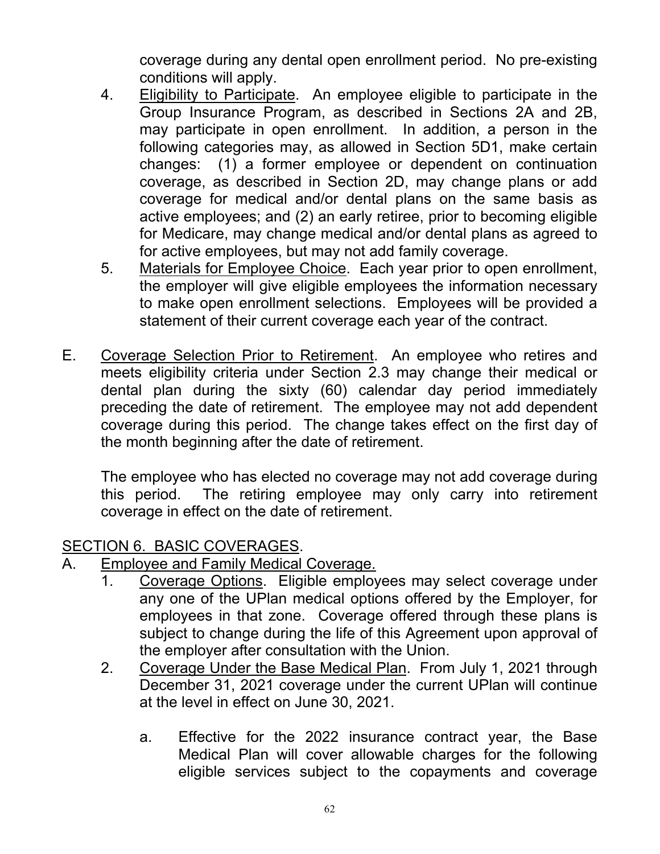coverage during any dental open enrollment period. No pre-existing conditions will apply.

- 4. Eligibility to Participate. An employee eligible to participate in the Group Insurance Program, as described in Sections 2A and 2B, may participate in open enrollment. In addition, a person in the following categories may, as allowed in Section 5D1, make certain changes: (1) a former employee or dependent on continuation coverage, as described in Section 2D, may change plans or add coverage for medical and/or dental plans on the same basis as active employees; and (2) an early retiree, prior to becoming eligible for Medicare, may change medical and/or dental plans as agreed to for active employees, but may not add family coverage.
- 5. Materials for Employee Choice. Each year prior to open enrollment, the employer will give eligible employees the information necessary to make open enrollment selections. Employees will be provided a statement of their current coverage each year of the contract.
- E. Coverage Selection Prior to Retirement. An employee who retires and meets eligibility criteria under Section 2.3 may change their medical or dental plan during the sixty (60) calendar day period immediately preceding the date of retirement. The employee may not add dependent coverage during this period. The change takes effect on the first day of the month beginning after the date of retirement.

The employee who has elected no coverage may not add coverage during this period. The retiring employee may only carry into retirement coverage in effect on the date of retirement.

## SECTION 6. BASIC COVERAGES.

- A. Employee and Family Medical Coverage.
	- 1. Coverage Options. Eligible employees may select coverage under any one of the UPlan medical options offered by the Employer, for employees in that zone. Coverage offered through these plans is subject to change during the life of this Agreement upon approval of the employer after consultation with the Union.
	- 2. Coverage Under the Base Medical Plan. From July 1, 2021 through December 31, 2021 coverage under the current UPlan will continue at the level in effect on June 30, 2021.
		- a. Effective for the 2022 insurance contract year, the Base Medical Plan will cover allowable charges for the following eligible services subject to the copayments and coverage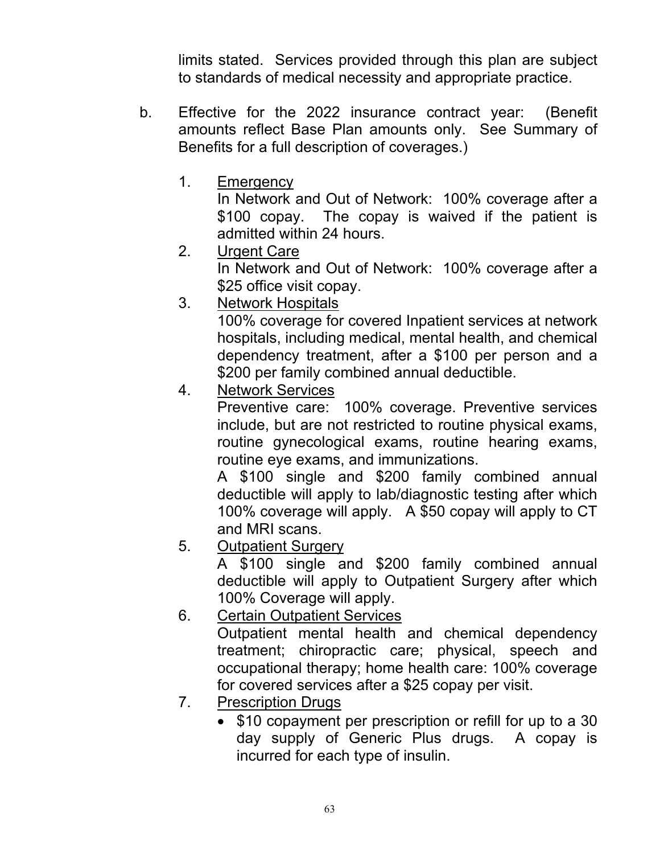limits stated. Services provided through this plan are subject to standards of medical necessity and appropriate practice.

- b. Effective for the 2022 insurance contract year: (Benefit amounts reflect Base Plan amounts only. See Summary of Benefits for a full description of coverages.)
	- 1. Emergency

In Network and Out of Network: 100% coverage after a \$100 copay. The copay is waived if the patient is admitted within 24 hours.

2. Urgent Care

In Network and Out of Network: 100% coverage after a \$25 office visit copay.

3. Network Hospitals

100% coverage for covered Inpatient services at network hospitals, including medical, mental health, and chemical dependency treatment, after a \$100 per person and a \$200 per family combined annual deductible.

4. Network Services

Preventive care: 100% coverage. Preventive services include, but are not restricted to routine physical exams, routine gynecological exams, routine hearing exams, routine eye exams, and immunizations.

 A \$100 single and \$200 family combined annual deductible will apply to lab/diagnostic testing after which 100% coverage will apply. A \$50 copay will apply to CT and MRI scans.

5. Outpatient Surgery

A \$100 single and \$200 family combined annual deductible will apply to Outpatient Surgery after which 100% Coverage will apply.

6. Certain Outpatient Services

Outpatient mental health and chemical dependency treatment; chiropractic care; physical, speech and occupational therapy; home health care: 100% coverage for covered services after a \$25 copay per visit.

- 7. Prescription Drugs
	- \$10 copayment per prescription or refill for up to a 30 day supply of Generic Plus drugs. A copay is incurred for each type of insulin.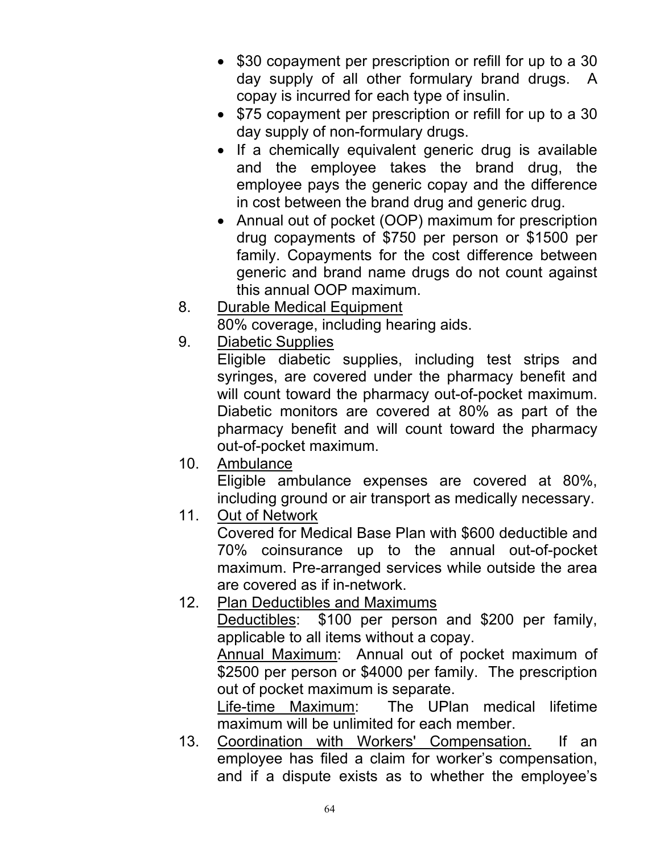- \$30 copayment per prescription or refill for up to a 30 day supply of all other formulary brand drugs. A copay is incurred for each type of insulin.
- \$75 copayment per prescription or refill for up to a 30 day supply of non-formulary drugs.
- If a chemically equivalent generic drug is available and the employee takes the brand drug, the employee pays the generic copay and the difference in cost between the brand drug and generic drug.
- Annual out of pocket (OOP) maximum for prescription drug copayments of \$750 per person or \$1500 per family. Copayments for the cost difference between generic and brand name drugs do not count against this annual OOP maximum.
- 8. Durable Medical Equipment

80% coverage, including hearing aids.

9. Diabetic Supplies

Eligible diabetic supplies, including test strips and syringes, are covered under the pharmacy benefit and will count toward the pharmacy out-of-pocket maximum. Diabetic monitors are covered at 80% as part of the pharmacy benefit and will count toward the pharmacy out-of-pocket maximum.

10. Ambulance

Eligible ambulance expenses are covered at 80%, including ground or air transport as medically necessary.

11. Out of Network

Covered for Medical Base Plan with \$600 deductible and 70% coinsurance up to the annual out-of-pocket maximum. Pre-arranged services while outside the area are covered as if in-network.

12. Plan Deductibles and Maximums

Deductibles: \$100 per person and \$200 per family, applicable to all items without a copay.

Annual Maximum: Annual out of pocket maximum of \$2500 per person or \$4000 per family. The prescription out of pocket maximum is separate.

Life-time Maximum: The UPlan medical lifetime maximum will be unlimited for each member.

13. Coordination with Workers' Compensation. If an employee has filed a claim for worker's compensation, and if a dispute exists as to whether the employee's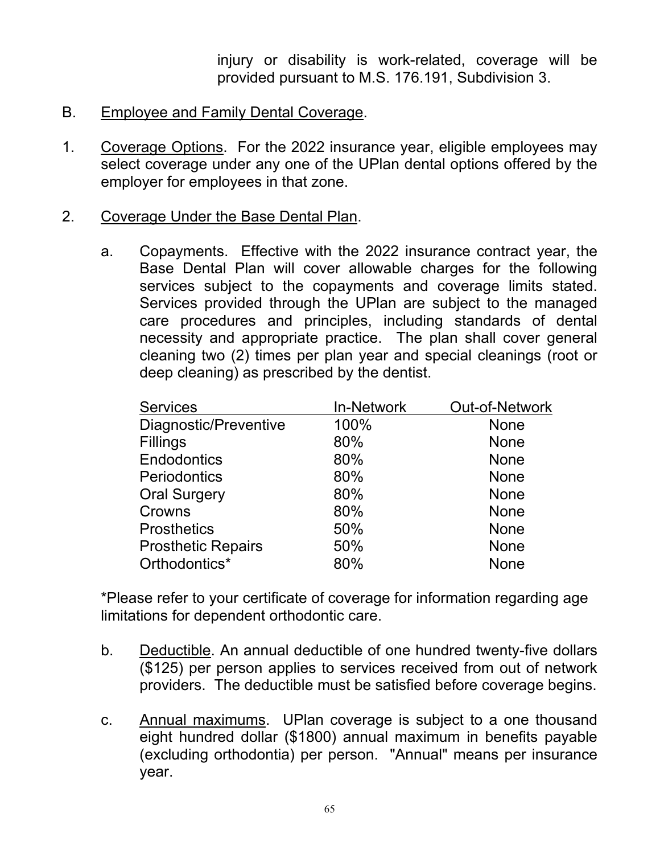injury or disability is work-related, coverage will be provided pursuant to M.S. 176.191, Subdivision 3.

- B. Employee and Family Dental Coverage.
- 1. Coverage Options. For the 2022 insurance year, eligible employees may select coverage under any one of the UPlan dental options offered by the employer for employees in that zone.
- 2. Coverage Under the Base Dental Plan.
	- a. Copayments. Effective with the 2022 insurance contract year, the Base Dental Plan will cover allowable charges for the following services subject to the copayments and coverage limits stated. Services provided through the UPlan are subject to the managed care procedures and principles, including standards of dental necessity and appropriate practice. The plan shall cover general cleaning two (2) times per plan year and special cleanings (root or deep cleaning) as prescribed by the dentist.

| <b>In-Network</b> | <b>Out-of-Network</b> |
|-------------------|-----------------------|
| 100%              | <b>None</b>           |
| 80%               | <b>None</b>           |
| 80%               | <b>None</b>           |
| 80%               | <b>None</b>           |
| 80%               | <b>None</b>           |
| 80%               | <b>None</b>           |
| 50%               | <b>None</b>           |
| 50%               | <b>None</b>           |
| 80%               | <b>None</b>           |
|                   |                       |

\*Please refer to your certificate of coverage for information regarding age limitations for dependent orthodontic care.

- b. Deductible. An annual deductible of one hundred twenty-five dollars (\$125) per person applies to services received from out of network providers. The deductible must be satisfied before coverage begins.
- c. Annual maximums. UPlan coverage is subject to a one thousand eight hundred dollar (\$1800) annual maximum in benefits payable (excluding orthodontia) per person. "Annual" means per insurance year.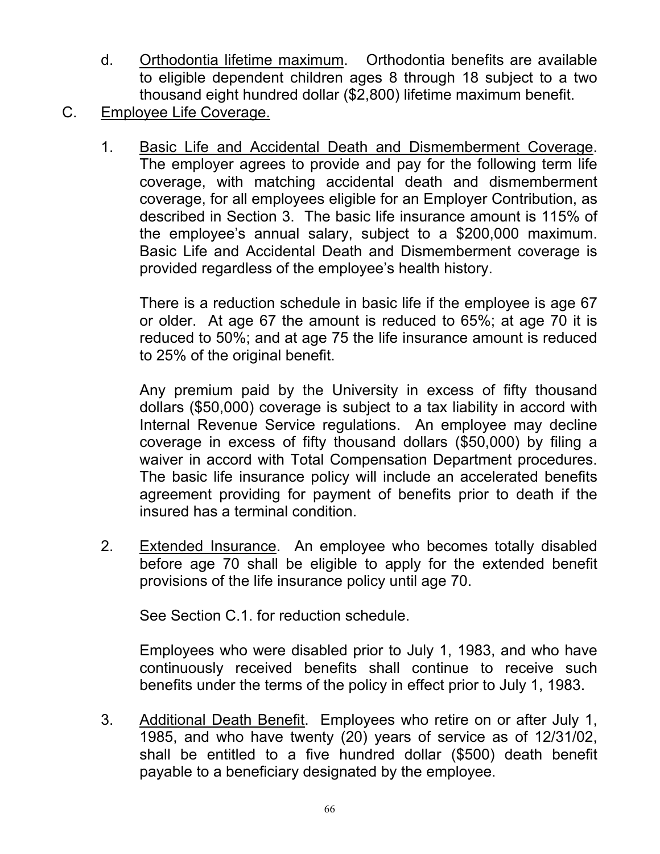- d. Orthodontia lifetime maximum. Orthodontia benefits are available to eligible dependent children ages 8 through 18 subject to a two thousand eight hundred dollar (\$2,800) lifetime maximum benefit.
- C. Employee Life Coverage.
	- 1. Basic Life and Accidental Death and Dismemberment Coverage. The employer agrees to provide and pay for the following term life coverage, with matching accidental death and dismemberment coverage, for all employees eligible for an Employer Contribution, as described in Section 3. The basic life insurance amount is 115% of the employee's annual salary, subject to a \$200,000 maximum. Basic Life and Accidental Death and Dismemberment coverage is provided regardless of the employee's health history.

There is a reduction schedule in basic life if the employee is age 67 or older. At age 67 the amount is reduced to 65%; at age 70 it is reduced to 50%; and at age 75 the life insurance amount is reduced to 25% of the original benefit.

Any premium paid by the University in excess of fifty thousand dollars (\$50,000) coverage is subject to a tax liability in accord with Internal Revenue Service regulations. An employee may decline coverage in excess of fifty thousand dollars (\$50,000) by filing a waiver in accord with Total Compensation Department procedures. The basic life insurance policy will include an accelerated benefits agreement providing for payment of benefits prior to death if the insured has a terminal condition.

2. Extended Insurance. An employee who becomes totally disabled before age 70 shall be eligible to apply for the extended benefit provisions of the life insurance policy until age 70.

See Section C.1. for reduction schedule.

Employees who were disabled prior to July 1, 1983, and who have continuously received benefits shall continue to receive such benefits under the terms of the policy in effect prior to July 1, 1983.

3. Additional Death Benefit. Employees who retire on or after July 1, 1985, and who have twenty (20) years of service as of 12/31/02, shall be entitled to a five hundred dollar (\$500) death benefit payable to a beneficiary designated by the employee.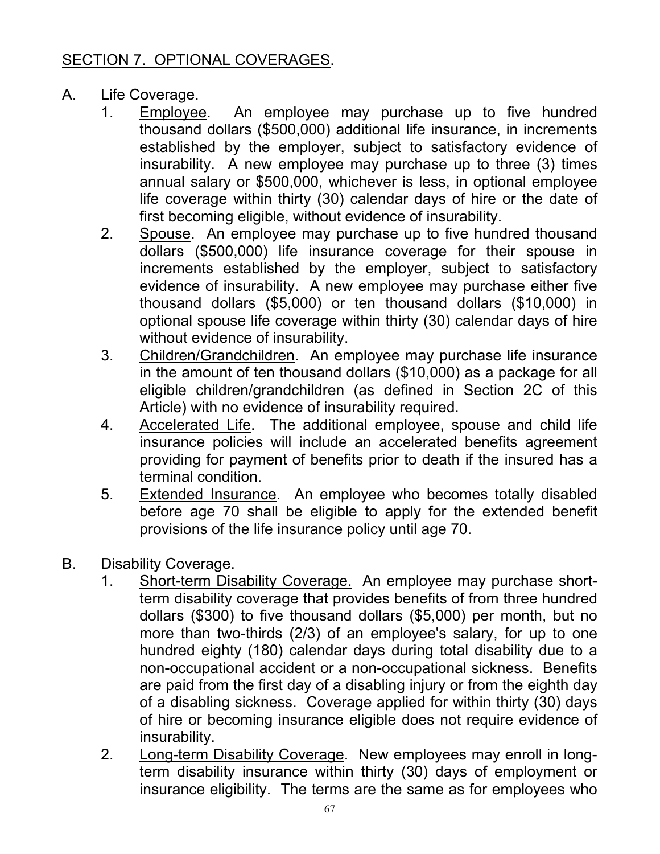# SECTION 7. OPTIONAL COVERAGES.

- A. Life Coverage.
	- 1. Employee. An employee may purchase up to five hundred thousand dollars (\$500,000) additional life insurance, in increments established by the employer, subject to satisfactory evidence of insurability. A new employee may purchase up to three (3) times annual salary or \$500,000, whichever is less, in optional employee life coverage within thirty (30) calendar days of hire or the date of first becoming eligible, without evidence of insurability.
	- 2. Spouse. An employee may purchase up to five hundred thousand dollars (\$500,000) life insurance coverage for their spouse in increments established by the employer, subject to satisfactory evidence of insurability. A new employee may purchase either five thousand dollars (\$5,000) or ten thousand dollars (\$10,000) in optional spouse life coverage within thirty (30) calendar days of hire without evidence of insurability.
	- 3. Children/Grandchildren. An employee may purchase life insurance in the amount of ten thousand dollars (\$10,000) as a package for all eligible children/grandchildren (as defined in Section 2C of this Article) with no evidence of insurability required.
	- 4. Accelerated Life. The additional employee, spouse and child life insurance policies will include an accelerated benefits agreement providing for payment of benefits prior to death if the insured has a terminal condition.
	- 5. Extended Insurance. An employee who becomes totally disabled before age 70 shall be eligible to apply for the extended benefit provisions of the life insurance policy until age 70.
- B. Disability Coverage.
	- 1. Short-term Disability Coverage. An employee may purchase shortterm disability coverage that provides benefits of from three hundred dollars (\$300) to five thousand dollars (\$5,000) per month, but no more than two-thirds (2/3) of an employee's salary, for up to one hundred eighty (180) calendar days during total disability due to a non-occupational accident or a non-occupational sickness. Benefits are paid from the first day of a disabling injury or from the eighth day of a disabling sickness. Coverage applied for within thirty (30) days of hire or becoming insurance eligible does not require evidence of insurability.
	- 2. Long-term Disability Coverage. New employees may enroll in longterm disability insurance within thirty (30) days of employment or insurance eligibility. The terms are the same as for employees who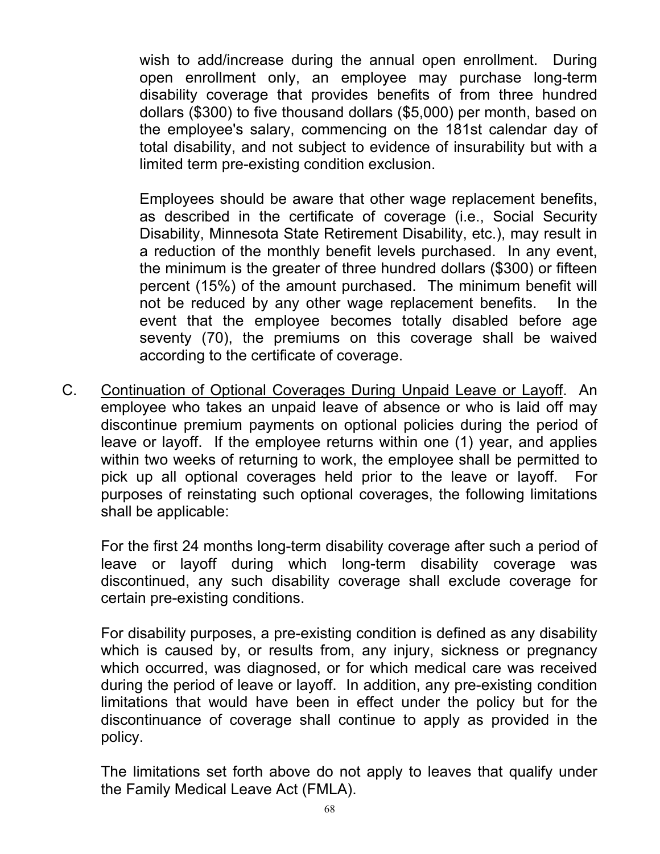wish to add/increase during the annual open enrollment. During open enrollment only, an employee may purchase long-term disability coverage that provides benefits of from three hundred dollars (\$300) to five thousand dollars (\$5,000) per month, based on the employee's salary, commencing on the 181st calendar day of total disability, and not subject to evidence of insurability but with a limited term pre-existing condition exclusion.

Employees should be aware that other wage replacement benefits, as described in the certificate of coverage (i.e., Social Security Disability, Minnesota State Retirement Disability, etc.), may result in a reduction of the monthly benefit levels purchased. In any event, the minimum is the greater of three hundred dollars (\$300) or fifteen percent (15%) of the amount purchased. The minimum benefit will not be reduced by any other wage replacement benefits. In the event that the employee becomes totally disabled before age seventy (70), the premiums on this coverage shall be waived according to the certificate of coverage.

C. Continuation of Optional Coverages During Unpaid Leave or Layoff. An employee who takes an unpaid leave of absence or who is laid off may discontinue premium payments on optional policies during the period of leave or layoff. If the employee returns within one (1) year, and applies within two weeks of returning to work, the employee shall be permitted to pick up all optional coverages held prior to the leave or layoff. For purposes of reinstating such optional coverages, the following limitations shall be applicable:

For the first 24 months long-term disability coverage after such a period of leave or layoff during which long-term disability coverage was discontinued, any such disability coverage shall exclude coverage for certain pre-existing conditions.

For disability purposes, a pre-existing condition is defined as any disability which is caused by, or results from, any injury, sickness or pregnancy which occurred, was diagnosed, or for which medical care was received during the period of leave or layoff. In addition, any pre-existing condition limitations that would have been in effect under the policy but for the discontinuance of coverage shall continue to apply as provided in the policy.

The limitations set forth above do not apply to leaves that qualify under the Family Medical Leave Act (FMLA).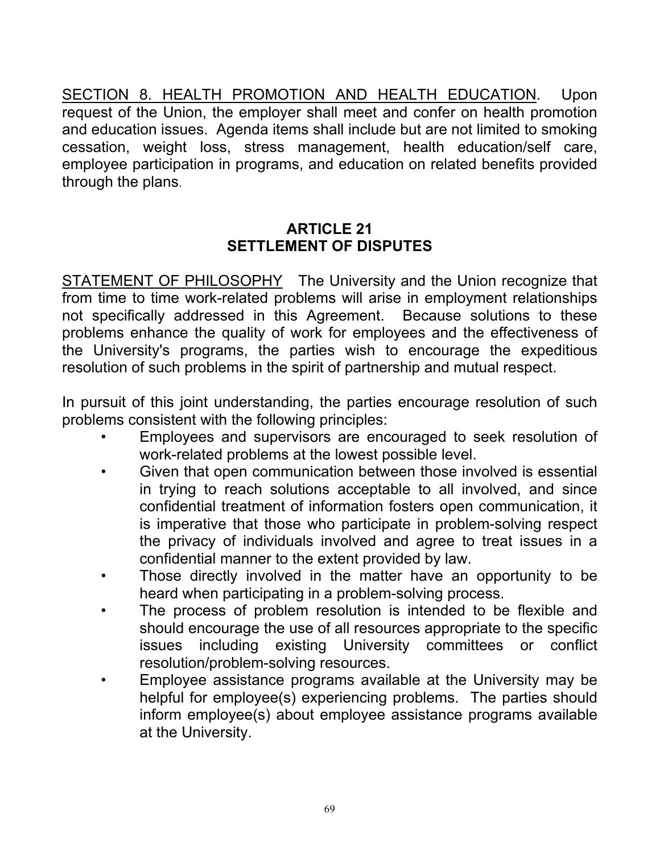SECTION 8. HEALTH PROMOTION AND HEALTH EDUCATION. Upon request of the Union, the employer shall meet and confer on health promotion and education issues. Agenda items shall include but are not limited to smoking cessation, weight loss, stress management, health education/self care, employee participation in programs, and education on related benefits provided through the plans.

### **ARTICLE 21 SETTLEMENT OF DISPUTES**

STATEMENT OF PHILOSOPHY The University and the Union recognize that from time to time work-related problems will arise in employment relationships not specifically addressed in this Agreement. Because solutions to these problems enhance the quality of work for employees and the effectiveness of the University's programs, the parties wish to encourage the expeditious resolution of such problems in the spirit of partnership and mutual respect.

In pursuit of this joint understanding, the parties encourage resolution of such problems consistent with the following principles:

- Employees and supervisors are encouraged to seek resolution of work-related problems at the lowest possible level.
- Given that open communication between those involved is essential in trying to reach solutions acceptable to all involved, and since confidential treatment of information fosters open communication, it is imperative that those who participate in problem-solving respect the privacy of individuals involved and agree to treat issues in a confidential manner to the extent provided by law.
- Those directly involved in the matter have an opportunity to be heard when participating in a problem-solving process.
- The process of problem resolution is intended to be flexible and should encourage the use of all resources appropriate to the specific issues including existing University committees or conflict resolution/problem-solving resources.
- Employee assistance programs available at the University may be helpful for employee(s) experiencing problems. The parties should inform employee(s) about employee assistance programs available at the University.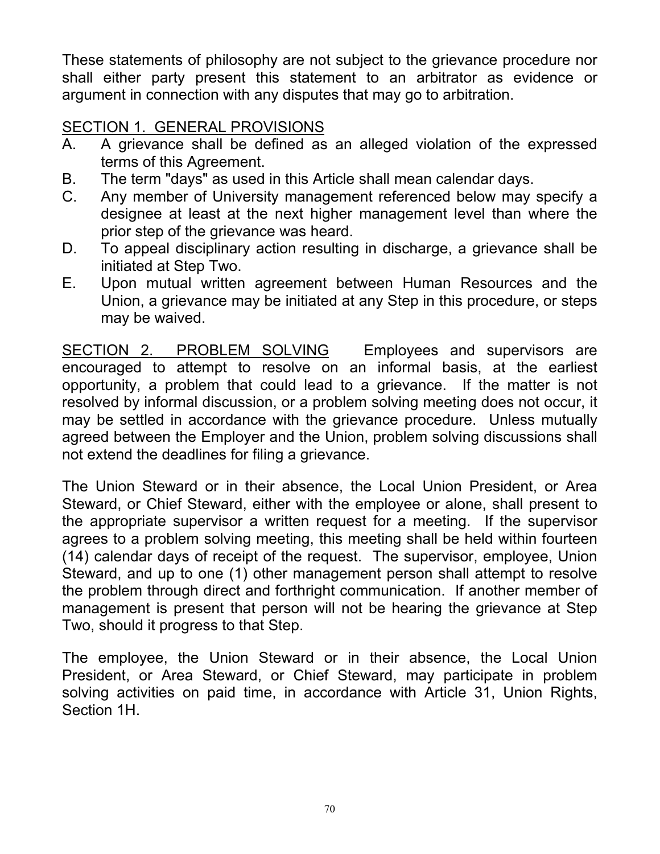These statements of philosophy are not subject to the grievance procedure nor shall either party present this statement to an arbitrator as evidence or argument in connection with any disputes that may go to arbitration.

# SECTION 1. GENERAL PROVISIONS

- A. A grievance shall be defined as an alleged violation of the expressed terms of this Agreement.
- B. The term "days" as used in this Article shall mean calendar days.
- C. Any member of University management referenced below may specify a designee at least at the next higher management level than where the prior step of the grievance was heard.
- D. To appeal disciplinary action resulting in discharge, a grievance shall be initiated at Step Two.
- E. Upon mutual written agreement between Human Resources and the Union, a grievance may be initiated at any Step in this procedure, or steps may be waived.

SECTION 2. PROBLEM SOLVING Employees and supervisors are encouraged to attempt to resolve on an informal basis, at the earliest opportunity, a problem that could lead to a grievance. If the matter is not resolved by informal discussion, or a problem solving meeting does not occur, it may be settled in accordance with the grievance procedure. Unless mutually agreed between the Employer and the Union, problem solving discussions shall not extend the deadlines for filing a grievance.

The Union Steward or in their absence, the Local Union President, or Area Steward, or Chief Steward, either with the employee or alone, shall present to the appropriate supervisor a written request for a meeting. If the supervisor agrees to a problem solving meeting, this meeting shall be held within fourteen (14) calendar days of receipt of the request. The supervisor, employee, Union Steward, and up to one (1) other management person shall attempt to resolve the problem through direct and forthright communication. If another member of management is present that person will not be hearing the grievance at Step Two, should it progress to that Step.

The employee, the Union Steward or in their absence, the Local Union President, or Area Steward, or Chief Steward, may participate in problem solving activities on paid time, in accordance with Article 31, Union Rights, Section 1H.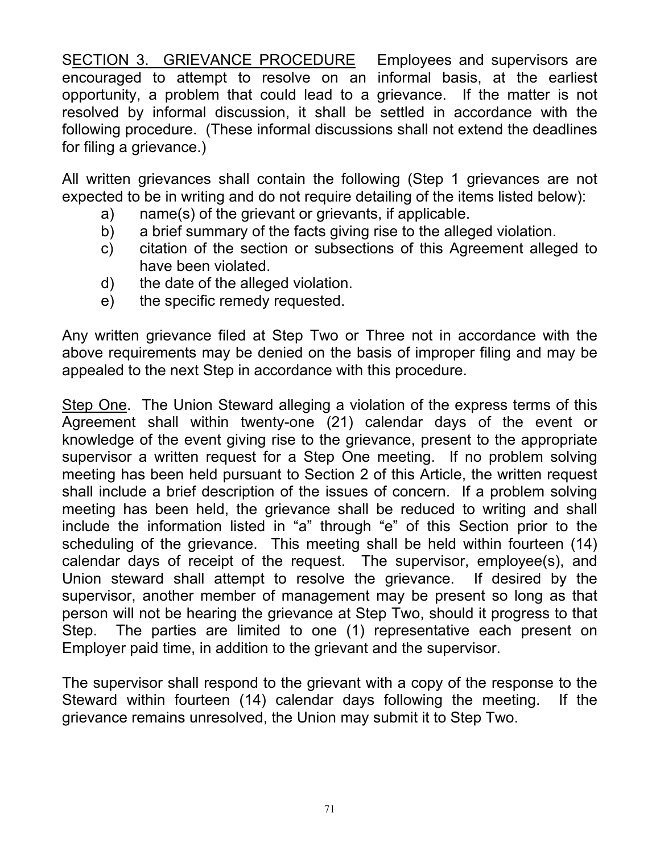SECTION 3. GRIEVANCE PROCEDURE Employees and supervisors are encouraged to attempt to resolve on an informal basis, at the earliest opportunity, a problem that could lead to a grievance. If the matter is not resolved by informal discussion, it shall be settled in accordance with the following procedure. (These informal discussions shall not extend the deadlines for filing a grievance.)

All written grievances shall contain the following (Step 1 grievances are not expected to be in writing and do not require detailing of the items listed below):

- a) name(s) of the grievant or grievants, if applicable.
- b) a brief summary of the facts giving rise to the alleged violation.
- c) citation of the section or subsections of this Agreement alleged to have been violated.
- d) the date of the alleged violation.
- e) the specific remedy requested.

Any written grievance filed at Step Two or Three not in accordance with the above requirements may be denied on the basis of improper filing and may be appealed to the next Step in accordance with this procedure.

Step One. The Union Steward alleging a violation of the express terms of this Agreement shall within twenty-one (21) calendar days of the event or knowledge of the event giving rise to the grievance, present to the appropriate supervisor a written request for a Step One meeting. If no problem solving meeting has been held pursuant to Section 2 of this Article, the written request shall include a brief description of the issues of concern. If a problem solving meeting has been held, the grievance shall be reduced to writing and shall include the information listed in "a" through "e" of this Section prior to the scheduling of the grievance. This meeting shall be held within fourteen (14) calendar days of receipt of the request. The supervisor, employee(s), and Union steward shall attempt to resolve the grievance. If desired by the supervisor, another member of management may be present so long as that person will not be hearing the grievance at Step Two, should it progress to that Step. The parties are limited to one (1) representative each present on Employer paid time, in addition to the grievant and the supervisor.

The supervisor shall respond to the grievant with a copy of the response to the Steward within fourteen (14) calendar days following the meeting. If the grievance remains unresolved, the Union may submit it to Step Two.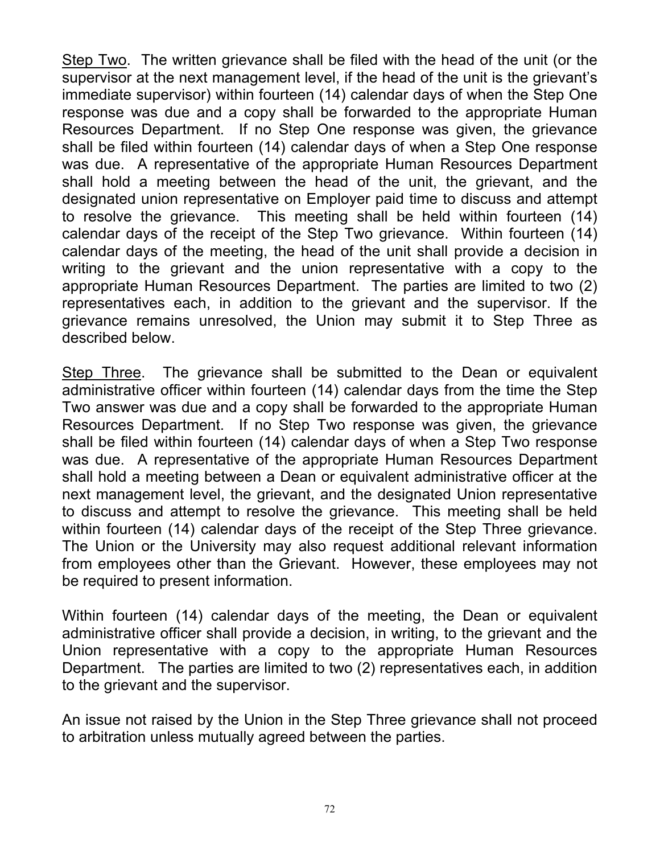Step Two. The written grievance shall be filed with the head of the unit (or the supervisor at the next management level, if the head of the unit is the grievant's immediate supervisor) within fourteen (14) calendar days of when the Step One response was due and a copy shall be forwarded to the appropriate Human Resources Department. If no Step One response was given, the grievance shall be filed within fourteen (14) calendar days of when a Step One response was due. A representative of the appropriate Human Resources Department shall hold a meeting between the head of the unit, the grievant, and the designated union representative on Employer paid time to discuss and attempt to resolve the grievance. This meeting shall be held within fourteen (14) calendar days of the receipt of the Step Two grievance. Within fourteen (14) calendar days of the meeting, the head of the unit shall provide a decision in writing to the grievant and the union representative with a copy to the appropriate Human Resources Department. The parties are limited to two (2) representatives each, in addition to the grievant and the supervisor. If the grievance remains unresolved, the Union may submit it to Step Three as described below.

Step Three. The grievance shall be submitted to the Dean or equivalent administrative officer within fourteen (14) calendar days from the time the Step Two answer was due and a copy shall be forwarded to the appropriate Human Resources Department. If no Step Two response was given, the grievance shall be filed within fourteen (14) calendar days of when a Step Two response was due. A representative of the appropriate Human Resources Department shall hold a meeting between a Dean or equivalent administrative officer at the next management level, the grievant, and the designated Union representative to discuss and attempt to resolve the grievance. This meeting shall be held within fourteen (14) calendar days of the receipt of the Step Three grievance. The Union or the University may also request additional relevant information from employees other than the Grievant. However, these employees may not be required to present information.

Within fourteen (14) calendar days of the meeting, the Dean or equivalent administrative officer shall provide a decision, in writing, to the grievant and the Union representative with a copy to the appropriate Human Resources Department. The parties are limited to two (2) representatives each, in addition to the grievant and the supervisor.

An issue not raised by the Union in the Step Three grievance shall not proceed to arbitration unless mutually agreed between the parties.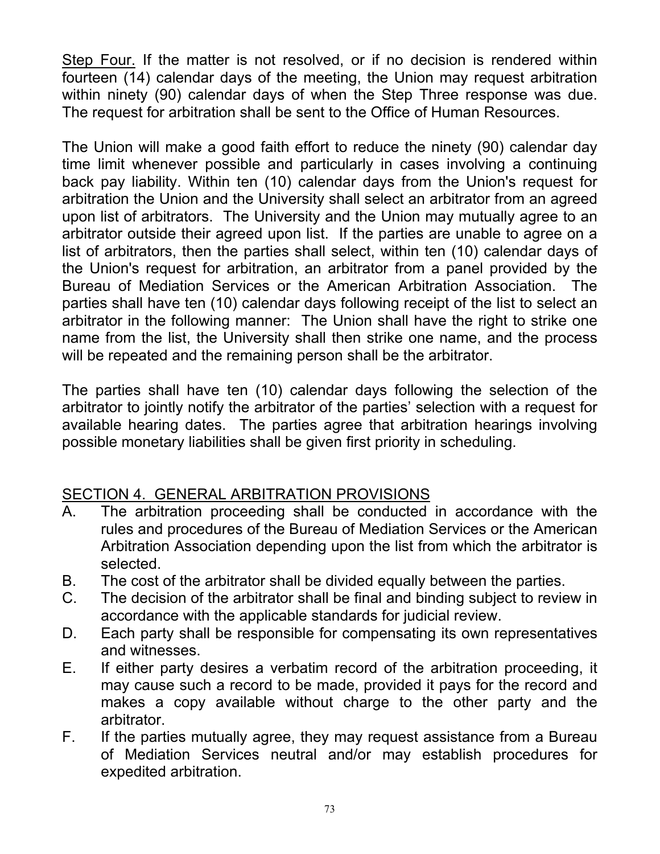Step Four. If the matter is not resolved, or if no decision is rendered within fourteen (14) calendar days of the meeting, the Union may request arbitration within ninety (90) calendar days of when the Step Three response was due. The request for arbitration shall be sent to the Office of Human Resources.

The Union will make a good faith effort to reduce the ninety (90) calendar day time limit whenever possible and particularly in cases involving a continuing back pay liability. Within ten (10) calendar days from the Union's request for arbitration the Union and the University shall select an arbitrator from an agreed upon list of arbitrators. The University and the Union may mutually agree to an arbitrator outside their agreed upon list. If the parties are unable to agree on a list of arbitrators, then the parties shall select, within ten (10) calendar days of the Union's request for arbitration, an arbitrator from a panel provided by the Bureau of Mediation Services or the American Arbitration Association. The parties shall have ten (10) calendar days following receipt of the list to select an arbitrator in the following manner: The Union shall have the right to strike one name from the list, the University shall then strike one name, and the process will be repeated and the remaining person shall be the arbitrator.

The parties shall have ten (10) calendar days following the selection of the arbitrator to jointly notify the arbitrator of the parties' selection with a request for available hearing dates. The parties agree that arbitration hearings involving possible monetary liabilities shall be given first priority in scheduling.

# SECTION 4. GENERAL ARBITRATION PROVISIONS

- A. The arbitration proceeding shall be conducted in accordance with the rules and procedures of the Bureau of Mediation Services or the American Arbitration Association depending upon the list from which the arbitrator is selected.
- B. The cost of the arbitrator shall be divided equally between the parties.
- C. The decision of the arbitrator shall be final and binding subject to review in accordance with the applicable standards for judicial review.
- D. Each party shall be responsible for compensating its own representatives and witnesses.
- E. If either party desires a verbatim record of the arbitration proceeding, it may cause such a record to be made, provided it pays for the record and makes a copy available without charge to the other party and the arbitrator.
- F. If the parties mutually agree, they may request assistance from a Bureau of Mediation Services neutral and/or may establish procedures for expedited arbitration.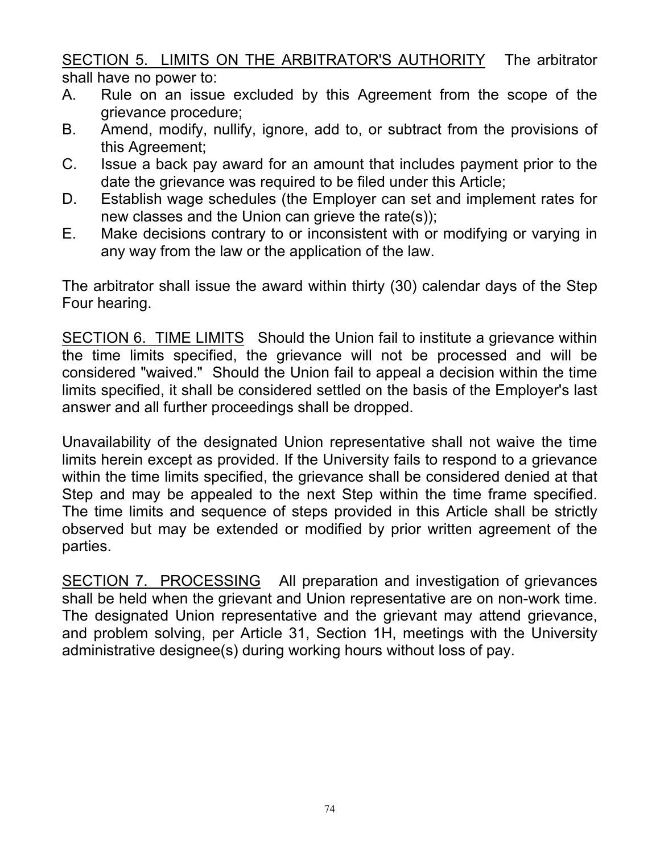SECTION 5. LIMITS ON THE ARBITRATOR'S AUTHORITY The arbitrator shall have no power to:

- A. Rule on an issue excluded by this Agreement from the scope of the grievance procedure;
- B. Amend, modify, nullify, ignore, add to, or subtract from the provisions of this Agreement;
- C. Issue a back pay award for an amount that includes payment prior to the date the grievance was required to be filed under this Article;
- D. Establish wage schedules (the Employer can set and implement rates for new classes and the Union can grieve the rate(s));
- E. Make decisions contrary to or inconsistent with or modifying or varying in any way from the law or the application of the law.

The arbitrator shall issue the award within thirty (30) calendar days of the Step Four hearing.

SECTION 6. TIME LIMITS Should the Union fail to institute a grievance within the time limits specified, the grievance will not be processed and will be considered "waived." Should the Union fail to appeal a decision within the time limits specified, it shall be considered settled on the basis of the Employer's last answer and all further proceedings shall be dropped.

Unavailability of the designated Union representative shall not waive the time limits herein except as provided. If the University fails to respond to a grievance within the time limits specified, the grievance shall be considered denied at that Step and may be appealed to the next Step within the time frame specified. The time limits and sequence of steps provided in this Article shall be strictly observed but may be extended or modified by prior written agreement of the parties.

SECTION 7. PROCESSING All preparation and investigation of grievances shall be held when the grievant and Union representative are on non-work time. The designated Union representative and the grievant may attend grievance, and problem solving, per Article 31, Section 1H, meetings with the University administrative designee(s) during working hours without loss of pay.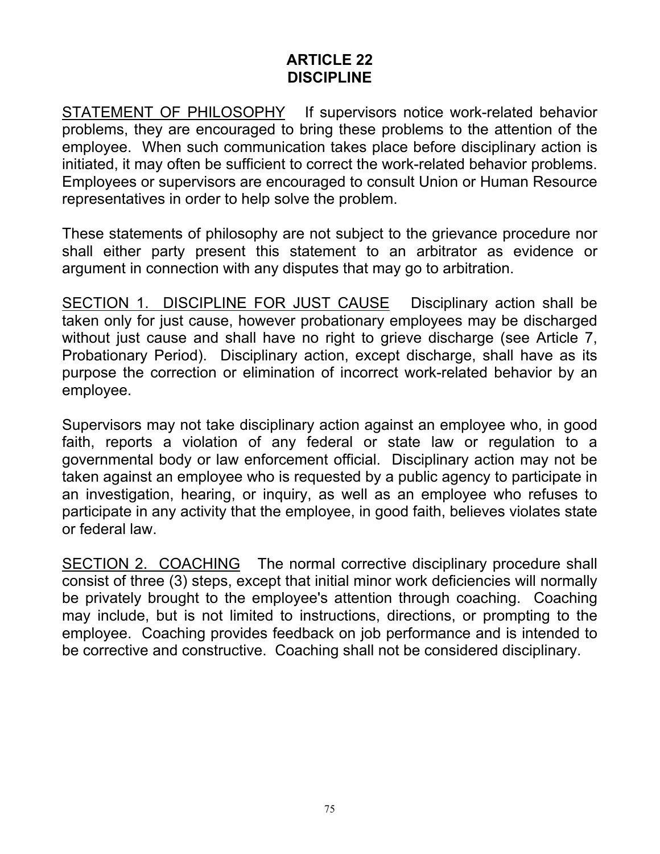### **ARTICLE 22 DISCIPLINE**

STATEMENT OF PHILOSOPHY If supervisors notice work-related behavior problems, they are encouraged to bring these problems to the attention of the employee. When such communication takes place before disciplinary action is initiated, it may often be sufficient to correct the work-related behavior problems. Employees or supervisors are encouraged to consult Union or Human Resource representatives in order to help solve the problem.

These statements of philosophy are not subject to the grievance procedure nor shall either party present this statement to an arbitrator as evidence or argument in connection with any disputes that may go to arbitration.

SECTION 1. DISCIPLINE FOR JUST CAUSE Disciplinary action shall be taken only for just cause, however probationary employees may be discharged without just cause and shall have no right to grieve discharge (see Article 7, Probationary Period). Disciplinary action, except discharge, shall have as its purpose the correction or elimination of incorrect work-related behavior by an employee.

Supervisors may not take disciplinary action against an employee who, in good faith, reports a violation of any federal or state law or regulation to a governmental body or law enforcement official. Disciplinary action may not be taken against an employee who is requested by a public agency to participate in an investigation, hearing, or inquiry, as well as an employee who refuses to participate in any activity that the employee, in good faith, believes violates state or federal law.

SECTION 2. COACHING The normal corrective disciplinary procedure shall consist of three (3) steps, except that initial minor work deficiencies will normally be privately brought to the employee's attention through coaching. Coaching may include, but is not limited to instructions, directions, or prompting to the employee. Coaching provides feedback on job performance and is intended to be corrective and constructive. Coaching shall not be considered disciplinary.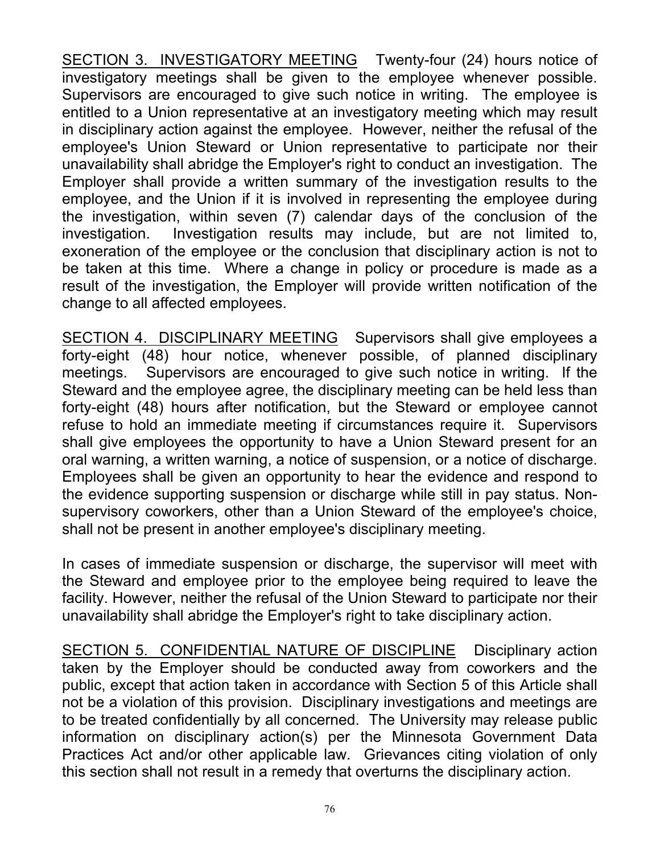SECTION 3. INVESTIGATORY MEETING Twenty-four (24) hours notice of investigatory meetings shall be given to the employee whenever possible. Supervisors are encouraged to give such notice in writing. The employee is entitled to a Union representative at an investigatory meeting which may result in disciplinary action against the employee. However, neither the refusal of the employee's Union Steward or Union representative to participate nor their unavailability shall abridge the Employer's right to conduct an investigation. The Employer shall provide a written summary of the investigation results to the employee, and the Union if it is involved in representing the employee during the investigation, within seven (7) calendar days of the conclusion of the investigation. Investigation results may include, but are not limited to, exoneration of the employee or the conclusion that disciplinary action is not to be taken at this time. Where a change in policy or procedure is made as a result of the investigation, the Employer will provide written notification of the change to all affected employees.

SECTION 4. DISCIPLINARY MEETING Supervisors shall give employees a forty-eight (48) hour notice, whenever possible, of planned disciplinary meetings. Supervisors are encouraged to give such notice in writing. If the Steward and the employee agree, the disciplinary meeting can be held less than forty-eight (48) hours after notification, but the Steward or employee cannot refuse to hold an immediate meeting if circumstances require it. Supervisors shall give employees the opportunity to have a Union Steward present for an oral warning, a written warning, a notice of suspension, or a notice of discharge. Employees shall be given an opportunity to hear the evidence and respond to the evidence supporting suspension or discharge while still in pay status. Nonsupervisory coworkers, other than a Union Steward of the employee's choice, shall not be present in another employee's disciplinary meeting.

In cases of immediate suspension or discharge, the supervisor will meet with the Steward and employee prior to the employee being required to leave the facility. However, neither the refusal of the Union Steward to participate nor their unavailability shall abridge the Employer's right to take disciplinary action.

SECTION 5. CONFIDENTIAL NATURE OF DISCIPLINE Disciplinary action taken by the Employer should be conducted away from coworkers and the public, except that action taken in accordance with Section 5 of this Article shall not be a violation of this provision. Disciplinary investigations and meetings are to be treated confidentially by all concerned. The University may release public information on disciplinary action(s) per the Minnesota Government Data Practices Act and/or other applicable law. Grievances citing violation of only this section shall not result in a remedy that overturns the disciplinary action.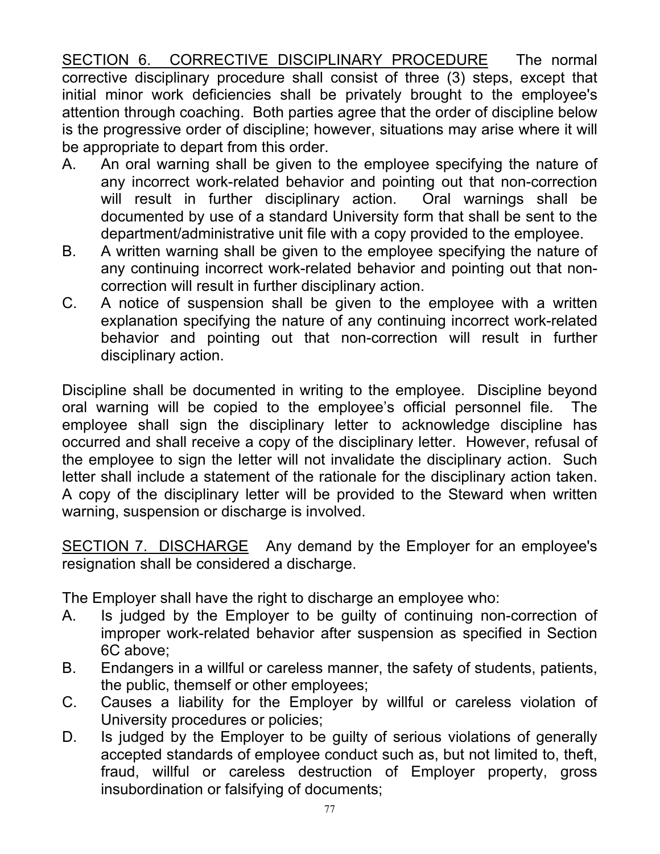SECTION 6. CORRECTIVE DISCIPLINARY PROCEDURE The normal corrective disciplinary procedure shall consist of three (3) steps, except that initial minor work deficiencies shall be privately brought to the employee's attention through coaching. Both parties agree that the order of discipline below is the progressive order of discipline; however, situations may arise where it will be appropriate to depart from this order.

- A. An oral warning shall be given to the employee specifying the nature of any incorrect work-related behavior and pointing out that non-correction will result in further disciplinary action. Oral warnings shall be documented by use of a standard University form that shall be sent to the department/administrative unit file with a copy provided to the employee.
- B. A written warning shall be given to the employee specifying the nature of any continuing incorrect work-related behavior and pointing out that noncorrection will result in further disciplinary action.
- C. A notice of suspension shall be given to the employee with a written explanation specifying the nature of any continuing incorrect work-related behavior and pointing out that non-correction will result in further disciplinary action.

Discipline shall be documented in writing to the employee. Discipline beyond oral warning will be copied to the employee's official personnel file. The employee shall sign the disciplinary letter to acknowledge discipline has occurred and shall receive a copy of the disciplinary letter. However, refusal of the employee to sign the letter will not invalidate the disciplinary action. Such letter shall include a statement of the rationale for the disciplinary action taken. A copy of the disciplinary letter will be provided to the Steward when written warning, suspension or discharge is involved.

SECTION 7. DISCHARGE Any demand by the Employer for an employee's resignation shall be considered a discharge.

The Employer shall have the right to discharge an employee who:

- A. Is judged by the Employer to be guilty of continuing non-correction of improper work-related behavior after suspension as specified in Section 6C above;
- B. Endangers in a willful or careless manner, the safety of students, patients, the public, themself or other employees;
- C. Causes a liability for the Employer by willful or careless violation of University procedures or policies;
- D. Is judged by the Employer to be guilty of serious violations of generally accepted standards of employee conduct such as, but not limited to, theft, fraud, willful or careless destruction of Employer property, gross insubordination or falsifying of documents;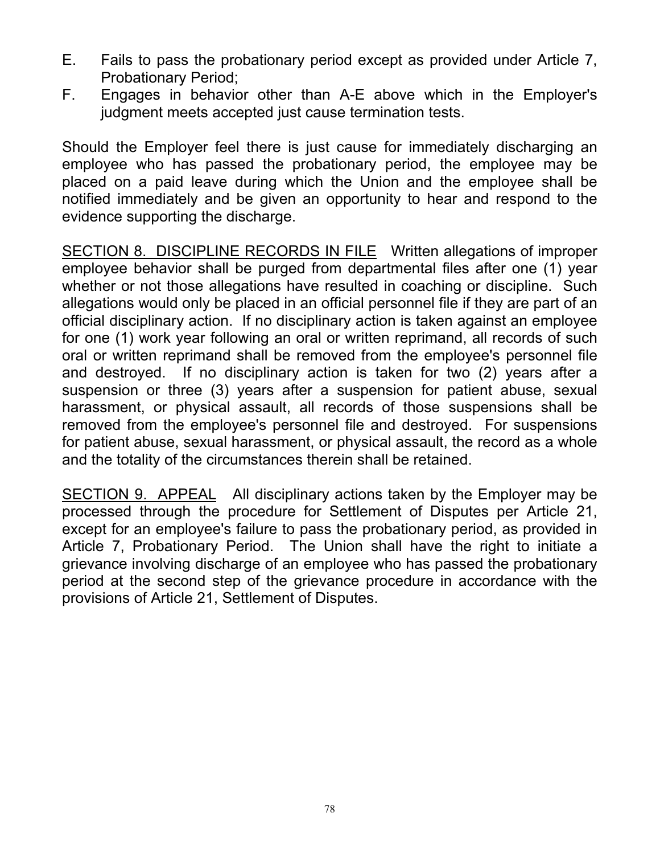- E. Fails to pass the probationary period except as provided under Article 7, Probationary Period;
- F. Engages in behavior other than A-E above which in the Employer's judgment meets accepted just cause termination tests.

Should the Employer feel there is just cause for immediately discharging an employee who has passed the probationary period, the employee may be placed on a paid leave during which the Union and the employee shall be notified immediately and be given an opportunity to hear and respond to the evidence supporting the discharge.

SECTION 8. DISCIPLINE RECORDS IN FILE Written allegations of improper employee behavior shall be purged from departmental files after one (1) year whether or not those allegations have resulted in coaching or discipline. Such allegations would only be placed in an official personnel file if they are part of an official disciplinary action. If no disciplinary action is taken against an employee for one (1) work year following an oral or written reprimand, all records of such oral or written reprimand shall be removed from the employee's personnel file and destroyed. If no disciplinary action is taken for two (2) years after a suspension or three (3) years after a suspension for patient abuse, sexual harassment, or physical assault, all records of those suspensions shall be removed from the employee's personnel file and destroyed. For suspensions for patient abuse, sexual harassment, or physical assault, the record as a whole and the totality of the circumstances therein shall be retained.

SECTION 9. APPEAL All disciplinary actions taken by the Employer may be processed through the procedure for Settlement of Disputes per Article 21, except for an employee's failure to pass the probationary period, as provided in Article 7, Probationary Period. The Union shall have the right to initiate a grievance involving discharge of an employee who has passed the probationary period at the second step of the grievance procedure in accordance with the provisions of Article 21, Settlement of Disputes.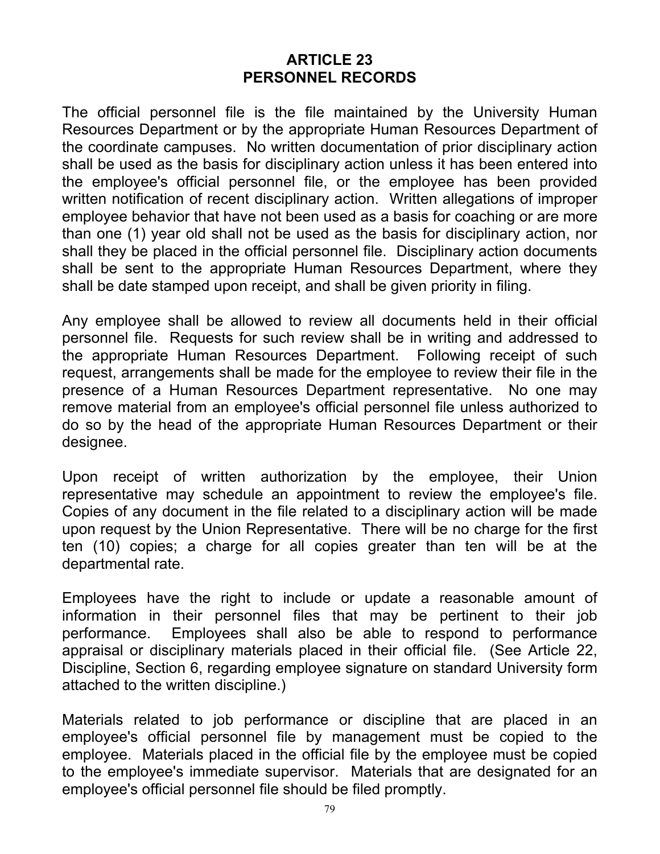### **ARTICLE 23 PERSONNEL RECORDS**

The official personnel file is the file maintained by the University Human Resources Department or by the appropriate Human Resources Department of the coordinate campuses. No written documentation of prior disciplinary action shall be used as the basis for disciplinary action unless it has been entered into the employee's official personnel file, or the employee has been provided written notification of recent disciplinary action. Written allegations of improper employee behavior that have not been used as a basis for coaching or are more than one (1) year old shall not be used as the basis for disciplinary action, nor shall they be placed in the official personnel file. Disciplinary action documents shall be sent to the appropriate Human Resources Department, where they shall be date stamped upon receipt, and shall be given priority in filing.

Any employee shall be allowed to review all documents held in their official personnel file. Requests for such review shall be in writing and addressed to the appropriate Human Resources Department. Following receipt of such request, arrangements shall be made for the employee to review their file in the presence of a Human Resources Department representative. No one may remove material from an employee's official personnel file unless authorized to do so by the head of the appropriate Human Resources Department or their designee.

Upon receipt of written authorization by the employee, their Union representative may schedule an appointment to review the employee's file. Copies of any document in the file related to a disciplinary action will be made upon request by the Union Representative. There will be no charge for the first ten (10) copies; a charge for all copies greater than ten will be at the departmental rate.

Employees have the right to include or update a reasonable amount of information in their personnel files that may be pertinent to their job performance. Employees shall also be able to respond to performance appraisal or disciplinary materials placed in their official file. (See Article 22, Discipline, Section 6, regarding employee signature on standard University form attached to the written discipline.)

Materials related to job performance or discipline that are placed in an employee's official personnel file by management must be copied to the employee. Materials placed in the official file by the employee must be copied to the employee's immediate supervisor. Materials that are designated for an employee's official personnel file should be filed promptly.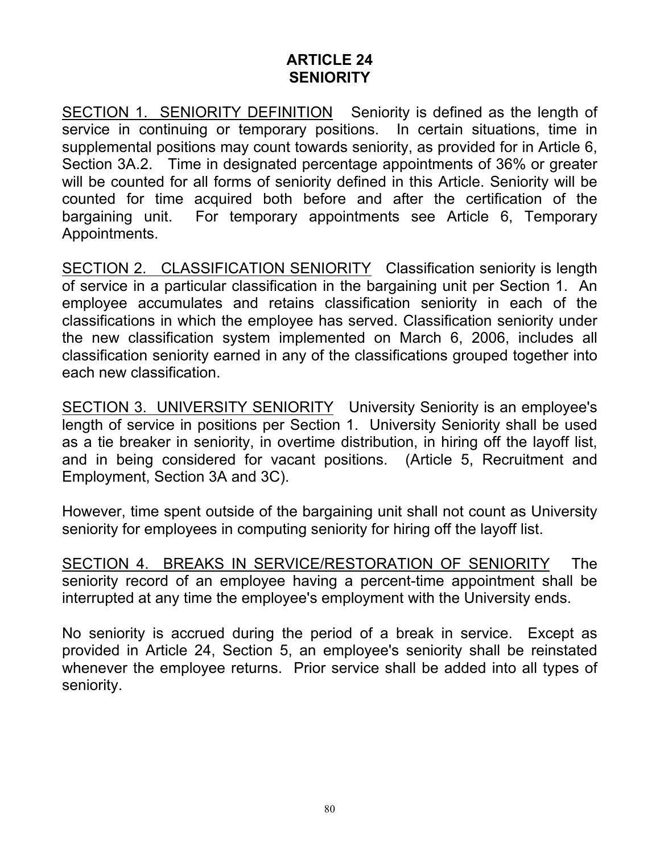### **ARTICLE 24 SENIORITY**

SECTION 1. SENIORITY DEFINITION Seniority is defined as the length of service in continuing or temporary positions. In certain situations, time in supplemental positions may count towards seniority, as provided for in Article 6, Section 3A.2. Time in designated percentage appointments of 36% or greater will be counted for all forms of seniority defined in this Article. Seniority will be counted for time acquired both before and after the certification of the bargaining unit. For temporary appointments see Article 6, Temporary Appointments.

SECTION 2. CLASSIFICATION SENIORITY Classification seniority is length of service in a particular classification in the bargaining unit per Section 1. An employee accumulates and retains classification seniority in each of the classifications in which the employee has served. Classification seniority under the new classification system implemented on March 6, 2006, includes all classification seniority earned in any of the classifications grouped together into each new classification.

SECTION 3. UNIVERSITY SENIORITY University Seniority is an employee's length of service in positions per Section 1. University Seniority shall be used as a tie breaker in seniority, in overtime distribution, in hiring off the layoff list, and in being considered for vacant positions. (Article 5, Recruitment and Employment, Section 3A and 3C).

However, time spent outside of the bargaining unit shall not count as University seniority for employees in computing seniority for hiring off the layoff list.

SECTION 4. BREAKS IN SERVICE/RESTORATION OF SENIORITY The seniority record of an employee having a percent-time appointment shall be interrupted at any time the employee's employment with the University ends.

No seniority is accrued during the period of a break in service. Except as provided in Article 24, Section 5, an employee's seniority shall be reinstated whenever the employee returns. Prior service shall be added into all types of seniority.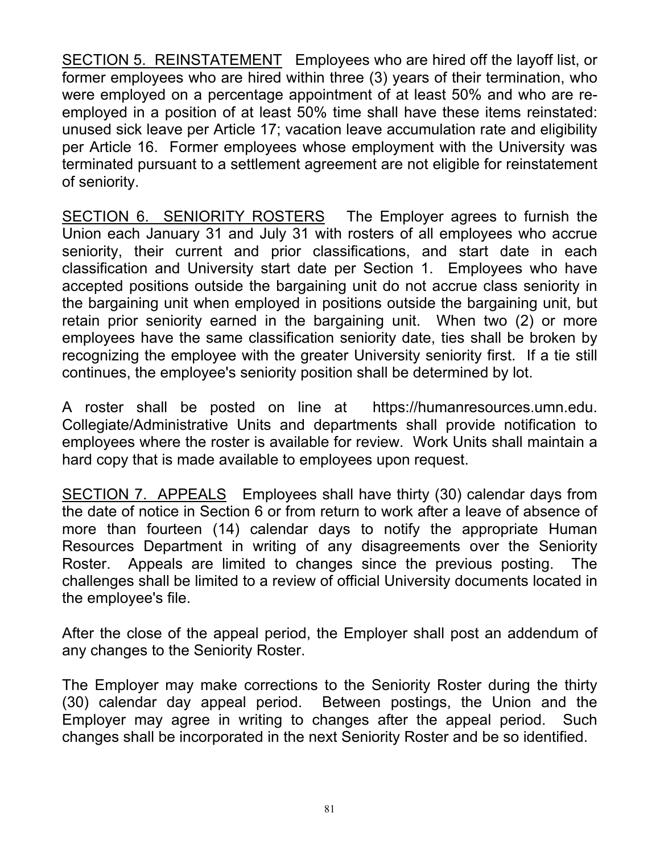SECTION 5. REINSTATEMENT Employees who are hired off the layoff list, or former employees who are hired within three (3) years of their termination, who were employed on a percentage appointment of at least 50% and who are reemployed in a position of at least 50% time shall have these items reinstated: unused sick leave per Article 17; vacation leave accumulation rate and eligibility per Article 16. Former employees whose employment with the University was terminated pursuant to a settlement agreement are not eligible for reinstatement of seniority.

SECTION 6. SENIORITY ROSTERS The Employer agrees to furnish the Union each January 31 and July 31 with rosters of all employees who accrue seniority, their current and prior classifications, and start date in each classification and University start date per Section 1. Employees who have accepted positions outside the bargaining unit do not accrue class seniority in the bargaining unit when employed in positions outside the bargaining unit, but retain prior seniority earned in the bargaining unit. When two (2) or more employees have the same classification seniority date, ties shall be broken by recognizing the employee with the greater University seniority first. If a tie still continues, the employee's seniority position shall be determined by lot.

A roster shall be posted on line at https://humanresources.umn.edu. Collegiate/Administrative Units and departments shall provide notification to employees where the roster is available for review. Work Units shall maintain a hard copy that is made available to employees upon request.

SECTION 7. APPEALS Employees shall have thirty (30) calendar days from the date of notice in Section 6 or from return to work after a leave of absence of more than fourteen (14) calendar days to notify the appropriate Human Resources Department in writing of any disagreements over the Seniority Roster. Appeals are limited to changes since the previous posting. The challenges shall be limited to a review of official University documents located in the employee's file.

After the close of the appeal period, the Employer shall post an addendum of any changes to the Seniority Roster.

The Employer may make corrections to the Seniority Roster during the thirty (30) calendar day appeal period. Between postings, the Union and the Employer may agree in writing to changes after the appeal period. Such changes shall be incorporated in the next Seniority Roster and be so identified.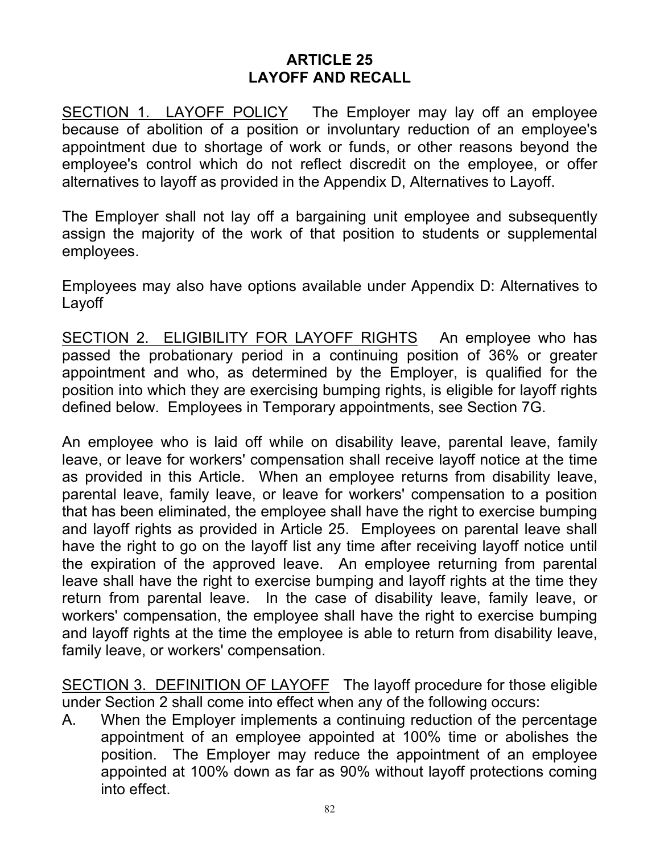### **ARTICLE 25 LAYOFF AND RECALL**

SECTION 1. LAYOFF POLICY The Employer may lay off an employee because of abolition of a position or involuntary reduction of an employee's appointment due to shortage of work or funds, or other reasons beyond the employee's control which do not reflect discredit on the employee, or offer alternatives to layoff as provided in the Appendix D, Alternatives to Layoff.

The Employer shall not lay off a bargaining unit employee and subsequently assign the majority of the work of that position to students or supplemental employees.

Employees may also have options available under Appendix D: Alternatives to Layoff

SECTION 2. ELIGIBILITY FOR LAYOFF RIGHTS An employee who has passed the probationary period in a continuing position of 36% or greater appointment and who, as determined by the Employer, is qualified for the position into which they are exercising bumping rights, is eligible for layoff rights defined below. Employees in Temporary appointments, see Section 7G.

An employee who is laid off while on disability leave, parental leave, family leave, or leave for workers' compensation shall receive layoff notice at the time as provided in this Article. When an employee returns from disability leave, parental leave, family leave, or leave for workers' compensation to a position that has been eliminated, the employee shall have the right to exercise bumping and layoff rights as provided in Article 25. Employees on parental leave shall have the right to go on the layoff list any time after receiving layoff notice until the expiration of the approved leave. An employee returning from parental leave shall have the right to exercise bumping and layoff rights at the time they return from parental leave. In the case of disability leave, family leave, or workers' compensation, the employee shall have the right to exercise bumping and layoff rights at the time the employee is able to return from disability leave, family leave, or workers' compensation.

SECTION 3. DEFINITION OF LAYOFF The layoff procedure for those eligible under Section 2 shall come into effect when any of the following occurs:

A. When the Employer implements a continuing reduction of the percentage appointment of an employee appointed at 100% time or abolishes the position. The Employer may reduce the appointment of an employee appointed at 100% down as far as 90% without layoff protections coming into effect.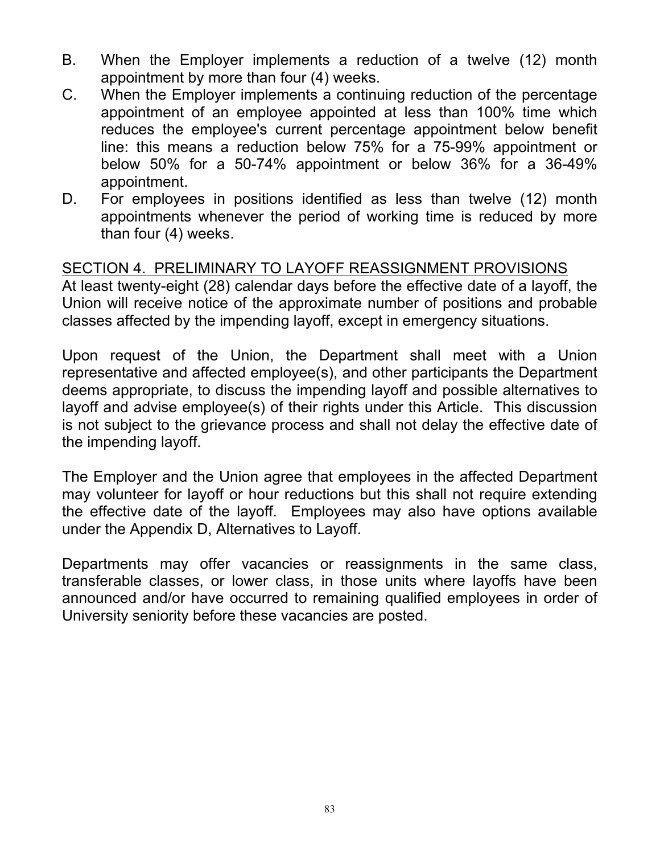- B. When the Employer implements a reduction of a twelve (12) month appointment by more than four (4) weeks.
- C. When the Employer implements a continuing reduction of the percentage appointment of an employee appointed at less than 100% time which reduces the employee's current percentage appointment below benefit line: this means a reduction below 75% for a 75-99% appointment or below 50% for a 50-74% appointment or below 36% for a 36-49% appointment.
- D. For employees in positions identified as less than twelve (12) month appointments whenever the period of working time is reduced by more than four (4) weeks.

#### SECTION 4. PRELIMINARY TO LAYOFF REASSIGNMENT PROVISIONS

At least twenty-eight (28) calendar days before the effective date of a layoff, the Union will receive notice of the approximate number of positions and probable classes affected by the impending layoff, except in emergency situations.

Upon request of the Union, the Department shall meet with a Union representative and affected employee(s), and other participants the Department deems appropriate, to discuss the impending layoff and possible alternatives to layoff and advise employee(s) of their rights under this Article. This discussion is not subject to the grievance process and shall not delay the effective date of the impending layoff.

The Employer and the Union agree that employees in the affected Department may volunteer for layoff or hour reductions but this shall not require extending the effective date of the layoff. Employees may also have options available under the Appendix D, Alternatives to Layoff.

Departments may offer vacancies or reassignments in the same class, transferable classes, or lower class, in those units where layoffs have been announced and/or have occurred to remaining qualified employees in order of University seniority before these vacancies are posted.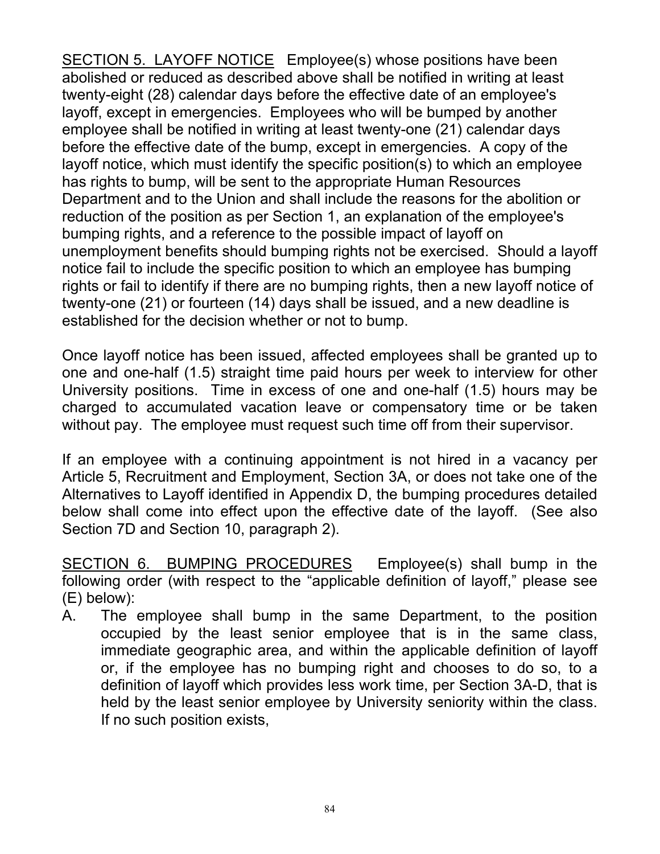SECTION 5. LAYOFF NOTICE Employee(s) whose positions have been abolished or reduced as described above shall be notified in writing at least twenty-eight (28) calendar days before the effective date of an employee's layoff, except in emergencies. Employees who will be bumped by another employee shall be notified in writing at least twenty-one (21) calendar days before the effective date of the bump, except in emergencies. A copy of the layoff notice, which must identify the specific position(s) to which an employee has rights to bump, will be sent to the appropriate Human Resources Department and to the Union and shall include the reasons for the abolition or reduction of the position as per Section 1, an explanation of the employee's bumping rights, and a reference to the possible impact of layoff on unemployment benefits should bumping rights not be exercised. Should a layoff notice fail to include the specific position to which an employee has bumping rights or fail to identify if there are no bumping rights, then a new layoff notice of twenty-one (21) or fourteen (14) days shall be issued, and a new deadline is established for the decision whether or not to bump.

Once layoff notice has been issued, affected employees shall be granted up to one and one-half (1.5) straight time paid hours per week to interview for other University positions. Time in excess of one and one-half (1.5) hours may be charged to accumulated vacation leave or compensatory time or be taken without pay. The employee must request such time off from their supervisor.

If an employee with a continuing appointment is not hired in a vacancy per Article 5, Recruitment and Employment, Section 3A, or does not take one of the Alternatives to Layoff identified in Appendix D, the bumping procedures detailed below shall come into effect upon the effective date of the layoff. (See also Section 7D and Section 10, paragraph 2).

SECTION 6. BUMPING PROCEDURES Employee(s) shall bump in the following order (with respect to the "applicable definition of layoff," please see (E) below):

A. The employee shall bump in the same Department, to the position occupied by the least senior employee that is in the same class, immediate geographic area, and within the applicable definition of layoff or, if the employee has no bumping right and chooses to do so, to a definition of layoff which provides less work time, per Section 3A-D, that is held by the least senior employee by University seniority within the class. If no such position exists,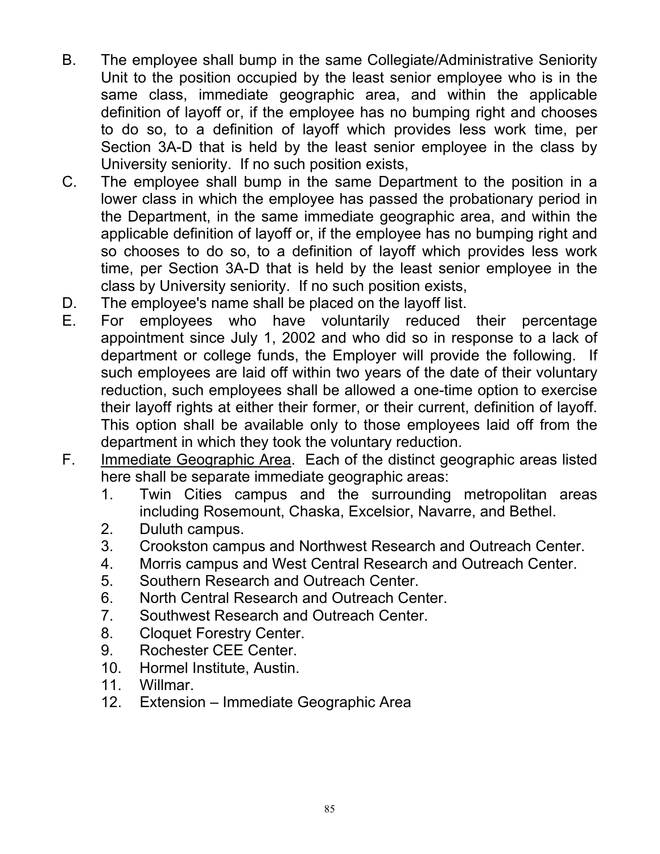- B. The employee shall bump in the same Collegiate/Administrative Seniority Unit to the position occupied by the least senior employee who is in the same class, immediate geographic area, and within the applicable definition of layoff or, if the employee has no bumping right and chooses to do so, to a definition of layoff which provides less work time, per Section 3A-D that is held by the least senior employee in the class by University seniority. If no such position exists,
- C. The employee shall bump in the same Department to the position in a lower class in which the employee has passed the probationary period in the Department, in the same immediate geographic area, and within the applicable definition of layoff or, if the employee has no bumping right and so chooses to do so, to a definition of layoff which provides less work time, per Section 3A-D that is held by the least senior employee in the class by University seniority. If no such position exists,
- D. The employee's name shall be placed on the layoff list.
- E. For employees who have voluntarily reduced their percentage appointment since July 1, 2002 and who did so in response to a lack of department or college funds, the Employer will provide the following. If such employees are laid off within two years of the date of their voluntary reduction, such employees shall be allowed a one-time option to exercise their layoff rights at either their former, or their current, definition of layoff. This option shall be available only to those employees laid off from the department in which they took the voluntary reduction.
- F. Immediate Geographic Area. Each of the distinct geographic areas listed here shall be separate immediate geographic areas:
	- 1. Twin Cities campus and the surrounding metropolitan areas including Rosemount, Chaska, Excelsior, Navarre, and Bethel.
	- 2. Duluth campus.
	- 3. Crookston campus and Northwest Research and Outreach Center.
	- 4. Morris campus and West Central Research and Outreach Center.
	- 5. Southern Research and Outreach Center.
	- 6. North Central Research and Outreach Center.
	- 7. Southwest Research and Outreach Center.
	- 8. Cloquet Forestry Center.
	- 9. Rochester CEE Center.
	- 10. Hormel Institute, Austin.
	- 11. Willmar.
	- 12. Extension Immediate Geographic Area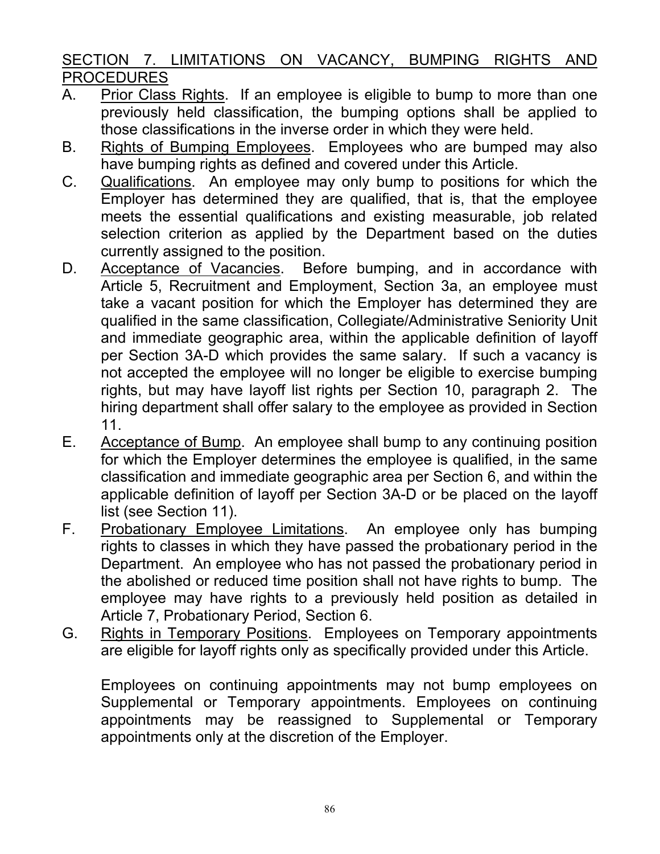# SECTION 7. LIMITATIONS ON VACANCY, BUMPING RIGHTS AND PROCEDURES

- A. Prior Class Rights. If an employee is eligible to bump to more than one previously held classification, the bumping options shall be applied to those classifications in the inverse order in which they were held.
- B. Rights of Bumping Employees. Employees who are bumped may also have bumping rights as defined and covered under this Article.
- C. Qualifications. An employee may only bump to positions for which the Employer has determined they are qualified, that is, that the employee meets the essential qualifications and existing measurable, job related selection criterion as applied by the Department based on the duties currently assigned to the position.
- D. Acceptance of Vacancies. Before bumping, and in accordance with Article 5, Recruitment and Employment, Section 3a, an employee must take a vacant position for which the Employer has determined they are qualified in the same classification, Collegiate/Administrative Seniority Unit and immediate geographic area, within the applicable definition of layoff per Section 3A-D which provides the same salary. If such a vacancy is not accepted the employee will no longer be eligible to exercise bumping rights, but may have layoff list rights per Section 10, paragraph 2. The hiring department shall offer salary to the employee as provided in Section 11.
- E. Acceptance of Bump. An employee shall bump to any continuing position for which the Employer determines the employee is qualified, in the same classification and immediate geographic area per Section 6, and within the applicable definition of layoff per Section 3A-D or be placed on the layoff list (see Section 11).
- F. Probationary Employee Limitations. An employee only has bumping rights to classes in which they have passed the probationary period in the Department. An employee who has not passed the probationary period in the abolished or reduced time position shall not have rights to bump. The employee may have rights to a previously held position as detailed in Article 7, Probationary Period, Section 6.
- G. Rights in Temporary Positions. Employees on Temporary appointments are eligible for layoff rights only as specifically provided under this Article.

Employees on continuing appointments may not bump employees on Supplemental or Temporary appointments. Employees on continuing appointments may be reassigned to Supplemental or Temporary appointments only at the discretion of the Employer.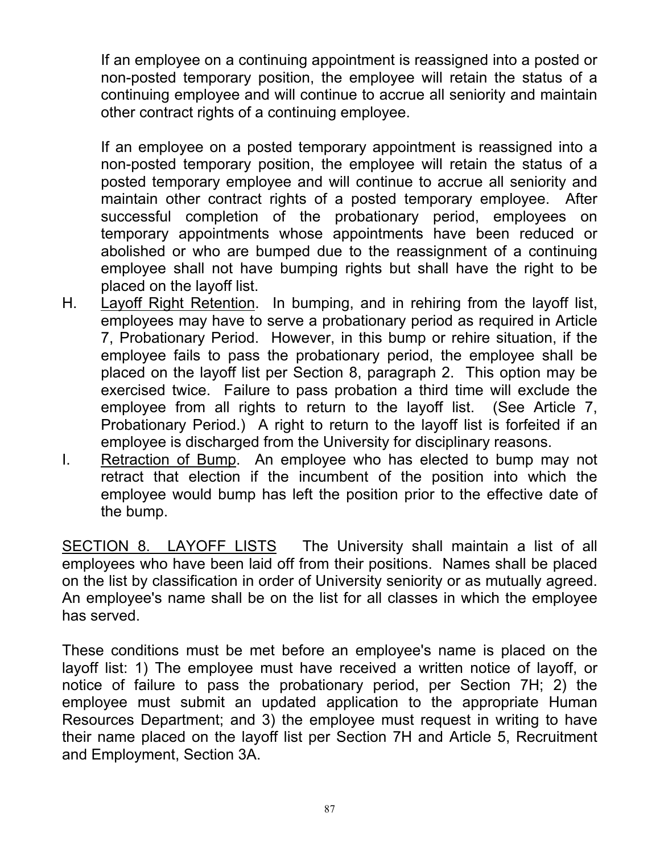If an employee on a continuing appointment is reassigned into a posted or non-posted temporary position, the employee will retain the status of a continuing employee and will continue to accrue all seniority and maintain other contract rights of a continuing employee.

If an employee on a posted temporary appointment is reassigned into a non-posted temporary position, the employee will retain the status of a posted temporary employee and will continue to accrue all seniority and maintain other contract rights of a posted temporary employee. After successful completion of the probationary period, employees on temporary appointments whose appointments have been reduced or abolished or who are bumped due to the reassignment of a continuing employee shall not have bumping rights but shall have the right to be placed on the layoff list.

- H. Layoff Right Retention. In bumping, and in rehiring from the layoff list, employees may have to serve a probationary period as required in Article 7, Probationary Period. However, in this bump or rehire situation, if the employee fails to pass the probationary period, the employee shall be placed on the layoff list per Section 8, paragraph 2. This option may be exercised twice. Failure to pass probation a third time will exclude the employee from all rights to return to the layoff list. (See Article 7, Probationary Period.) A right to return to the layoff list is forfeited if an employee is discharged from the University for disciplinary reasons.
- I. Retraction of Bump. An employee who has elected to bump may not retract that election if the incumbent of the position into which the employee would bump has left the position prior to the effective date of the bump.

SECTION 8. LAYOFF LISTS The University shall maintain a list of all employees who have been laid off from their positions. Names shall be placed on the list by classification in order of University seniority or as mutually agreed. An employee's name shall be on the list for all classes in which the employee has served.

These conditions must be met before an employee's name is placed on the layoff list: 1) The employee must have received a written notice of layoff, or notice of failure to pass the probationary period, per Section 7H; 2) the employee must submit an updated application to the appropriate Human Resources Department; and 3) the employee must request in writing to have their name placed on the layoff list per Section 7H and Article 5, Recruitment and Employment, Section 3A.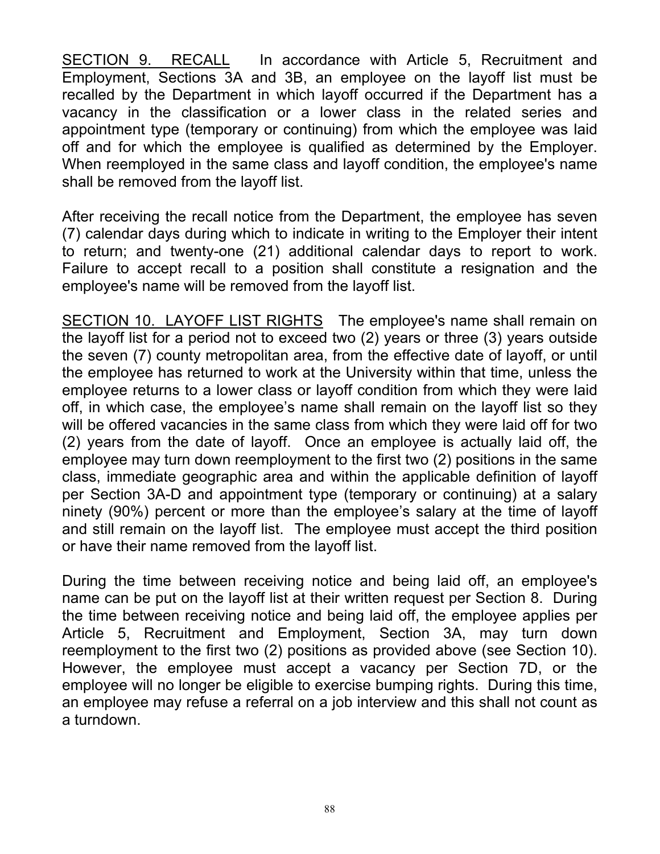SECTION 9. RECALL In accordance with Article 5, Recruitment and Employment, Sections 3A and 3B, an employee on the layoff list must be recalled by the Department in which layoff occurred if the Department has a vacancy in the classification or a lower class in the related series and appointment type (temporary or continuing) from which the employee was laid off and for which the employee is qualified as determined by the Employer. When reemployed in the same class and layoff condition, the employee's name shall be removed from the layoff list.

After receiving the recall notice from the Department, the employee has seven (7) calendar days during which to indicate in writing to the Employer their intent to return; and twenty-one (21) additional calendar days to report to work. Failure to accept recall to a position shall constitute a resignation and the employee's name will be removed from the layoff list.

SECTION 10. LAYOFF LIST RIGHTS The employee's name shall remain on the layoff list for a period not to exceed two (2) years or three (3) years outside the seven (7) county metropolitan area, from the effective date of layoff, or until the employee has returned to work at the University within that time, unless the employee returns to a lower class or layoff condition from which they were laid off, in which case, the employee's name shall remain on the layoff list so they will be offered vacancies in the same class from which they were laid off for two (2) years from the date of layoff. Once an employee is actually laid off, the employee may turn down reemployment to the first two (2) positions in the same class, immediate geographic area and within the applicable definition of layoff per Section 3A-D and appointment type (temporary or continuing) at a salary ninety (90%) percent or more than the employee's salary at the time of layoff and still remain on the layoff list. The employee must accept the third position or have their name removed from the layoff list.

During the time between receiving notice and being laid off, an employee's name can be put on the layoff list at their written request per Section 8. During the time between receiving notice and being laid off, the employee applies per Article 5, Recruitment and Employment, Section 3A, may turn down reemployment to the first two (2) positions as provided above (see Section 10). However, the employee must accept a vacancy per Section 7D, or the employee will no longer be eligible to exercise bumping rights. During this time, an employee may refuse a referral on a job interview and this shall not count as a turndown.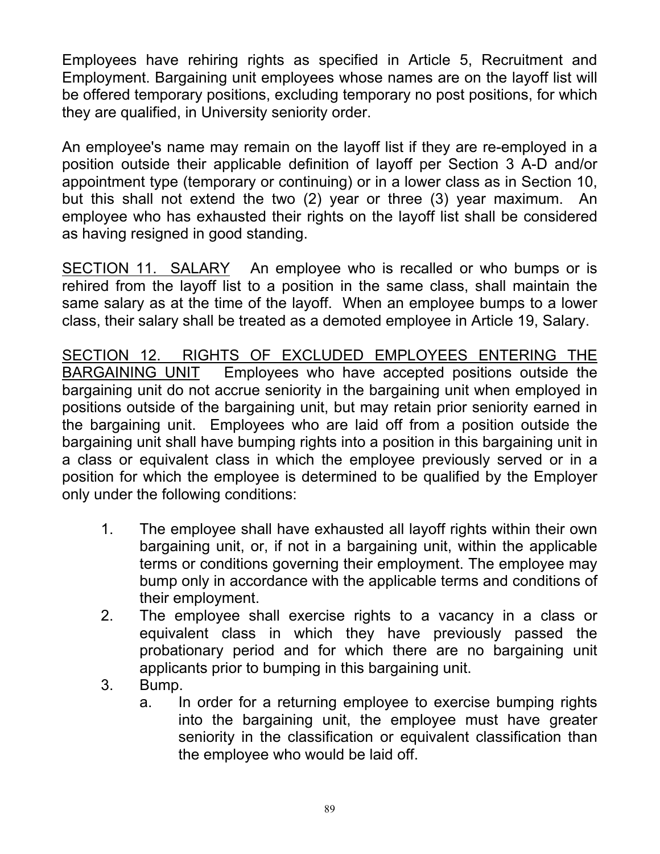Employees have rehiring rights as specified in Article 5, Recruitment and Employment. Bargaining unit employees whose names are on the layoff list will be offered temporary positions, excluding temporary no post positions, for which they are qualified, in University seniority order.

An employee's name may remain on the layoff list if they are re-employed in a position outside their applicable definition of layoff per Section 3 A-D and/or appointment type (temporary or continuing) or in a lower class as in Section 10, but this shall not extend the two (2) year or three (3) year maximum. An employee who has exhausted their rights on the layoff list shall be considered as having resigned in good standing.

SECTION 11. SALARY An employee who is recalled or who bumps or is rehired from the layoff list to a position in the same class, shall maintain the same salary as at the time of the layoff. When an employee bumps to a lower class, their salary shall be treated as a demoted employee in Article 19, Salary.

SECTION 12. RIGHTS OF EXCLUDED EMPLOYEES ENTERING THE BARGAINING UNIT Employees who have accepted positions outside the bargaining unit do not accrue seniority in the bargaining unit when employed in positions outside of the bargaining unit, but may retain prior seniority earned in the bargaining unit. Employees who are laid off from a position outside the bargaining unit shall have bumping rights into a position in this bargaining unit in a class or equivalent class in which the employee previously served or in a position for which the employee is determined to be qualified by the Employer only under the following conditions:

- 1. The employee shall have exhausted all layoff rights within their own bargaining unit, or, if not in a bargaining unit, within the applicable terms or conditions governing their employment. The employee may bump only in accordance with the applicable terms and conditions of their employment.
- 2. The employee shall exercise rights to a vacancy in a class or equivalent class in which they have previously passed the probationary period and for which there are no bargaining unit applicants prior to bumping in this bargaining unit.
- 3. Bump.
	- a. In order for a returning employee to exercise bumping rights into the bargaining unit, the employee must have greater seniority in the classification or equivalent classification than the employee who would be laid off.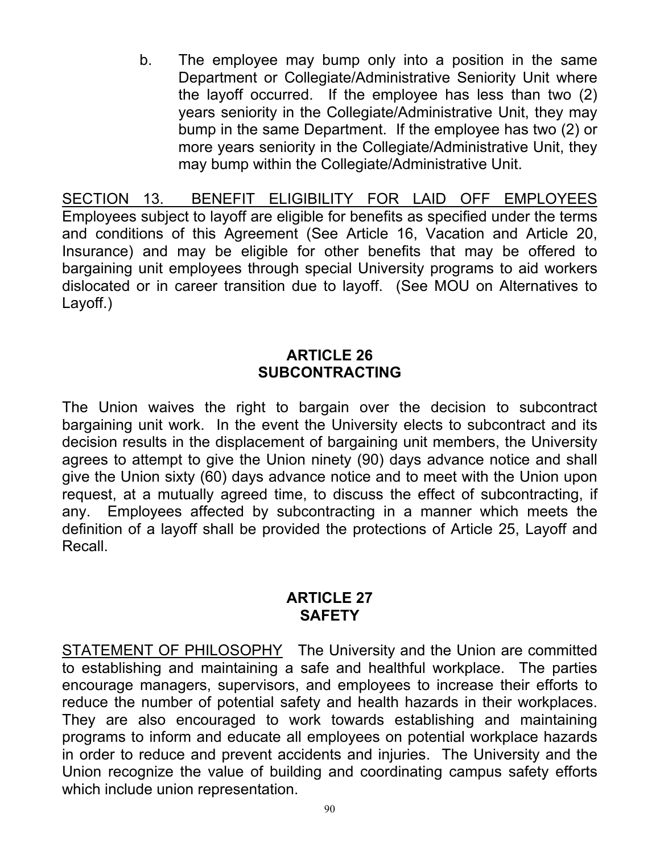b. The employee may bump only into a position in the same Department or Collegiate/Administrative Seniority Unit where the layoff occurred. If the employee has less than two (2) years seniority in the Collegiate/Administrative Unit, they may bump in the same Department. If the employee has two (2) or more years seniority in the Collegiate/Administrative Unit, they may bump within the Collegiate/Administrative Unit.

SECTION 13. BENEFIT ELIGIBILITY FOR LAID OFF EMPLOYEES Employees subject to layoff are eligible for benefits as specified under the terms and conditions of this Agreement (See Article 16, Vacation and Article 20, Insurance) and may be eligible for other benefits that may be offered to bargaining unit employees through special University programs to aid workers dislocated or in career transition due to layoff. (See MOU on Alternatives to Layoff.)

### **ARTICLE 26 SUBCONTRACTING**

The Union waives the right to bargain over the decision to subcontract bargaining unit work. In the event the University elects to subcontract and its decision results in the displacement of bargaining unit members, the University agrees to attempt to give the Union ninety (90) days advance notice and shall give the Union sixty (60) days advance notice and to meet with the Union upon request, at a mutually agreed time, to discuss the effect of subcontracting, if any. Employees affected by subcontracting in a manner which meets the definition of a layoff shall be provided the protections of Article 25, Layoff and Recall.

# **ARTICLE 27 SAFETY**

STATEMENT OF PHILOSOPHY The University and the Union are committed to establishing and maintaining a safe and healthful workplace. The parties encourage managers, supervisors, and employees to increase their efforts to reduce the number of potential safety and health hazards in their workplaces. They are also encouraged to work towards establishing and maintaining programs to inform and educate all employees on potential workplace hazards in order to reduce and prevent accidents and injuries. The University and the Union recognize the value of building and coordinating campus safety efforts which include union representation.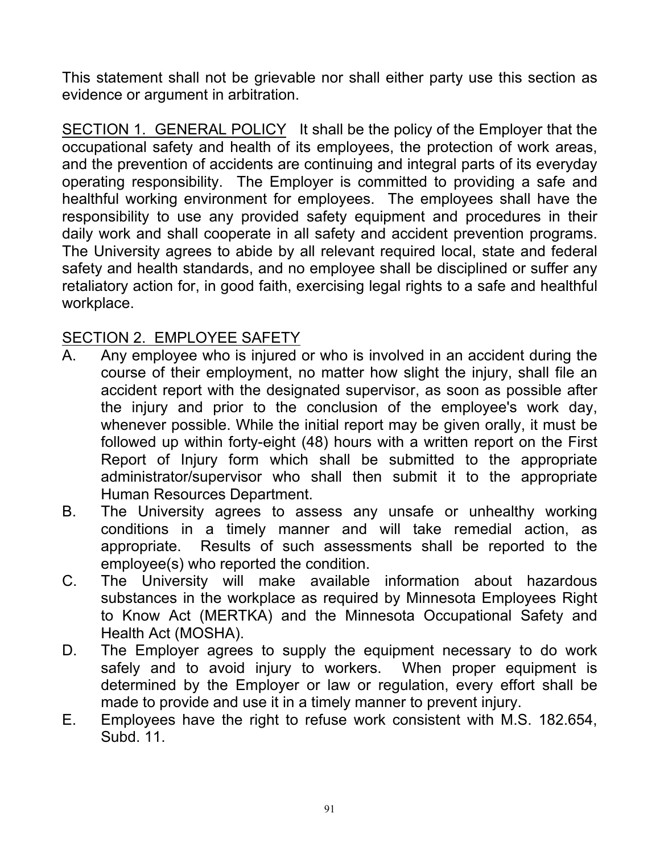This statement shall not be grievable nor shall either party use this section as evidence or argument in arbitration.

SECTION 1. GENERAL POLICY It shall be the policy of the Employer that the occupational safety and health of its employees, the protection of work areas, and the prevention of accidents are continuing and integral parts of its everyday operating responsibility. The Employer is committed to providing a safe and healthful working environment for employees. The employees shall have the responsibility to use any provided safety equipment and procedures in their daily work and shall cooperate in all safety and accident prevention programs. The University agrees to abide by all relevant required local, state and federal safety and health standards, and no employee shall be disciplined or suffer any retaliatory action for, in good faith, exercising legal rights to a safe and healthful workplace.

# SECTION 2. EMPLOYEE SAFETY

- A. Any employee who is injured or who is involved in an accident during the course of their employment, no matter how slight the injury, shall file an accident report with the designated supervisor, as soon as possible after the injury and prior to the conclusion of the employee's work day, whenever possible. While the initial report may be given orally, it must be followed up within forty-eight (48) hours with a written report on the First Report of Injury form which shall be submitted to the appropriate administrator/supervisor who shall then submit it to the appropriate Human Resources Department.
- B. The University agrees to assess any unsafe or unhealthy working conditions in a timely manner and will take remedial action, as appropriate. Results of such assessments shall be reported to the employee(s) who reported the condition.
- C. The University will make available information about hazardous substances in the workplace as required by Minnesota Employees Right to Know Act (MERTKA) and the Minnesota Occupational Safety and Health Act (MOSHA).
- D. The Employer agrees to supply the equipment necessary to do work safely and to avoid injury to workers. When proper equipment is determined by the Employer or law or regulation, every effort shall be made to provide and use it in a timely manner to prevent injury.
- E. Employees have the right to refuse work consistent with M.S. 182.654, Subd. 11.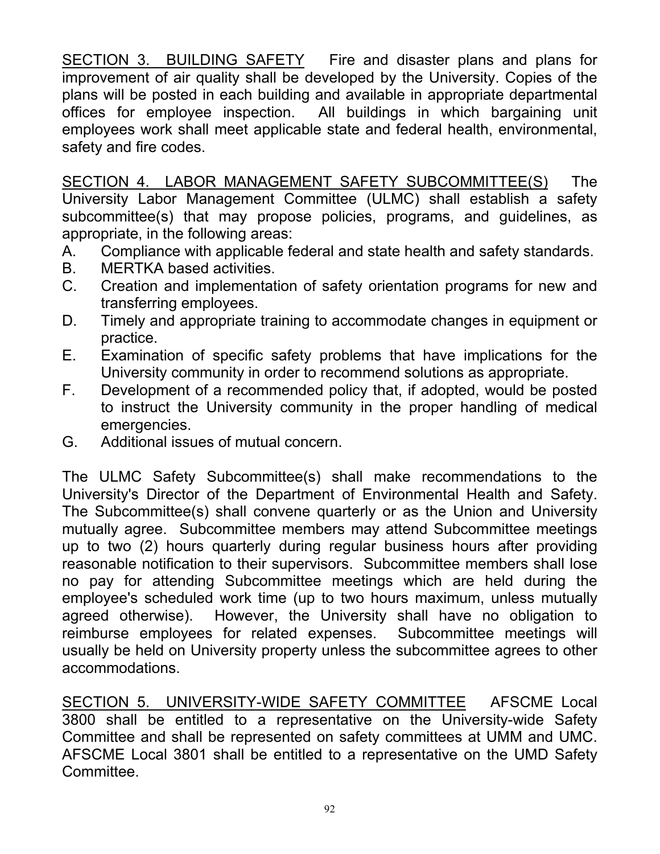SECTION 3. BUILDING SAFETY Fire and disaster plans and plans for improvement of air quality shall be developed by the University. Copies of the plans will be posted in each building and available in appropriate departmental offices for employee inspection. All buildings in which bargaining unit employees work shall meet applicable state and federal health, environmental, safety and fire codes.

SECTION 4. LABOR MANAGEMENT SAFETY SUBCOMMITTEE(S) The University Labor Management Committee (ULMC) shall establish a safety subcommittee(s) that may propose policies, programs, and guidelines, as appropriate, in the following areas:

- A. Compliance with applicable federal and state health and safety standards.
- B. MERTKA based activities.
- C. Creation and implementation of safety orientation programs for new and transferring employees.
- D. Timely and appropriate training to accommodate changes in equipment or practice.
- E. Examination of specific safety problems that have implications for the University community in order to recommend solutions as appropriate.
- F. Development of a recommended policy that, if adopted, would be posted to instruct the University community in the proper handling of medical emergencies.
- G. Additional issues of mutual concern.

The ULMC Safety Subcommittee(s) shall make recommendations to the University's Director of the Department of Environmental Health and Safety. The Subcommittee(s) shall convene quarterly or as the Union and University mutually agree. Subcommittee members may attend Subcommittee meetings up to two (2) hours quarterly during regular business hours after providing reasonable notification to their supervisors. Subcommittee members shall lose no pay for attending Subcommittee meetings which are held during the employee's scheduled work time (up to two hours maximum, unless mutually agreed otherwise). However, the University shall have no obligation to reimburse employees for related expenses. Subcommittee meetings will usually be held on University property unless the subcommittee agrees to other accommodations.

SECTION 5. UNIVERSITY-WIDE SAFETY COMMITTEE AFSCME Local 3800 shall be entitled to a representative on the University-wide Safety Committee and shall be represented on safety committees at UMM and UMC. AFSCME Local 3801 shall be entitled to a representative on the UMD Safety Committee.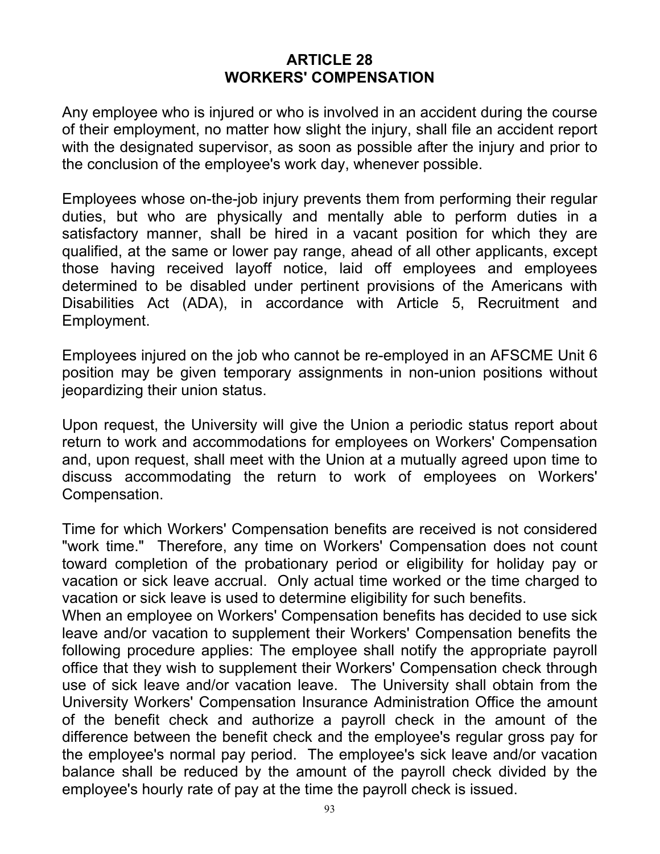#### **ARTICLE 28 WORKERS' COMPENSATION**

Any employee who is injured or who is involved in an accident during the course of their employment, no matter how slight the injury, shall file an accident report with the designated supervisor, as soon as possible after the injury and prior to the conclusion of the employee's work day, whenever possible.

Employees whose on-the-job injury prevents them from performing their regular duties, but who are physically and mentally able to perform duties in a satisfactory manner, shall be hired in a vacant position for which they are qualified, at the same or lower pay range, ahead of all other applicants, except those having received layoff notice, laid off employees and employees determined to be disabled under pertinent provisions of the Americans with Disabilities Act (ADA), in accordance with Article 5, Recruitment and Employment.

Employees injured on the job who cannot be re-employed in an AFSCME Unit 6 position may be given temporary assignments in non-union positions without jeopardizing their union status.

Upon request, the University will give the Union a periodic status report about return to work and accommodations for employees on Workers' Compensation and, upon request, shall meet with the Union at a mutually agreed upon time to discuss accommodating the return to work of employees on Workers' Compensation.

Time for which Workers' Compensation benefits are received is not considered "work time." Therefore, any time on Workers' Compensation does not count toward completion of the probationary period or eligibility for holiday pay or vacation or sick leave accrual. Only actual time worked or the time charged to vacation or sick leave is used to determine eligibility for such benefits.

When an employee on Workers' Compensation benefits has decided to use sick leave and/or vacation to supplement their Workers' Compensation benefits the following procedure applies: The employee shall notify the appropriate payroll office that they wish to supplement their Workers' Compensation check through use of sick leave and/or vacation leave. The University shall obtain from the University Workers' Compensation Insurance Administration Office the amount of the benefit check and authorize a payroll check in the amount of the difference between the benefit check and the employee's regular gross pay for the employee's normal pay period. The employee's sick leave and/or vacation balance shall be reduced by the amount of the payroll check divided by the employee's hourly rate of pay at the time the payroll check is issued.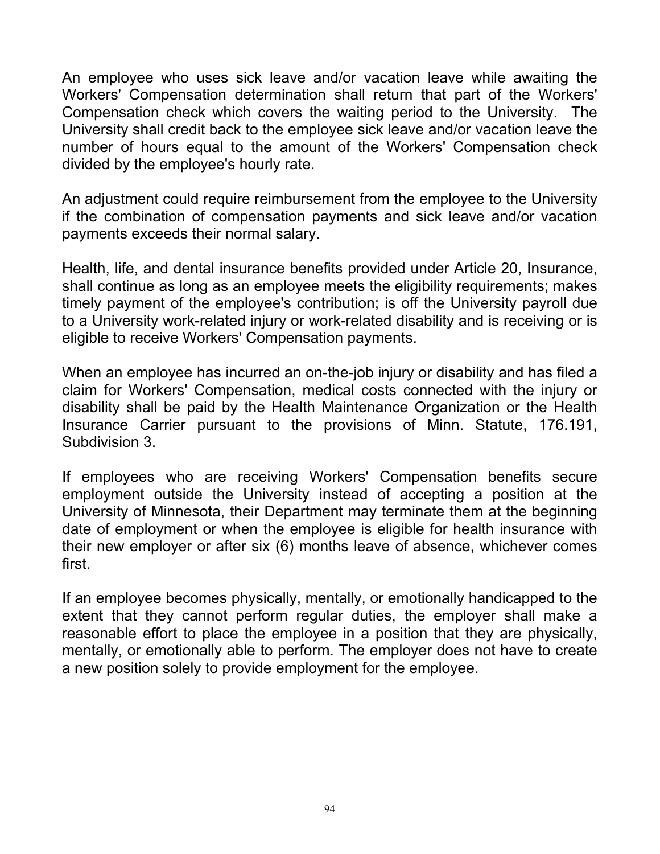An employee who uses sick leave and/or vacation leave while awaiting the Workers' Compensation determination shall return that part of the Workers' Compensation check which covers the waiting period to the University. The University shall credit back to the employee sick leave and/or vacation leave the number of hours equal to the amount of the Workers' Compensation check divided by the employee's hourly rate.

An adjustment could require reimbursement from the employee to the University if the combination of compensation payments and sick leave and/or vacation payments exceeds their normal salary.

Health, life, and dental insurance benefits provided under Article 20, Insurance, shall continue as long as an employee meets the eligibility requirements; makes timely payment of the employee's contribution; is off the University payroll due to a University work-related injury or work-related disability and is receiving or is eligible to receive Workers' Compensation payments.

When an employee has incurred an on-the-job injury or disability and has filed a claim for Workers' Compensation, medical costs connected with the injury or disability shall be paid by the Health Maintenance Organization or the Health Insurance Carrier pursuant to the provisions of Minn. Statute, 176.191, Subdivision 3.

If employees who are receiving Workers' Compensation benefits secure employment outside the University instead of accepting a position at the University of Minnesota, their Department may terminate them at the beginning date of employment or when the employee is eligible for health insurance with their new employer or after six (6) months leave of absence, whichever comes first.

If an employee becomes physically, mentally, or emotionally handicapped to the extent that they cannot perform regular duties, the employer shall make a reasonable effort to place the employee in a position that they are physically, mentally, or emotionally able to perform. The employer does not have to create a new position solely to provide employment for the employee.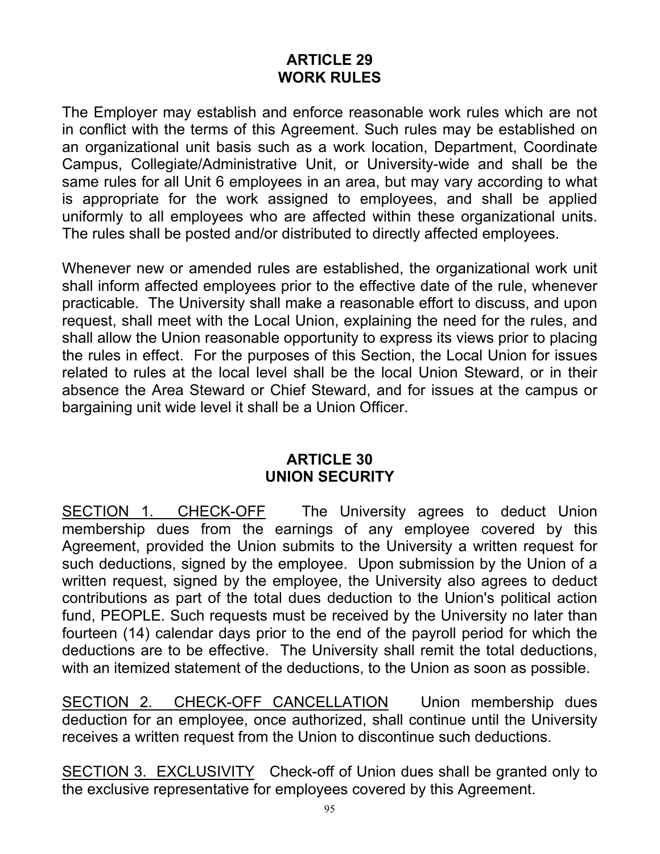### **ARTICLE 29 WORK RULES**

The Employer may establish and enforce reasonable work rules which are not in conflict with the terms of this Agreement. Such rules may be established on an organizational unit basis such as a work location, Department, Coordinate Campus, Collegiate/Administrative Unit, or University-wide and shall be the same rules for all Unit 6 employees in an area, but may vary according to what is appropriate for the work assigned to employees, and shall be applied uniformly to all employees who are affected within these organizational units. The rules shall be posted and/or distributed to directly affected employees.

Whenever new or amended rules are established, the organizational work unit shall inform affected employees prior to the effective date of the rule, whenever practicable. The University shall make a reasonable effort to discuss, and upon request, shall meet with the Local Union, explaining the need for the rules, and shall allow the Union reasonable opportunity to express its views prior to placing the rules in effect. For the purposes of this Section, the Local Union for issues related to rules at the local level shall be the local Union Steward, or in their absence the Area Steward or Chief Steward, and for issues at the campus or bargaining unit wide level it shall be a Union Officer.

### **ARTICLE 30 UNION SECURITY**

SECTION 1. CHECK-OFF The University agrees to deduct Union membership dues from the earnings of any employee covered by this Agreement, provided the Union submits to the University a written request for such deductions, signed by the employee. Upon submission by the Union of a written request, signed by the employee, the University also agrees to deduct contributions as part of the total dues deduction to the Union's political action fund, PEOPLE. Such requests must be received by the University no later than fourteen (14) calendar days prior to the end of the payroll period for which the deductions are to be effective. The University shall remit the total deductions, with an itemized statement of the deductions, to the Union as soon as possible.

SECTION 2. CHECK-OFF CANCELLATION Union membership dues deduction for an employee, once authorized, shall continue until the University receives a written request from the Union to discontinue such deductions.

SECTION 3. EXCLUSIVITY Check-off of Union dues shall be granted only to the exclusive representative for employees covered by this Agreement.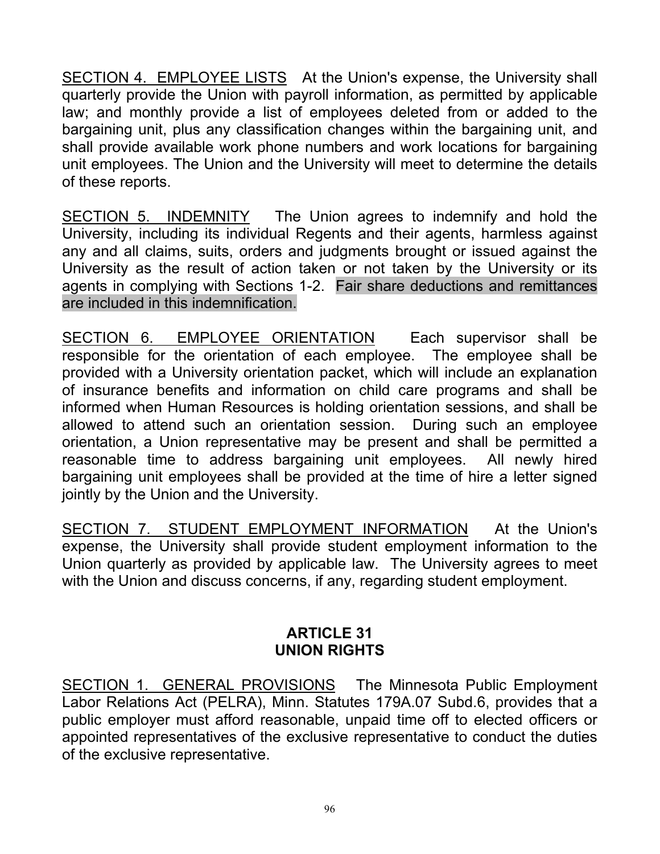SECTION 4. EMPLOYEE LISTS At the Union's expense, the University shall quarterly provide the Union with payroll information, as permitted by applicable law; and monthly provide a list of employees deleted from or added to the bargaining unit, plus any classification changes within the bargaining unit, and shall provide available work phone numbers and work locations for bargaining unit employees. The Union and the University will meet to determine the details of these reports.

SECTION 5. INDEMNITY The Union agrees to indemnify and hold the University, including its individual Regents and their agents, harmless against any and all claims, suits, orders and judgments brought or issued against the University as the result of action taken or not taken by the University or its agents in complying with Sections 1-2. Fair share deductions and remittances are included in this indemnification.

SECTION 6. EMPLOYEE ORIENTATION Each supervisor shall be responsible for the orientation of each employee. The employee shall be provided with a University orientation packet, which will include an explanation of insurance benefits and information on child care programs and shall be informed when Human Resources is holding orientation sessions, and shall be allowed to attend such an orientation session. During such an employee orientation, a Union representative may be present and shall be permitted a reasonable time to address bargaining unit employees. All newly hired bargaining unit employees shall be provided at the time of hire a letter signed jointly by the Union and the University.

SECTION 7. STUDENT EMPLOYMENT INFORMATION At the Union's expense, the University shall provide student employment information to the Union quarterly as provided by applicable law. The University agrees to meet with the Union and discuss concerns, if any, regarding student employment.

# **ARTICLE 31 UNION RIGHTS**

SECTION 1. GENERAL PROVISIONS The Minnesota Public Employment Labor Relations Act (PELRA), Minn. Statutes 179A.07 Subd.6, provides that a public employer must afford reasonable, unpaid time off to elected officers or appointed representatives of the exclusive representative to conduct the duties of the exclusive representative.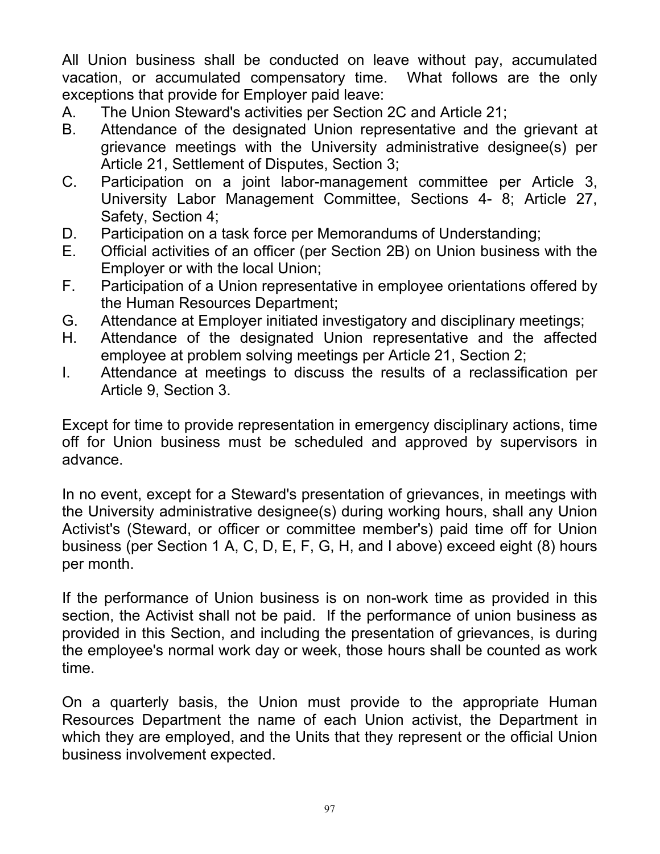All Union business shall be conducted on leave without pay, accumulated vacation, or accumulated compensatory time. What follows are the only exceptions that provide for Employer paid leave:

- A. The Union Steward's activities per Section 2C and Article 21;
- B. Attendance of the designated Union representative and the grievant at grievance meetings with the University administrative designee(s) per Article 21, Settlement of Disputes, Section 3;
- C. Participation on a joint labor-management committee per Article 3, University Labor Management Committee, Sections 4- 8; Article 27, Safety, Section 4;
- D. Participation on a task force per Memorandums of Understanding;<br>E. Official activities of an officer (per Section 2B) on Union business
- Official activities of an officer (per Section 2B) on Union business with the Employer or with the local Union;
- F. Participation of a Union representative in employee orientations offered by the Human Resources Department;
- G. Attendance at Employer initiated investigatory and disciplinary meetings;
- H. Attendance of the designated Union representative and the affected employee at problem solving meetings per Article 21, Section 2;
- I. Attendance at meetings to discuss the results of a reclassification per Article 9, Section 3.

Except for time to provide representation in emergency disciplinary actions, time off for Union business must be scheduled and approved by supervisors in advance.

In no event, except for a Steward's presentation of grievances, in meetings with the University administrative designee(s) during working hours, shall any Union Activist's (Steward, or officer or committee member's) paid time off for Union business (per Section 1 A, C, D, E, F, G, H, and I above) exceed eight (8) hours per month.

If the performance of Union business is on non-work time as provided in this section, the Activist shall not be paid. If the performance of union business as provided in this Section, and including the presentation of grievances, is during the employee's normal work day or week, those hours shall be counted as work time.

On a quarterly basis, the Union must provide to the appropriate Human Resources Department the name of each Union activist, the Department in which they are employed, and the Units that they represent or the official Union business involvement expected.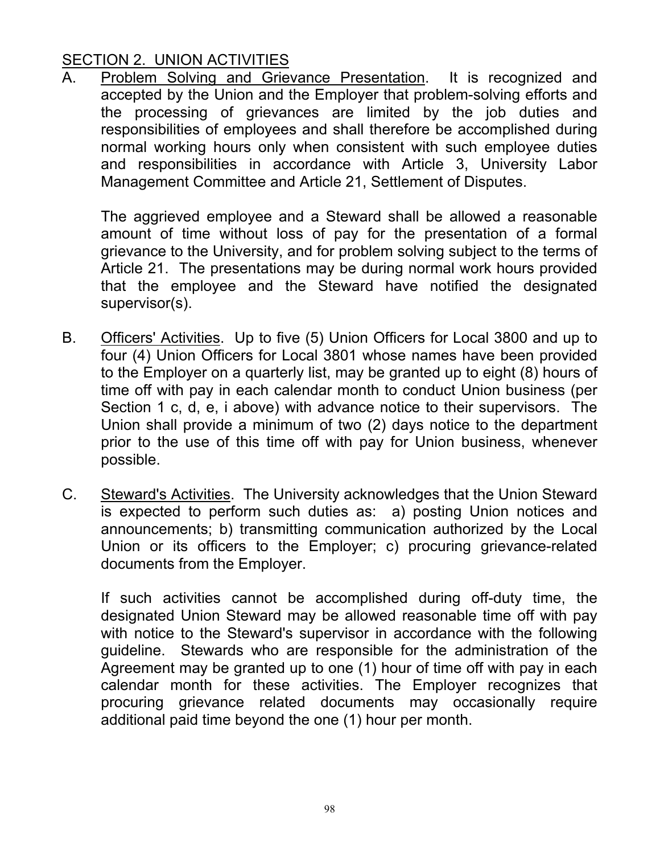# SECTION 2. UNION ACTIVITIES

A. Problem Solving and Grievance Presentation. It is recognized and accepted by the Union and the Employer that problem-solving efforts and the processing of grievances are limited by the job duties and responsibilities of employees and shall therefore be accomplished during normal working hours only when consistent with such employee duties and responsibilities in accordance with Article 3, University Labor Management Committee and Article 21, Settlement of Disputes.

 The aggrieved employee and a Steward shall be allowed a reasonable amount of time without loss of pay for the presentation of a formal grievance to the University, and for problem solving subject to the terms of Article 21. The presentations may be during normal work hours provided that the employee and the Steward have notified the designated supervisor(s).

- B. Officers' Activities. Up to five (5) Union Officers for Local 3800 and up to four (4) Union Officers for Local 3801 whose names have been provided to the Employer on a quarterly list, may be granted up to eight (8) hours of time off with pay in each calendar month to conduct Union business (per Section 1 c, d, e, i above) with advance notice to their supervisors. The Union shall provide a minimum of two (2) days notice to the department prior to the use of this time off with pay for Union business, whenever possible.
- C. Steward's Activities. The University acknowledges that the Union Steward is expected to perform such duties as: a) posting Union notices and announcements; b) transmitting communication authorized by the Local Union or its officers to the Employer; c) procuring grievance-related documents from the Employer.

If such activities cannot be accomplished during off-duty time, the designated Union Steward may be allowed reasonable time off with pay with notice to the Steward's supervisor in accordance with the following guideline. Stewards who are responsible for the administration of the Agreement may be granted up to one (1) hour of time off with pay in each calendar month for these activities. The Employer recognizes that procuring grievance related documents may occasionally require additional paid time beyond the one (1) hour per month.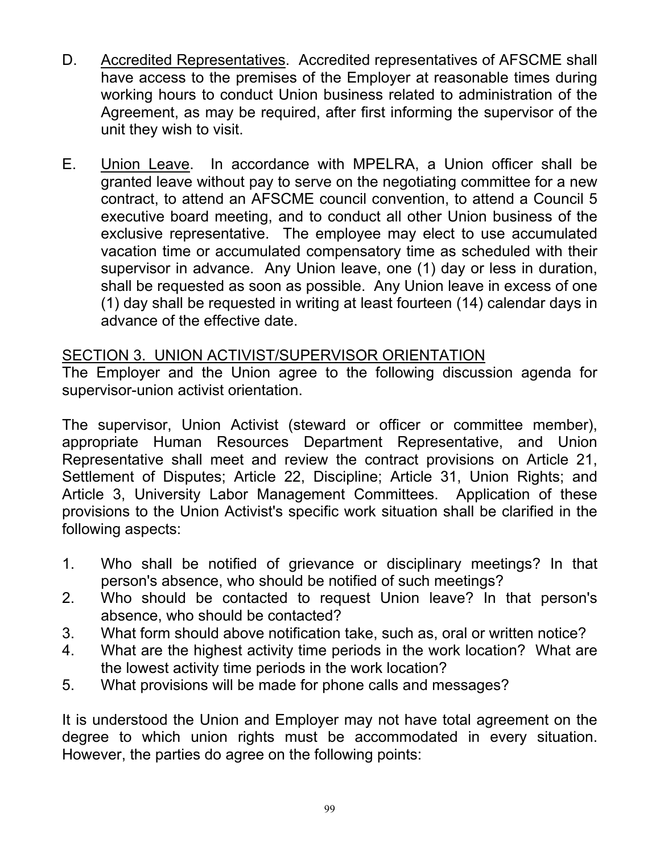- D. Accredited Representatives. Accredited representatives of AFSCME shall have access to the premises of the Employer at reasonable times during working hours to conduct Union business related to administration of the Agreement, as may be required, after first informing the supervisor of the unit they wish to visit.
- E. Union Leave. In accordance with MPELRA, a Union officer shall be granted leave without pay to serve on the negotiating committee for a new contract, to attend an AFSCME council convention, to attend a Council 5 executive board meeting, and to conduct all other Union business of the exclusive representative. The employee may elect to use accumulated vacation time or accumulated compensatory time as scheduled with their supervisor in advance. Any Union leave, one (1) day or less in duration, shall be requested as soon as possible. Any Union leave in excess of one (1) day shall be requested in writing at least fourteen (14) calendar days in advance of the effective date.

### SECTION 3. UNION ACTIVIST/SUPERVISOR ORIENTATION

The Employer and the Union agree to the following discussion agenda for supervisor-union activist orientation.

The supervisor, Union Activist (steward or officer or committee member), appropriate Human Resources Department Representative, and Union Representative shall meet and review the contract provisions on Article 21, Settlement of Disputes; Article 22, Discipline; Article 31, Union Rights; and Article 3, University Labor Management Committees. Application of these provisions to the Union Activist's specific work situation shall be clarified in the following aspects:

- 1. Who shall be notified of grievance or disciplinary meetings? In that person's absence, who should be notified of such meetings?
- 2. Who should be contacted to request Union leave? In that person's absence, who should be contacted?
- 3. What form should above notification take, such as, oral or written notice?
- 4. What are the highest activity time periods in the work location? What are the lowest activity time periods in the work location?
- 5. What provisions will be made for phone calls and messages?

It is understood the Union and Employer may not have total agreement on the degree to which union rights must be accommodated in every situation. However, the parties do agree on the following points: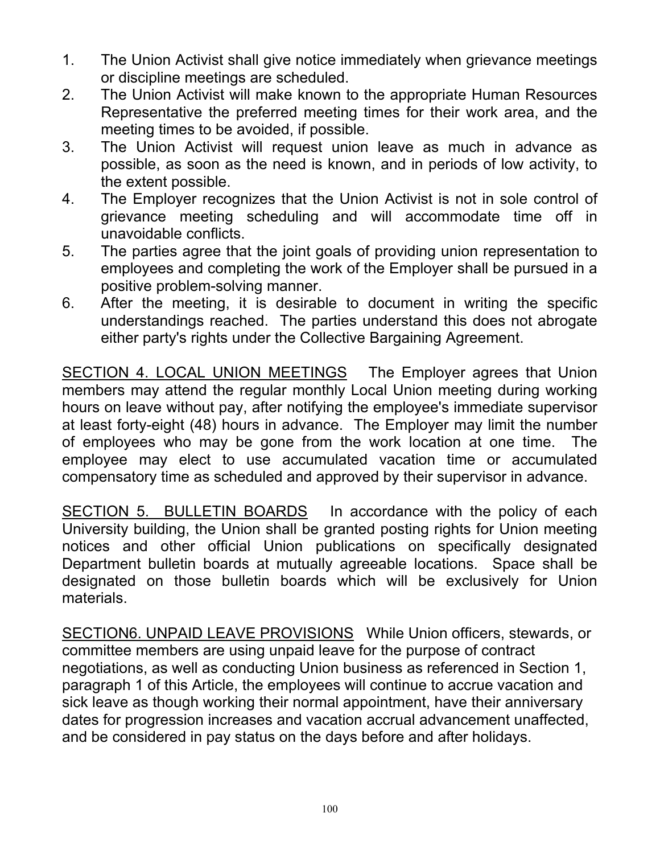- 1. The Union Activist shall give notice immediately when grievance meetings or discipline meetings are scheduled.
- 2. The Union Activist will make known to the appropriate Human Resources Representative the preferred meeting times for their work area, and the meeting times to be avoided, if possible.
- 3. The Union Activist will request union leave as much in advance as possible, as soon as the need is known, and in periods of low activity, to the extent possible.
- 4. The Employer recognizes that the Union Activist is not in sole control of grievance meeting scheduling and will accommodate time off in unavoidable conflicts.
- 5. The parties agree that the joint goals of providing union representation to employees and completing the work of the Employer shall be pursued in a positive problem-solving manner.
- 6. After the meeting, it is desirable to document in writing the specific understandings reached. The parties understand this does not abrogate either party's rights under the Collective Bargaining Agreement.

SECTION 4. LOCAL UNION MEETINGS The Employer agrees that Union members may attend the regular monthly Local Union meeting during working hours on leave without pay, after notifying the employee's immediate supervisor at least forty-eight (48) hours in advance. The Employer may limit the number of employees who may be gone from the work location at one time. The employee may elect to use accumulated vacation time or accumulated compensatory time as scheduled and approved by their supervisor in advance.

SECTION 5. BULLETIN BOARDS In accordance with the policy of each University building, the Union shall be granted posting rights for Union meeting notices and other official Union publications on specifically designated Department bulletin boards at mutually agreeable locations. Space shall be designated on those bulletin boards which will be exclusively for Union materials.

SECTION6. UNPAID LEAVE PROVISIONS While Union officers, stewards, or committee members are using unpaid leave for the purpose of contract negotiations, as well as conducting Union business as referenced in Section 1, paragraph 1 of this Article, the employees will continue to accrue vacation and sick leave as though working their normal appointment, have their anniversary dates for progression increases and vacation accrual advancement unaffected, and be considered in pay status on the days before and after holidays.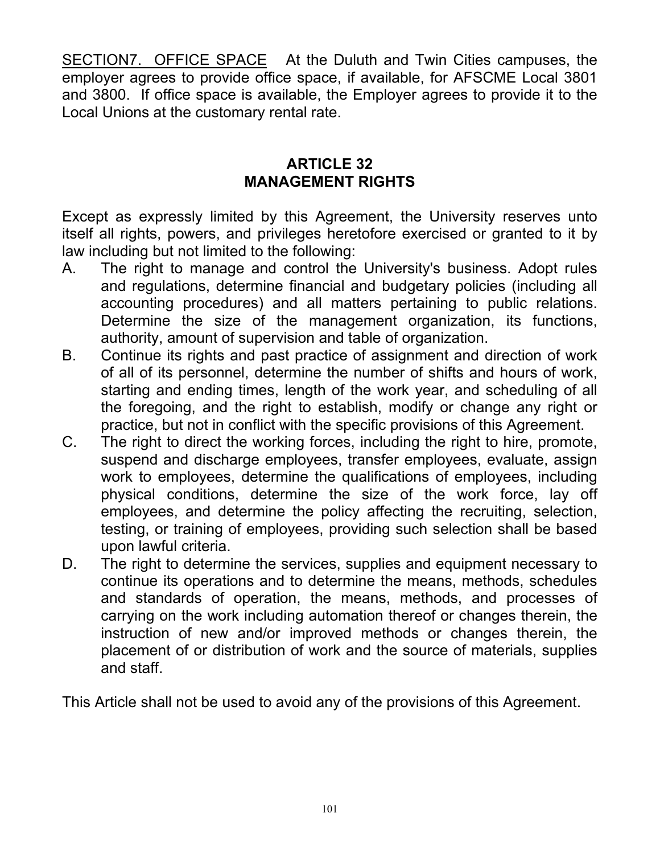SECTION7. OFFICE SPACE At the Duluth and Twin Cities campuses, the employer agrees to provide office space, if available, for AFSCME Local 3801 and 3800. If office space is available, the Employer agrees to provide it to the Local Unions at the customary rental rate.

### **ARTICLE 32 MANAGEMENT RIGHTS**

Except as expressly limited by this Agreement, the University reserves unto itself all rights, powers, and privileges heretofore exercised or granted to it by law including but not limited to the following:

- A. The right to manage and control the University's business. Adopt rules and regulations, determine financial and budgetary policies (including all accounting procedures) and all matters pertaining to public relations. Determine the size of the management organization, its functions, authority, amount of supervision and table of organization.
- B. Continue its rights and past practice of assignment and direction of work of all of its personnel, determine the number of shifts and hours of work, starting and ending times, length of the work year, and scheduling of all the foregoing, and the right to establish, modify or change any right or practice, but not in conflict with the specific provisions of this Agreement.
- C. The right to direct the working forces, including the right to hire, promote, suspend and discharge employees, transfer employees, evaluate, assign work to employees, determine the qualifications of employees, including physical conditions, determine the size of the work force, lay off employees, and determine the policy affecting the recruiting, selection, testing, or training of employees, providing such selection shall be based upon lawful criteria.
- D. The right to determine the services, supplies and equipment necessary to continue its operations and to determine the means, methods, schedules and standards of operation, the means, methods, and processes of carrying on the work including automation thereof or changes therein, the instruction of new and/or improved methods or changes therein, the placement of or distribution of work and the source of materials, supplies and staff.

This Article shall not be used to avoid any of the provisions of this Agreement.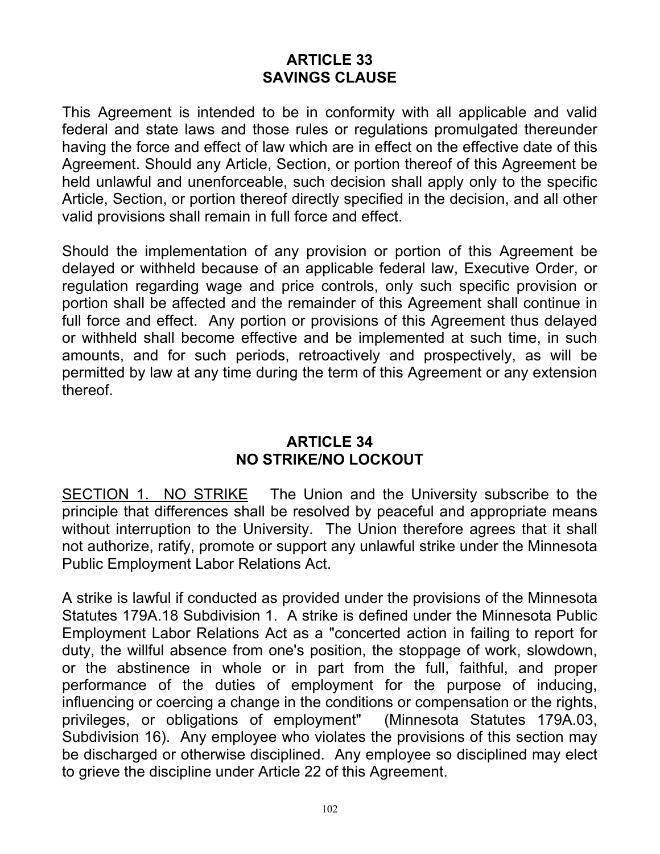### **ARTICLE 33 SAVINGS CLAUSE**

This Agreement is intended to be in conformity with all applicable and valid federal and state laws and those rules or regulations promulgated thereunder having the force and effect of law which are in effect on the effective date of this Agreement. Should any Article, Section, or portion thereof of this Agreement be held unlawful and unenforceable, such decision shall apply only to the specific Article, Section, or portion thereof directly specified in the decision, and all other valid provisions shall remain in full force and effect.

Should the implementation of any provision or portion of this Agreement be delayed or withheld because of an applicable federal law, Executive Order, or regulation regarding wage and price controls, only such specific provision or portion shall be affected and the remainder of this Agreement shall continue in full force and effect. Any portion or provisions of this Agreement thus delayed or withheld shall become effective and be implemented at such time, in such amounts, and for such periods, retroactively and prospectively, as will be permitted by law at any time during the term of this Agreement or any extension thereof.

### **ARTICLE 34 NO STRIKE/NO LOCKOUT**

SECTION 1. NO STRIKE The Union and the University subscribe to the principle that differences shall be resolved by peaceful and appropriate means without interruption to the University. The Union therefore agrees that it shall not authorize, ratify, promote or support any unlawful strike under the Minnesota Public Employment Labor Relations Act.

A strike is lawful if conducted as provided under the provisions of the Minnesota Statutes 179A.18 Subdivision 1. A strike is defined under the Minnesota Public Employment Labor Relations Act as a "concerted action in failing to report for duty, the willful absence from one's position, the stoppage of work, slowdown, or the abstinence in whole or in part from the full, faithful, and proper performance of the duties of employment for the purpose of inducing, influencing or coercing a change in the conditions or compensation or the rights, privileges, or obligations of employment" (Minnesota Statutes 179A.03, Subdivision 16). Any employee who violates the provisions of this section may be discharged or otherwise disciplined. Any employee so disciplined may elect to grieve the discipline under Article 22 of this Agreement.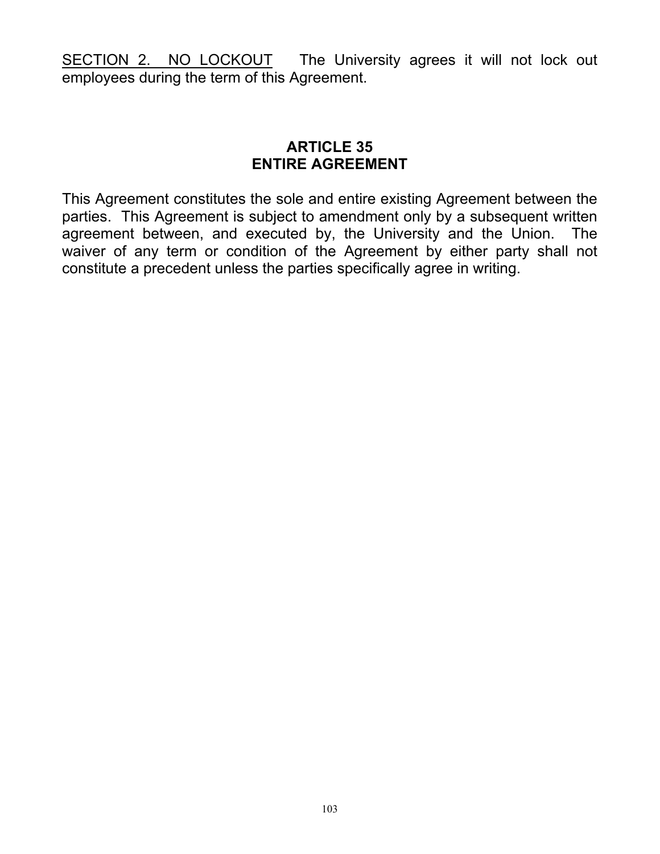SECTION 2. NO LOCKOUT The University agrees it will not lock out employees during the term of this Agreement.

### **ARTICLE 35 ENTIRE AGREEMENT**

This Agreement constitutes the sole and entire existing Agreement between the parties. This Agreement is subject to amendment only by a subsequent written agreement between, and executed by, the University and the Union. The waiver of any term or condition of the Agreement by either party shall not constitute a precedent unless the parties specifically agree in writing.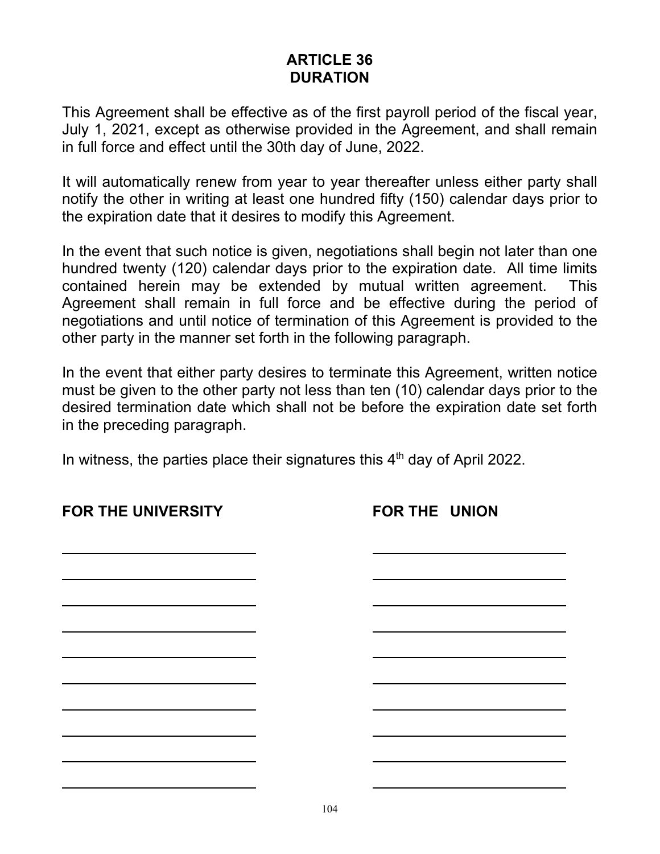### **ARTICLE 36 DURATION**

This Agreement shall be effective as of the first payroll period of the fiscal year, July 1, 2021, except as otherwise provided in the Agreement, and shall remain in full force and effect until the 30th day of June, 2022.

It will automatically renew from year to year thereafter unless either party shall notify the other in writing at least one hundred fifty (150) calendar days prior to the expiration date that it desires to modify this Agreement.

In the event that such notice is given, negotiations shall begin not later than one hundred twenty (120) calendar days prior to the expiration date. All time limits contained herein may be extended by mutual written agreement. This Agreement shall remain in full force and be effective during the period of negotiations and until notice of termination of this Agreement is provided to the other party in the manner set forth in the following paragraph.

In the event that either party desires to terminate this Agreement, written notice must be given to the other party not less than ten (10) calendar days prior to the desired termination date which shall not be before the expiration date set forth in the preceding paragraph.

In witness, the parties place their signatures this  $4<sup>th</sup>$  day of April 2022.

**FOR THE UNION**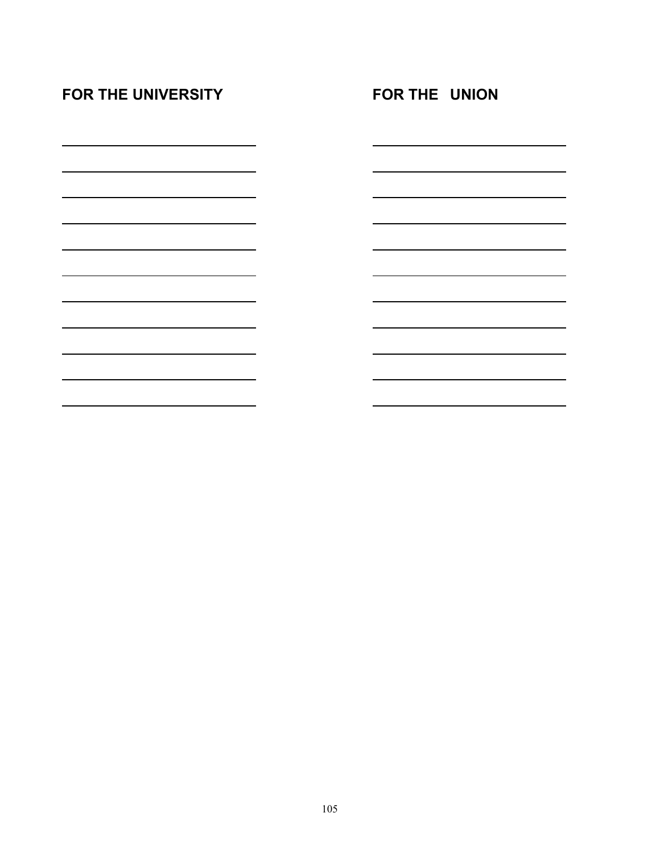| <b>FOR THE UNIVERSITY</b> | <b>FOR THE UNION</b> |  |
|---------------------------|----------------------|--|
|                           |                      |  |
|                           |                      |  |
|                           |                      |  |
|                           |                      |  |
|                           |                      |  |
|                           |                      |  |
|                           |                      |  |
|                           |                      |  |
|                           |                      |  |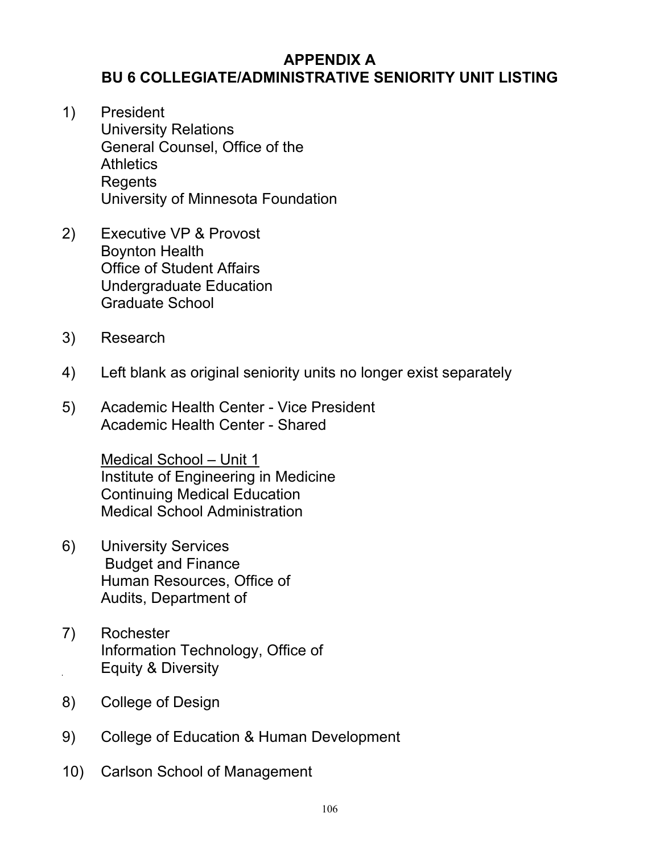### **APPENDIX A BU 6 COLLEGIATE/ADMINISTRATIVE SENIORITY UNIT LISTING**

- 1) President University Relations General Counsel, Office of the **Athletics Regents** University of Minnesota Foundation
- 2) Executive VP & Provost Boynton Health Office of Student Affairs Undergraduate Education Graduate School
- 3) Research
- 4) Left blank as original seniority units no longer exist separately
- 5) Academic Health Center Vice President Academic Health Center - Shared

Medical School – Unit 1 Institute of Engineering in Medicine Continuing Medical Education Medical School Administration

- 6) University Services Budget and Finance Human Resources, Office of Audits, Department of
- 7) Rochester Information Technology, Office of **Equity & Diversity**
- 8) College of Design
- 9) College of Education & Human Development
- 10) Carlson School of Management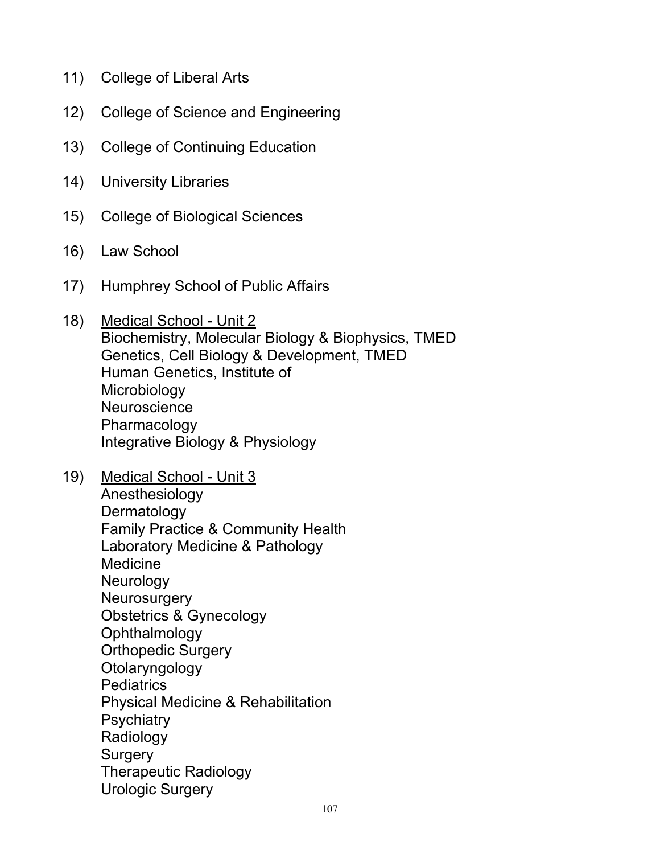- 11) College of Liberal Arts
- 12) College of Science and Engineering
- 13) College of Continuing Education
- 14) University Libraries
- 15) College of Biological Sciences
- 16) Law School
- 17) Humphrey School of Public Affairs
- 18) Medical School Unit 2 Biochemistry, Molecular Biology & Biophysics, TMED Genetics, Cell Biology & Development, TMED Human Genetics, Institute of Microbiology **Neuroscience** Pharmacology Integrative Biology & Physiology
- 19) Medical School Unit 3 Anesthesiology **Dermatology** Family Practice & Community Health Laboratory Medicine & Pathology **Medicine Neurology Neurosurgery** Obstetrics & Gynecology **Ophthalmology** Orthopedic Surgery **Otolaryngology** Pediatrics Physical Medicine & Rehabilitation **Psychiatry** Radiology **Surgery** Therapeutic Radiology Urologic Surgery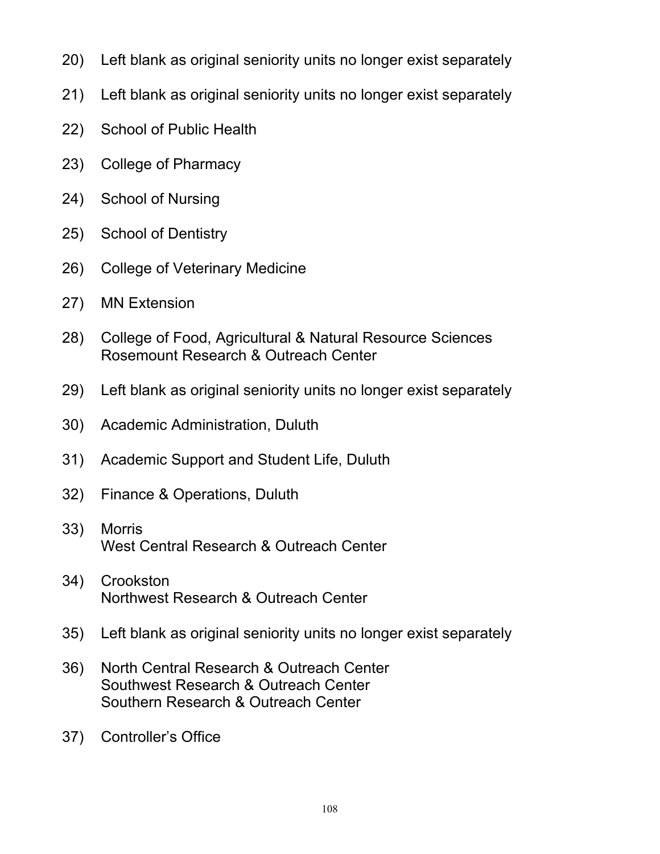- 20) Left blank as original seniority units no longer exist separately
- 21) Left blank as original seniority units no longer exist separately
- 22) School of Public Health
- 23) College of Pharmacy
- 24) School of Nursing
- 25) School of Dentistry
- 26) College of Veterinary Medicine
- 27) MN Extension
- 28) College of Food, Agricultural & Natural Resource Sciences Rosemount Research & Outreach Center
- 29) Left blank as original seniority units no longer exist separately
- 30) Academic Administration, Duluth
- 31) Academic Support and Student Life, Duluth
- 32) Finance & Operations, Duluth
- 33) Morris West Central Research & Outreach Center
- 34) Crookston Northwest Research & Outreach Center
- 35) Left blank as original seniority units no longer exist separately
- 36) North Central Research & Outreach Center Southwest Research & Outreach Center Southern Research & Outreach Center
- 37) Controller's Office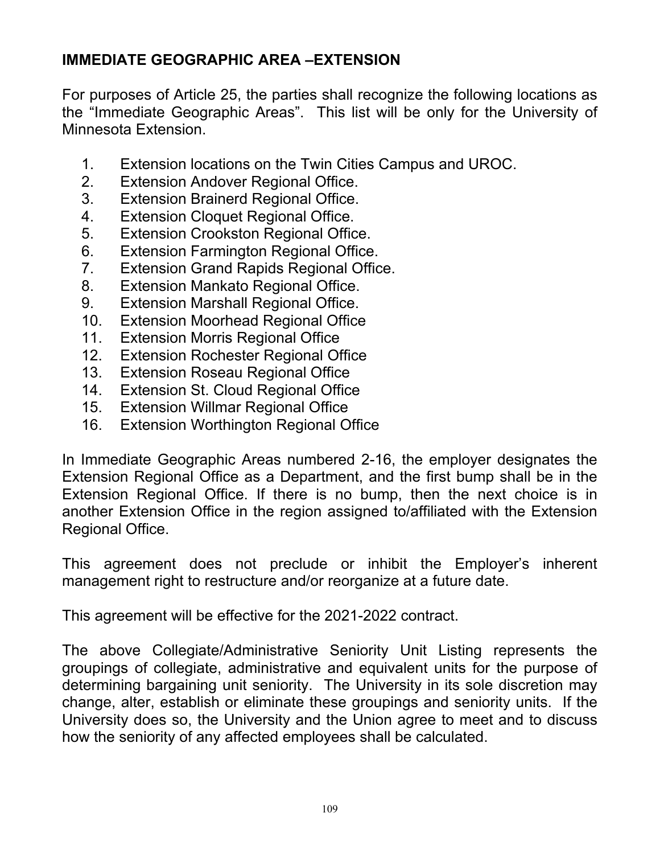### **IMMEDIATE GEOGRAPHIC AREA –EXTENSION**

For purposes of Article 25, the parties shall recognize the following locations as the "Immediate Geographic Areas". This list will be only for the University of Minnesota Extension.

- 1. Extension locations on the Twin Cities Campus and UROC.
- 2. Extension Andover Regional Office.
- 3. Extension Brainerd Regional Office.
- 4. Extension Cloquet Regional Office.
- 5. Extension Crookston Regional Office.
- 6. Extension Farmington Regional Office.
- 7. Extension Grand Rapids Regional Office.
- 8. Extension Mankato Regional Office.
- 9. Extension Marshall Regional Office.
- 10. Extension Moorhead Regional Office
- 11. Extension Morris Regional Office
- 12. Extension Rochester Regional Office
- 13. Extension Roseau Regional Office
- 14. Extension St. Cloud Regional Office
- 15. Extension Willmar Regional Office
- 16. Extension Worthington Regional Office

In Immediate Geographic Areas numbered 2-16, the employer designates the Extension Regional Office as a Department, and the first bump shall be in the Extension Regional Office. If there is no bump, then the next choice is in another Extension Office in the region assigned to/affiliated with the Extension Regional Office.

This agreement does not preclude or inhibit the Employer's inherent management right to restructure and/or reorganize at a future date.

This agreement will be effective for the 2021-2022 contract.

The above Collegiate/Administrative Seniority Unit Listing represents the groupings of collegiate, administrative and equivalent units for the purpose of determining bargaining unit seniority. The University in its sole discretion may change, alter, establish or eliminate these groupings and seniority units. If the University does so, the University and the Union agree to meet and to discuss how the seniority of any affected employees shall be calculated.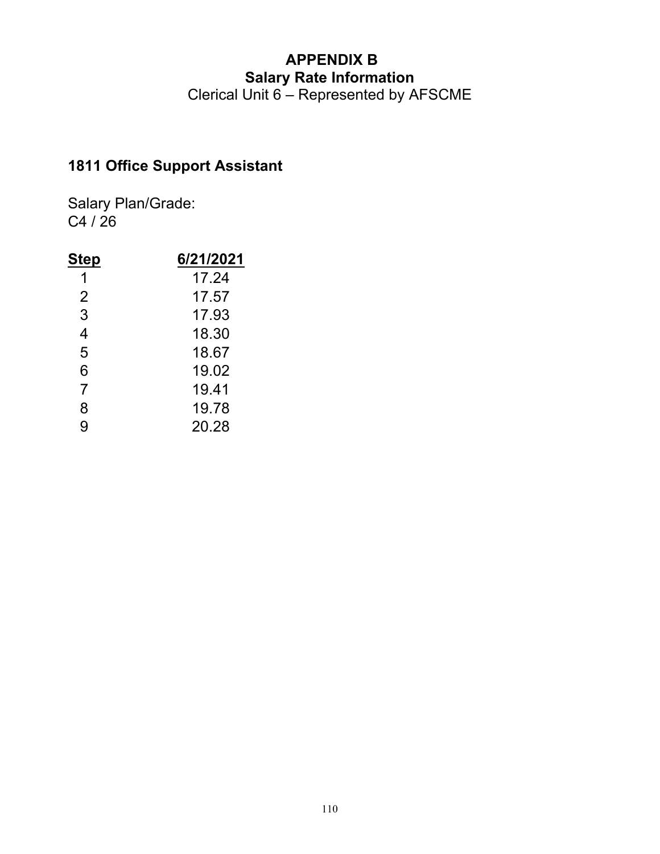Clerical Unit 6 – Represented by AFSCME

## **1811 Office Support Assistant**

| Step           | 6/21/2021 |
|----------------|-----------|
| 1              | 17.24     |
| $\overline{2}$ | 17.57     |
| 3              | 17.93     |
| 4              | 18.30     |
| 5              | 18.67     |
| 6              | 19.02     |
| $\overline{7}$ | 19.41     |
| 8              | 19.78     |
| 9              | 20.28     |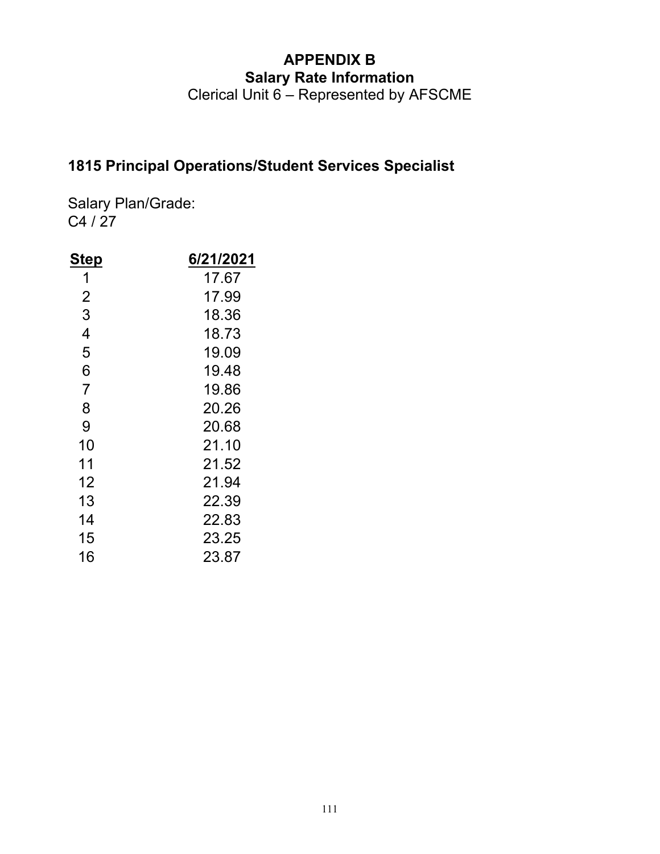Clerical Unit 6 – Represented by AFSCME

### **1815 Principal Operations/Student Services Specialist**

| <u>Step</u>    | 6/21/2021 |
|----------------|-----------|
| 1              | 17.67     |
| $\overline{2}$ | 17.99     |
| 3              | 18.36     |
| 4              | 18.73     |
| 5              | 19.09     |
| 6              | 19.48     |
| $\overline{7}$ | 19.86     |
| 8              | 20.26     |
| 9              | 20.68     |
| 10             | 21.10     |
| 11             | 21.52     |
| 12             | 21.94     |
| 13             | 22.39     |
| 14             | 22.83     |
| 15             | 23.25     |
| 16             | 23.87     |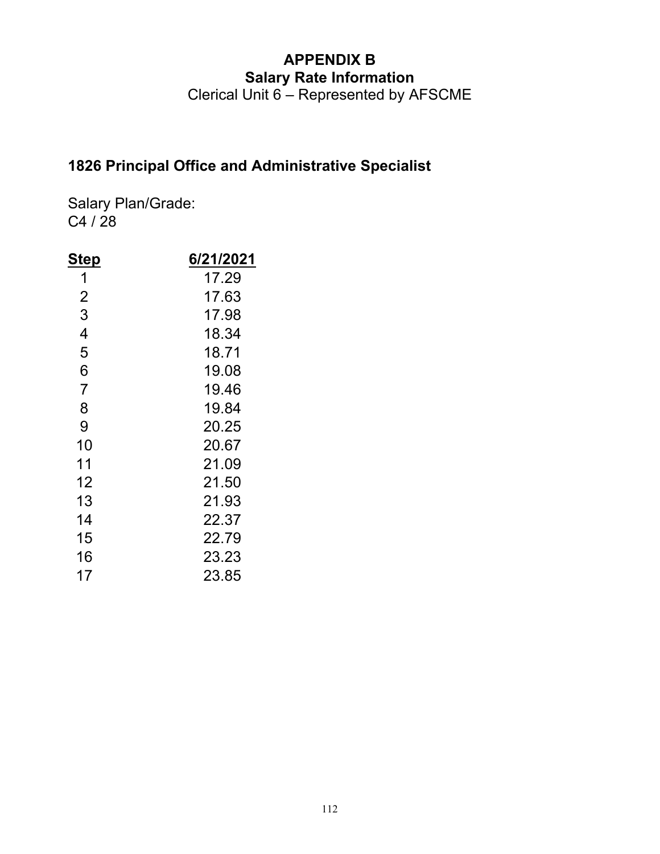Clerical Unit 6 – Represented by AFSCME

### **1826 Principal Office and Administrative Specialist**

| <u>Step</u>    | 6/21/2021 |
|----------------|-----------|
| 1              | 17.29     |
| 2              | 17.63     |
| 3              | 17.98     |
| 4              | 18.34     |
| 5              | 18.71     |
| 6              | 19.08     |
| $\overline{7}$ | 19.46     |
| 8              | 19.84     |
| 9              | 20.25     |
| 10             | 20.67     |
| 11             | 21.09     |
| 12             | 21.50     |
| 13             | 21.93     |
| 14             | 22.37     |
| 15             | 22.79     |
| 16             | 23.23     |
| 17             | 23.85     |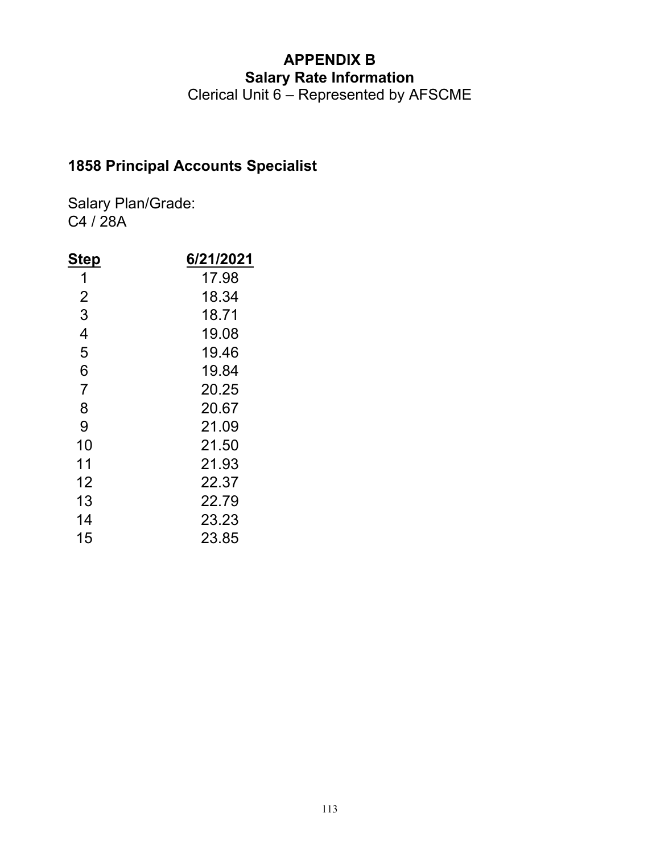Clerical Unit 6 – Represented by AFSCME

## **1858 Principal Accounts Specialist**

| <u>Step</u>    | 6/21/2021 |
|----------------|-----------|
| 1              | 17.98     |
| $\overline{2}$ | 18.34     |
| 3              | 18.71     |
| 4              | 19.08     |
| 5              | 19.46     |
| 6              | 19.84     |
| $\overline{7}$ | 20.25     |
| 8              | 20.67     |
| 9              | 21.09     |
| 10             | 21.50     |
| 11             | 21.93     |
| 12             | 22.37     |
| 13             | 22.79     |
| 14             | 23.23     |
| 15             | 23.85     |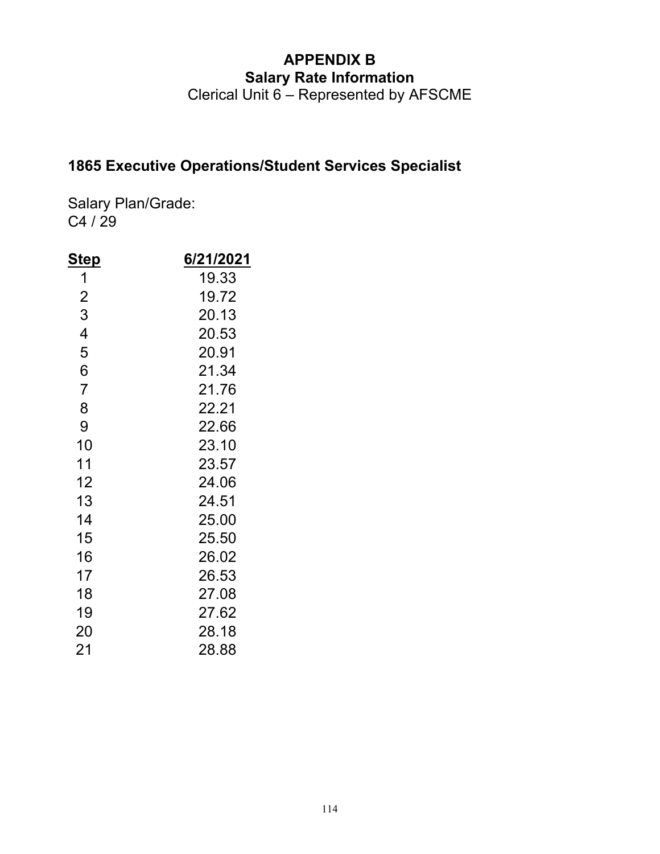Clerical Unit 6 – Represented by AFSCME

### **1865 Executive Operations/Student Services Specialist**

| <u>Step</u>    | 6/21/2021 |
|----------------|-----------|
| 1              | 19.33     |
| $\overline{2}$ | 19.72     |
| 3              | 20.13     |
| 4              | 20.53     |
| 5              | 20.91     |
| 6              | 21.34     |
| $\overline{7}$ | 21.76     |
| 8              | 22.21     |
| 9              | 22.66     |
| 10             | 23.10     |
| 11             | 23.57     |
| 12             | 24.06     |
| 13             | 24.51     |
| 14             | 25.00     |
| 15             | 25.50     |
| 16             | 26.02     |
| 17             | 26.53     |
| 18             | 27.08     |
| 19             | 27.62     |
| 20             | 28.18     |
| 21             | 28.88     |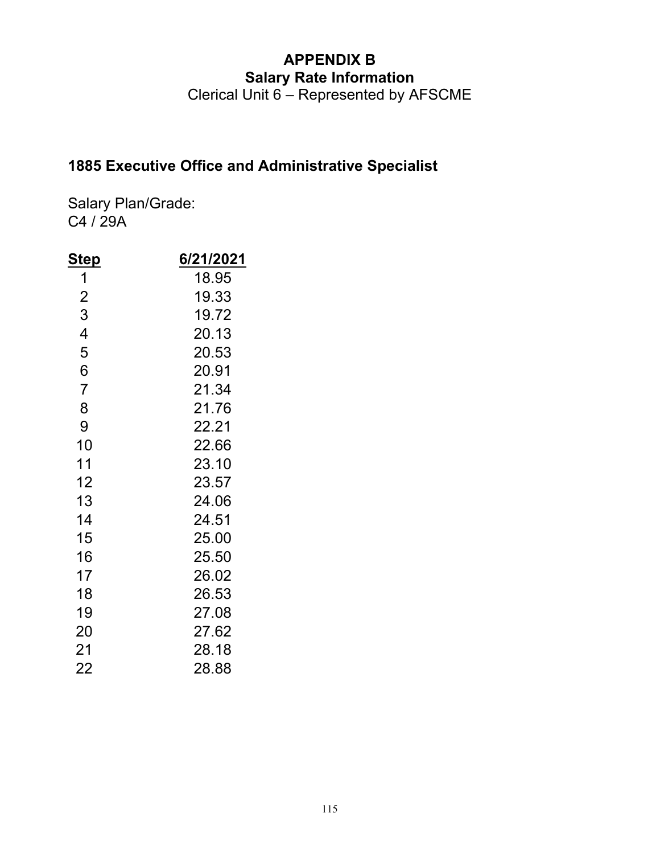Clerical Unit 6 – Represented by AFSCME

## **1885 Executive Office and Administrative Specialist**

| <u>Step</u>    | 6/21/2021 |
|----------------|-----------|
| 1              | 18.95     |
| $\overline{2}$ | 19.33     |
| 3              | 19.72     |
| 4              | 20.13     |
| 5              | 20.53     |
| 6              | 20.91     |
| $\overline{7}$ | 21.34     |
| 8              | 21.76     |
| 9              | 22.21     |
| 10             | 22.66     |
| 11             | 23.10     |
| 12             | 23.57     |
| 13             | 24.06     |
| 14             | 24.51     |
| 15             | 25.00     |
| 16             | 25.50     |
| 17             | 26.02     |
| 18             | 26.53     |
| 19             | 27.08     |
| 20             | 27.62     |
| 21             | 28.18     |
| 22             | 28.88     |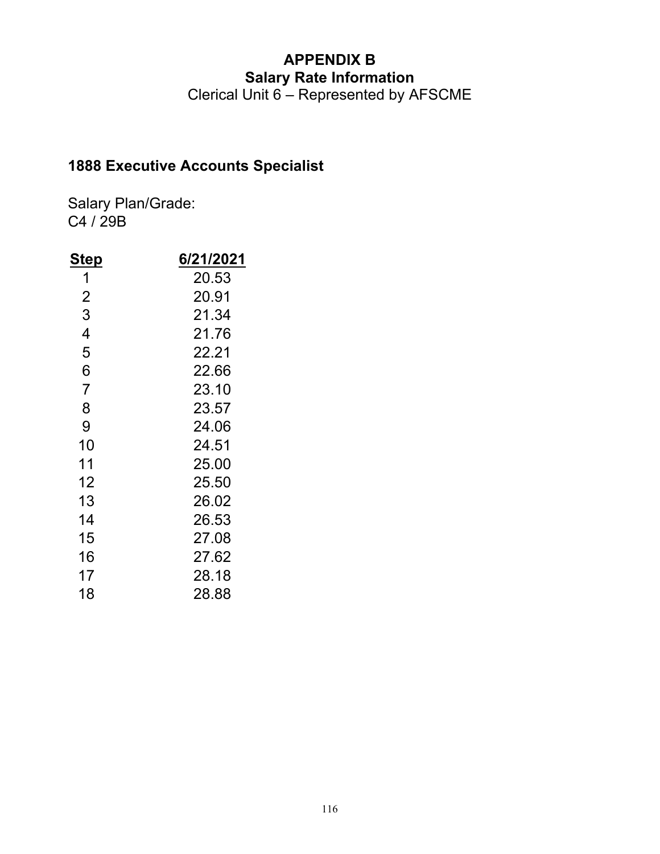Clerical Unit 6 – Represented by AFSCME

### **1888 Executive Accounts Specialist**

| <u>Step</u>    | 6/21/2021 |
|----------------|-----------|
| 1              | 20.53     |
| $\overline{2}$ | 20.91     |
| 3              | 21.34     |
| 4              | 21.76     |
| 5              | 22.21     |
| 6              | 22.66     |
| $\overline{7}$ | 23.10     |
| 8              | 23.57     |
| 9              | 24.06     |
| 10             | 24.51     |
| 11             | 25.00     |
| 12             | 25.50     |
| 13             | 26.02     |
| 14             | 26.53     |
| 15             | 27.08     |
| 16             | 27.62     |
| 17             | 28.18     |
| 18             | 28.88     |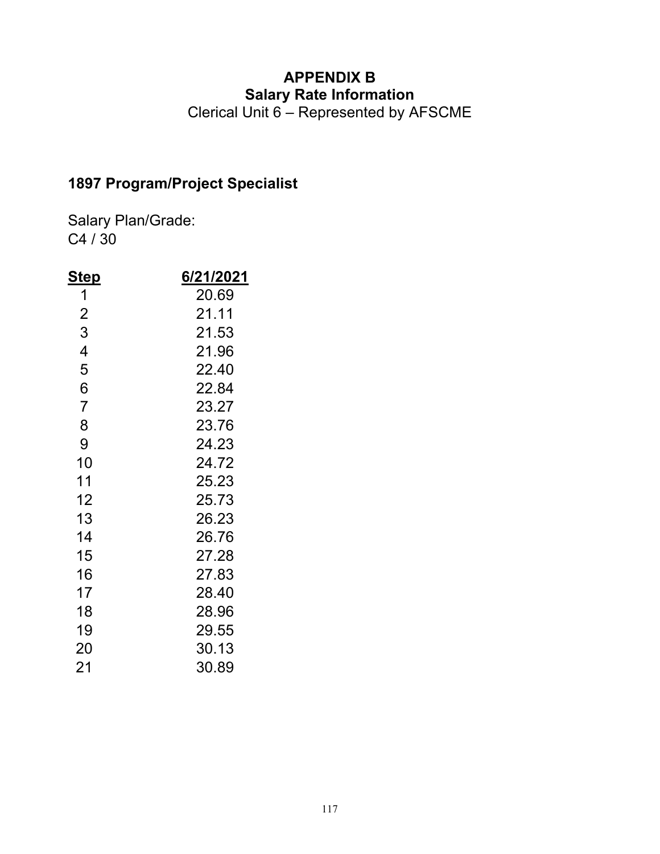Clerical Unit 6 – Represented by AFSCME

## **1897 Program/Project Specialist**

| Ste <u>p</u>   | 6/21/2021 |
|----------------|-----------|
| 1              | 20.69     |
| $\overline{2}$ | 21.11     |
| 3              | 21.53     |
| 4              | 21.96     |
| 5              | 22.40     |
| 6              | 22.84     |
| $\overline{7}$ | 23.27     |
| 8              | 23.76     |
| 9              | 24.23     |
| 10             | 24.72     |
| 11             | 25.23     |
| 12             | 25.73     |
| 13             | 26.23     |
| 14             | 26.76     |
| 15             | 27.28     |
| 16             | 27.83     |
| 17             | 28.40     |
| 18             | 28.96     |
| 19             | 29.55     |
| 20             | 30.13     |
| 21             | 30.89     |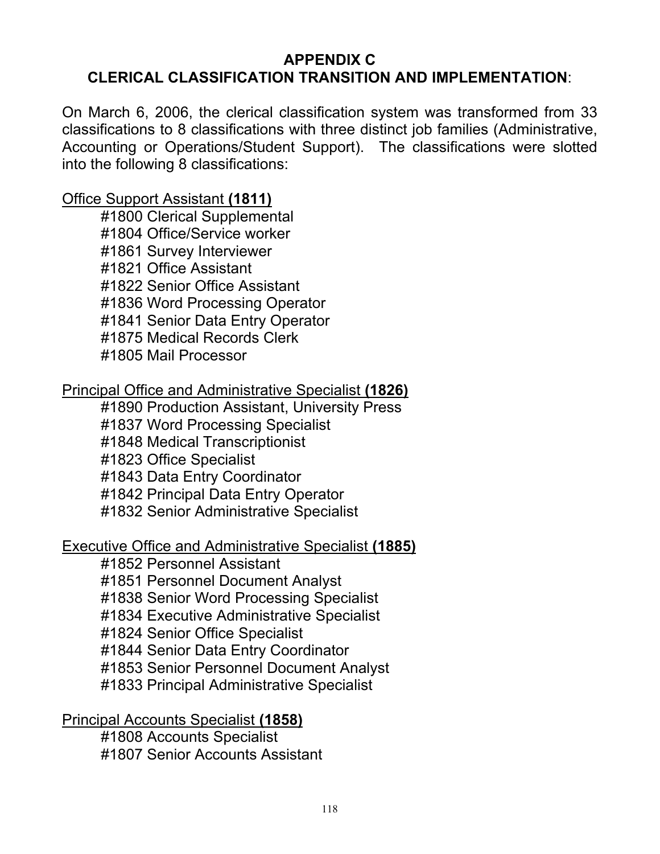#### **APPENDIX C CLERICAL CLASSIFICATION TRANSITION AND IMPLEMENTATION**:

On March 6, 2006, the clerical classification system was transformed from 33 classifications to 8 classifications with three distinct job families (Administrative, Accounting or Operations/Student Support). The classifications were slotted into the following 8 classifications:

#### Office Support Assistant **(1811)**

 #1800 Clerical Supplemental #1804 Office/Service worker #1861 Survey Interviewer #1821 Office Assistant #1822 Senior Office Assistant #1836 Word Processing Operator #1841 Senior Data Entry Operator #1875 Medical Records Clerk #1805 Mail Processor

#### Principal Office and Administrative Specialist **(1826)**

#1890 Production Assistant, University Press

#1837 Word Processing Specialist

#1848 Medical Transcriptionist

#1823 Office Specialist

#1843 Data Entry Coordinator

#1842 Principal Data Entry Operator

#1832 Senior Administrative Specialist

#### Executive Office and Administrative Specialist **(1885)**

#1852 Personnel Assistant

#1851 Personnel Document Analyst

#1838 Senior Word Processing Specialist

#1834 Executive Administrative Specialist

#1824 Senior Office Specialist

#1844 Senior Data Entry Coordinator

#1853 Senior Personnel Document Analyst

#1833 Principal Administrative Specialist

### Principal Accounts Specialist **(1858)**

 #1808 Accounts Specialist #1807 Senior Accounts Assistant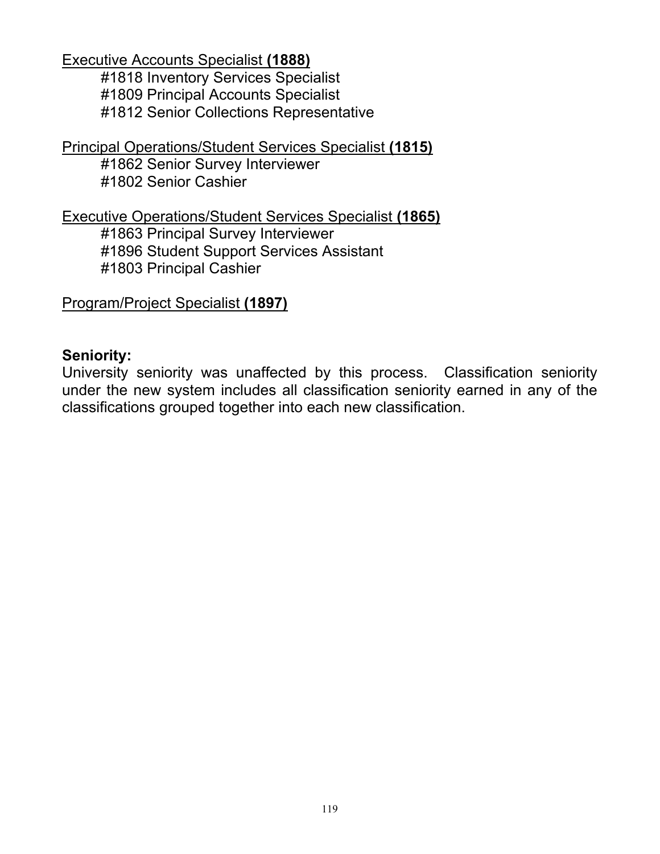Executive Accounts Specialist **(1888)** 

 #1818 Inventory Services Specialist #1809 Principal Accounts Specialist #1812 Senior Collections Representative

Principal Operations/Student Services Specialist **(1815)** 

#1862 Senior Survey Interviewer #1802 Senior Cashier

Executive Operations/Student Services Specialist **(1865)** 

#1863 Principal Survey Interviewer

#1896 Student Support Services Assistant

#1803 Principal Cashier

Program/Project Specialist **(1897)** 

#### **Seniority:**

University seniority was unaffected by this process. Classification seniority under the new system includes all classification seniority earned in any of the classifications grouped together into each new classification.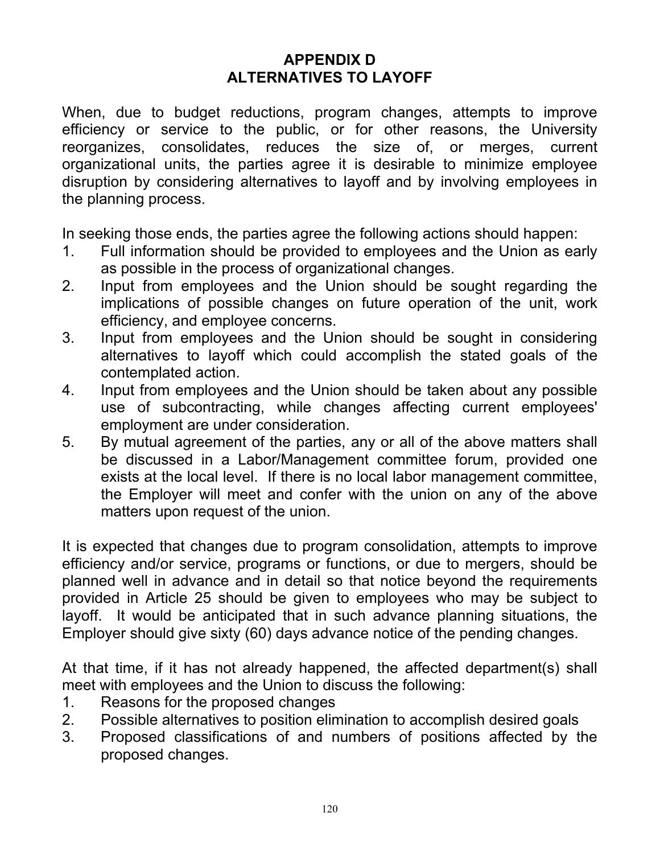#### **APPENDIX D ALTERNATIVES TO LAYOFF**

When, due to budget reductions, program changes, attempts to improve efficiency or service to the public, or for other reasons, the University reorganizes, consolidates, reduces the size of, or merges, current organizational units, the parties agree it is desirable to minimize employee disruption by considering alternatives to layoff and by involving employees in the planning process.

In seeking those ends, the parties agree the following actions should happen:

- 1. Full information should be provided to employees and the Union as early as possible in the process of organizational changes.
- 2. Input from employees and the Union should be sought regarding the implications of possible changes on future operation of the unit, work efficiency, and employee concerns.
- 3. Input from employees and the Union should be sought in considering alternatives to layoff which could accomplish the stated goals of the contemplated action.
- 4. Input from employees and the Union should be taken about any possible use of subcontracting, while changes affecting current employees' employment are under consideration.
- 5. By mutual agreement of the parties, any or all of the above matters shall be discussed in a Labor/Management committee forum, provided one exists at the local level. If there is no local labor management committee, the Employer will meet and confer with the union on any of the above matters upon request of the union.

It is expected that changes due to program consolidation, attempts to improve efficiency and/or service, programs or functions, or due to mergers, should be planned well in advance and in detail so that notice beyond the requirements provided in Article 25 should be given to employees who may be subject to layoff. It would be anticipated that in such advance planning situations, the Employer should give sixty (60) days advance notice of the pending changes.

At that time, if it has not already happened, the affected department(s) shall meet with employees and the Union to discuss the following:

- 1. Reasons for the proposed changes
- 2. Possible alternatives to position elimination to accomplish desired goals
- 3. Proposed classifications of and numbers of positions affected by the proposed changes.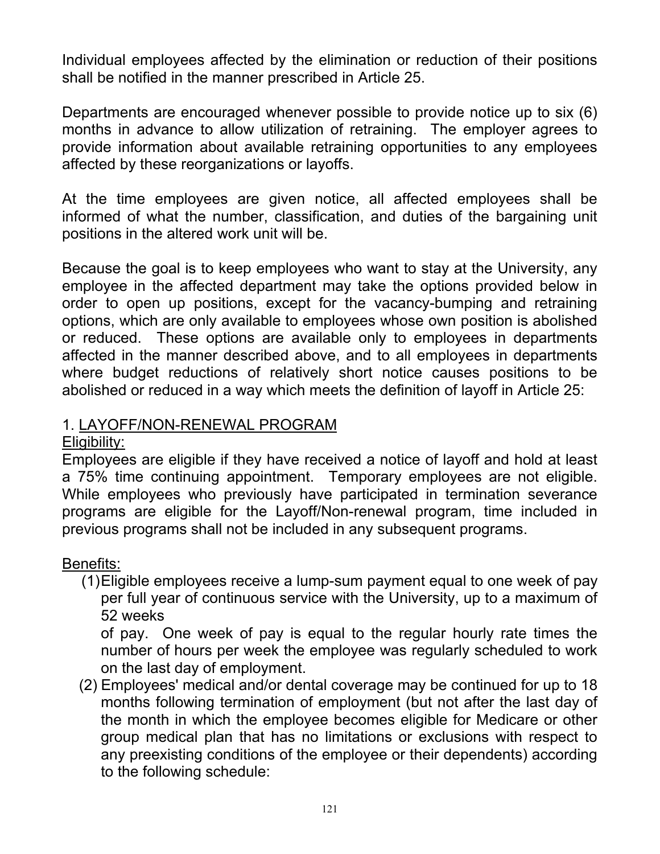Individual employees affected by the elimination or reduction of their positions shall be notified in the manner prescribed in Article 25.

Departments are encouraged whenever possible to provide notice up to six (6) months in advance to allow utilization of retraining. The employer agrees to provide information about available retraining opportunities to any employees affected by these reorganizations or layoffs.

At the time employees are given notice, all affected employees shall be informed of what the number, classification, and duties of the bargaining unit positions in the altered work unit will be.

Because the goal is to keep employees who want to stay at the University, any employee in the affected department may take the options provided below in order to open up positions, except for the vacancy-bumping and retraining options, which are only available to employees whose own position is abolished or reduced. These options are available only to employees in departments affected in the manner described above, and to all employees in departments where budget reductions of relatively short notice causes positions to be abolished or reduced in a way which meets the definition of layoff in Article 25:

#### 1. LAYOFF/NON-RENEWAL PROGRAM

#### Eligibility:

Employees are eligible if they have received a notice of layoff and hold at least a 75% time continuing appointment. Temporary employees are not eligible. While employees who previously have participated in termination severance programs are eligible for the Layoff/Non-renewal program, time included in previous programs shall not be included in any subsequent programs.

### Benefits:

(1) Eligible employees receive a lump-sum payment equal to one week of pay per full year of continuous service with the University, up to a maximum of 52 weeks

of pay. One week of pay is equal to the regular hourly rate times the number of hours per week the employee was regularly scheduled to work on the last day of employment.

 (2) Employees' medical and/or dental coverage may be continued for up to 18 months following termination of employment (but not after the last day of the month in which the employee becomes eligible for Medicare or other group medical plan that has no limitations or exclusions with respect to any preexisting conditions of the employee or their dependents) according to the following schedule: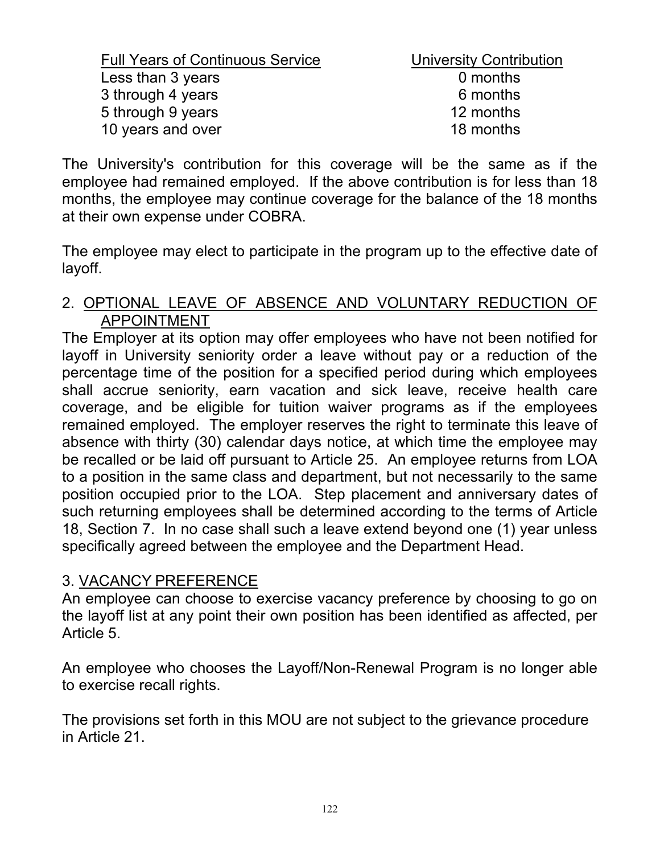| <b>Full Years of Continuous Service</b> | <b>University Contribution</b> |
|-----------------------------------------|--------------------------------|
| Less than 3 years                       | 0 months                       |
| 3 through 4 years                       | 6 months                       |
| 5 through 9 years                       | 12 months                      |
| 10 years and over                       | 18 months                      |
|                                         |                                |

The University's contribution for this coverage will be the same as if the employee had remained employed. If the above contribution is for less than 18 months, the employee may continue coverage for the balance of the 18 months at their own expense under COBRA.

The employee may elect to participate in the program up to the effective date of layoff.

#### 2. OPTIONAL LEAVE OF ABSENCE AND VOLUNTARY REDUCTION OF APPOINTMENT

The Employer at its option may offer employees who have not been notified for layoff in University seniority order a leave without pay or a reduction of the percentage time of the position for a specified period during which employees shall accrue seniority, earn vacation and sick leave, receive health care coverage, and be eligible for tuition waiver programs as if the employees remained employed. The employer reserves the right to terminate this leave of absence with thirty (30) calendar days notice, at which time the employee may be recalled or be laid off pursuant to Article 25. An employee returns from LOA to a position in the same class and department, but not necessarily to the same position occupied prior to the LOA. Step placement and anniversary dates of such returning employees shall be determined according to the terms of Article 18, Section 7. In no case shall such a leave extend beyond one (1) year unless specifically agreed between the employee and the Department Head.

#### 3. VACANCY PREFERENCE

An employee can choose to exercise vacancy preference by choosing to go on the layoff list at any point their own position has been identified as affected, per Article 5.

An employee who chooses the Layoff/Non-Renewal Program is no longer able to exercise recall rights.

The provisions set forth in this MOU are not subject to the grievance procedure in Article 21.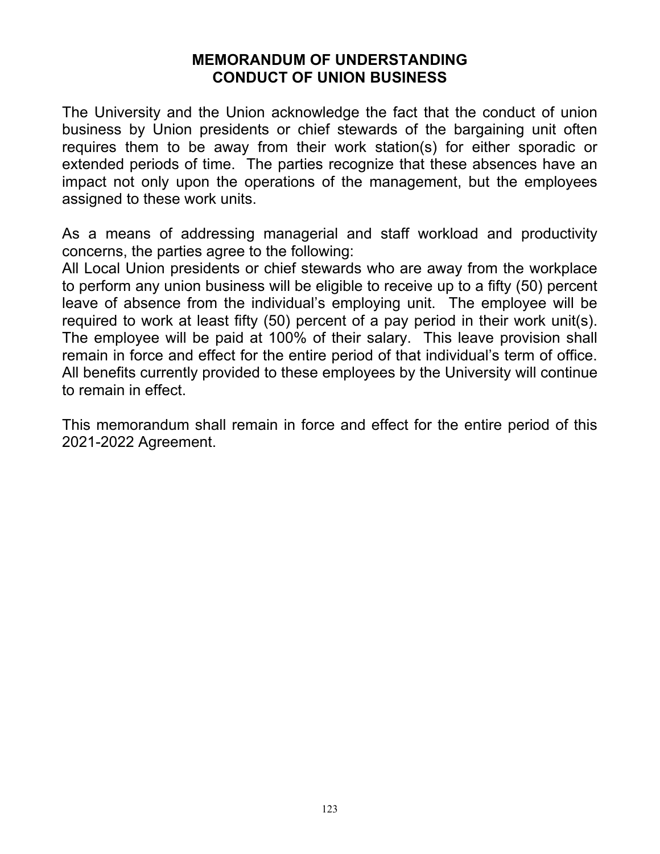#### **MEMORANDUM OF UNDERSTANDING CONDUCT OF UNION BUSINESS**

The University and the Union acknowledge the fact that the conduct of union business by Union presidents or chief stewards of the bargaining unit often requires them to be away from their work station(s) for either sporadic or extended periods of time. The parties recognize that these absences have an impact not only upon the operations of the management, but the employees assigned to these work units.

As a means of addressing managerial and staff workload and productivity concerns, the parties agree to the following:

All Local Union presidents or chief stewards who are away from the workplace to perform any union business will be eligible to receive up to a fifty (50) percent leave of absence from the individual's employing unit. The employee will be required to work at least fifty (50) percent of a pay period in their work unit(s). The employee will be paid at 100% of their salary. This leave provision shall remain in force and effect for the entire period of that individual's term of office. All benefits currently provided to these employees by the University will continue to remain in effect.

This memorandum shall remain in force and effect for the entire period of this 2021-2022 Agreement.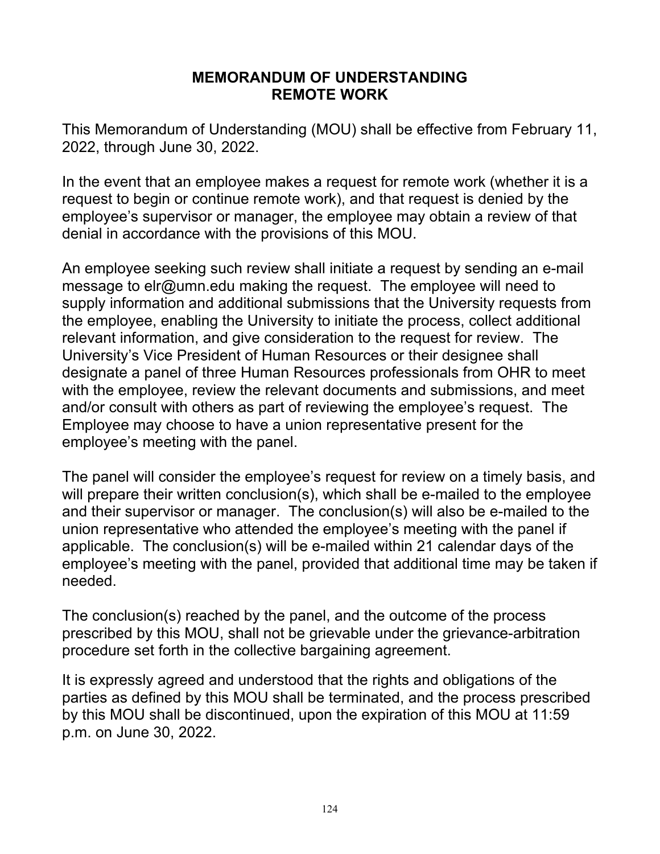#### **MEMORANDUM OF UNDERSTANDING REMOTE WORK**

This Memorandum of Understanding (MOU) shall be effective from February 11, 2022, through June 30, 2022.

In the event that an employee makes a request for remote work (whether it is a request to begin or continue remote work), and that request is denied by the employee's supervisor or manager, the employee may obtain a review of that denial in accordance with the provisions of this MOU.

An employee seeking such review shall initiate a request by sending an e-mail message to elr@umn.edu making the request. The employee will need to supply information and additional submissions that the University requests from the employee, enabling the University to initiate the process, collect additional relevant information, and give consideration to the request for review. The University's Vice President of Human Resources or their designee shall designate a panel of three Human Resources professionals from OHR to meet with the employee, review the relevant documents and submissions, and meet and/or consult with others as part of reviewing the employee's request. The Employee may choose to have a union representative present for the employee's meeting with the panel.

The panel will consider the employee's request for review on a timely basis, and will prepare their written conclusion(s), which shall be e-mailed to the employee and their supervisor or manager. The conclusion(s) will also be e-mailed to the union representative who attended the employee's meeting with the panel if applicable. The conclusion(s) will be e-mailed within 21 calendar days of the employee's meeting with the panel, provided that additional time may be taken if needed.

The conclusion(s) reached by the panel, and the outcome of the process prescribed by this MOU, shall not be grievable under the grievance-arbitration procedure set forth in the collective bargaining agreement.

It is expressly agreed and understood that the rights and obligations of the parties as defined by this MOU shall be terminated, and the process prescribed by this MOU shall be discontinued, upon the expiration of this MOU at 11:59 p.m. on June 30, 2022.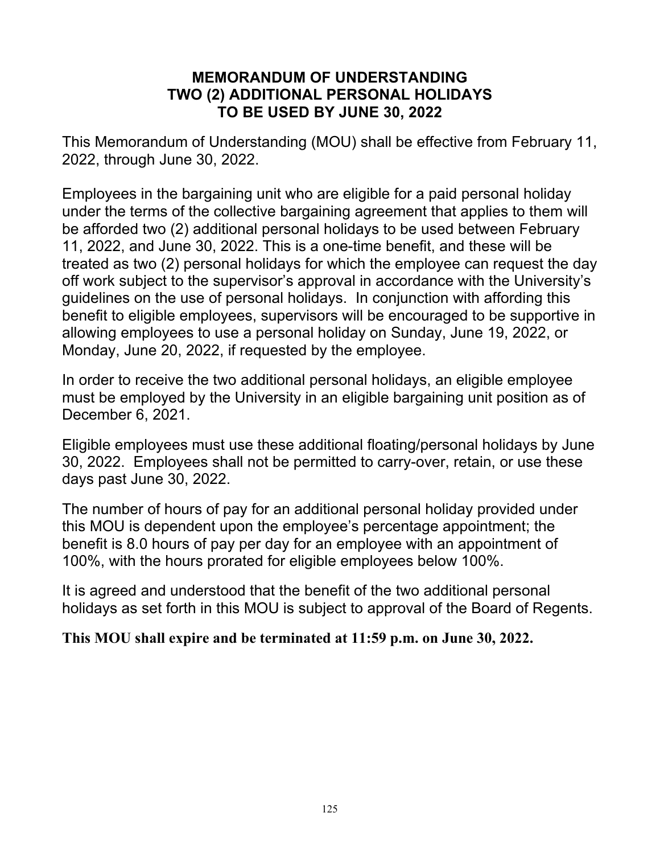#### **MEMORANDUM OF UNDERSTANDING TWO (2) ADDITIONAL PERSONAL HOLIDAYS TO BE USED BY JUNE 30, 2022**

This Memorandum of Understanding (MOU) shall be effective from February 11, 2022, through June 30, 2022.

Employees in the bargaining unit who are eligible for a paid personal holiday under the terms of the collective bargaining agreement that applies to them will be afforded two (2) additional personal holidays to be used between February 11, 2022, and June 30, 2022. This is a one-time benefit, and these will be treated as two (2) personal holidays for which the employee can request the day off work subject to the supervisor's approval in accordance with the University's guidelines on the use of personal holidays. In conjunction with affording this benefit to eligible employees, supervisors will be encouraged to be supportive in allowing employees to use a personal holiday on Sunday, June 19, 2022, or Monday, June 20, 2022, if requested by the employee.

In order to receive the two additional personal holidays, an eligible employee must be employed by the University in an eligible bargaining unit position as of December 6, 2021.

Eligible employees must use these additional floating/personal holidays by June 30, 2022. Employees shall not be permitted to carry-over, retain, or use these days past June 30, 2022.

The number of hours of pay for an additional personal holiday provided under this MOU is dependent upon the employee's percentage appointment; the benefit is 8.0 hours of pay per day for an employee with an appointment of 100%, with the hours prorated for eligible employees below 100%.

It is agreed and understood that the benefit of the two additional personal holidays as set forth in this MOU is subject to approval of the Board of Regents.

**This MOU shall expire and be terminated at 11:59 p.m. on June 30, 2022.**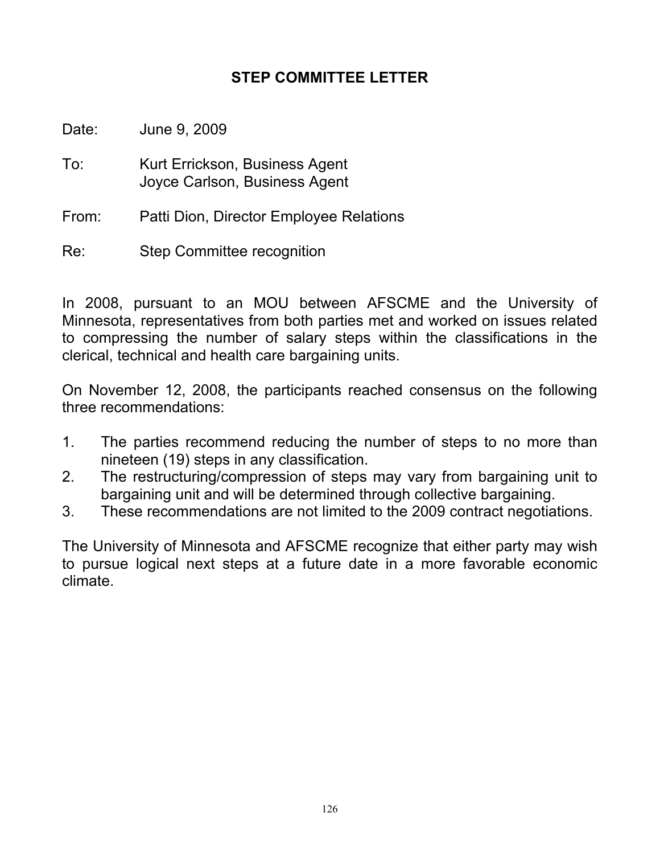#### **STEP COMMITTEE LETTER**

Date: June 9, 2009

- To: Kurt Errickson, Business Agent Joyce Carlson, Business Agent
- From: Patti Dion, Director Employee Relations
- Re: Step Committee recognition

In 2008, pursuant to an MOU between AFSCME and the University of Minnesota, representatives from both parties met and worked on issues related to compressing the number of salary steps within the classifications in the clerical, technical and health care bargaining units.

On November 12, 2008, the participants reached consensus on the following three recommendations:

- 1. The parties recommend reducing the number of steps to no more than nineteen (19) steps in any classification.
- 2. The restructuring/compression of steps may vary from bargaining unit to bargaining unit and will be determined through collective bargaining.
- 3. These recommendations are not limited to the 2009 contract negotiations.

The University of Minnesota and AFSCME recognize that either party may wish to pursue logical next steps at a future date in a more favorable economic climate.